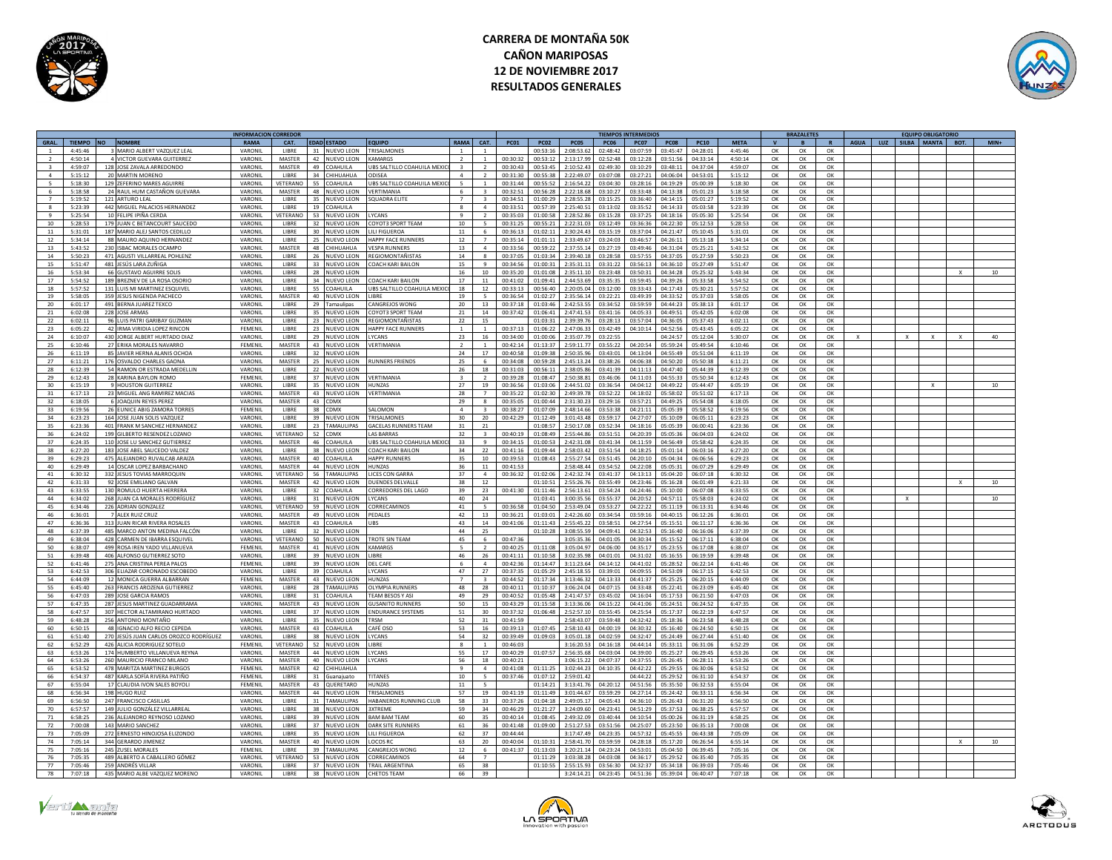



|                          |               |                                        | <b>INFORMACION CORREDOR</b> |                 |              |                    |                                   |                 |                          |             |                |                        | <b>TIEMPOS INTERMEDIOS</b> |             |             |             |          | <b>BRAZALETES</b> |          |             |     | <b>FOUIPO OBLIGATORIO</b> |      |                 |
|--------------------------|---------------|----------------------------------------|-----------------------------|-----------------|--------------|--------------------|-----------------------------------|-----------------|--------------------------|-------------|----------------|------------------------|----------------------------|-------------|-------------|-------------|----------|-------------------|----------|-------------|-----|---------------------------|------|-----------------|
|                          | <b>TIEMPO</b> | <b>NOMBRE</b>                          | RAMA                        | CAT.            |              | <b>EDAD ESTADO</b> | FOUIPO                            | <b>RAMA</b>     | CAT                      | <b>PC01</b> | <b>PC02</b>    | PC05<br><b>PC06</b>    | <b>PC07</b>                | <b>PC08</b> | <b>PC10</b> | <b>META</b> |          |                   |          | <b>AGUA</b> | LUZ | SILBA MANTA               | BOT. | $MIN+$          |
|                          | 4:45:46       | MARIO AI BERT VAZOUEZ LEA              | VARONII                     | LIBRE           |              | 31 NUEVO LEON      | <b>TRISALMONES</b>                |                 |                          |             | 00:53:16       | 2:08:53.6<br>02:48:42  | 03:07:59                   | 03:45:47    | 04:28:01    | 4:45:46     | $\alpha$ | $\alpha$          | $\alpha$ |             |     |                           |      |                 |
| $\overline{\phantom{a}}$ | 4:50:14       | 4 VICTOR GUEVARA GUITERREZ             | VARONIL                     | <b>MASTER</b>   |              | 42 NUEVO LEON      | <b>KAMARGS</b>                    | $\overline{2}$  | $\mathbf{1}$             | 00:30:32    | 00:53:12       | 2:13:17.99<br>02:52:48 | 03:12:28                   | 03:51:56    | 04:33:14    | 4:50:14     | OK       | OK                | OK       |             |     |                           |      |                 |
|                          | 4:59:07       | 128 JOSE ZAVALA ARREDONDO              | VARONIL                     | <b>MASTER</b>   |              | 49 COAHUILA        | URS SALTILLO COAHUILA MEXI        | $\mathbf{R}$    |                          | 00:30:43    | 00:53:45       | 2:10:52.43<br>02:49:30 | 03:10:29                   | 03:48:11    | 04:37:04    | 4:59:07     | OK       | OK                | OK       |             |     |                           |      |                 |
|                          |               |                                        |                             |                 |              |                    |                                   |                 | $\overline{2}$           |             |                |                        |                            |             |             |             |          |                   |          |             |     |                           |      |                 |
| $\Lambda$                | 5:15:12       | 20 MARTIN MORENO                       | VARONIL                     | <b>TIRRE</b>    |              | 34 CHIHUAHUA       | <b>ODISEA</b>                     | $\mathbf{a}$    | $\overline{\phantom{a}}$ | 00:31:30    | 00:55:38       | 2:22:49.07<br>03:07:08 | 03:27:21                   | 04:06:04    | 04:53:01    | 5:15:12     | $\alpha$ | $\alpha$          | $\Omega$ |             |     |                           |      |                 |
|                          | 5:18:30       | 129 ZEFERINO MARES AGUIRRE             | VARONIL                     | VETERANO        | 55 l         | OAHUILA            | <b>BS SALTILLO COAHUILA MEX</b>   |                 |                          | 00:31:44    | 00:55:52       | 2:16:54.2<br>03:04:30  | 03:28:16                   | 04:19:29    | 05:00:3     | 5:18:30     | ОК       | OK                | ОК       |             |     |                           |      |                 |
| 6                        | 5:18:58       | 24 RAUL HUM CASTAÑON GUEVARA           | VARONIL                     | MASTER          |              | 48 NUEVO LEON      | VERTIMANIA                        | 6               | $\overline{3}$           | 00:32:51    | 00:56:28       | 2:22:18.68<br>03:10:27 | 03:33:48                   | 04:13:38    | 05:01:23    | 5:18:58     | OK       | OK                | OK       |             |     |                           |      |                 |
|                          | 5:19:52       | 121 ARTURO I FAI                       | <b>VARONII</b>              | LIBRE           |              | 35 NUEVO LEON      | OLIADRA FLITE                     | $\overline{z}$  |                          | 00.34.51    | 01.00.29       | 7.78.55.79<br>03:15:25 | 03.36:40                   | 04:14:15    | 05:01:27    | 5.19.52     | OK       | OK                | OK       |             |     |                           |      |                 |
|                          | 5:23:39       | 442 MIGUEL PALACIOS HERNANDEZ          | VARONIL                     | LIBRE           |              | 19 COAHUILA        |                                   |                 |                          | 00:33:5     | 00:57:39       | 2:25:40.5<br>03:13:02  | 03:35:52                   | 04:14:33    | 05:03:58    | 5:23:39     | OK       | OK                | OK       |             |     |                           |      |                 |
|                          | 5:25:54       | 10 FELIPE IPIÑA CERDA                  | VARONII                     | VETERANO        |              | 53 NUEVO LEON      | <b>IYCANS</b>                     | $\mathbf{q}$    |                          | 00:35:03    | 01:00:58       | 2:28:52.86<br>03:15:28 | 03:37:25                   | 04:18:16    | 05:05:30    | 5:25:54     | OK       | OK                | OK       |             |     |                           |      |                 |
| 10                       | 5:28:53       | 179 JUAN C BETANCOURT SAUCEDO          | VARONIL                     | <b>LIBRE</b>    |              | 32 NUEVO LEON      | COYOT3 SPORT TEAM                 | 10              | $\mathbf{r}$             | 00:31:25    | 00:55:21       | 2:22:31.03<br>03:12:49 | 03:36:36                   | 04:22:30    | 05:12:52    | 5:28:53     | OK       | OK                | OK       |             |     |                           |      |                 |
|                          |               | 187 MARIO ALEI SANTOS CEDILLO          |                             | <b>LIBRE</b>    |              |                    |                                   |                 |                          |             |                |                        | 03:37:04                   |             |             |             |          |                   |          |             |     |                           |      |                 |
| 11                       | 5:31:01       |                                        | VARONII                     |                 |              | 30 NUEVO LEON      | <b>IIII FIGUEROA</b>              | 11              | -6                       | 00:36:13    | 01:02:11       | 2:30:24.43<br>03:15:19 |                            | 04:21:47    | 05:10:45    | 5:31:01     | OK       | OK                | ОК       |             |     |                           |      |                 |
| 12                       | 5:34:14       | 88 MAURO AQUINO HERNANDEZ              | VARONII                     | LIBRE           |              | 25 NUEVO LEON      | <b>HAPPY FACE RUNNERS</b>         | 12              | $\overline{7}$           | 00:35:14    | 01:01:11       | 2:33:49.67<br>03:24:03 | 03:46:57                   | 04:26:11    | 05:13:18    | 5:34:14     | OK       | OK                | $\alpha$ |             |     |                           |      |                 |
| 13                       | 5:43:52       | 230 ISBAC MORALES OCAMPO               | VARONII                     | MASTER          |              | 48 CHIHUAHUA       | <b>ESPA RUNNERS</b>               | 13              |                          | 00:33:56    | 00:59:22       | 2:37:55.14<br>03:27:19 | 03:49:46                   | 04:31:04    | 05:25:21    | 5:43:52     | OK       | ОК                | OK       |             |     |                           |      |                 |
| 14                       | 5:50:23       | 471 AGUSTI VILLARREAL POHLENZ          | VARONIL                     | <b>LIBRE</b>    |              | 26 NUEVO LEON      | REGIOMONTAÑISTA                   | 14              |                          | 00:37:05    | 01:03:34       | 2:39:40.18<br>03:28:58 | 03:57:55                   | 04:37:05    | 05:27:59    | 5:50:23     | OK       | OK                | OK       |             |     |                           |      |                 |
| 15                       | 5:51:47       | 481 JESÚS LARA ZUÑIGA                  | VARONII                     | LIBRE           |              | 33 NUEVO LEON      | OACH KARI BAILON                  | 15              | $\alpha$                 | 00.34.56    | 01:00:31       | 2:35:31.11<br>03:31:22 | 03:56:13                   | 04:36:10    | 05:27:49    | 5:51:47     | OK       | OK                | OK       |             |     |                           |      |                 |
| 16                       | 5-53-34       | 66 GUSTAVO AGUIRRE SOLIS               | VARONIL                     | LIBRE           |              | 28 NUEVO LEON      |                                   | 16              | 10                       | 00.35.20    | 01.01.05       | 2.35:11.1<br>03:23:48  | 03:50:31                   | 04.34.28    | 05:25:32    | 5:43:34     | $\alpha$ | OK                | OK       |             |     |                           |      |                 |
| 17                       | 5:54:52       | 189 BREZNEV DE LA ROSA OSORIO          | VARONIL                     | LIBRE           |              | 34 NUEVO LEON      | <b>OACH KARI BAILON</b>           | 17              | 11                       | 00:41:02    | 01:09:41       | 2:44:53.6<br>03:35:35  | 03:59:4                    | 04:39:26    | 05:33:58    | 5:54:52     | OK       | OK                | ОК       |             |     |                           |      |                 |
| 18                       | 5:57:52       | 131 LUIS MI MARTINEZ ESQUIVEL          | VARONIL                     | <b>LIBRE</b>    |              | 55 COAHUILA        | UBS SALTILLO COAHUILA MEXIO       | 18              | 12                       | 00:33:13    | 00:56:40       | 2:20:05.04<br>03:12:00 | 03:33:43                   | 04:17:43    | 05:30:21    | 5:57:52     | OK       | OK                | OK       |             |     |                           |      |                 |
|                          |               |                                        | <b>VARONII</b>              | <b>MASTER</b>   |              |                    | <b>LIRRE</b>                      |                 | $\mathbb{R}$             |             |                | 2.35.5614              | 03:49:39                   | 04.33.52    |             | 5:58:05     |          |                   |          |             |     |                           |      |                 |
| 19                       | 5:58:05       | 359 JESUS NIGENDA PACHECO              |                             |                 |              | 40 NUEVO LEON      |                                   | 19              |                          | 00:36:54    | 01:02:27       | 03:22:21               |                            |             | 05:37:03    |             | OK       | OK                | OK       |             |     |                           |      |                 |
| 20                       | 6:01:17       | 491 BERNA JUAREZ TEXCO                 | VARONIL                     | <b>LIBRE</b>    |              | 29 Tamaulinas      | <b>ANGREIOS WONG</b>              | $20^{\circ}$    | 13                       | 00:37:18    | 01:03:46       | 2:42:53.5<br>03:34:52  | 03:59:59                   | 04:44:23    | 05:38:13    | 6:01:17     | OK       | OK                | OK       |             |     |                           |      |                 |
| 21                       | 6:02:08       | 228 JOSE ARMAS                         | VARONII                     | LIBRE           |              | 35 NUEVO LEON      | OYOT3 SPORT TEAM                  | 21              | 14                       | 00:37:42    | 01:06:41       | 2:47:41.53<br>03:41:16 | 04:05:33                   | 04:49:51    | 05:42:05    | 6:02:08     | OK       | OK                | OK       |             |     |                           |      |                 |
| 22                       | 6:02:11       | 96 LUIS PATRI GARIBAY GUZMAN           | VARONII                     | <b>LIBRE</b>    |              | 23 NUEVO LEON      | <b>REGIOMONTAÑISTAS</b>           | 22              | 15                       |             | 01:03:31       | 2:39:39.7<br>03:28:13  | 03:57:04                   | 04:36:05    | 05:37:43    | 6:02:11     | OK       | OK                | OK       |             |     |                           |      |                 |
| 23                       | 6:05:22       | 42 IRMA VIRIDIA LOPEZ RINCON           | FEMENII                     | <b>LIBRE</b>    |              | 23 NUEVO LEON      | HAPPY FACE RUNNERS                | $\sim$          | $\overline{1}$           | 00:37:1     | 01:06:2        | 2:47:06.3<br>03:42:49  | 04:10:14                   | 04:52:56    | 05:43:45    | 6:05:22     | OK       | OK                | OK       |             |     |                           |      |                 |
| 24                       | 6:10:07       | 430 JORGE ALBERT HURTADO DIA:          | VARONII                     | LIBRE           |              | 29 NUEVO LEON      | <b>YCANS</b>                      | 23              | 16                       | 00:34:00    | 01.00:06       | 2:35:07.7<br>03:22:55  |                            | 04:24:5     | 05:12:04    | 5:30:07     | $\alpha$ | OK                | $\alpha$ |             |     |                           |      | $\Delta \Omega$ |
| 25                       | 6:10:46       | 27 ERIKA MORALES NAVARRO               | FEMENIL                     | <b>MASTER</b>   |              | 43 NUEVO LEON      | <b>VERTIMANIA</b>                 | $\overline{2}$  |                          | 00:42:14    | 01:13:37       | 2:59:11.7<br>03:55:22  | 04:20:5                    | 05:59:24    | 05:49:54    | 6:10:46     | OK       | OK                | OK       |             |     |                           |      |                 |
|                          |               |                                        |                             | <b>LIBRE</b>    |              |                    |                                   |                 |                          |             |                |                        |                            |             |             |             |          |                   |          |             |     |                           |      |                 |
| 26                       | 6:11:19       | 85 JAVIER HERNA ALANIS OCHO            | VARONIL                     |                 |              | 32 NUEVO LEON      |                                   | 24              | 17                       | 00:40:58    | 01:09:38       | 2:50:35.96<br>03:43:01 | 04:13:04                   | 04:55:49    | 05:51:04    | 6:11:19     | OK       | OK                | OK       |             |     |                           |      |                 |
| 27                       | 6:11:21       | 176 OSVALDO CHARLES GAONA              | VARONIL                     | <b>MASTER</b>   |              | 25 NUEVO LEON      | <b>RUNNERS ERIENDS</b>            | 25              | -6                       | 00:34:08    | 00:59:28       | 2:45:13.24<br>03:38:26 | 04.06.38                   | 04:50:20    | 05:50:38    | 6:11:21     | OK       | OK                | OK       |             |     |                           |      |                 |
| 28                       | 6:12:39       | 54 RAMON OR ESTRADA MEDELLIN           | VARONIL                     | <b>LIBRE</b>    |              | 22 NUEVO LEON      |                                   | 26              | 18                       | 00:31:03    | 00:56:11       | 2:38:05.86<br>03:41:39 | 04:11:13                   | 04:47:40    | 05:44:39    | 6:12:39     | OK       | OK                | OK       |             |     |                           |      |                 |
| 29                       | 6:12:43       | 28 KARINA BAYLON ROMO                  | FEMENIL                     | LIBRE           |              | 37 NUEVO LEON      | ERTIMANIA                         |                 |                          | 00:39:28    | 01:08:47       | 2:50:38.8<br>03:46:06  | 04:11:03                   | 04:55:33    | 05:50:34    | 6:12:43     | OK       | OK                | OK       |             |     |                           |      |                 |
| 30                       | 6:15:19       | 9 HOUSTON GUITERREZ                    | VARONIL                     | <b>IIBRF</b>    |              | 35 NUEVO LEON      | HUNZAS                            | 27              | 19                       | 00:36:56    | 01:03:06       | 2:44:51.0<br>03:36:54  | 04:04:12                   | 04:49:22    | 05:44:47    | 6:05:19     | OK       | OK                | ОК       |             |     |                           |      | 10              |
| 31                       | 6:17:13       | 23 MIGUEL ANG RAMIREZ MACIAS           | VARONIL                     | <b>MASTER</b>   |              | 43 NUEVO LEON      | VERTIMANIA                        | 28              | $\mathbf{z}$             | 00.35.22    | 01:02:30       | 2:49:39.7<br>03:52:22  | 04:18:02                   | 05:58:02    | 05:51:02    | 6:17:13     | OK       | OK                | OK       |             |     |                           |      |                 |
| 32                       | 6:18:05       | 6 IOAOUIN REYES PEREZ                  | VARONII                     | <b>MASTER</b>   |              | 43 CDMX            |                                   | 29              |                          | 00:35:0     | 01:00:44       | 2:31:30.2<br>03:29:16  | 03:57:2                    | 04:49:25    | 05:54:08    | 6:18:05     | $\alpha$ | OK                | OK       |             |     |                           |      |                 |
| 33                       | 6:19:56       | 26 FUNICE ARIG ZAMORA TORRES           | <b>FFMENII</b>              | LIBRE           | 38           | CDMX               | AI OMON                           | $\overline{a}$  |                          | 00:38:2     | 01:07:09       | 2:48:14.6<br>03:53:38  | 04:21:1                    | 05:05:3!    | 05:58:52    | 6:19:56     | OK       | OK                | OK       |             |     |                           |      |                 |
|                          |               |                                        |                             |                 |              |                    |                                   |                 |                          |             |                |                        |                            |             |             |             |          |                   |          |             |     |                           |      |                 |
| 34                       | 6:23:25       | 164 JOSE JUAN SOLIS VAZQUEZ            | VARONIL                     | LIBRE           | 39           | <b>NUEVO LEON</b>  | TRISALMONE:                       | 30              | 20                       | 00:42:2     | 01:12:49       | 3:01:43.48<br>03:59:17 | 04:27:0                    | 05:10:0     | 06:05:11    | 6:23:23     | OK       | OK                | OK       |             |     |                           |      |                 |
| 35                       | 6:23:36       | 401 FRANK M SANCHEZ HERNANDEZ          | VARONIL                     | LIBRE           |              | 23 TAMAULIPAS      | <b>GACELAS RUNNERS TEAM</b>       | 31              | 21                       |             | 01:08:57       | 2:50:17.08<br>03:52:34 | 04:18:16                   | 05:05:39    | 06:00:41    | 6:23:36     | OK       | OK                | OK       |             |     |                           |      |                 |
| 36                       | 6:24:02       | 199 GILBERTO RESENDEZ LOZANO           | VARONIL                     | VETERANO        |              | 52 CDMX            | <b>I AS BARRAS</b>                | 32              | $\mathbf{R}$             | 00:40:19    | 01:08:49       | 2:55:44.86<br>03:51:51 | 04:20:39                   | 05:05:36    | 06:04:03    | 6:24:02     | OK       | OK                | OK       |             |     |                           |      |                 |
| 37                       | 6:24:35       | 110 JOSE LU SANCHEZ GUTIERREZ          | VARONIL                     | MASTER          |              | 46 COAHUILA        | <b>JBS SALTILLO COAHUILA MEXI</b> | 33              | $\mathbf{q}$             | 00:34:15    | 01:00:53       | 2:42:31.08<br>03:41:34 | 04:11:59                   | 04:56:49    | 05:58:42    | 6:24:35     | OK       | OK                | OK       |             |     |                           |      |                 |
|                          | 6:27:20       | 183 JOSE ABEL SAUCEDO VALDEZ           | VARONIL                     | LIBRE           |              | 38 NUEVO LEON      | OACH KARI BAILON                  | 34              | 22                       | 00:41:1     | 01:09:44       | 2:58:03.4<br>3:51:54   | 04:18:2!                   | 05:01:14    | 06:03:1     | 6:27:20     | OK       | OK                | OK       |             |     |                           |      |                 |
| 39                       | 6:29:23       | 475 ALEJANDRO RUVALCAB ARAIZA          | VARONIL                     | <b>MASTER</b>   |              | 40 COAHUILA        | <b>HAPPY RUNNERS</b>              | 35              | $10\,$                   | 00:39:51    | 01:08:43       | 2:55:27.5<br>03:51:45  | 04:20:10                   | 05:04:34    | 06:06:56    | 6:29:23     | OK       | OK                | ОК       |             |     |                           |      |                 |
| 40                       | 6:29:49       | 14 OSCAR LOPEZ BARBACHANO              | VARONII                     | <b>MASTER</b>   |              | 44 NUEVO LEON      | <b>IUNZA</b>                      | 36              | $11\,$                   | 00:41:5     |                | 2:58:48.4<br>03:54:52  | 04:22:08                   | 05:05:31    | 06:07:2     | 6:29:49     | OK       | OK                | OK       |             |     |                           |      |                 |
| 41                       | 6:30:32       | 332 JESUS TOVIAS MARROOUIN             | VARONII                     | VETERANO        |              | 56 TAMAULIPAS      | <b>ICES CON GARRA</b>             | 37              |                          | 00:36:3     | 01:02:0        | 2:42:32<br>03:41:37    | 04:13:13                   | 05:04:20    | 06:07:18    | 6:30:32     | OK       | OK                | OK       |             |     |                           |      |                 |
|                          |               |                                        |                             |                 |              |                    |                                   |                 |                          |             |                |                        |                            |             |             |             |          |                   |          |             |     |                           |      |                 |
| 42                       | 6:31:32       | 92 JOSE EMILIANO GALVAN                | VARONII                     | <b>MASTER</b>   |              | 42 NUEVO LEON      | <b>JUENDES DEI VALL</b>           | 38              | 12                       |             | 01:10:5        | 2:55:26.7<br>03:55:49  | 04:23:46                   | 05:16:28    | 06:01:49    | 6:21:37     | $\Omega$ | OK                | OK       |             |     |                           |      | 10              |
| 43                       | 6:33:55       | 130 ROMULO HUERTA HERRERA              | VARONIL                     | <b>LIBRE</b>    |              | 32 COAHUILA        | CORREDORES DEL LAGO               | 39              | 23                       | 00:41:30    | 01:11:46       | 2:56:13.61<br>03:54:24 | 04:24:46                   | 05:10:00    | 06:07:08    | 6:33:55     | OK       | OK                | OK       |             |     |                           |      |                 |
| 44                       | 6:34:02       | 268 JUAN CA MORALES RODRÍGUEZ          | VARONII                     | <b>LIBRE</b>    |              | 31 NUEVO LEON      | <b>YCANS</b>                      | 40              | 24                       |             | 01:03:41       | 3:00:35.56<br>03:55:37 | 04:20:52                   | 04:57:11    | 05:58:03    | 6:24:02     | OK       | OK                | ОК       |             |     |                           |      | 10              |
| 45                       | 6:34:46       | 226 ADRIAN GONZALEZ                    | VARONII                     | VETERANO        |              | 59 NUEVO LEON      | ORRECAMINOS                       | 41              | $\overline{\phantom{a}}$ | 00:36:58    | 01:04:50       | 2:53:49.04<br>03:53:27 | 04:22:22                   | 05:11:19    | 06:13:31    | 6:34:46     | OK       | $\alpha$          | $\Omega$ |             |     |                           |      |                 |
| 46                       | 6:36:01       | 7 ALEX RUIZ CRUZ                       | VARONIL                     | <b>MASTER</b>   |              | 49 NUEVO LEON      | <b>EDALES</b>                     | 42              | 13                       | 00:36:21    | 01:03:03       | 03:34:54<br>2:42:26.6  | 03:59:16                   | 04:40:15    | 06:12:26    | 6:36:01     | ОК       | OK                | OK       |             |     |                           |      |                 |
| 47                       | 6:36:36       | 313 JUAN RICAR RIVERA ROSALES          | VARONIL                     | MASTER          |              | 43 COAHUILA        | <b>TIRS</b>                       | 43              | 14                       | 00:41:06    | 01:11:43       | 2:55:45.22<br>03:58:51 | 04:27:54                   | 05:15:51    | 06:11:17    | 6:36:36     | OK       | OK                | OK       |             |     |                           |      |                 |
| 48                       | 6:37:39       | 485 MARCO ANTON MEDINA FALCÓN          | VARONIL                     | LIBRE           |              | 32 NUEVO LEON      |                                   | 44              | 25                       |             | 01:10:28       | 3:08:55.5<br>04:09:41  | 04:32:5                    | 05:16:40    | 06:16:06    | 6:37:39     | ОК       | OK                | ОК       |             |     |                           |      |                 |
| 49                       | 6:38:04       | 428 CARMEN DE IBARRA ESQUIVE           | VARONIL                     | <b>/FTFRANO</b> | $50^{\circ}$ | <b>NUEVO LEON</b>  | <b>TROTE SIN TEAN</b>             | 45              |                          | 00:47:3     |                | 3:05:35.<br>04:01:05   | 04:30:3                    | 05:15:5     | 06:17:1     | 6:38:04     | OK       | OK                | OK       |             |     |                           |      |                 |
|                          |               |                                        |                             |                 |              |                    |                                   |                 |                          |             |                |                        |                            |             |             |             |          |                   |          |             |     |                           |      |                 |
| 50                       | 6:38:07       | 499 ROSA IREN YADO VILLANUEVA          | FEMENIL                     | <b>MASTER</b>   |              | 41 NUEVO LEON      | CAMARGS                           |                 |                          | 00:40:2     | 01:11:05       | 3:05:04.9<br>04:06:00  | 04:35:1                    | 05:23:5     | 06:17:08    | 6:38:07     | $\alpha$ | OK                | OK       |             |     |                           |      |                 |
| 51                       | 6:39:48       | 406 ALFONSO GUTIERREZ SOTO             | VARONIL                     | <b>LIBRE</b>    |              | 39 NUEVO LEON      | <b>LIBRE</b>                      | 46              | 26                       | 00:41:11    | 01:10:58       | 3:02:35.98<br>04:01:01 | 04:31:02                   | 05:16:55    | 06:19:59    | 6:39:48     | ОК       | OK                | OK       |             |     |                           |      |                 |
| 52                       | 6:41:46       | 275 ANA CRISTINA PEREA PALOS           | FEMENIL                     | <b>LIBRE</b>    |              | 39 NUEVO LEON      | DEI CAFE                          | -6              | $\overline{a}$           | 00:42:36    | 01:14:47       | 3:11:23.64<br>04:14:12 | 04:41:02                   | 05:28:52    | 06:22:14    | 6:41:46     | OK       | OK                | ОК       |             |     |                           |      |                 |
| 53                       | 6:42:53       | 306 FLIAZAR CORONADO ESCOREDO          | VARONII                     | LIBRE           |              | 39 COAHUILA        | <b>YCANS</b>                      | 47              | 27                       | 00:37:35    | 01.05.29       | 2:45:18.5<br>03:39:01  | 04:09:55                   | 04:53:09    | 06:17:15    | 6:42:53     | OK       | OK                | $\alpha$ |             |     |                           |      |                 |
| 54                       | 6:44:09       | 12 MONICA GUERRA ALBARRAN              | <b>FFMENII</b>              | MASTER          |              | 43 NUEVO LEON      | <b>UN7AS</b>                      |                 |                          | 00:44:52    | 01:17:34       | 3:13:46.3<br>04:13:33  | 04:41:37                   | 05:25:2     | 06:20:1     | 6:44:09     | OK       | OK                | OK       |             |     |                           |      |                 |
| 55                       | 6:45:40       | 263 FRANCIS AROZENA GUTIERREZ          | VARONIL                     | LIBRE           |              | 28 TAMAULIPAS      | OLYMPIA RUNNERS                   | 48              | 28                       | 00:40:11    | 01:10:37       | 3:06:24.04<br>04:07:15 | 04:33:48                   | 05:22:41    | 06:23:09    | 6:45:40     | OK       | OK                | OK       |             |     |                           |      |                 |
| 56                       | 6:47:07       | 289 JOSE GARCIA RAMOS                  | VARONIL                     | <b>LIBRE</b>    |              | 31 COAHUILA        | TEAM RESOS Y ASI                  | 49              | 29                       | 00:40:52    | 01:05:45       | 2:41:47.5<br>03:45:02  | 04:16:04                   | 05:17:53    | 06:21:50    | 6:47:03     | OK       | OK                | OK       |             |     |                           |      |                 |
| 57                       | 6:47:35       | 287 JESUS MARTINEZ GUADARRAMA          | VARONIL                     | MASTER          | 43           | NUEVO LEON         | <b>SUSANITO RUNNERS</b>           | 50              | 15                       | 00:43:29    | $01 - 15 - 55$ | 3:13:36.0<br>04.15.22  | 04:41:06                   | 05:24:51    | 06:24:52    | 6:47:35     | $\Omega$ | OK                | $\cap$ K |             |     |                           |      |                 |
|                          |               |                                        |                             |                 |              |                    |                                   |                 |                          |             |                |                        |                            |             |             |             |          |                   |          |             |     |                           |      |                 |
| 58                       | 6:47:57       | 307 HECTOR ALTAMIRANO HURTADO          | VARONIL                     | LIBRE           | 37           | NUEVO LEON         | NDURANCE SYSTEMS                  | 51              | 30                       | 00:37:32    | 01:06:48       | 2:52:57.1<br>03:55:45  | 04:25:54                   | 05:17:3     | 06:22:19    | 6:47:57     | OK       | OK                | OK       |             |     |                           |      |                 |
| 59                       | 6:48:28       | 256 ANTONIO MONTAÑO                    | VARONIL                     | <b>LIBRE</b>    |              | 35 NUEVO LEON      | <b>TRSM</b>                       | 52              | 31                       | 00:41:59    |                | 2:58:43.07<br>03:59:48 | 04:32:42                   | 05:18:36    | 06:23:58    | 6:48:28     | OK       | OK                | OK       |             |     |                           |      |                 |
| 60                       | 6:50:15       | 48 IGNACIO ALFO RECIO CEPEDA           | VARONII                     | MASTER          |              | 43 COAHUILA        | CAFÉ OSO                          | 53              | 16                       | 00:39:13    | 01:07:45       | 2:58:10.43<br>04:00:19 | 04:30:32                   | 05:16:40    | 06:24:50    | 6:50:15     | OK       | OK                | OK       |             |     |                           |      |                 |
| 61                       | 6:51:40       | 270 JESÚS JUAN CARLOS OROZCO RODRÍGUEZ | VARONII                     | <b>LIBRE</b>    |              | 38 NUEVO LEON      | <b>IYCANS</b>                     | 54              | 32                       | 00:39:49    | 01:09:03       | 3:05:01.18<br>04:02:59 | 04:32:47                   | 05:24:49    | 06:27:44    | 6:51:40     | OK       | ОК                | ОК       |             |     |                           |      |                 |
| 62                       | 6:52:29       | 426 ALICIA RODRIGUEZ SOTELO            | FEMENIL                     | <b>/FTFRANO</b> |              | 52 NUEVO LEON      | <b>BRF</b>                        |                 |                          | 00:46:03    |                | 3:16:20.53<br>04:16:18 | 04:44:14                   | 05:33:11    | 06:31:06    | 6:52:29     | OK       | OK                | OK       |             |     |                           |      |                 |
| 63                       | 6:53:26       | 174 HUMBERTO VILLANUEVA REYNA          | VARONIL                     | MASTER          |              | 44 NUEVO LEON      | <b>YCANS</b>                      | 55              | 17                       | 00:40:29    | 01:07:57       | 2:56:35.68<br>04:03:04 | 04:39:00                   | 05:25:27    | 06:29:49    | 6:53:26     | OK       | OK                | OK       |             |     |                           |      |                 |
| 64                       | 6:53:26       | 260 MAURICIO FRANCO MILANO             | VARONIL                     | <b>MASTER</b>   |              | 40 NUEVO LEON      | YCANS                             | 56              | 18                       | 00:40:21    |                | 3:06:15.2<br>04:07:37  | 04:37:5                    | 05:26:45    | 06:28:11    | 6:53:26     | ОК       | OK                | OK       |             |     |                           |      |                 |
| 65                       | 6.53.57       | 478 MARITZA MARTINEZ BURGO             | FEMENII                     | <b>MASTER</b>   |              | 42 CHIHUAHUA       |                                   | $\alpha$        | $\Lambda$                | 00:41:08    | 01:11:25       | 04:10:35<br>3:02:44.2  | 04:42:22                   | 05:29:55    | 06:30:06    | 6:53:52     | $\Omega$ | OK                | $\alpha$ |             |     |                           |      |                 |
|                          |               |                                        |                             |                 |              |                    |                                   |                 |                          |             |                |                        |                            |             |             |             |          |                   |          |             |     |                           |      |                 |
| 66                       | 6:54:37       | 487 KARLA SOFÍA RIVERA PATIÑO          | <b>FFMENII</b>              | LIBRE           |              | 31 Guanajuato      | <b>TANES</b>                      | 10 <sup>1</sup> |                          | 00:37:46    | 01:07:12       | 2:59:01.4              | 04:44:2                    | 05:29:5     | 06:31:10    | 6:54:37     | $\alpha$ | OK                | OK       |             |     |                           |      |                 |
| 67                       | 6:55:04       | 17 CLAUDIA IVON SALES BOYOLI           | FEMENIL                     | MASTER          |              | 43 QUERETARO       | <b>IUNZAS</b>                     | 11              |                          |             | 01:14:21       | 3:13:41.76<br>04:20:12 | 04:51:56                   | 05:35:50    | 06:32:53    | 6:55:04     | OK       | OK                | OK       |             |     |                           |      |                 |
| 68                       | 6:56:34       | 198 HUGO RUIZ                          | VARONIL                     | MASTER          |              | 44 NUEVO LEON      | TRISALMONES                       | 57              | 19                       | 00:41:19    | 01:11:49       | 3:01:44.67<br>03:59:29 | 04:27:14                   | 05:24:42    | 06:33:11    | 6:56:34     | OK       | OK                | OK       |             |     |                           |      |                 |
| 69                       | 6:56:50       | 247 FRANCISCO CASILLAS                 | VARONIL                     | <b>LIBRE</b>    |              | 31 TAMAULIPAS      | HABANEROS RUNNING CLUB            | 58              | 33                       | 00:37:26    | 01.04.18       | 2:49:05.17<br>04:05:43 | 04:36:10                   | 05:26:43    | 06:31:20    | 6:56:50     | OK       | OK                | OK       |             |     |                           |      |                 |
| 70                       | 6:57:57       | 149 JULIO GONZÁLEZ VILLARREAL          | VARONIL                     | LIBRE           | 38 N         | <b>IUEVO LEON</b>  | <b>IXTRFMF</b>                    | 59              | 34                       | 00:46:29    | 01:21:27       | 3:24:09.60<br>04:23:41 | 04:51:29                   | 05:37:53    | 06:38:25    | 6:57:57     | OK       | OK                | OK       |             |     |                           |      |                 |
| 71                       | 6:58:25       | 236 ALEJANDRO REYNOSO LOZANO           | VARONIL                     | LIBRE           | 39           | NUEVO LEON         | <b>BAM BAM TEAL</b>               | 60              | 35                       | 00:40:14    | 01:08:45       | 2:49:32.0<br>03:40:44  | 04:10:54                   | 05:00:26    | 06:31:19    | 6:58:25     | ОК       | OK                | ОК       |             |     |                           |      |                 |
| 72                       | 7:00:08       | 143 MARIO SANCHEZ                      | VARONII                     | LIBRE           |              | 37 NUEVO LEON      | DARK SITE RUNNERS                 | 61              | 36                       | 00:41:48    | 01:09:00       | 2.51.275<br>03:51:56   | 04.25:07                   | 05.23.50    | 06:35:13    | 7:00:08     | OK       | OK                | ОК       |             |     |                           |      |                 |
|                          |               |                                        |                             | LIBRE           |              |                    |                                   |                 | 37                       |             |                |                        |                            |             |             | 7:05:09     | $\alpha$ |                   |          |             |     |                           |      |                 |
| 73                       | 7:05:09       | 272 FRNESTO HINOIOSA ELIZONDO          | VARONII                     |                 | 35.          | NUEVO LEON         | <b>ILLEIGUERO</b>                 | 62              |                          | 00:44:44    |                | 3:17:47.4<br>04:23:35  | 04:57:3                    | 05:45:5     | 06:43:38    |             |          | OK                | OK       |             |     |                           |      |                 |
| 74                       | 7:05:14       | 344 GERARDO JIMENEZ                    | VARONII                     | MASTER          | 40           | <b>NUEVO LEON</b>  | OCOS RO                           | 63              | 20                       | 00:40:04    | 01:10:3        | 2:58:41<br>03:59:59    | 04:28:1                    | 05:17:20    | 06:26:5     | 6:55:14     | OK       | OK                | OK       |             |     |                           |      |                 |
| 75                       | 7:05:16       | 245 ZUSEL MORALES                      | <b>FFMENII</b>              | LIBRE           | 39           | <b>TAMAULIPAS</b>  | ANGREJOS WONG                     | 12              |                          | 00:41:37    | 01:13:0        | 3:20:21.1<br>04:23:24  | 04:53:0                    | 05:04:5     | 06:39:4     | 7:05:16     | $\alpha$ | OK                | OK       |             |     |                           |      |                 |
| 76                       | 7:05:35       | 489 ALBERTO A CABALLERO GÓMEZ          | VARONIL                     | VETERANO        |              | 53 NUEVO LEON      | CORRECAMINOS                      | 64              | $\overline{7}$           |             | 01:11:29       | 3:03:38.28<br>04:03:08 | 04:36:17                   | 05:29:52    | 06:35:40    | 7:05:35     | OK       | OK                | OK       |             |     |                           |      |                 |
| 77                       | 7:05:46       | 259 ANDRÉS VILLAR                      | VARONIL                     | <b>LIBRE</b>    |              | 37 NUEVO LEON      | <b>TRAIL ARGENTINA</b>            | 65              | 38                       |             | 01:10:55       | 2:55:15.93<br>03:56:30 | 04:32:37                   | 05:34:18    | 06:39:02    | 7:05:46     | OK       | OK                | OK       |             |     |                           |      |                 |
| 78                       | 7:07:18       | 435 MARIO ALBE VAZOUEZ MORENO          | VARONIL                     | LIBRE           |              | 38 NUEVO LEON      | CHETOS TEAM                       | 66              | 39                       |             |                | 3.24.14.2<br>04.23.45  | 04.51.36                   | 05.39.04    | 06:40:47    | 7:07:18     | $\alpha$ | OK                | OK       |             |     |                           |      |                 |
|                          |               |                                        |                             |                 |              |                    |                                   |                 |                          |             |                |                        |                            |             |             |             |          |                   |          |             |     |                           |      |                 |





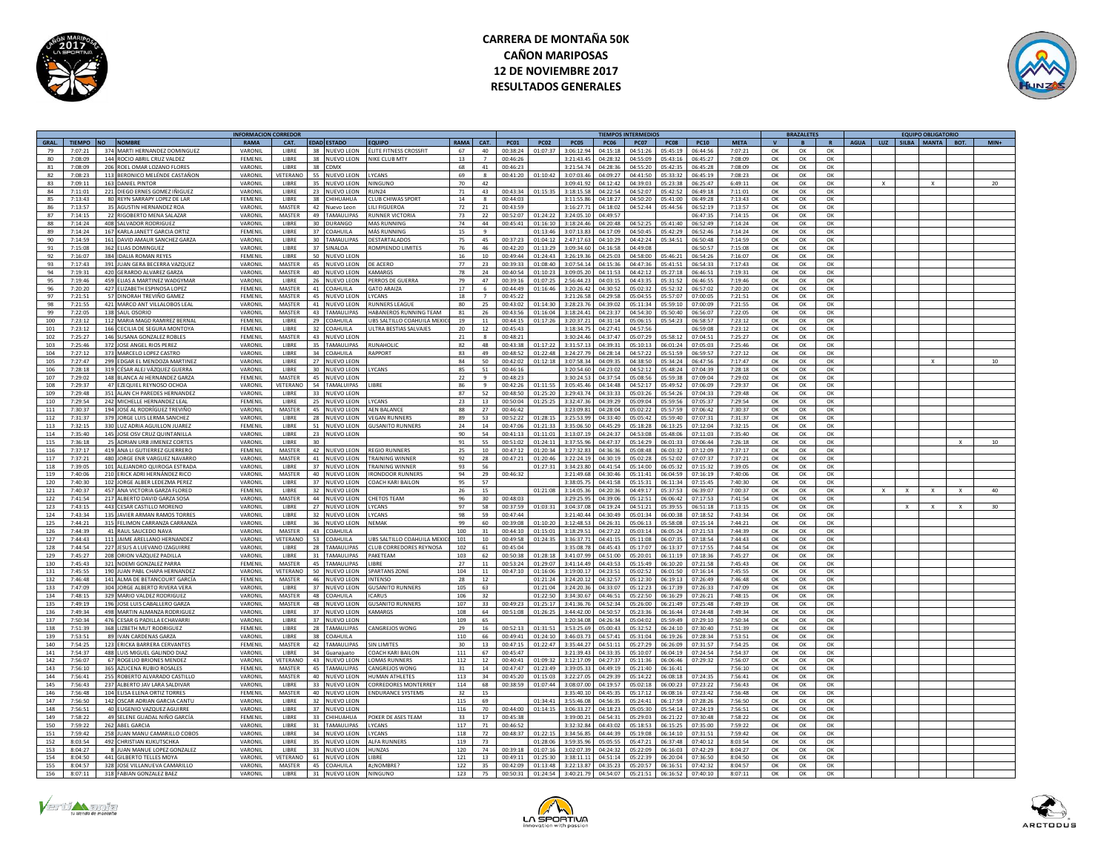



|                 |                    |                                                              | <b>INFORMACION CORREDO</b> |                       |                                       |                                 |                 |                  |                          |                      |                      |                               | <b>TIEMPOS INTERMEDIOS</b> |                      |                      |                    |                | <b>BRAZALETE</b> |                |             |     | <b>EQUIPO OBLIGATORIO</b> |              |                 |
|-----------------|--------------------|--------------------------------------------------------------|----------------------------|-----------------------|---------------------------------------|---------------------------------|-----------------|------------------|--------------------------|----------------------|----------------------|-------------------------------|----------------------------|----------------------|----------------------|--------------------|----------------|------------------|----------------|-------------|-----|---------------------------|--------------|-----------------|
| GRAL.           | TIEMPO NO          | <b>NOMBRE</b>                                                | <b>RAMA</b>                | CAT.                  | <b>EDAD ESTADO</b>                    | <b>COUIPO</b>                   | RAMA            | <b>CAT</b>       | <b>PC01</b>              | <b>PC02</b>          | <b>PC05</b>          | <b>PC06</b>                   | <b>PC07</b>                | PC08                 | <b>PC10</b>          | <b>META</b>        | $\mathbf{v}$   | $\overline{B}$   | $\mathbf{R}$   | <b>AGUA</b> | LUZ | SILBA MANTA               | BOT.         | $MIN+$          |
| $\overline{7}a$ | 7.07.21            | 374 MARTI HERNANDEZ DOMINGUEZ                                | VARONIL                    | LIBRE                 | 38 NUEVO LEON                         | <b>ÉLITE EITNESS CROSSEIT</b>   | 67              | $A \cap$         | 00.38.24                 | 01:07:37             | 3.06:12.94           | 04.15.18                      | 04:51:26                   | 05:45:19             | 06:AA:56             | 7.07.21            | OK             | $\alpha$         | OK             |             |     |                           |              |                 |
| 80              | 7:08:09            | 144 ROCIO ABRIL CRUZ VALDEZ                                  | FEMENIL                    | LIBRE                 | 38 NUEVO LEON                         | <b>NIKE CLUB MTY</b>            | 13              |                  | 00:46:26                 |                      | 3:21:43.45           | 04:28:32                      | 04:55:09                   | 05:43:16             | 06:45:27             | 7:08:09            | OK             | OK               | OK             |             |     |                           |              |                 |
| 81              | 7:08:09            | 206 ROEL OMAR LOZANO FLORES                                  | VARONIL                    | <b>LIBRE</b>          | 38 CDMX                               |                                 | 68              | 41               | 00:46:23                 |                      | 3:21:54.74           | 04:28:36                      | 04:55:20                   | 05:42:35             | 06:45:28             | 7:08:09            | OK             | OK               | OK             |             |     |                           |              |                 |
| 82              | 7:08:23            | 113 BERONICO MELÉNDE CASTAÑON                                | VARONIL                    | VETERANC              | 55.<br>NUEVO LEON                     | YCANS                           | 69              | $\mathbf{R}$     | 00:41:20                 | 01:10:42             | 3.07.03.46           | 04.09.27                      | $0.41 - 50$                | 05.33.32             | 06:45:19             | 7:08:23            | OK             | OK               | ОК             |             |     |                           |              |                 |
| 83              | 7:09:11            | 163 DANIEL PINTOI                                            | VARONIL                    | LIBRE                 | 35<br><b>UEVO LEON</b>                | INGUNC                          | 70              | 42               |                          |                      | 3:09:41.9            | 04:12:42                      | 04:39:03                   | 05:23:38             | 06:25:47             | 6:49:11            | OK             | OK               | OK             |             |     |                           |              | 20              |
| 84              | 7:11:01            | 221 DIEGO ERNES GOMEZ IÑIGUEZ                                | VARONIL                    | LIBRE                 | 23<br>NUEVO LEON                      | <b>RUN24</b>                    | 71              | 43               | 00:43:34                 | 01:15:35             | 3:18:15.5            | 04:22:54                      | 04:52:07                   | 05:42:52             | 06:49:18             | 7:11:01            | OK             | OK               | OK             |             |     |                           |              |                 |
| 85              | 7:13:43            | 80 REYN SARRAPY LOPEZ DE LAR                                 | <b>FFMFNII</b>             | <b>LIBRE</b>          | 38 CHIHUAHUA                          | <b>CLUB CHIWAS SPORT</b>        | 14              | $\mathbf{R}$     | 00:44:03                 |                      | 3:11:55.8            | 04:18:27                      | 04:50:20                   | 05:41:00             | 06:49:28             | 7:13:43            |                |                  |                |             |     |                           |              |                 |
|                 |                    |                                                              |                            |                       |                                       |                                 |                 |                  |                          |                      |                      |                               |                            |                      |                      |                    | OK             | OK               | OK             |             |     |                           |              |                 |
| 86              | 7:13:57            | 35 AGUSTIN HERNANDEZ ROA                                     | VARONII                    | MASTER                | 42<br>uevo Leon                       | <b>ILLEIGUERO</b>               | 72              | 21               | 00:43:59                 |                      | 3:16:27              | 04:18:0                       | 04:52:44                   | 05:44:5              | 06:52:1              | 7:13:57            | $\Omega$       | OK               | $\alpha$       |             |     |                           |              |                 |
| 87              | 7.14.15            | 22 RIGOBERTO MENA SALAZAR                                    | VARONIL                    | MASTER                | $\Delta Q$<br><b>AMALILIPAS</b>       | UNNER VICTORIA                  | 73              | 22               | 00.52.07                 | $01 - 24 - 27$       | 3:24:05.1            | 04:49:57                      |                            |                      | 06:47:3              | 7:14:15            | $\Omega$       | $\cap$ K         | <b>OK</b>      |             |     |                           |              |                 |
| 88              | 7:14:24            | 408 SALVADOR RODRIGUEZ                                       | VARONIL                    | LIBRE                 | 30<br>URANGO                          | MAS RUNNING                     | 74              | 44               | 00:45:41                 | 01:16:10             | 3:18:24.46           | 04:20:48                      | 04:52:25                   | 05:41:4              | 06:52:4              | 7:14:24            | OK             | OK               | OK             |             |     |                           |              |                 |
| 89              | 7:14:24            | 167 KARLA JANETT GARCIA ORTIZ                                | FEMENIL                    | <b>LIBRE</b>          | 37 COAHUILA                           | MÁS RUNNING                     | 15              | $\alpha$         |                          | 01:13:46             | 3:07:13.83           | 04:17:09                      | 04:50:45                   | 05:42:29             | 06:52:46             | 7:14:24            | OK             | OK               | OK             |             |     |                           |              |                 |
| 90              | 7:14:59            | 161 DAVID AMAUR SANCHEZ GARZA                                | VARONIL                    | <b>LIBRE</b>          | <b>TAMALILIPAS</b><br>30 <sup>2</sup> | <b>DESTARTALADOS</b>            | 75              | 45               | 00:37:23                 | 01:04:12             | 2.47.1763            | 04:10:29                      | 04:42:24                   | 05:34:51             | 06:50:48             | 7:14:59            | OK             | OK               | OK             |             |     |                           |              |                 |
| 91              | 7:15:08            | 362 ELIAS DOMINGUEZ                                          | VARONIL                    | <b>LIBRE</b>          | <b>INALOA</b><br>37                   | <b>OMPIENDO LIMITES</b>         | 76              | 46               | 00:42:20                 | 01:13:29             | 3:09:34.60           | 04:16:58                      | 04:49:08                   |                      | 06:50:57             | 7:15:08            | OK             | OK               | OK             |             |     |                           |              |                 |
| 92              | 7:16:07            | 384 IDALIA ROMAN REYES                                       | FEMENIL                    | LIBRE                 | 50<br>NUEVO LEON                      |                                 | 16              | 10               | 00:49:44                 | 01:24:43             | 3:26:19.3            | 04:25:03                      | 04:58:00                   | 05:46:21             | 06:54:2              | 7:16:07            | ОК             | OK               | OK             |             |     |                           |              |                 |
| 93              | 7.17.42            | 391 IUAN GERA BECERRA VAZOUEZ                                | VARONIL                    | <b>MASTER</b>         | 45 NUEVO LEON                         | DE ACERO                        | 77              | 23               | 00.39.33                 | 01:08:40             | 3.075414             | 04:15:36                      | 04:47:36                   | 05:41:51             | 06:54:33             | 7:17:43            | OK             | OK               | ОК             |             |     |                           |              |                 |
| 94              | 7:19:31            | 420 GERARDO ALVAREZ GARZA                                    | VARONII                    | <b>MASTER</b>         | 40<br>NUEVO LEON                      | AMARG                           | 78              | 24               | 00.40.54                 | 01:10:2              | 3:09:05.             | 04:11:53                      | 04:42:12                   | 05:27:18             | 06:46:5              | 7:19:31            | OK             | OK               | OK             |             |     |                           |              |                 |
| 95              | $7.19 - 46$        | 459 FLIAS A MARTINEZ WADGYMAL                                | VARONII                    | LIBRE                 | 26<br>NUEVO LEON                      | <b>ERROS DE GUERRA</b>          | 79              | A7               | 00.39.11                 | 01:07:25             | 2:56:44.             | 04:03:15                      | 04:43:35                   | 05:31:52             | 06:46:5              | 7:19:46            | OK             | OK               | $\alpha$       |             |     |                           |              |                 |
| 96              | 7:20:20            | 427 FLIZARETH ESPINOSA LOPEZ                                 | FEMENII                    | MASTER                | 41<br><b>OAHUILA</b>                  | <b>SATO ARAIZ</b>               | 17              |                  | 00:44:49                 | 01:16:46             | 3:20:26.4            | 04:30:52                      | 05:02:32                   | 05:52:32             | 06:57:0              | 7:20:20            | $\alpha$       | OK               | OK             |             |     |                           |              |                 |
| 97              | 7:21:51            | 57 DINORAH TREVIÑO GAMEZ                                     | FEMENIL                    | MASTER                | 45 NUEVO LEON                         | LYCANS                          | 18              | $\overline{7}$   | 00:45:22                 |                      | 3:21:26.58           | 04:29:58                      | 05:04:55                   | 05:57:07             | 07:00:05             | 7:21:51            | OK             | OK               | OK             |             |     |                           |              |                 |
| 98              | 7:21:55            | 421 MARCO ANT VILLALOBOS LEAL                                | VARONIL                    | <b>MASTER</b>         | 41 NUEVO LEON                         | <b>RUNNERS LEAGUE</b>           | 80              | 25               | 00:43:02                 | $01 - 14 - 30$       | 3:28:23.76           | 04:39:02                      | 05:11:34                   | 05:59:10             | 07:00:09             | 7:21:55            | OK             | OK               | OK             |             |     |                           |              |                 |
| 99              | 7:22:05            | 138 SAULOSORIO                                               | VARONIL                    | <b>MASTER</b>         | 43<br>AMAULIPAS                       | <b>JARANEROS RUNNING TEAM</b>   | 81              | 26               | 00:43:56                 | $01 - 16 - 04$       | 3:18:24.41           | 04-23-37                      | 04:54:30                   | 05:50:40             | 06:56:07             | 7:22:05            | $\Omega$       | $\alpha$         | $\alpha$       |             |     |                           |              |                 |
| 100             | 7:23:12            | 112 MARIA MAGD RAMIREZ BERNA                                 | FEMENIL                    | LIBRE                 | 29<br>DAHUILA                         | <b>BS SALTILLO COAHUILA MEX</b> | 19              | $11\,$           | 00:44:15                 | 01:17:26             | 3:20:37.2            | 04:31:14                      | 05:06:15                   | 05:54:23             | 06:58:57             | 7:23:12            | ОК             | OK               | ОК             |             |     |                           |              |                 |
| 101             | 7:23:12            | 166 CECILIA DE SEGURA MONTOYA                                | FEMENIL                    | <b>LIBRE</b>          | 32 COAHUILA                           | JI TRA RESTIAS SAI VAIES        | $20^{\circ}$    | 12               | 00:45:43                 |                      | 3:18:34.7            | 04:27:41                      | 04:57:56                   |                      | 06:59:08             | 7:23:12            | OK             | OK               | OK             |             |     |                           |              |                 |
| 102             | 7:25:27            | 146 SUSANA GONZALEZ ROBLES                                   | <b>FEMENII</b>             | MASTER                | 43<br>NUEVO LEON                      |                                 | 21              | $\mathbf{R}$     | 00.48.21                 |                      | 3.30.24 A            | 04.37:47                      | 05:07:29                   | 05:58:12             | 07:04:5              | 7:25:27            | OK             | OK               | OK             |             |     |                           |              |                 |
| 103             | 7:25:46            | 372 JOSE ANGEL RIOS PEREZ                                    | VARONII                    | LIBRE                 | 35<br>AMAULIPAS                       | <b>UNAHOLI</b>                  | 82              | 48               | 00:43:38                 | 01:17:22             | 3:31:57.             | 04:39:31                      | 05:10:13                   | 06:01:24             | 07:05:0              | 7:25:46            | OK             | OK               | OK             |             |     |                           |              |                 |
| 104             | 7:27:12            | 373 MARCELO LOPEZ CASTRO                                     | VARONII                    | LIBRE                 | 34<br><b>OAHUILA</b>                  | APPORT                          | 83              | 49               | 00:48:52                 | 01:22:48             | 3:24:27              | 04:28:14                      | 04:57:22                   | 05:51:5              | 06:59:5              | 7:27:12            | OK             | OK               | OK             |             |     |                           |              |                 |
| 105             | 7:27:47            | 299 EDGAR EL MENDOZA MARTINEZ                                | VARONIL                    | <b>LIBRE</b>          | 27 NUEVO LEON                         |                                 | 84              | 50               | 00:42:02                 | 01:12:18             | 3:07:58.34           | 04:09:35                      | 04:38:50                   | 05:34:24             | 06:47:56             | 7:17:47            | OK             | OK               | OK             |             |     |                           |              | 10              |
| 106             | 7:28:18            | 319 CÉSAR ALEJ VÁZQUEZ GUERRA                                | VARONIL                    | <b>LIBRE</b>          | $30^{\circ}$<br>NUEVO LEON            | <b>YCANS</b>                    | 85              | 51               | 00:46:16                 |                      | 3:20:54.60           | 04:23:02                      | 04:52:12                   | 05:48:24             | 07:04:39             | 7:28:18            | OK             | OK               | OK             |             |     |                           |              |                 |
| 107             | 7:29:02            | 148 BLANCA ALHERNANDEZ GARZA                                 | <b>FFMFNII</b>             | <b>MASTER</b>         | 45<br><b>JUEVO LEON</b>               |                                 | 22              | $\alpha$         | 00:48:23                 |                      | 3:30:24.53           | 04:37:54                      | 05:08:56                   | 05:59:38             | 07:09:04             | 7:29:02            | $\alpha$       | OK               | OK             |             |     |                           |              |                 |
| 108             | 7:29:37            | 47 EZEQUIEL REYNOSO OCHOA                                    | VARONIL                    | <b>ETERANO</b>        | 54<br>AMALUIPAS                       |                                 | 86              |                  | 00:42:26                 | 01:11:55             | 3:05:45.4            | 04:14:48                      | 04:52:17                   | 05:49:52             | 07:06:09             | 7:29:37            | OK             | OK               | ОК             |             |     |                           |              |                 |
|                 |                    |                                                              |                            |                       |                                       |                                 |                 |                  |                          |                      |                      |                               |                            |                      |                      |                    |                |                  |                |             |     |                           |              |                 |
| 109             | 7:29:48<br>7.29.54 | 351 ALAN CH PAREDES HERNANDE:                                | VARONIL<br>FEMENII         | LIBRE<br>LIBRE        | 33<br>NUEVO LEON                      | <b>CANS</b>                     | 87<br>23        | 52               | 00:48:50<br>$00.50 - 04$ | 01:25:20<br>01:25:25 | 3:29:43.7<br>3:32:47 | 04:33:33<br>04:39:29          | 05:03:26<br>05:09:04       | 05:54:26<br>05.59.56 | 07:04:3<br>07:05:37  | 7:29:48<br>7:29:54 | OK             | OK               | OK             |             |     |                           |              |                 |
| 110<br>111      | 7:30:37            | 242 MICHELLE HERNANDEZ LEAL<br>194 JOSÉ AL RODRÍGUEZ TREVIÑO | VARONIL                    | MASTER                | 25<br>NUEVO LEON<br>45<br>NUEVO LEON  | <b>FN BALANC</b>                | 88              | 13<br>27         | 00:46:42                 |                      | 3:23:09.8            | 04:28:04                      | 05:02:22                   | 05:57:59             | 07:06:42             | 7:30:37            | OK<br>OK       | OK<br>OK         | ОК<br>OK       |             |     |                           |              |                 |
|                 |                    |                                                              |                            |                       |                                       |                                 |                 |                  |                          |                      |                      |                               |                            |                      |                      |                    |                |                  |                |             |     |                           |              |                 |
| 112             | 7:31:37            | 379 JORGE LUIS LERMA SANCHEZ                                 | VARONIL                    | LIBRE                 | 28<br>NUEVO LEON                      | <b>/FGAN RUNNER</b>             | 89              | 53               | 00:52:22                 | 01:28:15             | 3:25:53              | 04:33:40                      | 05:05:42                   | 05:59:40             | 07:07:3              | 7:31:37            | $\alpha$       | OK               | OK             |             |     |                           |              |                 |
| 113             | 7:32:15            | 330 LUZ ADRIA AGUILLON JUAREZ                                | FEMENIL                    | <b>LIBRE</b>          | 51 NUEVO LEON                         | <b>GUSANITO RUNNERS</b>         | 24              | 14               | 00:47:06                 | 01:21:33             | 3:35:06.50           | 04:45:29                      | 05:18:28                   | 06:13:25             | 07:12:04             | 7:32:15            | OK             | OK               | OK             |             |     |                           |              |                 |
| 114             | 7:35:40            | 145 JOSE OSV CRUZ QUINTANILLA                                | VARONIL                    | LIBRE                 | 23 NUEVO LEON                         |                                 | 90              | 54               | 00:41:13                 | 01:11:01             | 3:13:07.19           | 04:24:37                      | 04:53:08                   | 05:48:06             | 07:11:03             | 7:35:40            | OK             | OK               | ОК             |             |     |                           |              |                 |
| 115             | 7:36:18            | 25 ADRIAN URB JIMENEZ CORTES                                 | VARONIL                    | <b>LIBRE</b>          | 30 <sub>2</sub>                       |                                 | 91              | 55               | 00:51:02                 | 01:24:11             | 3:37:55.9            | 04:47:37                      | 05:14:29                   | 06:01:33             | 07:06:44             | 7:26:18            | OK             | OK               | OK             |             |     |                           | $\times$     | 10 <sup>1</sup> |
| 116             | 7:37:17            | 419 ANA LI GUTIERREZ GUERRERO                                | FEMENII                    | MASTER                | 42 N<br><b>IUEVO LEON</b>             | <b>EGIO RUNNERS</b>             | 25              | 10               | 00:47:1                  | 01:20:3              | 3:27:32.5            | 14:36:36                      | 05:08:48                   | 06:03:32             | 07:12:09             | 7:37:17            | OK             | OK               | OK             |             |     |                           |              |                 |
| 117             | 7:37:21            | 480 JORGE ENR VARGUEZ NAVARRO                                | VARONIL                    | <b>MASTER</b>         | 41 NUEVO LEON                         | RAINING WINNE                   | 92              | 28               | 00:47:2                  | 01:20:4              | 3:22:24.1            | 04:30:19                      | 05:02:28                   | 05:52:0              | 07:07:37             | 7:37:21            | OK             | OK               | OK             |             |     |                           |              |                 |
| 118             | 7:39:05            | 101 ALEJANDRO QUIROGA ESTRADA                                | VARONII                    | <b>LIBRE</b>          | 37<br>NUEVO LEON                      | <b><i>RAINING WINNER</i></b>    | 93              | 56               |                          | 01:27:31             | 3:34:23.8            | 04:41:54                      | 05:14:00                   | 06:05:32             | 07:15:32             | 7:39:05            | OK             | OK               | OK             |             |     |                           |              |                 |
| 119             | 7:40:06            | 210 ERICK ADRI HERNÁNDEZ RICO                                | VARONIL                    | MASTER                | 40<br>NUEVO LEON                      | <b>RONDOOR RUNNERS</b>          | 94              | 29               | 00:46:32                 |                      | 3:21:49.6            | 04:30:46                      | 05:11:41                   | 06:04:59             | 07:16:19             | 7:40:06            | $\Omega$       | OK               | OK             |             |     |                           |              |                 |
| 120             | 7:40:30            | 102 JORGE ALBER LEDEZMA PEREZ                                | VARONIL                    | LIBRE                 | 37<br>NUEVO LEON                      | OACH KARLBAILON                 | 95              | 57               |                          |                      | 3:38:05.7            | 04:41:58                      | 05:15:31                   | 06:11:34             | 07:15:49             | 7:40:30            | OK             | OK               | OK             |             |     |                           |              |                 |
| 121             | 7:40:37            | 457 ANA VICTORIA GARZA FLORED                                | FEMENIL                    | <b>LIBRE</b>          | 32 NUEVO LEON                         |                                 | 26              | 15               |                          | 01:21:08             | 3:14:05.36           | 04:20:36                      | 04:49:17                   | 05:37:53             | 06:39:07             | 7:00:37            | OK             | ОК               | OK             |             |     | $\mathbf{x}$              | $\mathbf{x}$ | 40              |
| 122             | 7:41:54            | 217 ALBERTO DAVID GARZA SOSA                                 | VARONIL                    | MASTER                | 44 NUEVO LEON                         | <b>HETOS TEAM</b>               | 96              | 30               | 00:48:03                 |                      | 3:29:25.95           | 0.429.06                      | 05:12:51                   | 06:06:42             | 07:17:53             | 7:41:54            | OK             | OK               | OK             |             |     |                           |              |                 |
| 123             | 7:43:15            | 443 CESAR CASTILLO MORENO                                    | VARONIL                    | <b>LIBRE</b>          | 27 NUEVO LEON                         | YCANS                           | 97              | 58               | 00:37:59                 | 01:03:31             | 3:04:37.08           | 04:19:24                      | 04:51:21                   | 05:39:55             | 06:51:18             | 7:13:15            | OK             | OK               | $\alpha$       |             |     |                           | $\mathbf{x}$ | 30              |
| 124             | 7:43:34            | 135 JAVIER ARMAN RAMOS TORRE                                 | VARONIL                    | LIBRE                 | 32<br><b>UEVO LEON</b>                | CANS                            | 98              | 59               | 00:47:44                 |                      | 3:21:40.4            | 04:30:49                      | 05:01:34                   | 06:00:38             | 07:18:52             | 7:43:34            | OK             | OK               | OK             |             |     |                           |              |                 |
| 125             | 7:44:21            | 315 FELIMON CARRANZA CARRANZA                                | VARONIL                    | LIBRE                 | 36<br>NUEVO LEON                      | NFMAK                           | 99              | 60               | 00:39:08                 | 01:10:20             | 3:12:48.5            | 04:26:31                      | 05:06:13                   | 05:58:08             | 07:15:14             | 7:44:21            | OK             | OK               | OK             |             |     |                           |              |                 |
| 126             | 7:44:39            | 41 RAUL SAUCEDO NAVA                                         | VARONIL                    | <b>MASTER</b>         | 43 COAHUILA                           |                                 | 100             | 31               | 00:44:10                 | 01:15:01             | 3:18:29.5            | 04:27:22                      | 05:03:14                   | 06:05:24             | 07:21:53             | 7:44:39            | ОК             | OK               | OK             |             |     |                           |              |                 |
| 127             | 7.44.43            | 111 JAIME ARELLANO HERNANDEZ                                 | VARONII                    | VETERANO              | 52<br><b>OAHUILA</b>                  | JBS SALTILLO COAHUILA MEX       | 101             | 10 <sup>10</sup> | 00:49:58                 | $01 - 24 - 35$       | 3:36:37              | 04:41:15                      | 05:11:08                   | 06:07:35             | 07:18:54             | 7:44:43            | OK             | OK               | $\alpha$       |             |     |                           |              |                 |
| 128             | 7:44:54            | 227 JESUS A LUEVANO IZAGUIRRI                                | VARONIL                    | LIBRE                 | 28<br><b>AMAULIPAS</b>                | CLUB CORREDORES REYNOSA         | 102             | 61               | 00:45:04                 |                      | 3:35:08.             | 04:45:43                      | 05:17:07                   | 06:13:3              | 07:17:5              | 7:44:54            | OK             | OK               | ОК             |             |     |                           |              |                 |
| 129             | 7:45:27            | 208 ORION VÁZQUEZ PADILLA                                    | VARONIL                    | LIBRE                 | 31 TAMAULIPAS                         | PAKETEAM                        | 103             | 62               | 00:50:38                 | 01:28:18             | 3:41:07.99           | 04:51:00                      | 05:20:01                   | 06:11:19             | 07:18:36             | 7:45:27            | OK             | OK               | OK             |             |     |                           |              |                 |
| 130             | 7:45:43            | 321 NOEMI GONZALEZ PARRA                                     | FEMENIL                    | <b>MASTER</b>         | 45 TAMAULIPAS                         | <b>IRRE</b>                     | 27              | 11               | 00:53:24                 | 01:29:07             | 3:41:14.49           | 04:43:53                      | 05:15:49                   | 06:10:20             | 07:21:58             | 7:45:43            | OK             | OK               | OK             |             |     |                           |              |                 |
| 131             | 7:45:55            | 190 JUAN PABL CHAPA HERNANDEZ                                | VARONIL                    | VETERANO              | 50<br>NUEVO LEON                      | <b>SPARTANS ZONE</b>            | 104             | 11               | 00:47:10                 | 01:16:06             | 3:19:00.1            | 04:23:51                      | 05:02:52                   | 06:01:50             | 07:16:14             | 7:45:55            | OK             | OK               | ОК             |             |     |                           |              |                 |
| 132             | 7:46:48            | 141 ALMA DE BETANCOURT GARCÍA                                | FEMENIL                    | MASTER                | 46<br><b>UEVO LEON</b>                | <b>NTFNSO</b>                   | 28              | 12               |                          | 01:21:24             | 3:24:20.12           | 04:32:57                      | 05:12:30                   | 06:19:13             | 07:26:49             | 7:46:48            | OK             | OK               | ОК             |             |     |                           |              |                 |
| 133             | 7:47:09            | 304 JORGE ALBERTO RIVERA VERA                                | VARONII                    | <b>LIBRE</b>          | 37<br>NUEVO LEON                      | <b>GUSANITO RUNNERS</b>         | 105             | 63               |                          | 01:21:04             | 3:24:20.36           | 04:33:07                      | 05:12:23                   | 06:17:39             | 07:26:33             | 7:47:09            | OK             | OK               | OK             |             |     |                           |              |                 |
| 134             | 7:48:15            | 329 MARIO VALDEZ RODRIGUEZ                                   | VARONII                    | <b>MASTER</b>         | 48 COAHUILA                           | CARUS                           | 106             | 32               |                          | 01:22:50             | 3:34:30.6            | 04:46:51                      | 05:22:50                   | 06:16:29             | 07:26:21             | 7:48:15            |                |                  |                |             |     |                           |              |                 |
| 135             | 7.49.19            | 196 JOSE LUIS CARALLERO GARZA                                | VARONII                    | <b>MASTER</b>         | 48<br>NUEVO LEON                      | <b>SUSANITO RUNNERS</b>         | 107             | 33               | 00:49:2                  | 01:25:17             | 3:41:36.7            | 04:52:34                      | 05:26:00                   | 06:21:49             | 07:25:48             | 7:49:19            | OK<br>$\alpha$ | OK<br>OK         | OK<br>$\alpha$ |             |     |                           |              |                 |
| 136             | 7.49.34            | 498 MARTIN AI MANZA RODRIGUE                                 | VARONII                    | LIBRE                 | 37<br>NUEVO LEON                      | <b>AMARGS</b>                   | 108             | 64               | 00.51.08                 | 01:26:25             | 3:44:42.0            | 04:50:57                      | 05:23:36                   | 06:16:44             | $07.24 - 49$         | 7:49:34            | $\Omega$       | OK               | $\cap$ K       |             |     |                           |              |                 |
|                 |                    |                                                              |                            |                       |                                       |                                 |                 |                  |                          |                      |                      |                               |                            |                      |                      |                    |                |                  |                |             |     |                           |              |                 |
| 137             | 7:50:34            | 476 CESAR G PADILLA ECHAVARR                                 | VARONIL                    | LIBRE<br><b>LIBRE</b> | 37<br>NUEVO LEON                      |                                 | 109             | 65               |                          |                      | 3:20:34.08           | 04:26:34                      | 05:04:02                   | 05:59:49             | 07:29:10<br>07:30:40 | 7:50:34            | OK             | OK               | OK             |             |     |                           |              |                 |
| 138             | 7:51:39            | 368 LIZBETH MUT RODRIGUEZ                                    | FEMENIL                    |                       | 28 TAMAULIPAS<br>38                   | CANGREJOS WONG                  | 29              | 16               | 00:52:13                 | 01:31:51             | 3:53:25.69           | 05:00:43<br>$0.4 - 5.7 - 0.1$ | 05:32:52                   | 06:24:10             |                      | 7:51:39            | OK             | OK               | OK             |             |     |                           |              |                 |
| 139             | 7:53:51            | 89 IVAN CARDENAS GARZA                                       | VARONII                    | <b>LIBRE</b>          | COAHUILA                              |                                 | 110             | 66               | 00:49:41                 | 01:24:10             | 3:46:03.7            |                               | 05:31:04                   | 06:19:26             | 07:28:34             | 7:53:51            | OK             | OK               | OK             |             |     |                           |              |                 |
| 140             | 7:54:25            | 123 ERICKA BARRERA CERVANTES                                 | FEMENIL                    | <b>MASTER</b>         | 42<br>AMAULIPAS                       | IN LIMITES                      | 30 <sub>o</sub> | 13               | 00:47:15                 | 01:22:47             | 3:35:44.2            | 04:51:11                      | 05:27:29                   | 06:26:09             | 07:31:57             | 7:54:25            | OK             | OK               | OK             |             |     |                           |              |                 |
| 141             | 7:54:37            | 488 LUIS MIGUEL GALINDO DIAZ                                 | VARONIL                    | LIBRE                 | 34<br>uanaiuato                       | COACH KARI BAILON               | 111             | 67               | 00:45:47                 |                      | 3:21:39.4            | 04:33:35                      | 05:10:07                   | 06:04:19             | 07:24:54             | 7:54:37            | OK             | OK               | OK             |             |     |                           |              |                 |
| 142             | 7:56:07            | 67 ROGELIO BRIONES MENDEZ                                    | VARONIL                    | VETERANO              | 43 NUEVO LEON                         | <b>OMAS RUNNERS</b>             | 112             | 12               | 00:40:41                 | 01:09:32             | 3:12:17.0            | 04:27:37                      | 05:11:36                   | 06:06:46             | 07:29:32             | 7:56:07            | OK             | OK               | OK             |             |     |                           |              |                 |
| 143             | 7:56:10            | 365 AZUCENA RUBIO ROSALES                                    | FEMENII                    | <b>MASTER</b>         | AMAULIPAS<br>45                       | ANGREIOS WON                    | 31              | 14               | 00.47.47                 | $01 - 23 - 40$       | 3:39:05.7            | 04:49:19                      | 05:21:40                   | 06:16:41             |                      | 7:56:10            | OK             | OK               | $\alpha$       |             |     |                           |              |                 |
| 144             | 7:56:41            | 255 ROBERTO ALVARADO CASTILLO                                | VARONII                    | <b>MASTER</b>         | <b>UEVO LEON</b>                      | <b>UMAN ATHLETES</b>            | 113             | 34               | 00:45:20                 | 01:15:03             | 3:22:27              | 04:29:39                      | 05:14:22                   | 06:08:18             | 07:24:3              | 7:56:41            | $\alpha$       | OK               | OK             |             |     |                           |              |                 |
| 145             | 7:56:43            | 237 ALBERTO JAV LARA SALDIVAR                                | VARONIL                    | LIBRE                 | 33<br>NUEVO LEON                      | ORREDORES MONTERRE              | 114             | 68               | 00:38:59                 | 01:07:44             | 3:08:07.             | 04:19:57                      | 05:02:18                   | 06:00:23             | 07:23:2              | 7:56:43            | OK             | OK               | OK             |             |     |                           |              |                 |
| 146             | 7:56:48            | 104 ELISA ELENA ORTIZ TORRES                                 | FEMENIL                    | MASTER                | 40 NUEVO LEON                         | <b>ENDURANCE SYSTEMS</b>        | 32              | 15               |                          |                      | 3:35:40.10           | 04:45:35                      | 05:17:12                   | 06:08:16             | 07:23:42             | 7:56:48            | OK             | OK               | OK             |             |     |                           |              |                 |
| 147             | 7:56:50            | 142 OSCAR ADRIAN GARCIA CANTU                                | VARONIL                    | <b>LIBRE</b>          | 32<br>NUEVO LEON                      |                                 | 115             | 69               |                          | 01:34:41             | 3:55:46.08           | 04:56:35                      | 05:24:41                   | 06:17:59             | 07:28:26             | 7:56:50            | OK             | OK               | OK             |             |     |                           |              |                 |
| 148             | 7:56:51            | 40 EUGENIO VAZQUEZ AGUIRRE                                   | VARONIL                    | LIBRE                 | 37<br><b>IUEVO LEON</b>               |                                 | 116             | 70               | 00:44:00                 | 01:14:15             | 3:06:33.2            | 04:18:23                      | 05:05:30                   | 05:54:14             | 07:24:19             | 7:56:51            | OK             | OK               | OK             |             |     |                           |              |                 |
| 149             | 7:58:22            | 49 SELENE GUADAL NIÑO GARCÍA                                 | FEMENIL                    | LIBRE                 | 33<br>HIHUAHUA                        | OKER DE ASES TEAM               | 33              | 17               | 00:45:38                 |                      | 3:39:00.2            | 04:54:31                      | 05:29:03                   | 06:21:22             | 07:30:48             | 7:58:22            | OK             | OK               | ОК             |             |     |                           |              |                 |
| 150             | 7.59.22            | 262 ABEL GARCIA                                              | <b>VARONIL</b>             | <b>LIBRE</b>          | 31 TAMAULIPAS                         | <b>VCANS</b>                    | 117             | 71               | 00.46:52                 |                      | 3.32.32.84           | 04:43:02                      | 05.18.52                   | 06:15:25             | 07.35:00             | 7.59.22            | OK             | OK               | ОК             |             |     |                           |              |                 |
| 151             | 7:59:42            | 258 JUAN MANU CAMARILLO COBO:                                | VARONII                    | LIBRE                 | 34<br>LIEVO LEON                      | <b>CANS</b>                     | 118             | 72               | 00:48:37                 | 01:22:15             | 3:34:56.8            | 04:44:39                      | 05:19:08                   | 06:14:1              | 07:31:5              | 7:59:42            | OK             | OK               | OK             |             |     |                           |              |                 |
| 152             | 8:03:54            | 492 CHRISTIAN KUKUTSCHKA                                     | VARONII                    | LIBRE                 | 35<br><b>UEVO LEON</b>                | <b>NEA RUNNER</b>               | 119             | 73               |                          | 01:28:01             | 3:59:35              | 05:05:55                      | 05:47:21                   | 06:37:48             | 07:40:1              | 8:03:54            | OK             | OK               | OK             |             |     |                           |              |                 |
| 153             | 8:04:27            | 8 IUAN MANUE LOPEZ GONZALEZ                                  | VARONII                    | LIBRE                 | <b>JUEVO LEON</b><br>3 <sup>2</sup>   | <b>IUNZA</b>                    | 120             | 74               | 00:39:                   | 01:07:16             | 3:02:07              | 04:24:32                      | 05:22:09                   | 06:16:0              | 07:42:2              | 8:04:27            | $\alpha$       | OK               | OK             |             |     |                           |              |                 |
| 154             | 8:04:50            | 441 GILBERTO TELLES MOYA                                     | VARONIL                    | VETERANO              | 61 NUEVO LEON                         | LIBRE                           | 121             | 13               | 00:49:11                 | 01:25:30             | 3:38:11.11           | 04:51:14                      | 05:22:39                   | 06:20:04             | 07:36:50             | 8:04:50            | OK             | OK               | OK             |             |     |                           |              |                 |
| 155             | 8:04:57            | 328 JOSE VILLANUEVA CAMARILLO                                | VARONIL                    | MASTER                | 45 COAHUILA                           | <b>UNOMBRE?</b>                 | 122             | 35               | 00:42:09                 | 01:13:48             | 3:22:13.87           | 04:35:23                      | 05:20:57                   | 06:16:51             | 07:42:32             | 8:04:57            | OK             | OK               | OK             |             |     |                           |              |                 |
| 156             | 8:07:11            | 318 FABIAN GONZALEZ BAEZ                                     | VARONIL                    | LIBRE                 | 31<br>NUEVO LEON                      | <b>IINGLINC</b>                 | 123             | 75               | 00:50:31                 | $01 - 24 - 54$       | 3:10:21              | $04 - 54 - 07$                | 05.21.51                   | 06:16:52             | 07:10:10             | 8:07:11            | OK             | OK               | OK             |             |     |                           |              |                 |





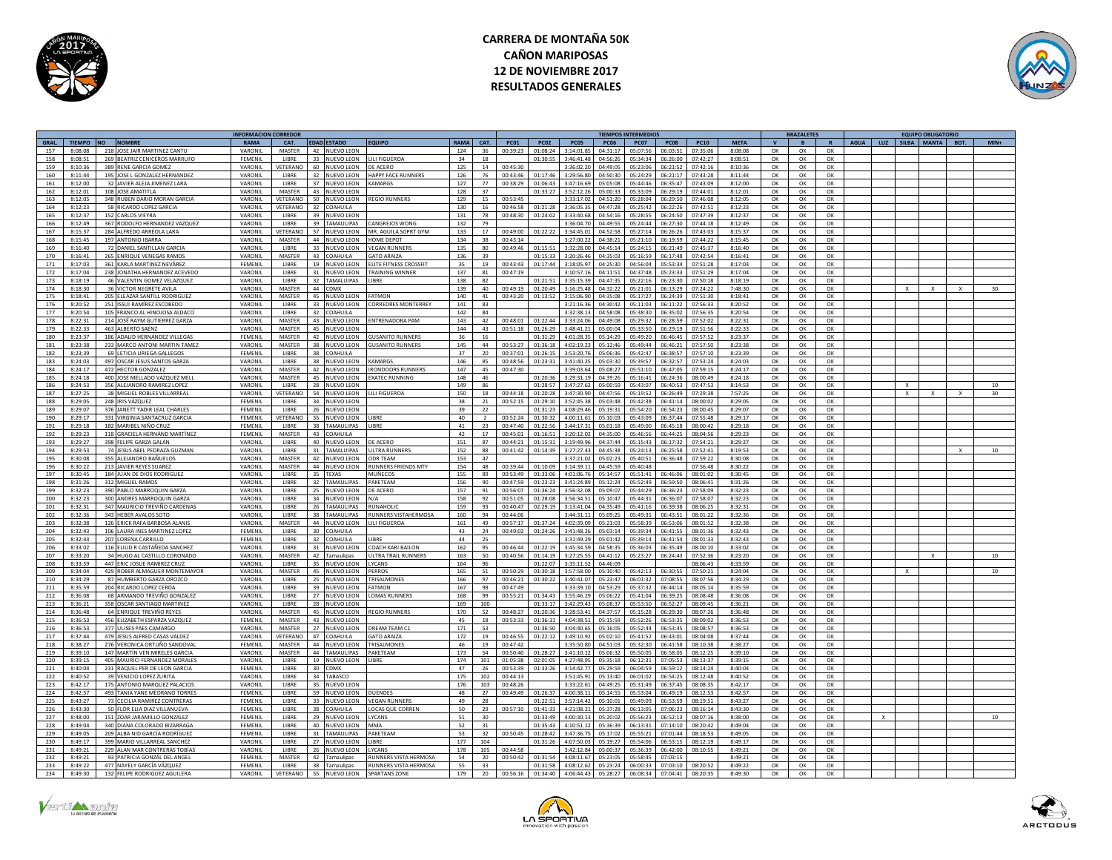



|             |               |           |                                | <b>INFORMACION CORREDOR</b> |                 |                                   |                              |                 |                 |              |                |             |                | <b>TIEMPOS INTERMEDIOS</b> |             |             |             |          | <b>BRAZALETES</b> |          |             |     | <b>FOUIPO OBLIGATORIO</b> |              |                 |
|-------------|---------------|-----------|--------------------------------|-----------------------------|-----------------|-----------------------------------|------------------------------|-----------------|-----------------|--------------|----------------|-------------|----------------|----------------------------|-------------|-------------|-------------|----------|-------------------|----------|-------------|-----|---------------------------|--------------|-----------------|
| <b>GRAL</b> | <b>TIEMPO</b> | <b>NO</b> | <b>NOMBRE</b>                  | <b>RAMA</b>                 | CAT.            | <b>EDAD ESTADO</b>                | OUIPO                        | RAMA            | <b>CAT</b>      | <b>PC01</b>  | <b>PC02</b>    | <b>PC05</b> | <b>PC06</b>    | <b>PC07</b>                | <b>PC08</b> | <b>PC10</b> | <b>META</b> |          |                   |          | <b>AGUA</b> | LUZ | SILBA MANTA               | BOT.         |                 |
| 157         | 8:08:08       |           | 218 JOSE JAIR MARTINEZ CANTL   | VARONII                     | <b>MASTER</b>   | 42<br>NUEVO LEON                  |                              | 124             | 36              | 00:39:25     | 01:08:24       | 3:14:01.85  | 04:31:17       | 05:07:56                   | 06:03:51    | 07:35:0     | 8:08:08     | OK       | $\alpha$          | $\alpha$ |             |     |                           |              |                 |
| 158         | 8:08:51       |           | 269 BEATRIZ CENICEROS MARRUFO  | FEMENIL                     | LIBRE           | 33 NUEVO LEON                     | LILI FIGUEROA                | 34              | 18              |              | 01:30:55       | 3:46:41.48  | 04:56:26       | 05:34:34                   | 06:26:00    | 07:42:27    | 8:08:51     | OK       | OK                | OK       |             |     |                           |              |                 |
| 159         | 8:10:36       |           | 389 RENE GARCIA GOMEZ          | VARONIL                     | VETERANO        | 60<br>NUEVO LEON                  | DE ACERO                     | 125             | 14              | 00:45:30     |                | 3:36:02.20  | 04:49:05       | 05:23:06                   | 06:21:52    | 07:42:16    | 8:10:36     | OK       | OK                | OK       |             |     |                           |              |                 |
|             |               |           |                                |                             |                 |                                   |                              |                 |                 |              |                |             |                |                            |             |             |             |          |                   |          |             |     |                           |              |                 |
| 160         | $8.11 - AA$   |           | 195 JOSE L GONZALEZ HERNANDEZ  | VARONIL                     | LIBRE           | 32<br><b>IUEVO LEON</b>           | HAPPY FACE RUNNERS           | 126             | 76              | 00:43:46     | 01:17:46       | 3:29:56.80  | $04 - 50 - 30$ | 05:24:29                   | 06:21:17    | 07:43:28    | 8:11:44     | $\alpha$ | $\alpha$          | $\Omega$ |             |     |                           |              |                 |
| 161         | 8:12:00       |           | 32 JAVIER ALEJA JIMENEZ LARA   | VARONIL                     | LIBRE           | 37<br><b>IUEVO LEON</b>           | AMARGS                       | 127             | 77              | 00:38:2      | 01:06:43       | 3:47:16.    | 05:05:08       | 05:44:46                   | 06:35:47    | 07:43:0     | 8:12:00     | OK       | OK                | ОК       |             |     |                           |              |                 |
| 162         | 8:12:01       |           | 108 JOSE AMATITLA              | VARONIL                     | <b>MASTER</b>   | 43 NUEVO LEON                     |                              | 128             | 37              |              | 01:33:27       | 3:52:12.26  | 05:00:33       | 05:33:09                   | 06:29:19    | 07:44:01    | 8:12:01     | OK       | OK                | OK       |             |     |                           |              |                 |
| 163         | 8.12.05       |           | 348 RUBEN DARIO MORAN GARCIA   | VARONIL                     | <b>VETERANO</b> | 50 NUEVO LEON                     | <b>REGIO RUNNERS</b>         | 129             | 15              | $00.53 - 45$ |                | 3.33.170    | 04:51:20       | 05:28:04                   | 06.29.50    | 07:46:09    | 8:12:05     | OK       | OK                | OK       |             |     |                           |              |                 |
| 164         | 8:12:23       |           | 58 RICARDO LOPEZ GARCIA        | VARONII                     | VETERANO        | 32 COAHUILA                       |                              | 130             | 16              | 00:46:58     | 01:21:28       | 3:36:05.3   | 04:47:28       | 05:25:42                   | 06:22:26    | 07:42:5     | 8:12:23     | OK       | OK                | OK       |             |     |                           |              |                 |
| 165         | 8:12:37       |           | 152 CARLOS VIEYRA              | VARONII                     | <b>LIBRE</b>    | 39<br>NUEVO LEON                  |                              | 131             | 78              | 00:48:30     | 01:24:02       | 3:33:40.68  | 04:54:16       | 05:28:55                   | 06:24:50    | 07:47:39    | 8:12:37     | OK       | OK                | OK       |             |     |                           |              |                 |
| 166         | 8:12:49       |           | 367 RODOLFO HERNANDEZ VAZQUEZ  | VARONIL                     | <b>LIBRE</b>    | 39 TAMAULIPAS                     | CANGREJOS WONG               | 132             | 79              |              |                | 3:36:04.70  | 04:49:55       | 05:24:44                   | 06:27:30    | 07:44:18    | 8:12:49     | OK       | ОК                | OK       |             |     |                           |              |                 |
|             |               |           |                                |                             | VETERANO        | 57 NUEVO LEON                     | MR. AGUILA SOPRT GYM         |                 |                 | 00:49:00     |                | 3:34:45.01  |                |                            |             | 07:43:03    |             |          |                   |          |             |     |                           |              |                 |
| 167         | 8:15:37       |           | 284 ALFREDO ARREOLA LARA       | VARONIL                     |                 |                                   |                              | 133             | 17              |              | 01:22:22       |             | 04:52:58       | 05:27:14                   | 06:26:26    |             | 8:15:37     | OK       | ОК                | OK       |             |     |                           |              |                 |
| 168         | 8:15:45       |           | 197 ANTONIO IRARRA             | VARONIL                     | <b>MASTER</b>   | 44 NUEVO LEON                     | HOME DEPOT                   | 134             | 38              | 00:43:14     |                | 3:27:00.22  | 04:38:21       | 05:21:10                   | 06:19:59    | 07:44:22    | 8:15:45     | OK       | OK                | $\alpha$ |             |     |                           |              |                 |
| 169         | 8:16:40       |           | 72 DANIEL SANTILLAN GARCIA     | VARONII                     | <b>LIBRE</b>    | 33 NUEVO LEON                     | <b>FGAN RUNNER</b>           | 135             | 80              | 00:49:46     | 01:15:5        | 3:32:28.01  | 04:45:14       | 05:24:15                   | 06:21:49    | 07:45:37    | 8:16:40     | OK       | OK                | OK       |             |     |                           |              |                 |
| 170         | 8:16:41       |           | 265 ENRIQUE VENEGAS RAMOS      | VARONIL                     | <b>MASTER</b>   | 43 COAHUILA                       | <b>GATO ARAIZA</b>           | 136             | 39              |              | 01:15:33       | 3:20:26.46  | 04:35:03       | 05:16:59                   | 06:17:48    | 07:42:54    | 8:16:41     | OK       | OK                | OK       |             |     |                           |              |                 |
| 171         | 8.17.02       |           | 361 KARLA MARTINEZ NEVÄREZ     | FEMENIL                     | <b>LIBRE</b>    | 19 NUEVO LEON                     | <b>LITE FITNESS CROSSELT</b> | 35              | 19              | 00:43:43     | 01:17:44       | 3:18:05.9   | 04:25:30       | 04:56:04                   | 05:53:34    | 07:51:28    | 8:17:03     | OK       | OK                | OK       |             |     |                           |              |                 |
| 172         | 8.17.04       |           | 238 JONATHA HERNANDEZ ACEVEDO  | VARONIL                     | LIBRE           | 31<br>NUEVO LEON                  | <b>RAINING WINNER</b>        | 137             | R <sub>1</sub>  | 00:47:19     |                | 3:10:57.1   | 04:11:51       | 04:37:48                   | 05:23:33    | 07:51:29    | 8:17:04     | OK       | OK                | OK       |             |     |                           |              |                 |
| 173         | 8:18:19       |           | 46 VALENTIN GOMEZ VELAZQUEZ    | VARONIL                     | LIBRE           | 32<br>TAMALUIPAS                  | <b>IRRF</b>                  | 138             | 82              |              | 01:21:51       | 3:35:15.5   | 04:47:35       | 05:22:16                   | 06:23:30    | 07:50:18    | 8:18:19     | OK       | OK                | ОК       |             |     |                           |              |                 |
| 174         | 8:18:30       |           | 36 VICTOR NEGRETE AVILA        | VARONIL                     | MASTER          | 44 CDMX                           |                              | 139             | 40              | 00:49:19     | 01:20:49       | 3:16:25.48  | 04:32:22       | 05:21:01                   | 06:13:29    | 07:24:22    | 7:48:30     | OK       | OK                | OK       |             |     |                           | $\mathbf{x}$ | 30 <sup>2</sup> |
|             | 8:18:41       |           |                                | <b>VARONIL</b>              | <b>MASTER</b>   |                                   | FATMON                       | 140             | 41              |              | 01:13:52       | 3:15:06.90  | $0.435 - 0.8$  | 05:17:27                   | 06:24:39    | 07:51:30    | 8:18:41     |          |                   |          |             |     |                           |              |                 |
| 175         |               |           | 205 ELEAZAR SANTILL RODRIGUEZ  |                             |                 | 45 NUEVO LEON                     |                              |                 |                 | 00:43:20     |                |             |                |                            |             |             |             | OK       | OK                | OK       |             |     |                           |              |                 |
| 176         | 8:20:52       |           | 251 ISSUI RAMÍREZ ESCOBEDO     | VARONIL                     | <b>LIBRE</b>    | 33 NUEVO LEON                     | ORREDRES MONTERREY           | 141             | 83              |              |                | 3:21:16.3   | 04:30:42       | 05:11:03                   | 06:11:22    | 07:56:33    | 8:20:52     | OK       | OK                | OK       |             |     |                           |              |                 |
| 177         | 8:20:54       |           | 105 FRANCO AL HINOJOSA ALDACO  | VARONII                     | LIBRE           | 32<br>OAHUILA                     |                              | 142             | 84              |              |                | 3:32:38.1   | 04:58:08       | 05:38:30                   | 06:35:02    | 07:56:35    | 8:20:54     | OK       | OK                | OK       |             |     |                           |              |                 |
| 178         | 8:22:31       |           | 214 JOSÉ RAYM GUTIERREZ GARZA  | VARONII                     | <b>MASTER</b>   | 43 NUEVO LEON                     | <b>ENTRENADORA PAM</b>       | 143             | 42              | 00:48:01     | 01:22:44       | 3:33:24.06  | 04:49:08       | 05:29:32                   | 06:28:59    | 07:52:02    | 8:22:31     | OK       | OK                | OK       |             |     |                           |              |                 |
| 179         | 8:22:33       |           | 463 ALBERTO SAENZ              | VARONIL                     | <b>MASTER</b>   | 45 NUEVO LEON                     |                              | 144             | 43              | 00:51:18     | 01:26:29       | 3:48:41.2   | 05:00:04       | 05:33:50                   | 06:29:19    | 07:51:56    | 8:22:33     | OK       | OK                | OK       |             |     |                           |              |                 |
| 180         | 8:23:37       |           | 186 ADALID HERNÁNDEZ VILLEGAS  | FEMENII                     | <b>MASTER</b>   | 42<br>NUEVO LEON                  | SUSANITO RUNNERS             | $36^{\circ}$    | 16              |              | 01:31:29       | 4:01:28.7   | 05:14:29       | 05:49:20                   | 06:46:45    | 07:57:52    | 8:23:37     | $\alpha$ | OK                | $\alpha$ |             |     |                           |              |                 |
| 181         | 8:23:38       |           | 233 MARCO ANTONI MARTIN TAME   | VARONIL                     | <b>MASTER</b>   | 38<br><b>NUEVO LEON</b>           | <b>GUSANITO RUNNERS</b>      | 145             | 44              | 00:53:2      | 01:36:18       | 4:02:19.2   | 05:12:46       | 05:49:44                   | 06:46:21    | 07:57:5     | 8:23:38     | OK       | OK                | OK       |             |     |                           |              |                 |
| 182         | 8:23:39       |           | 69 LETICIA URIEGA GALLEGOS     | FEMENIL                     | LIBRE           | 38 COAHUILA                       |                              | 37              | 20              | 00:37:01     | 01:26:15       | 3:53:20.76  | 05:06:36       | 05:42:47                   | 06:38:57    | 07:57:10    | 8:23:39     | OK       | OK                | OK       |             |     |                           |              |                 |
|             |               |           |                                |                             | <b>LIBRE</b>    |                                   |                              |                 |                 | 22.80000     |                |             |                |                            |             |             |             |          |                   |          |             |     |                           |              |                 |
| 183         | 8:24:03       |           | 497 OSCAR JESUS SANTOS GARZA   | VARONIL                     |                 | 38 NUEVO LEON                     | KAMARGS                      | 146             | 85              |              | 01:23:31       | 3:41:40.25  | 05:03:30       | 05:39:57                   | 06:32:57    | 07:53:24    | 8:24:03     | OK       | OK                | OK       |             |     |                           |              |                 |
| 184         | 8:24:17       |           | 472 HECTOR GONZALEZ            | VARONIL                     | <b>MASTER</b>   | 42<br>NUEVO LEON                  | <b>RONDOORS RUNNERS</b>      | 147             | 45              | 00:47:30     |                | 3:39:03.64  | 05:08:27       | 05:51:10                   | 06:47:05    | 07:59:19    | 8:24:17     | OK       | OK                | OK       |             |     |                           |              |                 |
| 185         | 8:24:18       |           | 400 JOSE MELLADO VAZQUEZ MELL  | VARONIL                     | <b>MASTER</b>   | 45   1<br><b>IUEVO LEON</b>       | <b>XATEC RUNNING</b>         | 148             | 46              |              | 01:20:36       | 3:29:31.19  | 04:39:26       | 05:16:41                   | 06:24:36    | 08:00:49    | 8:24:18     | OK       | OK                | OK       |             |     |                           |              |                 |
| 186         | 8:24:53       |           | 356 ALEJANDRO RAMIREZ LOPEZ    | VARONIL                     | LIBRE           | 28 NUEVO LEON                     |                              | 149             | 86              |              | 01:28:57       | 3:47:27.6   | 05:00:59       | 05:43:07                   | 06:40:53    | 07:47:53    | 8:14:53     | OK       | OK                | OK       |             |     |                           |              | 10              |
| 187         | 8:27:25       |           | 38 MIGUEL ROBLES VILLARREAL    | VARONIL                     | VETERANO        | 54 NUEVO LEON                     | LILI FIGUEROA                | 150             | 18              | 00:44:18     | 01:20:28       | 3:47:30.90  | 04:47:56       | 05:19:52                   | 06:26:49    | 07:29:38    | 7:57:25     | OK       | OK                | OK       |             |     |                           | $\mathbf{x}$ | 30              |
| 188         | 8:29:05       |           | 248 IRIS VÁZOUEZ               | FEMENII                     | <b>LIBRE</b>    | 34<br>NUEVO LEON                  |                              | 38              | 21              | $00.52 - 1$  | 01:29:10       | 3:52:45.3   | 05:03:48       | 05:42:38                   | 06:41:14    | 08:00:02    | 8:29:05     | OK       | OK                | $\alpha$ |             |     |                           |              |                 |
| 189         | 8:29:07       |           | 376 IANETT YADIR LEAL CHARLES  | FEMENII                     | LIBRE           | 26<br>NUEVO LEON                  |                              | 39              | 22              |              | 01:31:23       | 4:08:29.4   | 05:19:31       | 05:54:20                   | 06:54:22    | 08:00:4     | 8:29:07     | OK       | OK                | OK       |             |     |                           |              |                 |
| 190         | 8:29:17       |           | 331 VIRGINIA SANTACRUZ GARCIA  | FEMENIL                     | VETERANO        | 55<br>NUEVO LEON                  |                              | 40              |                 | 00:52:2      | 01:30:32       | 4:00:11.6   | 05:10:03       | 05:43:09                   | 06:37:44    | 07:55:48    | 8:29:17     | OK       | OK                | OK       |             |     |                           |              |                 |
|             |               |           |                                |                             |                 |                                   |                              |                 |                 |              |                |             |                |                            |             |             |             |          |                   |          |             |     |                           |              |                 |
| 191         | 8:29:18       |           | 182 MARIBEL NIÑO CRUZ          | FEMENIL                     | <b>LIBRE</b>    | 38 TAMAULIPAS                     | LIBRE                        | 41              | 23              | 00:47:40     | 01:22:56       | 3:44:17.31  | 05:01:18       | 05:49:00                   | 06:45:18    | 08:00:42    | 8:29:18     | OK       | OK                | OK       |             |     |                           |              |                 |
| 192         | 8:29:23       |           | 118 GRACIELA HERNÁND MARTÍNEZ  | <b>FFMFNII</b>              | <b>MASTER</b>   | 43 COAHUILA                       |                              | 42              | 17              | 00:45:01     | 01:16:51       | 3:20:12.02  | 04:35:00       | 05:46:56                   | 06:44:25    | 08:04:56    | 8:29:23     | OK       | OK                | OK       |             |     |                           |              |                 |
| 193         | 8:29:27       |           | 398 FELIPE GARZA GALAN         | VARONIL                     | LIBRE           | <b>IUEVO LEON</b><br>40           | <b>DE ACERO</b>              | 151             | 87              | 00:44:21     | 01:15:31       | 3:19:49.96  | 04:37:44       | 05:15:43                   | 06:17:32    | 07:54:21    | 8:29:27     | OK       | OK                | OK       |             |     |                           |              |                 |
| 194         | 8:29:53       |           | 74 JESUS ABEL PEDRAZA GUZMAN   | VARONIL                     | LIBRE           | 31<br><b>AMALUIPAS</b>            | <b>LTRA RUNN</b>             | 152             | 88              | 00:41:42     | 01:14:39       | 3:27:27     | 04:45:38       | 05:24:13                   |             | 07:52:4     | 8:19:53     | OK       | OK                | OK       |             |     |                           |              |                 |
| 195         | 8:30:08       |           | 355 ALEIANDRO BAÑUELOS         | VARONII                     | <b>MASTER</b>   | 42<br>NUEVO LEON                  | <b>ODR TFAM</b>              | 153             | 47              |              |                | 3:37:21.0   | 05:02:23       | 05:40:51                   | 06:36:48    | 07:59:22    | 8:30:08     | OK       | OK                | ОК       |             |     |                           |              |                 |
| 196         | 8:30:22       |           | 213 JAVIER REYES SUAREZ        | VARONII                     | <b>MASTER</b>   | 44<br>NUEVO LEON                  | <b>UNNERS FRIENDS MTY</b>    | 154             | 48              | 00:39:44     | 01:10:09       | 3:14:39.1   | 04:45:59       | 05:40:48                   |             | 07:56:48    | 8:30:22     | OK       | OK                | ОК       |             |     |                           |              |                 |
| 197         | 8:30:45       |           | 184 IUAN DE DIOS RODRIGUEZ     | VARONII                     | LIBRE           | 35<br><b>FXAS</b>                 | <b>MUÑECOS</b>               | 155             | 89              | 00:53:49     | 01:33:06       | 4:01:06.7   | 05:14:57       | 05:51:41                   | 06:46:0     | 08:01:02    | 8:30:45     | OK       | OK                | OK       |             |     |                           |              |                 |
|             | 8:31:26       |           | 312 MIGUEL RAMOS               | VARONII                     | LIBRE           | 32<br>AMAULIPAS                   | PAKETEAN                     | 156             | $90^{\circ}$    | 00:47:59     | 01:23:23       | 3:41:24.8   | 05:12:24       | 05:52:49                   | 06:59:50    | 08:06:4     | 8:31:26     | $\Omega$ | OK                | OK       |             |     |                           |              |                 |
| 198         |               |           |                                |                             |                 |                                   |                              |                 |                 |              |                |             |                |                            |             |             |             |          |                   |          |             |     |                           |              |                 |
| 199         | 8:32:23       |           | 390 PABLO MARROQUIN GARZA      | VARONIL                     | <b>LIBRE</b>    | 25 NUEVO LEON                     | DE ACERO                     | 157             | 91              | 00:56:07     | 01:36:24       | 3:56:32.08  | 05:09:07       | 05:44:29                   | 06:36:23    | 07:58:09    | 8:32:23     | OK       | OK                | OK       |             |     |                           |              |                 |
| 200         | 8:32:23       |           | 300 ANDRES MARROQUIN GARZA     | VARONIL                     | <b>LIBRE</b>    | 34 NUEVO LEON                     | N/A                          | 158             | 92              | 00:51:05     | 01:28:08       | 3:56:34.51  | 05:10:47       | 05:44:31                   | 06:36:07    | 07:58:02    | 8:32:23     | OK       | OK                | OK       |             |     |                           |              |                 |
| 201         | 8:32:31       |           | 347 MAURICIO TREVIÑO CARDENAS  | VARONIL                     | <b>LIBRE</b>    | 26<br>AMAULIPAS                   | <b>UNAHOLIC</b>              | 159             | 93              | 00:40:47     | 02:29:19       | 3:13:41.04  | 04:35:49       | 05:41:16                   | 06:39:38    | 08:06:25    | 8:32:31     | $\alpha$ | OK                | $\Omega$ |             |     |                           |              |                 |
| 202         | 8:32:36       |           | 343 HEBER AVALOS SOTO          | VARONIL                     | LIBRE           | 38<br>AMAULIPAS                   | UNNERS VISTAHERMOSA          | 160             | 94              | 00:44:06     |                | 3:44:31.1   | 05:09:25       | 05:49:31                   | 06:43:51    | 08:01:22    | 8:32:36     | OK       | OK                | ОК       |             |     |                           |              |                 |
| 203         | 8:32:38       |           | 126 ERICK RAFA BARBOSA ALANIS  | VARONIL                     | <b>MASTER</b>   | 44 NUEVO LEON                     | LILI FIGUEROA                | 161             | 49              | 00:57:17     | 01:37:24       | 4:02:39.09  | 05:21:03       | 05:58:39                   | 06:53:06    | 08:01:52    | 8:32:38     | OK       | OK                | OK       |             |     |                           |              |                 |
| 204         | 8:32:43       |           | 106   AURA INFS MARTINEZ LOPEZ | FEMENII                     | LIBRE           | 30 <sub>1</sub><br><b>OAHUILA</b> |                              | 43              | 24              | 00.49.02     | $01 - 24 - 26$ | 3:41:48.2   | 05:03:14       | 05:39:34                   | 06:41:55    | 08:01:36    | 8:32:43     | ОК       | OK                | OK       |             |     |                           |              |                 |
| 205         | 8:32:43       |           | 207 LORENA CARRILLO            | FEMENIL                     | <b>IIBRF</b>    | 32<br><b>OAHUILA</b>              | <b>IRRF</b>                  | 44              | $\overline{25}$ |              |                | 3:31:49.2   | 05:01:42       | 05:39:14                   | 06:41:54    | 08:01:33    | 8:32:43     | OK       | OK                | OK       |             |     |                           |              |                 |
| 206         | 8:33:02       |           | 116 ELIUD R CASTAÑEDA SANCHEZ  | VARONIL                     | LIBRE           | 31<br><b>IUEVO LEON</b>           | COACH KARLBAILON             | 162             | 95              | 00:46:44     | 01:22:19       | 3:45:34.5   | 04:58:35       | 05:36:03                   | 06:35:49    | 08:00:10    | 8:33:02     | $\alpha$ | OK                | ОК       |             |     |                           |              |                 |
|             |               |           |                                |                             |                 |                                   |                              |                 |                 |              |                |             |                |                            |             |             |             |          |                   |          |             |     |                           |              |                 |
| 207         | 8:33:20       |           | 34 HUGO AL CASTILLO CORONADO   | VARONIL                     | <b>MASTER</b>   | 42 Tamaulipas                     | ULTRA TRAIL RUNNERS          | 163             | 50              | 00:40:56     | 01:14:19       | 3:27:25.55  | 04:41:12       | 05:23:27                   | 06:24:43    | 07:52:36    | 8:23:20     | OK       | OK                | OK       |             |     |                           |              | 10              |
| 208         | 8:33:59       |           | 447 ERIC JOSUE RAMIREZ CRUZ    | VARONIL                     | <b>LIBRE</b>    | 35 NUEVO LEON                     | <b>YCANS</b>                 | 164             | 96              |              | 01:22:07       | 3:35:11.5   | 04:46:09       |                            |             | 08:06:43    | 8:33:59     | OK       | OK                | OK       |             |     |                           |              |                 |
| 209         | 8:34:04       |           | 429 ROBER ALMAGUER MONTEMAYOR  | VARONIL                     | <b>MASTER</b>   | 45<br>NUEVO LEON                  | PERROS                       | 165             | 51              | 00:50:29     | 01:30:18       | 3:57:58.01  | 05:10:40       | 05:42:13                   | 06:30:55    | 07:50:21    | 8:24:04     | OK       | OK                | OK       |             |     |                           |              | 10 <sup>1</sup> |
| 210         | 8:34:29       |           | 87 HUMBERTO GARZA OROZCO       | VARONII                     | LIBRE           | 25<br><b>UEVO LEON</b>            | RISALMONES                   | 166             | 97              | 00:46:21     | 01:30:22       | 3:40:41.0   | 15:23:47       | 06:01:32                   | 07:08:5     | 08:07:5     | 8:34:29     | OK       | OK                | OK       |             |     |                           |              |                 |
| 211         | 8:35:59       |           | 204 RICARDO LOPEZ CERDA        | VARONIL                     | LIBRE           | 39<br>NUEVO LEON                  | <b>ATMON</b>                 | 167             | 98              | 00:47:49     |                | 3:33:39.10  | 04:53:29       | 05:37:32                   | 06:44:14    | 08:05:14    | 8:35:59     | OK       | OK                | OK       |             |     |                           |              |                 |
| 212         | 8:36:08       |           | 68 ARMANDO TREVIÑO GONZALEZ    | VARONIL                     | LIBRE           | 27<br>NUEVO LEON                  | OMAS RUNNERS                 | 168             | 99              | 00:55:21     | 01:34:43       | 3:55:46.2   | 05:06:22       | 05:41:04                   | 06:39:25    | 08:08:45    | 8:36:08     | OK       | OK                | OK       |             |     |                           |              |                 |
| 213         | 8.36.21       |           | 358 OSCAR SANTIAGO MARTINEZ    | VARONIL                     | LIBRE           | 28<br>NUEVO LEON                  |                              | 169             | 100             |              | $01 - 22 - 17$ | 3:42:29.43  | 05:08:37       | 05:53:50                   | 06:52:27    | 08:09:45    | 8:36:21     | $\Omega$ | OK                | $\cap$ K |             |     |                           |              |                 |
| 214         | 8:36:48       |           | 64 ENRIQUE TREVIÑO REYES       | VARONIL                     | MASTER          | 45<br>NUEVO LEON                  | <b>EGIO RUNNERS</b>          | 170             | 52              | 00:48:27     | 01:20:36       | 3:28:53.41  | 04:37:57       | 05:15:28                   | 06:29:30    | 08:07:26    | 8:36:48     | OK       | OK                | OK       |             |     |                           |              |                 |
|             |               |           |                                |                             | <b>MASTER</b>   |                                   |                              |                 |                 |              |                |             |                |                            |             |             |             |          |                   |          |             |     |                           |              |                 |
| 215         | 8:36:53       |           | 456 ELIZABETH ESPARZA VAZQUEZ  | FEMENIL                     |                 | 43 NUEVO LEON                     |                              | 45              | 18              | 00:53:33     | 01:36:31       | 4:04:38.51  | 05:15:59       | 05:52:26                   | 06:53:35    | 08:09:02    | 8:36:53     | OK       | OK                | OK       |             |     |                           |              |                 |
| 216         | 8:36:53       |           | 377 ULISES PAES CAMARGO        | VARONIL                     | <b>MASTER</b>   | 27 NUEVO LEON                     | <b>DREAM TEAM C1</b>         | 171             | 53              |              | 01:36:50       | 4:04:40.65  | 05:16:05       | 05:52:44                   | 06:53:45    | 08:08:57    | 8:36:53     | OK       | OK                | OK       |             |     |                           |              |                 |
| 217         | 8:37:44       |           | 479 JESUS ALFRED CASAS VALDEZ  | VARONII                     | VETERANO        | 47 COAHUILA                       | <b>SATO ARAIZA</b>           | 172             | 19              | 00:46:55     | 01:22:12       | 3:49:10.9   | 05:02:10       | 05:41:52                   | 06:43:01    | 08:04:05    | 8:37:44     | OK       | OK                | OK       |             |     |                           |              |                 |
| 218         | 8:38:27       |           | 276 VERONICA ORTUÑO SANDOVAI   | FEMENIL                     | <b>MASTER</b>   | 44  <br><b>IUEVO LEON</b>         | <b>RISALMONES</b>            | 46              | 19              | 00:47:42     |                | 3:35:50.80  | 04:51:03       | 05:32:30                   | 06:41:58    | 08:10:38    | 8:38:27     | OK       | OK                | OK       |             |     |                           |              |                 |
| 219         | 8:39:10       |           | 147 MARTÍN VEN MIRELES GARCIA  | VARONIL                     | <b>MASTER</b>   | 44 TAMAULIPAS                     | PAKETEAM                     | 173             | 54              | 00:50:40     | 01:28:27       | 3:41:10.12  | 05:06:32       | 05:50:05                   | 06:58:05    | 08:12:25    | 8:39:10     | OK       | OK                | OK       |             |     |                           |              |                 |
| 220         | 8:39:15       |           | 405 MAURICI FERNANDEZ MORALE:  | VARONIL                     | <b>LIBRE</b>    | 19 NUEVO LEON                     | <b>IRRF</b>                  | 174             | 101             | 01:05:38     | 02:01:05       | 4:27:48.9   | 05:35:18       | 06:12:31                   | 07:05:53    | 08:13:37    | 8:39:15     | ОК       | OK                | OK       |             |     |                           |              |                 |
| 221         | 8:40:04       |           | 231 RAOUEL PER DE LEON GARCIA  | FEMENII                     | LIBRE           | $30^{\circ}$<br><b>CDMX</b>       |                              | A7              | 26              | 00:53:39     | 01:33:26       | 4:14:42.7   | 05:29:59       | 06:04:59                   | 06:59:12    | 08:14:24    | 8:40:04     | $\Omega$ | OK                | $\alpha$ |             |     |                           |              |                 |
| 222         | 8:40:52       |           | 39 VENICIO LOPEZ ZURITA        | VARONII                     | LIBRE           | 34<br>ARASCO                      |                              | 175             | 102             | 00:44:1      |                | 3:51:45.1   | 05:13:40       | 06:01:02                   | 06:54:25    | 08:12:4     | 8:40:52     | $\alpha$ | OK                | OK       |             |     |                           |              |                 |
|             |               |           |                                |                             |                 |                                   |                              |                 |                 |              |                |             |                |                            |             |             |             |          |                   |          |             |     |                           |              |                 |
| 223         | 8:42:17       |           | 175 ANTONIO MARQUEZ PALACIOS   | VARONIL                     | LIBRE           | 35<br><b>NUEVO LEON</b>           |                              | 176             | 103             | 00:48:26     |                | 3:33:22.6   | 04:49:25       | 05:31:49                   | 06:37:45    | 08:08:3     | 8:42:17     | OK       | OK                | OK       |             |     |                           |              |                 |
| 224         | 8:42:57       |           | 493 TANIA YANE MEDRANO TORRES  | <b>FFMFNII</b>              | <b>LIBRE</b>    | 59 NUEVO LEON                     | DUENDES                      | 48              | 27              | 00:49:49     | 01:26:37       | 4:00:38.11  | 05:14:55       | 05:53:04                   | 06:49:19    | 08:12:53    | 8:42:57     | OK       | OK                | OK       |             |     |                           |              |                 |
| 225         | 8:43:27       |           | 73 CECILIA RAMIREZ CONTRERAS   | <b>FEMENIL</b>              | LIBRE           | 33<br>NUEVO LEON                  | <b>VEGAN RUNNERS</b>         | $\overline{A}Q$ | 28              |              | 01:22:51       | 3:57:14.42  | 05:10:01       | 05.49.09                   | 06:53:59    | 08:19:51    | 8:43:27     | OK       | OK                | OK       |             |     |                           |              |                 |
| 226         | 8:43:30       |           | 50 FLOR ELIA DIAZ VILLANUEVA   | FEMENIL                     | LIBRE           | 38<br>DAHUILA                     | OCAS QUE CORREN              | 50              | 29              | 00:57:10     | 01:41:33       | 4:21:08.2   | 05:37:28       | 06:13:05                   | 07:06:23    | 08:16:14    | 8:43:30     | OK       | OK                | OK       |             |     |                           |              |                 |
| 227         | 8:48:00       |           | 151 ZOAR JARAMILLO GONZALEZ    | FEMENIL                     | LIBRE           | 29<br><b>IUEVO LEON</b>           | YCANS                        | 51              | 30              |              | 01:33:49       | 4:00:30.1   | 05:20:02       | 05:56:23                   | 06:52:13    | 08:07:16    | 8:38:00     | OK       | OK                | ОК       |             |     |                           |              | 10              |
| 228         | 8.49.04       |           | 340 DIANA COLORADO BIZARRAGA   | <b>FEMENIL</b>              | LIBRE           | 40<br>NUEVO LEON                  | <b>MAAA</b>                  | 52              | 31              |              | 01:35:43       | 4:10:51.12  | 05.36.39       | 06:13:31                   | 07:14:10    | 08:20:42    | 8:49:04     | OK       | OK                | ОК       |             |     |                           |              |                 |
| 229         | 8:49:05       |           | 209 ALBA NID GARCÍA RODRÍGUE   | FEMENII                     | <b>IIBRF</b>    | 31<br>AMALII IPAS                 | <b>PAKETEAM</b>              | 53              | 32              | 00:50:4      | 01:28:42       | 3:47:36.7   | 05:17:0        | 05:55:21                   | 07:01:44    | 08:18:51    | 8:49:05     | $\Omega$ | OK                | OK       |             |     |                           |              |                 |
| 230         | 8:49:17       |           | 399 MARIO VILLARREAL SANCHEZ   | VARONII                     | LIBRE           | 27<br><b>UEVO LEON</b>            | <b>IBRI</b>                  | 177             | 104             |              | 01:31:26       | 4:07:50     | 05:19:27       | 05:54:06                   | 06:53:1     | 08:12:1     | 8:49:17     | OK       | OK                | OK       |             |     |                           |              |                 |
| 231         | 8:49:21       |           | 229 ALAN MAR CONTRERAS TORÍA   | VARONII                     | LIBRE           | 26<br><b>ILIEVO LEON</b>          | CANS                         | 178             | 105             | 00:44:53     |                | 3:42:12.8   | 05:00:3        | 05:36:39                   | 06:42:0     | 08:10:5     | 8:49:21     | OK       | OK                | OK       |             |     |                           |              |                 |
|             |               |           |                                |                             |                 |                                   |                              |                 |                 |              |                |             |                |                            |             |             |             |          |                   |          |             |     |                           |              |                 |
| 232         | 8:49:21       |           | 93 PATRICIA GONZÁL DEL ANGEL   | FEMENIL                     | MASTER          | 42 Tamaulipas                     | RUNNERS VISTA HERMOSA        | 54              | 20              | 00:50:42     | 01:31:54       | 4:08:11.67  | 05:23:05       | 05:58:45                   | 07:03:15    |             | 8:49:21     | OK       | OK                | OK       |             |     |                           |              |                 |
| 233         | 8:49:22       |           | 477 NAYELY GARCÍA VÁZQUEZ      | <b>FFMENIL</b>              | <b>LIBRE</b>    | 38 Tamaulinas                     | <b>RUNNERS VISTA HERMOSA</b> | 55              | 33              |              | 01:31:58       | 4:08:12.62  | 05:23:24       | 06:00:33                   | 07:03:10    | 08:20:52    | 8:49:22     | OK       | OK                | OK       |             |     |                           |              |                 |
| 234         | 8:49:30       |           | 132 FELIPE RODRIGUEZ AGUILERA  | VARONIL                     | <b>FTFRANO</b>  | 55<br>NUEVO LEON                  | <b>SPARTANS ZONE</b>         | 179             | 20              | 00:56:16     | $01 - 34 - 40$ | 4:06:44.43  | 05.28.27       | 06.08.34                   | 07:04:41    | 08:20:35    | 8:49:30     | OK       | OK                | OK       |             |     |                           |              |                 |





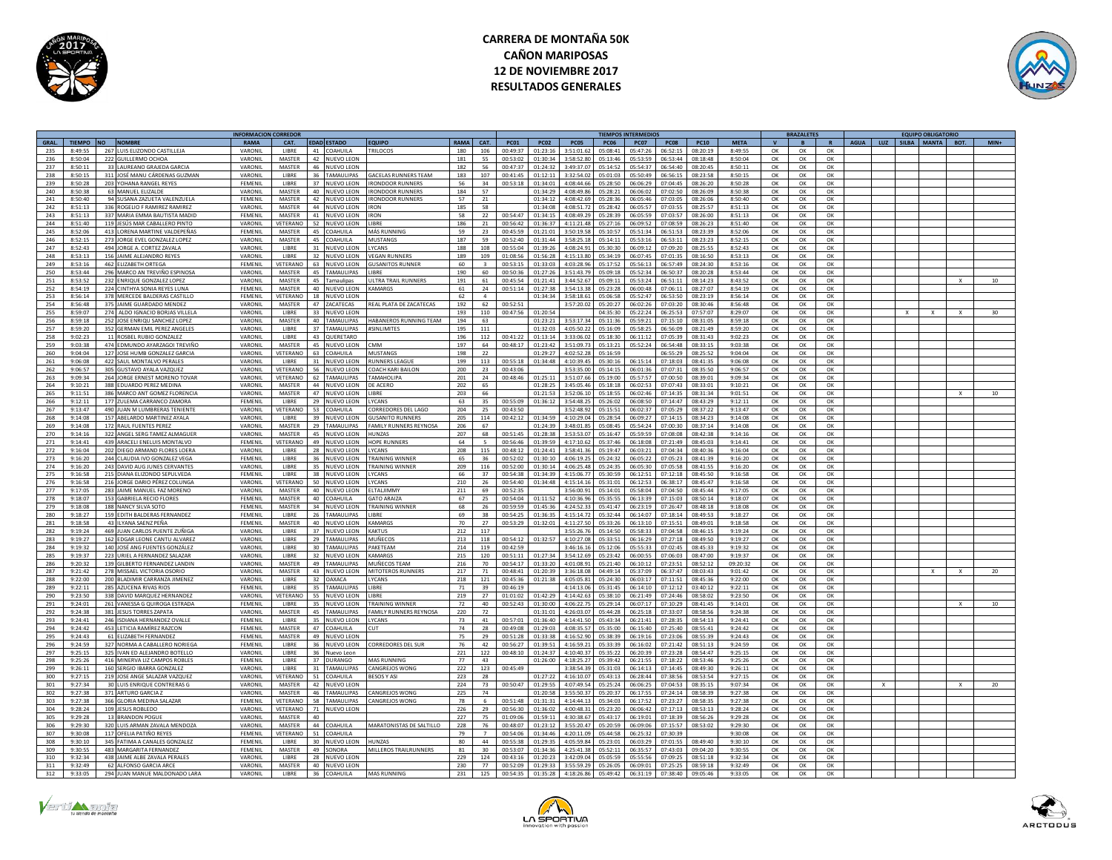



|       |                  |                                 | <b>INFORMACION CORREDOI</b> |                 |                 |                    |                               |             |              |             |                |             |             | <b>TIEMPOS INTERMEDIOS</b> |              |             |              | <b>BRAZALETES</b> |              |             |     | <b>EQUIPO OBLIGATORIO</b> |              |                 |
|-------|------------------|---------------------------------|-----------------------------|-----------------|-----------------|--------------------|-------------------------------|-------------|--------------|-------------|----------------|-------------|-------------|----------------------------|--------------|-------------|--------------|-------------------|--------------|-------------|-----|---------------------------|--------------|-----------------|
| GRAL. | TIEMPO NO NOMBRE |                                 | <b>RAMA</b>                 | CAT.            |                 | <b>EDAD ESTADO</b> | <b>FOUIPO</b>                 | <b>RAMA</b> | CAT.         | <b>PC01</b> | <b>PC02</b>    | <b>PC05</b> | <b>PC06</b> | PC08<br>PC07               | <b>PC10</b>  | <b>META</b> | $\mathbf{v}$ | B                 | $\mathbf{R}$ | <b>AGUA</b> | LUZ | SILBA MANTA               | BOT.         | $MIN+$          |
| 235   | 8.49.55          | 267 LUIS ELIZONDO CASTILLEJA    | VARONIL                     | LIBRE           |                 | $41$ COAHILLA      | <b>TRILOCOS</b>               | 180         | 106          | 00.49.37    | $01 - 22 - 16$ | 3.51.01.62  | 05:08:41    | 06:52:15<br>05:47:26       | 08:20:19     | 8.49.55     | OK           | OK                | OK           |             |     |                           |              |                 |
| 236   | 8:50:04          | 222 GUILLERMO OCHOA             | VARONIL                     | MASTER          |                 | 42 NUEVO LEON      |                               | 181         | 55           | 00:53:02    | 01:30:34       | 3:58:52.8   | 05:13:46    | 05:53:59<br>06:53:44       | 08:18:48     | 8:50:04     | OK           | OK                | OK           |             |     |                           |              |                 |
| 237   | 8:50:11          | 33 LAUREANO GRAJEDA GARCIA      | VARONIL                     | <b>MASTER</b>   |                 | 46 NUEVO LEON      |                               | 182         | 56           | 00:47:37    | 01:24:32       | 3:49:37.07  | 05:14:52    | 05:54:37<br>06:54:40       | 08:20:45     | 8:50:11     | OK           | OK                | OK           |             |     |                           |              |                 |
|       |                  |                                 | VARONIL                     |                 | 36              | ΤΑΜΔΙ ΙΙ ΙΡΔΚ      | <b>SACELAS RUNNERS TEAM</b>   |             |              |             |                | 3.32.540    |             |                            |              |             |              |                   |              |             |     |                           |              |                 |
| 238   | 8:50:15          | 311 JOSÉ MANU CÁRDENAS GUZMAN   |                             | LIBRE           |                 |                    |                               | 183         | 107          | 00:41:45    | 01:12:11       |             | 05:01:03    | 05:50:49<br>06:56:1        | 08:23:58     | 8:50:15     | ОК           | OK                | ОК           |             |     |                           |              |                 |
| 239   | 8:50:28          | 203 YOHANA RANGEL REYES         | FEMENIL                     | LIBRE           | 37              | NUEVO LEON         | RONDOOR RUNNERS               | 56          | 34           | 00:53:18    | 01:34:01       | 4:08:44.6   | 05:28:50    | 06:06:29<br>07:04:45       | 08:26:20     | 8:50:28     | OK           | OK                | OK           |             |     |                           |              |                 |
| 240   | 8:50:38          | 63 MANUEL ELIZALDE              | VARONIL                     | MASTER          | 40              | <b>NUEVO LEON</b>  | <b>IRONDOOR RUNNERS</b>       | 184         | 57           |             | 01:34:29       | 4:08:49.8   | 05:28:21    | 06:06:02<br>07:02:50       | 08:26:09     | 8:50:38     | OK           | OK                | OK           |             |     |                           |              |                 |
| 241   | 8:50:40          | 94 SUSANA ZAZUETA VALENZUELA    | FEMENIL                     | <b>MASTER</b>   | 42              | <b>NUEVO LEON</b>  | <b>IRONDOOR RUNNERS</b>       | 57          | 21           |             | 01:34:12       | 4:08:42.6   | 05:28:36    | 06:05:46<br>07:03:05       | 08:26:06     | 8:50:40     | OK           | OK                | OK           |             |     |                           |              |                 |
| 242   | 8:51:13          | 336 ROGELIO E RAMIREZ RAMIREZ   | VARONII                     | MASTER          | 44              | NUFVO LEON         | <b>RON</b>                    | 185         | 58           |             | 01:34:05       | 4:08:51.7   | 05:28:42    | 06:05:5<br>07.03.5         | 08:25:57     | 8:51:13     | OK           | OK                | $\alpha$     |             |     |                           |              |                 |
| 243   | 8.51.13          | 337 MARIA EMMA BAUTISTA MADIE   | FEMENIL                     | MASTER          | $\mathbf{A}$ 1  | NUEVO LEON         | RON                           | 58          | 22           | $00.54 - 4$ | $01 - 34 - 15$ | 4:08:49.2   | 05.28.30    | 06:05:59<br>07:03:5        | 08:26:00     | 8:51:13     | $\alpha$     | OK                | $\alpha$     |             |     |                           |              |                 |
| 244   | 8:51:40          | 119 JESÚS MAR CABALLERO PINTO   | VARONII                     | VETERANC        | 52              | <b>NUEVO LEON</b>  | LIBRE                         | 186         | 21           | 00:56:42    | 01:36:37       | 4:11:21.48  | 05:27:16    | 06:09:57<br>07:08:59       | 08:26:23     | 8:51:40     | OK           | OK                | OK           |             |     |                           |              |                 |
|       |                  |                                 |                             |                 |                 |                    |                               |             |              |             |                |             |             |                            |              |             |              |                   |              |             |     |                           |              |                 |
| 245   | 8:52:06          | 413 LORENA MARTINE VALDEPEÑAS   | FEMENIL                     | <b>MASTER</b>   | 45              | COAHUILA           | MÁS RUNNING                   | 59          | 23           | 00:45:59    | 01:21:01       | 3:50:19.58  | 05:10:57    | 05:51:34<br>06:51:53       | 08:23:39     | 8:52:06     | OK           | OK                | OK           |             |     |                           |              |                 |
| 246   | 8:52:15          | 273 JORGE EVEL GONZALEZ LOPEZ   | VARONII                     | <b>MASTER</b>   | 45              | COAHUILA           | MUSTANGS                      | 187         | 59           | 00:52:40    | 01:31:44       | 3:58:25.11  | 05:14:11    | 05:53:16<br>06:53:11       | 08:23:23     | 8:52:15     | OK           | OK                | OK           |             |     |                           |              |                 |
| 247   | 8:52:43          | 494 JORGE A. CORTEZ ZAVALA      | VARONIL                     | LIBRE           | 31              | NUEVO LEON         | YCANS                         | 188         | 108          | 00:55:04    | 01:39:26       | 4:08:24.9   | 05:30:30    | 06:09:1<br>07:09:20        | 08:25:55     | 8:52:43     | OK           | OK                | OK           |             |     |                           |              |                 |
| 248   | 8:53:13          | 156 JAIME ALEJANDRO REYES       | VARONIL                     | LIBRE           | 32              | <b>NUEVO LEON</b>  | <b>/EGAN RUNNERS</b>          | 189         | 109          | 01:08:56    | 01:56:28       | 4:15:13.8   | 05:34:19    | 06:07:45<br>07:01:35       | 08:16:50     | 8:53:13     | ОК           | ОК                | OK           |             |     |                           |              |                 |
| 249   | 8:53:16          | 462 FLIZARETH ORTEGA            | <b>FFMENIL</b>              | <b>VETERANO</b> |                 | 63 NUEVO LEON      | <b>GUSANITOS RUNNER</b>       | 60          | $\mathbf{r}$ | 00:53:15    | 01:33:03       | 4:03:28.9   | 05:17:52    | 05:56:13<br>06:57:49       | 08:24:30     | 8:53:16     | ОК           | OK                | OK           |             |     |                           |              |                 |
| 250   | 8:53:44          | 296 MARCO AN TREVIÑO ESPINOSA   | VARONIL                     | <b>MASTER</b>   | 45              | <b>TAMAULIPAS</b>  | <b>IIBRF</b>                  | 190         | 60           | 00:50:3     | 01:27:26       | 3:51:43.7   | 05:09:18    | 05:52:34<br>06:50:3        | 08:20:28     | 8:53:44     | $\alpha$     | $\Omega$          | OK           |             |     |                           |              |                 |
| 251   | 8.53.52          | 232 ENRIQUE GONZALEZ LOPEZ      | VARONII                     | MASTER          | 45              | Tamaulipas         | <b>JITRA TRAIL RUNNERS</b>    | 191         | 61           | 00:45:54    | 01:21:41       | 3:44:52.6   | 05:09:11    | 05:53:24<br>06:51:1        | 08:14:22     | 8:43:52     | $\alpha$     | OK                | OK           |             |     |                           |              |                 |
|       |                  |                                 |                             |                 |                 |                    |                               |             |              |             |                |             |             |                            |              |             |              |                   |              |             |     |                           |              |                 |
| 252   | 8:54:19          | 224 CINTHYA SONIA REYES LUNA    | FEMENIL                     | MASTER          |                 | 40 NUEVO LEON      | <b>KAMARGS</b>                | 61          | 24           | 00:51:14    | 01:27:39       | 3:54:13.7   | 05:23:28    | 06:00:48<br>07:06:1        | 08:27:0      | 8:54:19     | OK           | OK                | OK           |             |     |                           |              |                 |
| 253   | 8:56:14          | 378 MERCEDE BALDERAS CASTILLO   | FEMENIL                     | VETERANO        |                 | 18 NUEVO LEON      |                               | 62          | $\mathbf{a}$ |             | 01:34:34       | 3:58:18.61  | 05:06:58    | 05:52:47<br>06:53:50       | 08:23:19     | 8:56:14     | OK           | OK                | OK           |             |     |                           |              |                 |
| 254   | 8:56:48          | 375 JAIME GUARDADO MENDEZ       | VARONII                     | MASTER          |                 | 47 ZACATECAS       | REAL PLATA DE ZACATECAS       | 192         | 62           | 00:52:51    |                | 3:57:20.0   | 05:20:27    | 06:02:26<br>07:03:20       | 08:30:46     | 8:56:48     | OK           | OK                | OK           |             |     |                           |              |                 |
| 255   | 8:59:07          | 274 ALDO IGNACIO BORIAS VILLELA | VARONIL                     | LIBRE           | $33 -$          | NUEVO LEON         |                               | 193         | 110          | 00:47:56    | 01-20-54       |             | 04.35.30    | 05:22:24<br>06:25:53       | 07:57:07     | 8:29:07     | OK           | $\Omega$          | $\alpha$     |             |     |                           | $\mathbf{x}$ | 30 <sub>2</sub> |
| 256   | 8:59:18          | 252 JOSE ENRIQU SANCHEZ LOPEZ   | VARONIL                     | MASTER          | 40              | <b>TAMAULIPAS</b>  | <b>IABANEROS RUNNING TEAM</b> | 194         | 63           |             | 01:23:21       | 3:53:17.3   | 05:11:36    | 05:59:21<br>07:15:10       | 08:31:0      | 8:59:18     | ОК           | ОК                | OK           |             |     |                           |              |                 |
| 257   | 8:59:20          | 352 GERMAN EMIL PEREZ ANGELES   | VARONIL                     | <b>LIBRE</b>    |                 | 37 TAMAULIPAS      | #SINI IMITES                  | 195         | 111          |             | 01:32:03       | 4:05:50.2   | 05:16:09    | 05:58:25<br>06:56:09       | 08:21:49     | 8:59:20     | ОК           | OK                | OK           |             |     |                           |              |                 |
| 258   | 9.02.23          | 11 ROSREL RURIO GONZALEZ        | VARONIL                     | LIBRE           | 43              | <b>OUFRETARO</b>   |                               | 196         | 112          | 00.41.22    | $01 - 13 - 14$ | 3.33.060    | 05.18.30    | 06:11:12<br>07.05.29       | $08.31 - 42$ | 9.02.23     | OK           |                   | OK           |             |     |                           |              |                 |
|       |                  |                                 |                             |                 |                 |                    |                               |             |              |             |                |             |             |                            |              |             |              | OK                |              |             |     |                           |              |                 |
| 259   | 9:03:38          | 474 EDMUNDO AYARZAGOI TREVIÑO   | VARONII                     | MASTER          | 45              | <b>NUEVO LEON</b>  | <b>MM</b>                     | 197         | 64           | 00:48:17    | 01:23:42       | 3:51:09.7   | 05:13:2     | 06:54:48<br>05:52:24       | 08:33:1      | 9:03:38     | OK           | OK                | OK           |             |     |                           |              |                 |
| 260   | 9:04:04          | 127 JOSE HUMB GONZALEZ GARCIA   | VARONII                     | VETERANC        | 63              | COAHUILA           | MUSTANGS                      | 198         | 22           |             | 01:29:27       | 4:02:52.2   | 05:16:59    | 06:55:29                   | 08:25:5      | 9:04:04     | OK           | OK                | OK           |             |     |                           |              |                 |
| 261   | 9:06:08          | 422 SAUL MONTALVO PERALES       | VARONIL                     | LIBRE           | 31              | NUEVO LEON         | <b>RUNNERS LEAGUE</b>         | 199         | 113          | 00:55:18    | 01:34:48       | 4:10:39.45  | 05:30:16    | 06:15:14<br>07:18:03       | 08:41:35     | 9:06:08     | OK           | OK                | OK           |             |     |                           |              |                 |
| 262   | 9:06:57          | 305 GUSTAVO AYALA VAZQUEZ       | VARONIL                     | VETERANO        | 56              | NUEVO LEON         | COACH KARI BAILON             | 200         | 23           | 00:43:06    |                | 3:53:35.0   | 05:14:15    | 06:01:36<br>07:07:31       | 08:35:50     | 9:06:57     | OK           | OK                | OK           |             |     |                           |              |                 |
| 263   | 9:09:34          | 264 IORGE FRNEST MORENO TOVAR   | VARONIL                     | VETERANO        | 62              | <b>FAMAULIPAS</b>  | AMAHOLIPA                     | 201         | 24           | 00:48:46    | 01:25:11       | 3:51:07.66  | 05:19:00    | 05:57:57<br>07:00:50       | 08:39:01     | 9:09:34     | $\Omega$     | OK                | $\alpha$     |             |     |                           |              |                 |
|       | 9:10:21          | 388 EDUARDO PEREZ MEDINA        | VARONIL                     | <b>MASTER</b>   | 44              |                    | <b>DE ACERO</b>               |             | 65           |             | 01:28:25       | 3:45:05.4   | 05:18:18    | 06:02:53<br>07:07:43       | 08:33:0      | 9:10:21     |              |                   |              |             |     |                           |              |                 |
| 264   |                  |                                 |                             |                 |                 | NUEVO LEON         |                               | 202         |              |             |                |             |             |                            |              |             | OK           | OK                | ОК           |             |     |                           |              |                 |
| 265   | 9:11:51          | 386 MARCO ANT GOMEZ FLORENCI    | VARONII                     | MASTER          | 47              | <b>NUEVO LEON</b>  | LIBRE                         | 203         | 66           |             | 01:21:53       | 3:52:06.1   | 05:18:55    | 06:02:46<br>07:14:35       | 08:31:34     | 9:01:51     | OK           | OK                | OK           |             |     |                           | $\mathbf{x}$ | 10              |
| 266   | 9:12:11          | 177 ZUI EMA CARRANCO ZAMORA     | FEMENIL                     | <b>LIBRE</b>    |                 | 29 NUEVO LEON      | <b>IVCANS</b>                 | 63          | 35           | 00.55.09    | 01.36:12       | 3.54.48.21  | 05:26:02    | 06:08:50<br>07:14:47       | 08:43:29     | 9:12:11     | ОК           | OK                | ОК           |             |     |                           |              |                 |
| 267   | 9:13:47          | 490 JUAN M LUMBRERAS TENIENTE   | VARONIL                     | VETERANC        | 53              | COAHUILA           | CORREDORES DEL LAGO           | 204         | 25           | 00:43:50    |                | 3:52:48.9   | 05:15:53    | 06:02:3<br>07:05:2         | 08:37:22     | 9:13:47     | OK           | OK                | OK           |             |     |                           |              |                 |
| 268   | 9:14:08          | 157 ABELARDO MARTINEZ AYALA     | VARONIL                     | LIBRE           | 39              | <b>NUEVO LEON</b>  | <b>GUSANITO RUNNERS</b>       | 205         | 114          | 00:42:12    | 01:34:59       | 4:10:29.0   | 05:28:54    | 06:09:27<br>07:14:19       | 08:34:22     | 9:14:08     | OK           | OK                | OK           |             |     |                           |              |                 |
| 269   | 9:14:08          | 172 RAUL FUENTES PEREZ          | VARONIL                     | <b>MASTER</b>   | 29              | TAMAULIPAS         | FAMILY RUNNERS REYNOSA        | 206         | 67           |             | 01:24:39       | 3:48:01.85  | 05:08:45    | 05:54:24<br>07:00:30       | 08:37:14     | 9:14:08     | ОК           | OK                | ОК           |             |     |                           |              |                 |
| 270   | 9:14:16          | 322 ANGEL SERG TAMEZ ALMAGUER   | VARONIL                     | <b>MASTER</b>   | 45              | <b>NUEVO LEON</b>  | <b>HUNZAS</b>                 | 207         | 68           | 00:51:45    | 01:28:38       | 3:53:53.07  | 05:16:47    | 05:59:59<br>07:08:08       | 08:42:38     | 9:14:16     | OK           | OK                | OK           |             |     |                           |              |                 |
|       |                  |                                 |                             |                 |                 |                    |                               |             |              |             | 11-20-50       |             |             |                            |              |             |              |                   |              |             |     |                           |              |                 |
| 271   | 9:14:41          | 439 ARACELLENELUIS MONTALVO     | <b>FFMFNII</b>              | VETERANO        | 49              | NUEVO LEON         | <b>OPE RUNNERS</b>            | 64          |              | 00:56:46    |                | 4:17:10.62  | 05:37:46    | 06:18:08<br>07:21:49       | 08:45:02     | 9:14:41     | OK           | $\Omega$          | $\alpha$     |             |     |                           |              |                 |
| 272   | 9:16:04          | 202 DIEGO ARMAND FLORES LOERA   | VARONII                     | LIBRE           | 28              | NUEVO LEON         | YCANS                         | 208         | 115          | 00:48:12    | 01:24:41       | :58:41.3    | 05:19:47    | 36:03:2<br>07:04:3         | 08:40:3      | 9:16:04     | OK           | ОК                | OK           |             |     |                           |              |                 |
| 273   | 9:16:20          | 244 CLAUDIA IVO GONZALEZ VEGA   | FEMENIL                     | LIBRE           | 36              | NUEVO LEON         | <b>TRAINING WINNE</b>         | 65          | 36           | 00:52:02    | 01:30:10       | 4:06:19.2   | 05:24:32    | 06:05:22<br>07:05:2        | 08:41:3      | 9:16:20     | OK           | OK                | OK           |             |     |                           |              |                 |
| 274   | 9:16:20          | 243 DAVID AUG JUNES CERVANTES   | VARONIL                     | <b>LIBRE</b>    | 35              | NUEVO LEON         | <b>TRAINING WINNER</b>        | 209         | 116          | 00:52:00    | $01 - 30 - 14$ | 4.06.25A    | 05:24:35    | 06.05.30<br>$07.05 - 59$   | 08:41:55     | 9:16:20     | OK           | OK                | OK           |             |     |                           |              |                 |
| 275   | 9:16:58          | 215 DIANA ELIZONDO SEPULVEDA    | FEMENIL                     | LIBRE           | 38              | NUEVO LEON         | YCANS                         | 66          | 37           | 00:54:38    | 01-34-39       | 4:15:06.7   | 05:30:59    | 07:12:11<br>06:12:5        | 08:45:51     | 9:16:58     | OK           | $\Omega$          | $\alpha$     |             |     |                           |              |                 |
| 276   | 9:16:58          | 216 JORGE DARIO PÉREZ COLUNGA   | VARONIL                     | VETERANO        | 50              | <b>NUEVO LEON</b>  | YCANS                         | 210         | 26           | 00:54:40    | 01:34:48       | 4:15:14.1   | 05:31:0     | 06:38:17<br>06:12:53       | 08:45:4      | 9:16:58     | OK           | OK                | OK           |             |     |                           |              |                 |
| 277   | 9:17:05          | 283 JAIME MANUEL FAZ MORENO     | VARONIL                     | <b>MASTER</b>   |                 |                    | <b>FITALIIMMY</b>             | 211         | 69           | 00:52:35    |                | 3:56:00.91  | 05:14:01    | 07:04:50<br>05:58:04       | 08:45:44     | 9:17:05     | ОК           | OK                | OK           |             |     |                           |              |                 |
|       |                  |                                 |                             |                 |                 | 40 NUEVO LEON      |                               |             |              |             |                |             |             |                            |              |             |              |                   |              |             |     |                           |              |                 |
| 278   | 9.18.07          | 153 GABRIELA RECIO FLORES       | <b>FEMENIL</b>              | MASTER          |                 | 40 COAHUILA        | <b>GATO ARAIZA</b>            | 67          | 25           | 00:54:04    | 01:11:52       | 4:10:36.96  | 05:35:55    | 06:13:39<br>07:15:03       | 08:50:14     | 9:18:07     | OK           | OK                | OK           |             |     |                           |              |                 |
| 279   | 9:18:08          | 188 NANCY SILVA SOTO            | <b>FFMFNII</b>              | <b>MASTER</b>   | 34              | <b>NUEVO LEON</b>  | <b>FRAINING WINNER</b>        | 68          | 26           | 00:59:59    | 01:45:36       | 4:24:52.33  | 05:41:47    | 06:23:19<br>07:26:47       | 08:48:18     | 9:18:08     | ОК           | OK                | OK           |             |     |                           |              |                 |
| 280   | 9:18:27          | 159 EDITH BALDERAS FERNANDEZ    | FEMENII                     | LIBRE           | 26              | <b>TAMAULIPAS</b>  | <b>IRRF</b>                   | 69          | 38           | 00:54:25    | 01:36:35       | 4:15:14.7   | 05:32:44    | 06:14:07<br>07:18:14       | 08:49:53     | 9:18:27     | OK           | OK                | OK           |             |     |                           |              |                 |
| 281   | 9:18:58          | 43 ILYANA SAENZ PEÑA            | FEMENIL                     | MASTER          | 40              | NUEVO LEON         | KAMARG                        | 70          | 27           | 00:53:29    | 01:32:01       | 4:11:27.5   | 05:33:26    | 06:13:10<br>07:15:51       | 08:49:01     | 9:18:58     | OK           | OK                | ОК           |             |     |                           |              |                 |
| 282   | 9:19:24          | 469 JUAN CARLOS PUENTE ZUÑIGA   | VARONII                     | LIBRE           | 37              | <b>NUEVO LEON</b>  | KAKTUS                        | 212         | 117          |             |                | 3:55:26.3   | 05:14:50    | 05:58:3<br>07:04:58        | 08:46:1      | 9:19:24     | OK           | OK                | OK           |             |     |                           |              |                 |
| 283   | 9:19:27          | 162 FDGAR LEONE CANTU ALVAREZ   | VARONIL                     | LIBRE           | 29              | <b>TAMAULIPAS</b>  | <b>MUÑECOS</b>                | 213         | 118          | 00:54:12    | 01:32:57       | 4:10:27     | 05:33:51    | 06:16:21<br>07:27:11       | 08:49:50     | 9:19:27     | OK           | OK                | OK           |             |     |                           |              |                 |
|       |                  |                                 |                             |                 |                 |                    |                               |             |              |             |                |             |             |                            |              |             |              |                   |              |             |     |                           |              |                 |
| 284   | 9:19:32          | 140 JOSÉ ANG FUENTES GONZÁLEZ   | VARONIL                     | LIBRE           | 30 <sub>2</sub> | TAMAULIPAS         | <b>AKETEAM</b>                | 214         | 119          | 00:42:59    |                | 3:46:16     | 05:12:06    | 05:55:33<br>07:02:4        | 08:45:33     | 9:19:32     | ОК           | OK                | $\alpha$     |             |     |                           |              |                 |
| 285   | 9:19:37          | 223 URIEL A FERNANDEZ SALAZAR   | VARONIL                     | LIBRE           | 32              | <b>NUEVO LEON</b>  | <b>KAMARGS</b>                | 215         | 120          | 00:51:11    | 01:27:34       | 3:54:12.6   | 05:23:42    | 06:00:55<br>07:06:03       | 08:47:00     | 9:19:37     | OK           | OK                | OK           |             |     |                           |              |                 |
| 286   | 9:20:32          | 139 GILBERTO FERNANDEZ LANDIN   | VARONIL                     | <b>MASTER</b>   | 49              | <b>TAMAULIPAS</b>  | MUÑECOS TEAM                  | 216         | 70           | 00:54:17    | 01:33:20       | 4:01:08.91  | 05:21:40    | 06:10:12<br>07:23:51       | 08:52:12     | 09:20:32    | OK           | OK                | OK           |             |     |                           |              |                 |
| 287   | 9:21:42          | 278 MISSAEL VICTORIA OSORIO     | VARONIL                     | MASTER          | 43              | <b>NUEVO LEON</b>  | MITOTEROS RUNNERS             | 217         | 71           | 00:48:41    | 01:20:39       | 3:36:18.08  | 04:49:14    | 05:37:09<br>06:37:47       | 08:03:42     | 9:01:42     | OK           | OK                | OK           |             |     |                           |              | 20              |
| 288   | 9:22:00          | 200 BLADIMIR CARRANZA JIMENEZ   | VARONIL                     | LIBRE           | 32              | <b>DAXACA</b>      | YCANS                         | 218         | 121          | 00:45:36    | 01:21:38       | 4:05:05.8   | 05:24:30    | 06:03:17<br>07:11:5        | 08:45:36     | 9:22:00     | OK           | OK                | OK           |             |     |                           |              |                 |
| 289   | 9:22:11          | 285 AZUCENA RIVAS RIOS          | FEMENIL                     | LIBRE           | 35              | <b>TAMAULIPAS</b>  | <b>IIBRF</b>                  | 71          | 39           | 00:46:19    |                | 4:14:13.0   | 05:31:45    | 06:14:10<br>07:12:12       | 03:40:12     | 9:22:11     | OK           | OK                | OK           |             |     |                           |              |                 |
| 290   | 9:23:50          | 338 DAVID MARQUEZ HERNANDEZ     | VARONII                     | VETERANC        | 55              | <b>NUEVO LEON</b>  | <b>LIRRE</b>                  | 219         | 27           | 01:01:02    | 01:42:29       | 4:14:42.6   | 05:38:10    | 06:21:49<br>07:24:46       | 08:58:02     | 9:23:50     | OK           | OK                | OK           |             |     |                           |              |                 |
| 291   | 9:24:01          | 261 VANESSA G OUIROGA ESTRADA   | <b>FFMFNII</b>              | <b>LIBRE</b>    | 35              |                    | TRAINING WINNER               | 72          | 40           | 00:52:43    | 01:30:00       | 4:06:22.7   | 05:29:14    | 06:07:1<br>07:10:21        | 08:41:45     | 9:14:01     | OK           | OK                | OK           |             |     |                           |              | 10              |
|       |                  |                                 |                             |                 |                 | NUFVO LEON         |                               |             |              |             |                |             |             |                            |              |             |              |                   |              |             |     |                           |              |                 |
| 292   | 9.24.38          | 381 IFSUS TORRES ZAPATA         | VARONIL                     | MASTER          | 45              | TAMALILIPAS        | <b>FAMILY RUNNERS REVNOSA</b> | 220         | 72           |             | $01 - 31 - 01$ | 4.26.03.0   | 05:44:28    | 06.25.11<br>07.33.0        | 08.58.56     | 9:24:38     | OK           | $\cap$ K          | $\cap$ K     |             |     |                           |              |                 |
| 293   | 9:24:41          | 246 ISDIANA HERNANDEZ OVALLE    | FEMENIL                     | LIBRE           | 35              | <b>NUEVO LEON</b>  | LYCANS                        | 73          | 41           | 00:57:01    | 01:36:40       | 4:14:41.50  | 05:43:34    | 06:21:41<br>07:28:3!       | 08:54:13     | 9:24:41     | OK           | OK                | OK           |             |     |                           |              |                 |
| 294   | 9:24:42          | 453 LETICIA RAMÍREZ RAZCON      | FEMENIL                     | <b>MASTER</b>   |                 | 47 COAHUILA        | <b>CUT</b>                    | 74          | 28           | 00:49:08    | 01:29:03       | 4:08:35.57  | 05:35:00    | 06:15:40<br>07:25:40       | 08:55:41     | 9:24:42     | OK           | OK                | OK           |             |     |                           |              |                 |
| 295   | 9.24.43          | 61 ELIZABETH FERNANDEZ          | <b>FEMENIL</b>              | <b>MASTER</b>   |                 | 49 NUEVO LEON      |                               | 75          | 29           | 00:51:28    | 01:33:38       | 4:16:52.90  | 05.38.39    | 06:19:16<br>07:23:06       | 08:55:39     | 9:24:43     | OK           | OK                | ОК           |             |     |                           |              |                 |
| 296   | 9:24:59          | 327 NORMA A CABALLERO NORIEGA   | FEMENIL                     | LIBRE           | 36              | NUEVO LEON         | ORREDORES DEL SUR             | 76          | 42           | 00:56:27    | 01:39:51       | 4:16:59.2   | 05:33:39    | 06:16:02<br>07:21:42       | 08:51:1      | 9:24:59     | ОК           | OK                | OK           |             |     |                           |              |                 |
| 297   | 9:25:15          | 325 IVAN ED ALEJANDRO BOTELLO   | VARONIL                     | LIBRE           | 36              | Nuevo Leon         |                               | 221         | 122          | 00:48:10    | 01:24:37       | 4:10:40.37  | 05:35:22    | 06:20:3<br>07:23:28        | 08:54:47     | 9:25:15     | ОК           | OK                | OK           |             |     |                           |              |                 |
|       |                  |                                 |                             |                 |                 |                    |                               |             |              |             |                |             |             |                            |              |             |              |                   |              |             |     |                           |              |                 |
| 298   | 9:25:26          | 416 MINERVA LIZ CAMPOS ROBLES   | FEMENIL                     | LIBRE           |                 | 37 DURANGO         | <b>MAS RUNNING</b>            | 77          | 43           |             | 01:26:00       | 4:18:25.2   | 05:39:42    | 06:21:55<br>07:18:22       | 08:53:46     | 9:25:26     | OK           | OK                | OK           |             |     |                           |              |                 |
| 299   | 9:26:11          | 160 SERGIO IBARRA GONZALEZ      | VARONIL                     | LIBRE           | 31              | <b>TAMAULIPAS</b>  | <b>CANGREIOS WONG</b>         | 222         | 123          | 00:45:4     |                | 3:38:54.3   | 05:31:03    | 07:14:49<br>06:14:1        | 08:49:31     | 9:26:11     | OK           | OK                | $\alpha$     |             |     |                           |              |                 |
| 300   | 9:27:15          | 219 JOSE ANGE SALAZAR VAZOUEZ   | VARONII                     | <b>JETERANO</b> | 51              | COAHUILA           | <b>BESOS Y ASI</b>            | 223         | 28           |             | 01:27:22       | 4:16:10.0   | 05:43:13    | 06:28:4<br>07:38:5         | 08:53:5      | 9:27:15     | OK           | OK                | OK           |             |     |                           |              |                 |
| 301   | 9:27:34          | 30 LUIS ENRIQUE CONTRERAS G     | VARONIL                     | MASTER          |                 | 42 NUEVO LEON      |                               | 224         | 73           | 00:50:47    | 01:29:55       | 4:07:49.5   | 05:25:24    | 06:06:2<br>07:04:5         | 08:35:1      | 9:07:34     | OK           | OK                | OK           |             |     |                           |              | 20              |
| 302   | 9:27:38          | 371 ARTURO GARCIA Z             | VARONIL                     | MASTER          |                 | 46 TAMAULIPAS      | CANGREJOS WONG                | 225         | 74           |             | 01:20:58       | 3:55:50.37  | 05:20:37    | 06:17:55<br>07:24:14       | 08:58:39     | 9:27:38     | OK           | OK                | OK           |             |     |                           |              |                 |
|       | 9:27:38          |                                 | FEMENIL                     | <b>VETERANO</b> | 58              | <b>TAMAULIPAS</b>  | CANGREJOS WONG                | 78          | 6            | 00:51:48    | 01:31:31       | A:1A:AA:13  | 05:34:03    | 06:17:52<br>07:23:27       | 08:58:35     | 9:27:38     | ОК           | OK                | OK           |             |     |                           |              |                 |
| 303   |                  | 366 GLORIA MEDINA SALAZAR       |                             |                 |                 |                    |                               |             |              |             | 01:36:02       | 4:00:48.3   |             | 07:17:13                   | 08:53:13     |             |              |                   |              |             |     |                           |              |                 |
| 304   | 9:28:24          | 109 JESUS ROBLEDO               | VARONIL                     | VETERANO        | 71              | <b>NUEVO LEON</b>  |                               | 226         | 29           | 00:56:30    |                |             | 05:23:20    | 06:06:42                   |              | 9:28:24     | OK           | OK                | OK           |             |     |                           |              |                 |
| 305   | 9:29:28          | 13 BRANDON POGUI                | VARONIL                     | MASTER          | 40              |                    |                               | 227         | 75           | 01:09:06    | 01:59:11       | 4:30:38.67  | 05:43:17    | 06:19:01<br>07:18:39       | 08:56:26     | 9:29:28     | ОК           | ОК                | OK           |             |     |                           |              |                 |
| 306   | 9.29.30          | 320 LUIS ARMAN ZAVALA MENDOZA   | VARONII                     | MASTER          |                 | 44 COAHUILA        | MARATONISTAS DE SALTILLO      | 228         | 76           | 00:48:07    | 01:23:12       | 3.55.20A2   | 05:20:59    | 06:09:06<br>07:15:57       | 08:53:02     | 9:29:30     | ОК           | OK                | ОК           |             |     |                           |              |                 |
| 307   | 9:30:08          | 117 OFFLIA PATIÑO REYE          | FEMENIL                     | VETERANC        | 51              | COAHUILA           |                               | 79          |              | 00:54:06    | 01:34:46       | 4:20:11.0   | 05:44:55    | 07:30:3<br>06:25:3         |              | 9:30:08     | OK           | OK                | OK           |             |     |                           |              |                 |
| 308   | 9:30:10          | 345 FATIMA A CANALES GONZALEZ   | FEMENIL                     | LIBRE           | $30 -$          | NUEVO LEON         | <b>HUNZAS</b>                 | 80          | 44           | 00:55:38    | 01:29:3!       | 4:05:59.8   | 05:23:0     | 06:03:2<br>07:01:5         | 08:49:4      | 9:30:10     | OK           | OK                | OK           |             |     |                           |              |                 |
| 309   | 9:30:55          | 483 MARGARITA FERNANDE:         | FEMENIL                     | MASTER          | 49              | SONORA             | MILLEROS TRAILRUNNERS         | 81          |              | 00:53:07    | 01:34:36       | 4:25:41.3   | 05:52:1     | 07:43:0<br>06:35:          | 09:04:2      | 9:30:55     | $\alpha$     | OK                | $\alpha$     |             |     |                           |              |                 |
| 310   | 9:32:34          | 438 JAIME ALBE ZAVALA PERALES   | VARONII                     | <b>LIBRE</b>    |                 | 28 NUEVO LEON      |                               | 229         | 124          | 00:43:16    | 01:20:23       | 3:42:09.04  | 05:05:59    | 05:55:56<br>07:09:25       | 08:51:18     | 9:32:34     | OK           | OK                | OK           |             |     |                           |              |                 |
|       |                  |                                 |                             |                 |                 |                    |                               |             |              |             |                |             |             |                            |              |             |              |                   |              |             |     |                           |              |                 |
| 311   | 9:32:49          | 62 ALFONSO GARCIA ARCE          | VARONIL                     | <b>MASTER</b>   |                 | 40 NUEVO LEON      |                               | 230         | 77           | 00:52:09    | 01:29:33       | 3:55:59.29  | 05:26:05    | 06:09:01<br>07:25:25       | 08:59:18     | 9:32:49     | OK           | OK                | OK           |             |     |                           |              |                 |
| 312   | 9:33:05          | 294 IUAN MANUE MALDONADO LARA   | VARONIL                     | <b>LIBRE</b>    |                 | 36 COAHUILA        | <b>MAS RUNNING</b>            | 231         | 125          | 00:54:35    | $01 - 25 - 28$ | 4.18.268    | 05:49:42    | $07.38 - 40$<br>06.31.19   | 09.05.46     | 9:33:05     | OK           | OK                | OK           |             |     |                           |              |                 |





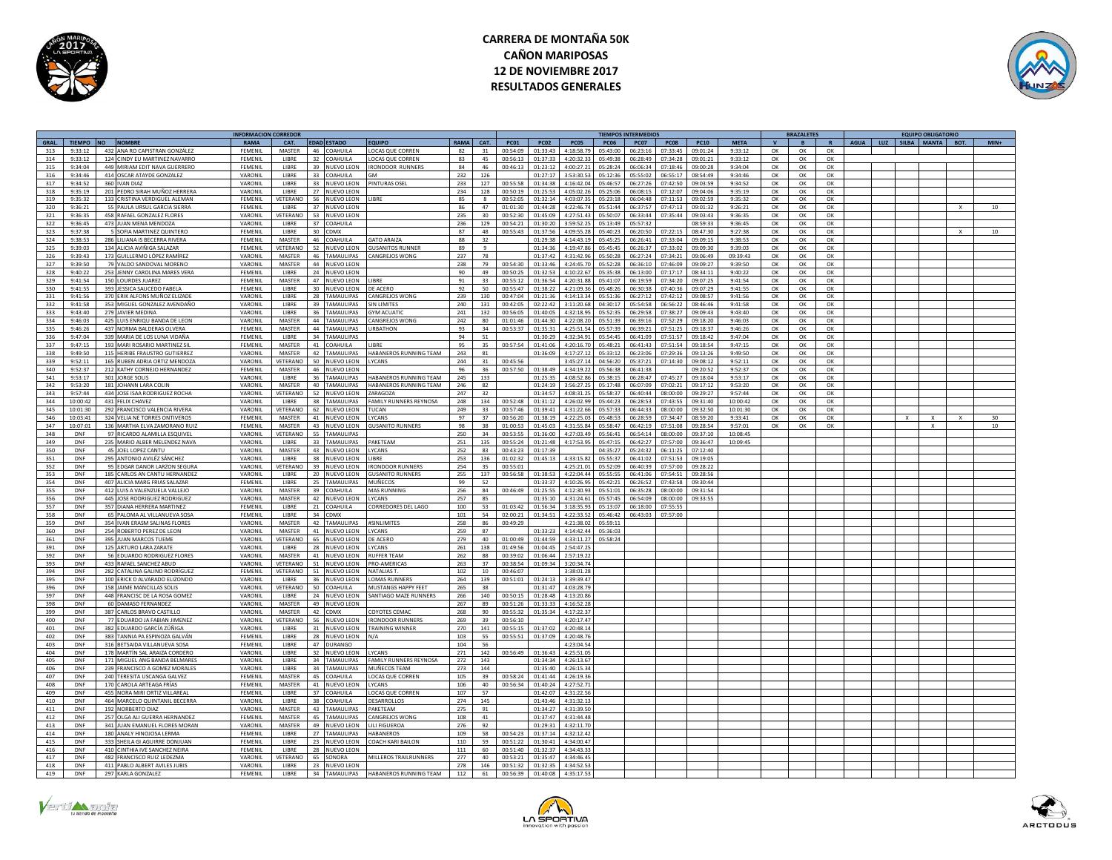



|       |             |                                  | <b>INFORMACION CORREDO</b> |               |                 |                    |                                      |                |                 |                   |                |                  | <b>TIEMPOS INTERMEDIOS</b> |          |          |              |             |              | <b>BRAZALETES</b> |              |             |     | <b>EQUIPO OBLIGATORIO</b> |              |                  |
|-------|-------------|----------------------------------|----------------------------|---------------|-----------------|--------------------|--------------------------------------|----------------|-----------------|-------------------|----------------|------------------|----------------------------|----------|----------|--------------|-------------|--------------|-------------------|--------------|-------------|-----|---------------------------|--------------|------------------|
| GRAL. |             | TIEMPO NO NOMBRE                 | <b>RAMA</b>                | CAT.          |                 | <b>EDAD ESTADO</b> | <b>FOUIPO</b>                        | <b>RAMA</b>    | CAT.            | <b>PC01</b>       | <b>PC02</b>    | <b>PC05</b>      | <b>PC06</b>                | PC07     | PC08     | <b>PC10</b>  | <b>META</b> | $\mathbf{v}$ | <b>B</b>          | $\mathbf{R}$ | <b>AGUA</b> | LUZ | SILBA MANTA BOT.          |              | $MIN+$           |
| 313   | 9.33.12     | 432 ANA RO CAPISTRAN GONZÁLEZ    | FFMFNII                    | MASTER        | 46              | COAHLILLA          | LOCAS OUE CORREN                     | 82             | 31              | 00.54.09          | $01 - 33 - 43$ | 1.18.587         | 05:43:00                   | 06.23.16 | 07.33.45 | 09:01:24     | 9.33.12     | OK           | $\alpha$          | OK           |             |     |                           |              |                  |
| 314   | 9:33:12     | 124 CINDY EU MARTINEZ NAVARRO    | FEMENIL                    | LIBRE         | 32              | COAHUILA           | LOCAS QUE CORREN                     | 83             | 45              | 00:56:13          | 01:37:33       | 4:20:32.33       | 05:49:38                   | 06:28:49 | 07:34:28 | 09:01:21     | 9:33:12     | OK           | OK                | OK           |             |     |                           |              |                  |
|       |             |                                  |                            |               |                 |                    |                                      |                |                 |                   |                |                  |                            |          |          |              |             |              |                   |              |             |     |                           |              |                  |
| 315   | 9:34:04     | 449 MIRIAM EDIT NAVA GUERRERO    | <b>FFMENIL</b>             | <b>LIBRE</b>  |                 | 39 NUEVO LEON      | <b>IRONDOOR RUNNERS</b>              | 84             | 46              | 00:46:13          | 01:23:12       | 4:00:27.21       | 05:28:24                   | 06:06:34 | 07:18:46 | 09:00:28     | 9:34:04     | OK           | OK                | OK           |             |     |                           |              |                  |
| 316   | $9.34 - 46$ | 414 OSCAR ATAYDE GONZALEZ        | <b>VARONII</b>             | LIBRE         |                 | 33 COAHUILA        | <b>GM</b>                            | 232            | 126             |                   | 01:27:17       | 3:53:30.53       | 05:12:36                   | 05:55:02 | 06:55:17 | $08.54 - 49$ | 9:34:46     | OK           | OK                | ОК           |             |     |                           |              |                  |
| 317   | 9:34:52     | 360 IVAN DIAZ                    | VARONIL                    | LIBRE         | $33 -$          | <b>NUEVO LEON</b>  | PINTURAS OSEL                        | 233            | 127             | 00:55:58          | 01:34:38       | 1:16:42.04       | 05:46:57                   | 06:27:26 | 07:42:50 | 09:03:59     | 9:34:52     | OK           | OK                | OK           |             |     |                           |              |                  |
| 318   | 9:35:19     | 201 PEDRO SIRAH MUÑOZ HERRERA    | VARONIL                    | LIBRE         | 27              | NUEVO LEON         |                                      | 234            | 128             | 00:50:19          | 01:25:53       | 4:05:02.2        | 05:25:06                   | 06:08:15 | 07:12:07 | 09:04:06     | 9:35:19     | ОК           | OK                | OK           |             |     |                           |              |                  |
| 319   | 9:35:32     | 133 CRISTINA VERDIGUEL ALEMAN    | <b>FEMENIL</b>             | VETERANO      |                 | 56 NUEVO LEON      | <b>IRRE</b>                          | 85             | $\mathcal{R}$   | 00:52:05          | 01:32:14       | 4:03:07.35       | 05:23:18                   | 06:04:48 | 07:11:53 | 09:02:59     | 9:35:32     | OK           | OK                | OK           |             |     |                           |              |                  |
| 320   | 9:36:21     | 55 PAULA URSUL GARCIA SIERRA     | FFMFNII                    | <b>LIBRE</b>  |                 | 37 NUEVO LEON      |                                      | 86             | 47              | 01:01:30          | 01:44:28       | 4:22:46.7        | 05:51:44                   | 06:37:57 | 07:47:1  | 09:01:32     | 9:26:21     | $\alpha$     | OK                | $\alpha$     |             |     |                           | $\mathbf{x}$ | 10 <sup>10</sup> |
|       |             |                                  |                            |               |                 |                    |                                      |                |                 |                   |                |                  |                            |          |          |              |             |              |                   |              |             |     |                           |              |                  |
| 321   | 9.36.35     | 458 RAFAEL GONZALEZ ELORES       | VARONII                    | VETERANO      |                 | 53 NUEVO LEON      |                                      | 235            | 30 <sub>0</sub> | 00:52:30          | 01:45:09       | 4:27:51.43       | 05:50:0                    | 06:33:44 | 07:35:44 | 09:03:4      | 9:36:35     | $\Omega$     | OK                | $\alpha$     |             |     |                           |              |                  |
| 322   | 9:36:45     | 473 JUAN MENA MENDOZA            | VARONIL                    | LIBRE         |                 | 37 COAHUILA        |                                      | 236            | 129             | 00:54:21          | 01:30:20       | 3:59:52.25       | 05:13:49                   | 05:57:32 |          | 08:59:33     | 9:36:45     | OK           | OK                | OK           |             |     |                           |              |                  |
| 323   | 9:37:38     | 5 SOFIA MARTINEZ QUINTERO        | FEMENIL                    | LIBRE         |                 | 30 CDMX            |                                      | 87             | 48              | 00:55:43 01:37:56 |                | 4:09:55.28       | 05:40:23                   | 06:20:50 | 07:22:15 | 08:47:30     | 9:27:38     | OK           | OK                | OK           |             |     |                           | $\mathbf{x}$ | 10               |
| 324   | 9:38:53     | 286 LILIANA IS BECERRA RIVERA    | EEMENIL                    | MASTER        |                 | 46 COAHUILA        | <b>SATO ARAIZA</b>                   | 88             | 32              |                   | 01:29:38       | 4:14:43.19       | 05:45:25                   | 06:26:41 | 07:33:04 | 09:09:15     | 9:38:53     | OK           | OK                | OK           |             |     |                           |              |                  |
| 325   | 9:39:03     | 134 ALICIA AVIÑIGA SALAZAR       | FEMENIL                    | VETERANO      |                 | 52 NUEVO LEON      | <b>GUSANITOS RUNNER</b>              | 89             | $\mathbf{q}$    |                   | 01:34:36       | 4:19:47.86       | 05:45:45                   | 06:26:37 | 07:33:02 | 09:09:30     | 9:39:03     | OK           | OK                | OK           |             |     |                           |              |                  |
| 326   | 9:39:43     | 173<br>GUILLERMO LÓPEZ RAMÍRE.   | VARONIL                    | <b>MASTER</b> |                 | 46 TAMAULIPAS      | CANGREJOS WONG                       | 237            | 78              |                   | 01:37:42       | 4:31:42.9        | 05:50:28                   | 06:27:24 | 07:34:21 | 09:06:49     | 09:39:43    | ОК           | OK                | OK           |             |     |                           |              |                  |
|       |             |                                  |                            |               |                 |                    |                                      |                |                 |                   |                |                  |                            |          |          |              |             |              |                   |              |             |     |                           |              |                  |
| 327   | 9:39:50     | 79 VALDO SANDOVAL MORENO         | VARONIL                    | MASTER        |                 | 44 NUEVO LEON      |                                      | 238            | 79              | 00:54:30          | 01:33:46       | 4:24:45.70       | 05:52:28                   | 06:36:10 | 07:46:09 | 09:09:27     | 9:39:50     | OK           | ОК                | ОК           |             |     |                           |              |                  |
| 328   | 9:40:22     | 253 JENNY CAROLINA MARES VERA    | FFMFNII                    | <b>LIBRE</b>  |                 | 24 NUEVO LEON      |                                      | 90             | 49              | 00:50:25          | 01:32:53       | 4:10:22.6        | 05:35:38                   | 06:13:00 | 07:17:17 | 08:34:1      | 9:40:22     | OK           | OK                | OK           |             |     |                           |              |                  |
| 329   | 9.41.54     | 150 LOURDES IUAREZ               | FFMFNII                    | MASTER        |                 | 47 NUEVO LEON      | <b>IRRE</b>                          | Q <sub>1</sub> | 33              | 00:55:12          | 01:36:54       | 1:20:31.8        | 05:41:07                   | 06:19:59 | 07:34:21 | 09:07:25     | 9:41:54     | OK           | OK                | OK           |             |     |                           |              |                  |
| 330   | 9:41:55     | 393 IESSICA SAUCEDO FARELA       | FFMFNII                    | LIBRE         | $30 -$          | NUEVO LEON         | DE ACERO                             | 92             | 50              | 00:55:47          | 01:38:22       | 4:21:09.5        | 05:48:26                   | 06:30:38 | 07:40:36 | 09:07:29     | 9:41:55     | $\alpha$     | OK                | OK           |             |     |                           |              |                  |
| 331   | 9:41:56     | 370 ERIK ALFONS MUÑOZ ELIZADE    | VARONIL                    | LIBRE         |                 | 28 TAMAULIPAS      | <b>CANGREJOS WONG</b>                | 239            | 130             | 00:47:04          | 01:21:36       | 4:14:13.34       | 05:51:36                   | 06:27:12 | 07:42:12 | 09:08:57     | 9:41:56     | OK           | OK                | OK           |             |     |                           |              |                  |
|       | 9:41:58     |                                  | VARONIL                    | LIBRE         |                 | 39 TAMAULIPAS      | <b>SIN LIMITES</b>                   | 240            | 131             | 00:42:05          | 02:22:42       | 3:11:20.68       | 04:30:17                   | 05:54:58 | 06:56:22 | 08:46:46     | 9:41:58     | OK           | OK                | OK           |             |     |                           |              |                  |
| 332   |             | 353 MIGUEL GONZALEZ AVENDAÑO     |                            |               |                 |                    |                                      |                |                 |                   | $01 - 40 - 05$ |                  |                            |          |          |              |             |              |                   |              |             |     |                           |              |                  |
| 333   | 9:43:40     | 279 IAVIER MEDINA                | VARONIL                    | LIBRE         | 36              | <b>TAMAULIPAS</b>  | <b>GYM ACUATH</b>                    | 241            | 132             | 00:56:05          |                | 4:32:18.95       | 05:52:35                   | 06:29:58 | 07:38:27 | 09:09:43     | 9:43:40     | $\alpha$     | $\Omega$          | $\alpha$     |             |     |                           |              |                  |
| 334   | 9:46:03     | 425<br>UIS ENRIQU BANDA DE LEON  | VARONIL                    | MASTER        | 44              | <b>TAMAULIPAS</b>  | <b>ANGREJOS WONG</b>                 | 242            | 80              | 01:01:46          | 01:44:30       | 4:22:08.2        | 05:51:39                   | 06:39:16 | 07:52:29 | 09:18:20     | 9:46:03     | ОК           | ОК                | OK           |             |     |                           |              |                  |
| 335   | 9:46:26     | 437 NORMA BALDERAS OLVERA        | FEMENIL                    | <b>MASTER</b> |                 | 44 TAMAULIPAS      | <b>URBATHON</b>                      | 93             | 34              | 00:53:37          | 01:35:31       | 4:25:51.54       | 05:57:39                   | 06:39:21 | 07:51:25 | 09:18:37     | 9:46:26     | OK           | OK                | OK           |             |     |                           |              |                  |
| 336   | 9.47.04     | 339 MARIA DE LOS LUNA VIDAÑA     | FEMENIL                    | LIBRE         |                 | 34 TAMAULIPAS      |                                      | 94             | ${\bf 51}$      |                   | 01:30:29       | 4:32:34.9        | 05:54:45                   | 06:41:09 | 07:51:57 | 09:18:42     | 9:47:04     | OK           | OK                | ОК           |             |     |                           |              |                  |
| 337   | 9:47:15     | 193 MARI ROSARIO MARTINEZ SI     | FEMENIL                    | MASTER        |                 | 41 COAHUILA        | <b>IRRF</b>                          | 95             | 35              | 00:57:54          | 01:41:06       | 4:20:16.7        | 05:48:21                   | 06:41:43 | 07:51:5  | 09:18:5      | 9:47:15     | OK           | OK                | ОК           |             |     |                           |              |                  |
| 338   | 9:49:50     | 115 HERIBE FRAUSTRO GUTIERRE     | VARONII                    | MASTER        |                 | 42 TAMAULIPAS      | HABANEROS RUNNING TEAM               | 243            | R1              |                   | 01:36:09       | 4:17:27.12       | 05:33:12                   | 06:23:06 | 07:29:36 | 09:13:21     | 9:49:50     | OK           | OK                | $\alpha$     |             |     |                           |              |                  |
| 339   | 9:52:11     | 165 RUBEN ADRIA ORTIZ MENDOZA    | VARONIL                    | VETERANO      |                 | 50 NUEVO LEON      | LYCANS                               | 244            | 31              | 00:45:56          |                |                  | 3:45:27.14 04:56:20        | 05:37:21 | 07:14:30 | 09:08:12     | 9:52:11     | OK           | OK                | OK           |             |     |                           |              |                  |
|       |             |                                  |                            |               |                 |                    |                                      |                |                 |                   |                |                  |                            |          |          |              |             |              |                   |              |             |     |                           |              |                  |
| 340   | 9:52:37     | 212 KATHY CORNEJO HERNANDEZ      | FEMENIL                    | MASTER        |                 | 46 NUEVO LEON      |                                      | 96             | 36              | 00:57:50          | 01:38:49       | 4:34:19.22       | 05:56:38                   | 06:41:38 |          | 09:20:52     | 9:52:37     | OK           | OK                | OK           |             |     |                           |              |                  |
| 341   | 9:53:17     | 301 JORGE SOLIS                  | VARONIL                    | <b>LIBRE</b>  | 36              | <b>TAMAULIPAS</b>  | HARANEROS RUNNING TEAM               | 245            | 133             |                   | 01:25:35       | 4:08:52.86       | 05:38:15                   | 06:28:47 | 07:45:27 | 09:18:04     | 9:53:17     | $\alpha$     | OK                | $\alpha$     |             |     |                           |              |                  |
| 342   | 9:53:20     | 181 JOHANN LARA COLIN            | VARONIL                    | <b>MASTER</b> | 40              | TAMAULIPAS         | <b>HABANEROS RUNNING TEAM</b>        | 246            | 82              |                   | 01:24:19       | 3:56:27.25       | 05:17:48                   | 06:07:09 | 07:02:21 | 09:17:12     | 9:53:20     | OK           | OK                | ОК           |             |     |                           |              |                  |
| 343   | 9:57:44     | 434 JOSE ISAA RODRIGUEZ ROCHA    | VARONIL                    | VETERANO      | 52              | NUEVO LEON         | ZARAGOZA                             | 247            | 32              |                   | 01:34:57       | 4:08:31.2        | 05:58:37                   | 06:40:44 | 08:00:00 | 09:29:27     | 9:57:44     | OK           | OK                | OK           |             |     |                           |              |                  |
| 344   | 10:00:42    | 431 FELIX CHAVEZ                 | VARONIL                    | <b>LIBRE</b>  |                 | 38 TAMAULIPAS      | FAMILY RUNNERS REVNOSA               | 248            | 134             | 00:52:48          | 01:31:12       | 4:26:02.9        | 05:44:23                   | 06:28:53 | 07:43:55 | 09:31:40     | 10:00:42    | OK           | OK                | ОК           |             |     |                           |              |                  |
| 345   | 10:01:30    | 292 FRANCISCO VALENCIA RIVERA    | VARONIL                    | VETERANO      | 62              | <b>NUEVO LEON</b>  | <b>UCAN</b>                          | 249            | 33              | 00:57:46          | 01:39:41       | 1:31:22.6        | 05:57:33                   | 06:44:33 | 08:00:00 | 09:32:50     | 10:01:30    | OK           | OK                | OK           |             |     |                           |              |                  |
| 346   | 10:03:41    | 324 VELIA NE TORRES ONTIVEROS    | FEMENIL                    | MASTER        |                 | 41 NUEVO LEON      | <b>YCANS</b>                         | 97             | 37              | 00:56:20          | 01:38:19       | 4:22:25.0        | 05:48:53                   | 06:28:59 | 07:34:47 | 08:59:20     | 9:33:41     | OK           | OK                | ОК           |             |     |                           |              |                  |
|       |             |                                  |                            |               |                 |                    |                                      | 98             |                 |                   |                |                  |                            |          |          |              |             |              |                   |              |             |     |                           |              |                  |
| 347   | 10:07:01    | 136 MARTHA ELVA ZAMORANO RUIZ    | <b>FFMFNII</b>             | <b>MASTER</b> |                 | 43 NUEVO LEON      | <b>GUSANITO RUNNERS</b>              |                | 38              | 01:00:53          | 01:45:03       |                  | 4:31:55.84 05:58:47        | 06:42:19 | 07:51:08 | 09:28:54     | 9:57:01     | OK           | ОК                | OK           |             |     | $\mathbf{x}$              |              | 10               |
| 348   | <b>DNF</b>  | 97 RICARDO ALAMILLA ESQUIVEL     | VARONII                    | VETERANO      |                 | 55 TAMAULIPAS      |                                      | 250            | 34              | 00:53:55          | 01:36:00       | 4:27:03.49       | 05:56:41                   | 06:54:14 | 08:00:00 | 09:37:10     | 10:08:45    |              |                   |              |             |     |                           |              |                  |
| 349   | DNF         | 235 MARIO ALBER MELENDEZ NAVA    | VARONII                    | <b>LIBRE</b>  |                 | 33 TAMAULIPAS      | PAKETEAM                             | 251            | 135             | 00:55:24          | 01:21:48       | 4:17:53.95       | 05:47:15                   | 06:42:27 | 07:57:00 | 09:36:47     | 10:09:45    |              |                   |              |             |     |                           |              |                  |
| 350   | DNF         | 45<br><b>DEL LOPEZ CANTU</b>     | VARONII                    | MASTER        |                 | 43 NUEVO LEON      | <b>YCANS</b>                         | 252            | 83              | 00:43:23          | 01:17:39       |                  | 04:35:27                   | 05:24:32 | 06:11:2  | 07:12:40     |             |              |                   |              |             |     |                           |              |                  |
| 351   | DNF         | 295<br>ANTONIO AVILÉZ SÁNCHEZ    | VARONIL                    | LIBRE         | 38              | NUEVO LEON         | <b>IBRE</b>                          | 253            | 136             | 01:02:32          | 01:45:13       | 4:33:15.8        | 05:55:37                   | 06:41:02 | 07:51:5  | 09:19:0      |             |              |                   |              |             |     |                           |              |                  |
| 352   | <b>DNF</b>  | 95 EDGAR DANOR LARZON SEGURA     | VARONIL                    | VETERANC      | 39              | NUEVO LEON         | <b>IRONDOOR RUNNERS</b>              | 254            | 35              | 00:55:01          |                | 4:25:21.0        | 05:52:09                   | 06:40:39 | 07:57:00 | 09:28:2      |             |              |                   |              |             |     |                           |              |                  |
| 353   | DNF         | 185 CARLOS AN CANTU HERNANDEZ    | VARONII                    | LIBRE         | 20 <sup>°</sup> | NUEVO LEON         | <b>GUSANITO RUNNERS</b>              | 255            | 137             | 00:56:58          | 01:38:53       | 4:22:04.44       | 05:55:55                   | 06:41:06 | 07:54:51 | 09:28:56     |             |              |                   |              |             |     |                           |              |                  |
| 354   | DNF         | 407 ALICIA MARG FRIAS SALAZAR    | FEMENIL                    | LIBRE         | $25 -$          | TAMAULIPAS         | <b>MUÑECOS</b>                       | 99             | 52              |                   | 01:33:37       | 4:10:26.95       | 05:42:21                   | 06:26:52 | 07:43:58 | 09:30:44     |             |              |                   |              |             |     |                           |              |                  |
|       |             |                                  |                            | MASTER        |                 |                    | <b>MAS RUNNING</b>                   |                | 84              |                   |                |                  |                            |          |          |              |             |              |                   |              |             |     |                           |              |                  |
| 355   | DNF         | 412 LUIS A VALENZUELA VALLEJO    | VARONIL                    |               |                 | 39 COAHUILA        |                                      | 256            |                 | 00:46:49          | 01:25:55       |                  | 4:12:30.93   05:51:01      | 06:35:28 | 08:00:00 | 09:31:54     |             |              |                   |              |             |     |                           |              |                  |
| 356   | DNF         | 445 JOSE RODRIGUEZ RODRIGUEZ     | VARONIL                    | MASTER        |                 | 42 NUEVO LEON      | LYCANS                               | 257            | 85              |                   | 01:35:10       | 4:31:24.61       | 05:57:45                   | 06:54:09 | 08:00:00 | 09:33:55     |             |              |                   |              |             |     |                           |              |                  |
| 357   | DNF         | 357 DIANA HERRERA MARTINEZ       | FEMENII                    | <b>LIBRE</b>  |                 | 21 COAHUILA        | CORREDORES DEL LAGO                  | 100            | 53              | 01:03:42          | 01:56:34       | 3:18:35.93       | 05:13:07                   | 06:18:00 | 07:55:55 |              |             |              |                   |              |             |     |                           |              |                  |
| 358   | DNF         | 65 PALOMA AL VILLANUEVA SOSA     | FEMENIL                    | LIBRE         |                 | 34 CDMX            |                                      | 101            | 54              | 02:00:21          | 01:34:51       | 4:22:33.52       | 05:46:42                   | 06:43:03 | 07:57:00 |              |             |              |                   |              |             |     |                           |              |                  |
| 359   | DNF         | 354 IVAN ERASM SALINAS FLORES    | VARONIL                    | <b>MASTER</b> |                 | 42 TAMAULIPAS      | #SINLIMITES                          | 258            | 86              | 00:49:29          |                | 4:21:38.02       | 05:59:11                   |          |          |              |             |              |                   |              |             |     |                           |              |                  |
| 360   | DNF         | 254 ROBERTO PEREZ DE LEON        | VARONIL                    | <b>MASTER</b> |                 | 41 NUEVO LEON      | LYCANS                               | 259            | 87              |                   | 01:33:23       | 4:14:42.44       | 05:36:03                   |          |          |              |             |              |                   |              |             |     |                           |              |                  |
| 361   | DNF         | 395 JUAN MARCOS TUEME            | VARONII                    | VETERANO      |                 | 65 NUEVO LEON      | DE ACERO                             | 279            | 40              | 01:00:49          | 01:44:59       | 4:33:11.27       | 05:58:24                   |          |          |              |             |              |                   |              |             |     |                           |              |                  |
|       |             |                                  |                            |               |                 |                    |                                      |                |                 |                   |                |                  |                            |          |          |              |             |              |                   |              |             |     |                           |              |                  |
| 391   | DNF         | 125 ARTURO LARA ZARATE           | VARONIL                    | LIBRE         |                 | 28 NUEVO LEON      | LYCANS                               | 261            | 138             | 01:49:56          | 01:04:45       | 2:54:47.2        |                            |          |          |              |             |              |                   |              |             |     |                           |              |                  |
| 392   | DNF         | 56 EDUARDO RODRIGUEZ FLORES      | VARONIL                    | MASTER        |                 | 41 NUEVO LEON      | <b>RUFFER TEAM</b>                   | 262            | 88              | 00:39:02          | 01:06:44       | 2:57:19.22       |                            |          |          |              |             |              |                   |              |             |     |                           |              |                  |
| 393   | DNF         | 433 RAFAEL SANCHEZ ABUD          | VARONIL                    | VETERANO      |                 | 51 NUEVO LEON      | PRO-AMERICAS                         | 263            | 37              | 00:38:54          | 01:09:34       | 3:20:34.74       |                            |          |          |              |             |              |                   |              |             |     |                           |              |                  |
| 394   | DNF         | 282 CATALINA GALIND RODRÍGUEZ    | FFMFNII                    | VETERANO      |                 | 51 NUEVO LEON      | NATALIAS T                           | 102            | 10              | 00:46:07          |                | 3:38:01.28       |                            |          |          |              |             |              |                   |              |             |     |                           |              |                  |
| 395   | DNF         | 100<br>RICK D ALVARADO ELIZONDO  | VARONIL                    | LIBRE         | 36              | NUEVO LEON         | OMAS RUNNER!                         | 264            | 139             | 00:51:01          | 01:24:13       | 3:39:39.47       |                            |          |          |              |             |              |                   |              |             |     |                           |              |                  |
| 396   | DNF         | 158 IAIME MANCILLAS SOLIS        | VARONIL                    | VETERANO      | 50              | <b>COAHUILA</b>    | MUSTANGS HAPPY FEET                  | 265            | 38              |                   | 01:31:47       | 4:03:28.79       |                            |          |          |              |             |              |                   |              |             |     |                           |              |                  |
| 397   | DNF         | 448 FRANCISC DE LA ROSA GOMEZ    | VARONIL                    | <b>LIBRE</b>  |                 | 24 NUEVO LEON      | SANTIAGO MAZE RUNNERS                | 266            | 140             | 00:50:15          | 01:28:48       | 4:13:20.86       |                            |          |          |              |             |              |                   |              |             |     |                           |              |                  |
| 398   | DNF         | 60 DAMASO FERNANDEZ              | VARONII                    | MASTER        |                 | 49 NUEVO LEON      |                                      | 267            | 89              | 00:51:26          | $01 - 22 - 22$ | 4:16:52.28       |                            |          |          |              |             |              |                   |              |             |     |                           |              |                  |
|       |             |                                  |                            |               |                 |                    |                                      |                | a <sub>0</sub>  |                   | $01 - 35 - 34$ |                  |                            |          |          |              |             |              |                   |              |             |     |                           |              |                  |
| 399   | DNF         | 387 CARLOS BRAVO CASTILLO        | VARONIL                    | MASTER        |                 | 42 CDMX            | COYOTES CEMAC                        | 268            |                 | 00:55:32          |                | 4:17:22.37       |                            |          |          |              |             |              |                   |              |             |     |                           |              |                  |
| 400   | <b>DNF</b>  | 77 EDUARDO JA FABIAN JIMENEZ     | VARONIL                    | VETERANO      |                 | 56 NUEVO LEON      | <b>IRONDOOR RUNNER:</b>              | 269            | 39              | 00:56:10          |                | 4:20:17.47       |                            |          |          |              |             |              |                   |              |             |     |                           |              |                  |
| 401   | <b>DNF</b>  | 382 EDUARDO GARCÍA ZÚÑIGA        | VARONIL                    | LIBRE         |                 | 31 NUEVO LEON      | <b>TRAINING WINNER</b>               | 270            | 141             | 00:55:15          | 01:37:02       | 4:20:48.14       |                            |          |          |              |             |              |                   |              |             |     |                           |              |                  |
| 402   | DNF         | 383 TANNIA PA ESPINOZA GALVÁN    | <b>FEMENIL</b>             | <b>LIBRE</b>  |                 | 28 NUEVO LEON      | N/A                                  | 103            | 55              | 00:55:51          | 01:37:09       | $A - 20 - A8$ 76 |                            |          |          |              |             |              |                   |              |             |     |                           |              |                  |
| 403   | DNF         | 316<br>BETSAIDA VILLANUEVA SOSA  | FEMENIL                    | LIBRE         |                 | 47 DURANGO         |                                      | 104            | 56              |                   |                | 4:23:04.54       |                            |          |          |              |             |              |                   |              |             |     |                           |              |                  |
| 404   | <b>DNF</b>  | 178 MARTÍN SAL ARAIZA CORDERO    | VARONIL                    | LIBRE         | 32              | <b>NUEVO LEON</b>  | LYCANS                               | 271            | 142             | 00:56:49          | 01:36:43       | 4:25:51.09       |                            |          |          |              |             |              |                   |              |             |     |                           |              |                  |
| 405   | <b>DNF</b>  | 171 MIGUEL ANG BANDA BELMARES    | VARONIL                    | LIBRE         |                 | 34 TAMAULIPAS      | <b>FAMILY RUNNERS REYNOSA</b>        | 272            | 143             |                   | 01:34:34       | 4:26:13.67       |                            |          |          |              |             |              |                   |              |             |     |                           |              |                  |
| 406   | DNF         | 239 FRANCISCO A GOMEZ MORALE     | VARONII                    | <b>LIBRE</b>  |                 | 34 TAMAULIPAS      | MUÑECOS TEAM                         | 273            | 144             |                   | 01:35:40       | 4:26:15.34       |                            |          |          |              |             |              |                   |              |             |     |                           |              |                  |
| 407   | DNF         | 240 TERESITA USCANGA GALVEZ      | FEMENIL                    | MASTER        | 45              | COAHUILA           | <b>OCAS OUE CORREN</b>               | 105            | 39              | 00:58:24          | 01:41:44       | 4:26:19.36       |                            |          |          |              |             |              |                   |              |             |     |                           |              |                  |
|       |             |                                  |                            |               |                 |                    |                                      |                |                 |                   |                |                  |                            |          |          |              |             |              |                   |              |             |     |                           |              |                  |
| 408   | DNF         | 170 CAROLA ARTEAGA FRÍAS         | <b>FEMENIL</b>             | MASTER        |                 | 41 NUEVO LEON      | LYCANS                               | 106            | 40              | 00:56:34          | 01:40:24       | 4:27:52.71       |                            |          |          |              |             |              |                   |              |             |     |                           |              |                  |
| 409   | <b>DNF</b>  | 455 NORA MIRI ORTIZ VILLAREAL    | FEMENIL                    | LIBRE         |                 | 37 COAHUILA        | LOCAS QUE CORREN                     | 107            | 57              |                   | 01:42:07       | 4:31:22.56       |                            |          |          |              |             |              |                   |              |             |     |                           |              |                  |
| 410   | DNF         | 464 MARCELO QUINTANIL BECERRA    | <b>VARONII</b>             | <b>LIBRE</b>  | 38              | COAHUILA           | <b>DESARROLLOS</b>                   | 274            | 145             |                   | $01 - 43 - 46$ | 4:31:32.13       |                            |          |          |              |             |              |                   |              |             |     |                           |              |                  |
| 411   | DNF         | 192 NORBERTO DIAZ                | VARONIL                    | MASTER        | 43              | <b>AMAULIPAS</b>   | PAKETFAM                             | 275            | 91              |                   | 01:34:27       | 4:31:39.50       |                            |          |          |              |             |              |                   |              |             |     |                           |              |                  |
| 412   | DNF         | 257<br>OLGA ALI GUERRA HERNANDEZ | FEMENIL                    | MASTER        | 45              | <b>TAMAULIPAS</b>  | ANGREJOS WONG                        | 108            | 41              |                   | 01:37:47       | 4:31:44.48       |                            |          |          |              |             |              |                   |              |             |     |                           |              |                  |
| 413   | DNF         | 341 IUAN EMANUEL ELORES MORAN    | VARONII                    | MASTER        |                 | 49 NUEVO LEON      | LILI FIGUEROA                        | 276            | 92              |                   | 01:29:31       | 4:32:11.70       |                            |          |          |              |             |              |                   |              |             |     |                           |              |                  |
| 414   | DNF         | 180 ANALY HINOIOSA LERMA         | FFMFNII                    | LIBRE         | 27              | <b>TAMAULIPAS</b>  | <b>HARANEROS</b>                     | 109            | 58              | 00:54:23          | 01:37:14       | 4:32:12.42       |                            |          |          |              |             |              |                   |              |             |     |                           |              |                  |
| 415   | DNF         | 333 SHEILA GLAGUIRRE DONIUAN     | <b>FFMENII</b>             | LIBRE         |                 | 23 NUEVO LEON      | COACH KARLBAILON                     | 110            | 59              | 00:51:22          | 01:30:41       | 4:34:00.47       |                            |          |          |              |             |              |                   |              |             |     |                           |              |                  |
| 416   | DNF         | 410<br>INTHIA IVE SANCHEZ NEIRA  | FFMFNII                    | LIBRE         |                 |                    |                                      | 111            | 60              | 00:51:40          | 01:32:37       | 4:34:43.37       |                            |          |          |              |             |              |                   |              |             |     |                           |              |                  |
|       |             |                                  |                            |               |                 | 28 NUEVO LEON      |                                      |                |                 |                   |                |                  |                            |          |          |              |             |              |                   |              |             |     |                           |              |                  |
| 417   | <b>DNF</b>  | 482 FRANCISCO RUIZ LEDEZMA       | VARONIL                    | VETERANO      |                 | 65 SONORA          | MILLEROS TRAILRUNNERS                | 277            | 40              | 00:53:21 01:35:47 |                | 4:34:46.45       |                            |          |          |              |             |              |                   |              |             |     |                           |              |                  |
| 418   | DNF         | 411 PABLO ALBERT AVILES JUBIS    | VARONII                    | <b>LIBRE</b>  |                 | 23 NUEVO LEON      |                                      | 278            | 146             | 00:51:32          | 01:32:35       | 4:34:52.53       |                            |          |          |              |             |              |                   |              |             |     |                           |              |                  |
| 419   | <b>DNF</b>  | 297 KARLA GONZALEZ               | FEMENIL                    | LIBRE         |                 |                    | 34 TAMAULIPAS HABANEROS RUNNING TEAM | 112            | 61              | 00:56:39          | $01 - 40 - 08$ | 4:35:17.52       |                            |          |          |              |             |              |                   |              |             |     |                           |              |                  |





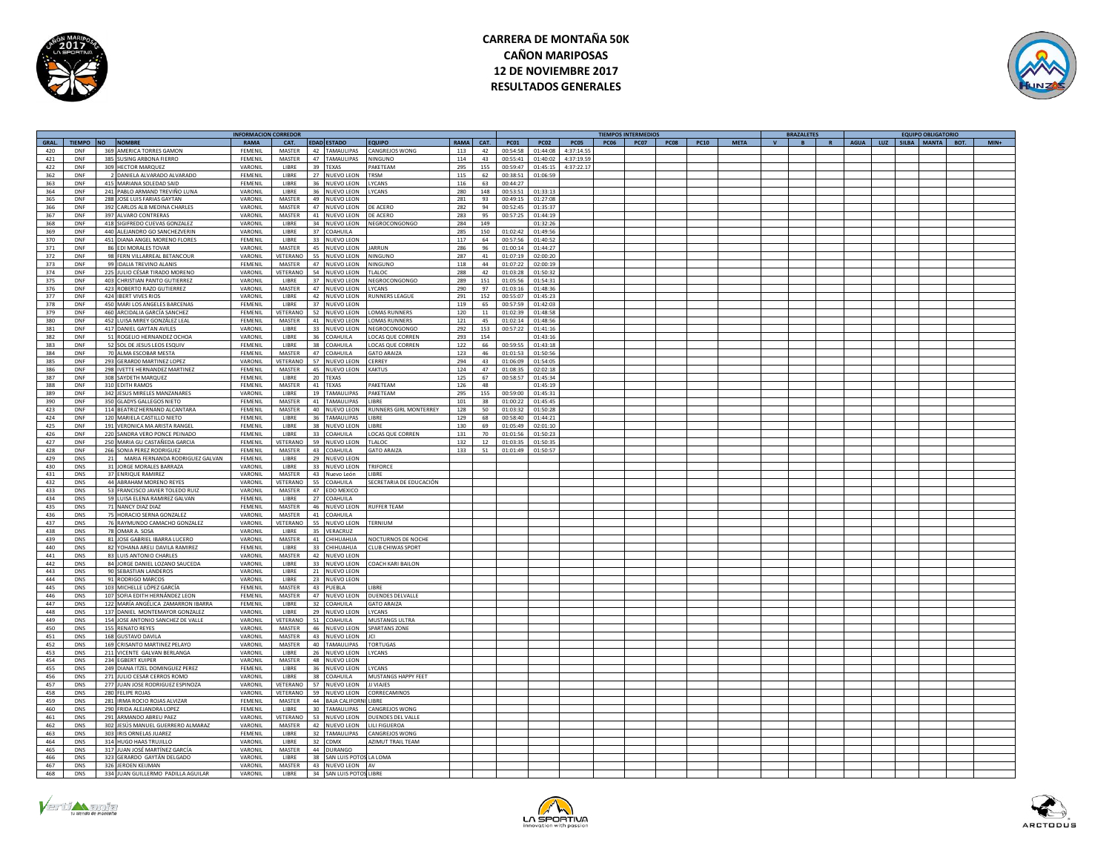



|            |                  |     |                                    | <b>INFORMACION CORREDOR</b> |                      |    |                           |                               |             |          |             |                |            |             | <b>TIEMPOS INTERMEDIOS</b> |             |             |             |              | <b>BRAZALETES</b> |              |             |     | <b>EQUIPO OBLIGATORIO</b> |        |
|------------|------------------|-----|------------------------------------|-----------------------------|----------------------|----|---------------------------|-------------------------------|-------------|----------|-------------|----------------|------------|-------------|----------------------------|-------------|-------------|-------------|--------------|-------------------|--------------|-------------|-----|---------------------------|--------|
| GRAL.      | TIEMPO NO NOMBRE |     |                                    | RAMA                        | CAT.                 |    | <b>EDAD ESTADO</b>        | <b>FOUIPO</b>                 | <b>RAMA</b> | CAT.     | <b>PC01</b> | <b>PC02</b>    | PC05       | <b>PC06</b> | <b>PC07</b>                | <b>PC08</b> | <b>PC10</b> | <b>META</b> | $\mathbf{v}$ | <b>B</b>          | $\mathbf{R}$ | <b>AGUA</b> | LUZ | SILBA MANTA BOT.          | $MIN+$ |
| 420        | <b>DNF</b>       |     | 369 AMERICA TORRES GAMON           | FEMENIL                     | <b>MASTER</b>        |    | 42 TAMAULIPAS             | CANGREJOS WONG                | 113         | 42       | 00:54:58    | 01:44:08       | 4:37:14.55 |             |                            |             |             |             |              |                   |              |             |     |                           |        |
| 421        | DNF              |     | 385 SUSING ARBONA FIERRO           | FEMENIL                     | MASTER               |    | 47 TAMAULIPAS             | NINGUNO                       | 114         | 43       | 00:55:41    | 01:40:02       | 4:37:19.59 |             |                            |             |             |             |              |                   |              |             |     |                           |        |
| 422        | DNF              |     | 309 HECTOR MARQUEZ                 | VARONIL                     | <b>LIBRE</b>         |    | 39 TEXAS                  | PAKETEAM                      | 295         | 155      | 00:59:47    | 01:45:15       | 4:37:22.17 |             |                            |             |             |             |              |                   |              |             |     |                           |        |
| 362        | DNE              |     | 2 DANIELA ALVARADO ALVARADO        | <b>FEMENIL</b>              | LIBRE                |    | 27 NUEVO LEON             | TRSM                          | 115         | 62       | 00:38:51    | 01:06:59       |            |             |                            |             |             |             |              |                   |              |             |     |                           |        |
| 363        | DNF              |     | 415 MARIANA SOLEDAD SAID           | FEMENIL                     | LIBRE                |    | 36 NUEVO LEON             | YCANS                         | 116         | 63       | 00:44:27    |                |            |             |                            |             |             |             |              |                   |              |             |     |                           |        |
| 364        | DNF              |     | 241 PABLO ARMAND TREVIÑO LUNA      | VARONIL                     | LIBRE                |    | 36 NUEVO LEON             | LYCANS                        | 280         | 148      | 00:53:51    | 01:33:13       |            |             |                            |             |             |             |              |                   |              |             |     |                           |        |
|            | <b>DNF</b>       |     | 288 JOSE LUIS FARIAS GAYTAN        | VARONII                     | <b>MASTER</b>        |    | 49 NUEVO LEON             |                               | 281         |          | 00:49:15    | 01:27:08       |            |             |                            |             |             |             |              |                   |              |             |     |                           |        |
| 365<br>366 | DNF              |     | 392 CARLOS ALB MEDINA CHARLES      | VARONII                     | <b>MASTER</b>        |    | 47 NUEVO LEON             | DE ACERO                      | 282         | 93<br>94 |             |                |            |             |                            |             |             |             |              |                   |              |             |     |                           |        |
|            |                  |     |                                    |                             |                      |    |                           |                               |             |          | 00:52:4     | 01:35:37       |            |             |                            |             |             |             |              |                   |              |             |     |                           |        |
| 367        | DNF              |     | 397 ALVARO CONTRERAS               | VARONIL                     | <b>MASTER</b>        |    | 41 NUEVO LEON             | DE ACERO                      | 283         | 95       | 00:57:21    | 01:44:19       |            |             |                            |             |             |             |              |                   |              |             |     |                           |        |
| 368        | <b>DNF</b>       |     | 418 SIGIFREDO CUEVAS GONZALEZ      | VARONIL                     | LIBRE                |    | 34 NUEVO LEON             | NEGROCONGONGO                 | 284         | 149      |             | 01:32:26       |            |             |                            |             |             |             |              |                   |              |             |     |                           |        |
| 369        | DNF              |     | 440 ALEJANDRO GO SANCHEZVERIN      | VARONIL                     | <b>LIBRE</b>         |    | 37 COAHUILA               |                               | 285         | 150      | 01:02:42    | 01:49:56       |            |             |                            |             |             |             |              |                   |              |             |     |                           |        |
| 370        | DNF              |     | 451 DIANA ANGEL MORENO FLORES      | FEMENII                     | LIBRE                |    | 33 NUEVO LEON             |                               | 117         | 64       | 00:57:56    | 01:40:52       |            |             |                            |             |             |             |              |                   |              |             |     |                           |        |
| 371        | DNF              |     | 86 EDI MORALES TOVAR               | VARONIL                     | MASTER               |    | 45 NUEVO LEON             | JARRUN                        | 286         | 96       | 01:00:14    | 01:44:27       |            |             |                            |             |             |             |              |                   |              |             |     |                           |        |
| 372        | DNF              |     | 98 FERN VILLARREAL BETANCOUR       | VARONIL                     | VETERANO             |    | 55 NUEVO LEON             | NINGUNO                       | 287         | $41\,$   | 01:07:19    | 02:00:20       |            |             |                            |             |             |             |              |                   |              |             |     |                           |        |
| 373        | DNF              |     | 99 IDALIA TREVINO ALANIS           | FEMENII                     |                      |    | MASTER 47 NUEVO LEON      | NINGUNO                       | 118         | 44       | 01:07:22    | 02:00:19       |            |             |                            |             |             |             |              |                   |              |             |     |                           |        |
| 374        | DNF              |     | 225 IULIO CÉSAR TIRADO MORENO      | VARONII                     | VETERANO             |    | 54 NUEVO LEON             | TI AI OC                      | 288         | 42       | 01:03:28    | 01:50:32       |            |             |                            |             |             |             |              |                   |              |             |     |                           |        |
| 375        | DNF              |     | 403 CHRISTIAN PANTO GUTIERREZ      | VARONIL                     | LIBRE                |    | 37 NUEVO LEON             | NEGROCONGONGO                 | 289         | 151      | 01:05:56    | 01:54:31       |            |             |                            |             |             |             |              |                   |              |             |     |                           |        |
| 376        | DNF              |     | 423 ROBERTO RAZO GUTIERREZ         | VARONIL                     | <b>MASTER</b>        |    | 47 NUEVO LEON             | <b>YCANS</b>                  | 290         | 97       | 01:03:16    | 01:48:36       |            |             |                            |             |             |             |              |                   |              |             |     |                           |        |
| 377        | <b>DNF</b>       |     | 424 IBERT VIVES RIOS               | VARONIL                     | <b>LIBRE</b>         |    | 42 NUEVO LEON             | RUNNERS LEAGUE                | 291         | 152      | 00:55:07    | 01:45:23       |            |             |                            |             |             |             |              |                   |              |             |     |                           |        |
| 378        | DNF              |     | 450 MARI LOS ANGELES BARCENAS      | FEMENII                     | LIBRE                |    | 37 NUEVO LEON             |                               | 119         | 65       | 00:57:59    | 01:42:03       |            |             |                            |             |             |             |              |                   |              |             |     |                           |        |
| 379        | DNF              |     | 460 ARCIDALIA GARCÍA SANCHEZ       | FEMENIL                     | VETERANO             |    | 52 NUEVO LEON             | OMAS RUNNERS                  | 120         | 11       | 01:02:39    | 01:48:58       |            |             |                            |             |             |             |              |                   |              |             |     |                           |        |
|            | DNF              |     |                                    | FEMENIL                     | MASTER               |    | 41 NUEVO LEON             | <b>OMAS RUNNERS</b>           |             |          | 01:02:14    | 01:48:56       |            |             |                            |             |             |             |              |                   |              |             |     |                           |        |
| 380        |                  |     | 452 LUISA MIREY GONZÁLEZ LEAL      |                             |                      |    |                           |                               | 121         | 45       |             |                |            |             |                            |             |             |             |              |                   |              |             |     |                           |        |
| 381        | DNF              |     | 417 DANIEL GAYTAN AVILES           | VARONIL                     | <b>LIBRE</b>         |    | 33 NUEVO LEON             | NEGROCONGONGO                 | 292         | 153      | 00:57:22    | 01:41:16       |            |             |                            |             |             |             |              |                   |              |             |     |                           |        |
| 382        | DNE              |     | 51 ROGELIO HERNANDEZ OCHOA         | VARONIL                     | LIBRE                |    | 36 COAHUILA               | LOCAS OUE CORREN              | 293         | 154      |             | $01 - 43 - 16$ |            |             |                            |             |             |             |              |                   |              |             |     |                           |        |
| 383        | DNF              |     | 52 SOL DE JESUS LEOS ESQUIV        | FEMENIL                     | LIBRE                | 38 | COAHUILA                  | LOCAS QUE CORREN              | 122         | 66       | 00:59:5     | 01:43:18       |            |             |                            |             |             |             |              |                   |              |             |     |                           |        |
| 384        | DNF              |     | 70 ALMA ESCOBAR MESTA              | FEMENIL                     | <b>MASTER</b>        |    | 47 COAHUILA               | <b>GATO ARAIZA</b>            | 123         | 46       | 01:01:5     | 01:50:56       |            |             |                            |             |             |             |              |                   |              |             |     |                           |        |
| 385        | <b>DNF</b>       |     | 293 GERARDO MARTINEZ LOPEZ         | VARONIL                     | VETERANO             |    | 57 NUEVO LEON             | CERREY                        | 294         | 43       | 01:06:09    | 01:54:05       |            |             |                            |             |             |             |              |                   |              |             |     |                           |        |
| 386        | DNF              |     | 298 IVETTE HERNANDEZ MARTINEZ      | <b>FEMENIL</b>              | <b>MASTER</b>        |    | 45 NUEVO LEON             | <b>KAKTUS</b>                 | 124         | 47       | 01:08:35    | 02:02:18       |            |             |                            |             |             |             |              |                   |              |             |     |                           |        |
| 387        | DNF              |     | 308 SAYDETH MAROUEZ                | FEMENIL                     | <b>LIBRE</b>         |    | 20 TEXAS                  |                               | 125         | 67       | 00:58:57    | 01:45:34       |            |             |                            |             |             |             |              |                   |              |             |     |                           |        |
| 388        | DNF              |     | 310 EDITH RAMOS                    | FEMENIL                     | MASTER               |    | 41 TEXAS                  | AKETEAM                       | 126         | 48       |             | 01:45:19       |            |             |                            |             |             |             |              |                   |              |             |     |                           |        |
| 389        | DNF              |     | 342 JESUS MIRELES MANZANARES       | VARONIL                     | LIBRE                |    | 19 TAMAULIPAS             | PAKETEAM                      | 295         | 155      | 00:59:00    | 01:45:31       |            |             |                            |             |             |             |              |                   |              |             |     |                           |        |
| 390        | DNF              |     | 350 GLADYS GALLEGOS NIETO          | <b>FEMENIL</b>              | MASTER               |    | 41 TAMAULIPAS             | <b>LIRRE</b>                  | 101         | 38       | 01:00:22    | 01:45:45       |            |             |                            |             |             |             |              |                   |              |             |     |                           |        |
| 423        | DNF              |     | 114 BEATRIZ HERNAND ALCANTARA      | FEMENIL                     | <b>MASTER</b>        | 40 | <b>NUEVO LEON</b>         | <b>RUNNERS GIRL MONTERREY</b> | 128         | 50       | 01:03:32    | 01:50:28       |            |             |                            |             |             |             |              |                   |              |             |     |                           |        |
| 424        | DNF              |     | 120 MARIELA CASTILLO NIETO         | FEMENIL                     | LIBRE                |    | 36 TAMAULIPAS             | <b>IBRF</b>                   | 129         | 68       | 00:58:40    | 01:44:21       |            |             |                            |             |             |             |              |                   |              |             |     |                           |        |
| 425        | DNF              |     | 191 VERONICA MA ARISTA RANGEL      | FEMENIL                     | <b>LIBRE</b>         |    | 38 NUEVO LEON             | <b>I IBRF</b>                 | 130         | 69       | 01:05:49    | 02:01:10       |            |             |                            |             |             |             |              |                   |              |             |     |                           |        |
| 426        | DNF              |     | 220 SANDRA VERO PONCE PEINADO      | FEMENIL                     | <b>IIRRF</b>         |    | 33 COAHUILA               | LOCAS QUE CORREN              | 131         | 70       | 01:01:56    | 01:50:23       |            |             |                            |             |             |             |              |                   |              |             |     |                           |        |
| 427        | DNF              |     | 250 MARIA GU CASTAÑEDA GARCIA      | FEMENIL                     | VETERANO             |    | 59 NUEVO LEON             |                               | 132         | 12       | 01:03:35    | 01:50:35       |            |             |                            |             |             |             |              |                   |              |             |     |                           |        |
|            |                  |     |                                    |                             |                      |    |                           | TI ALOC                       |             |          |             |                |            |             |                            |             |             |             |              |                   |              |             |     |                           |        |
| 428        | DNF              | 266 | <b>SONIA PEREZ RODRIGUEZ</b>       | FEMENIL                     | <b>MASTER</b>        |    | 43 COAHUILA               | <b>SATO ARAIZA</b>            | 133         | 51       | 01:01:49    | 01:50:57       |            |             |                            |             |             |             |              |                   |              |             |     |                           |        |
| 429        | <b>DNS</b>       | 21  | MARIA FERNANDA RODRIGUEZ GALVAN    | FEMENIL                     | LIBRE                |    | 29 NUEVO LEON             |                               |             |          |             |                |            |             |                            |             |             |             |              |                   |              |             |     |                           |        |
| 430        | <b>DNS</b>       |     | 31 JORGE MORALES BARRAZA           | VARONIL                     | <b>LIBRE</b>         |    | 33 NUEVO LEON             | TRIFORCE                      |             |          |             |                |            |             |                            |             |             |             |              |                   |              |             |     |                           |        |
| 431        | <b>DNS</b>       |     | 37 ENRIQUE RAMIREZ                 | VARONIL                     | <b>MASTER</b>        | 43 | Nuevo León                | <b>IRRE</b>                   |             |          |             |                |            |             |                            |             |             |             |              |                   |              |             |     |                           |        |
| 432        | <b>DNS</b>       |     | 44 ABRAHAM MORENO REYES            | VARONIL                     | VETERANO             |    | 55 COAHUILA               | SECRETARIA DE EDUCACIÓN       |             |          |             |                |            |             |                            |             |             |             |              |                   |              |             |     |                           |        |
| 433        | <b>DNS</b>       |     | 53 FRANCISCO JAVIER TOLEDO RUIZ    | VARONIL                     | <b>MASTER</b>        |    | 47 EDO MEXICO             |                               |             |          |             |                |            |             |                            |             |             |             |              |                   |              |             |     |                           |        |
| 434        | <b>DNS</b>       |     | 59 LUISA ELENA RAMIREZ GALVAN      | <b>FEMENIL</b>              | <b>LIBRE</b>         |    | 27 COAHUILA               |                               |             |          |             |                |            |             |                            |             |             |             |              |                   |              |             |     |                           |        |
| 435        | <b>DNS</b>       |     | 71 NANCY DIAZ DIAZ                 | FEMENIL                     | MASTER               |    | 46 NUEVO LEON             | <b>RUFFER TEAM</b>            |             |          |             |                |            |             |                            |             |             |             |              |                   |              |             |     |                           |        |
| 436        | <b>DNS</b>       |     | 75 HORACIO SERNA GONZALEZ          | VARONIL                     | MASTER               |    | 41 COAHUILA               |                               |             |          |             |                |            |             |                            |             |             |             |              |                   |              |             |     |                           |        |
| 437        | DNS              |     | 76 RAYMUNDO CAMACHO GONZALEZ       | VARONIL                     | VETERANO             |    | 55 NUEVO LEON             | TERNIUM                       |             |          |             |                |            |             |                            |             |             |             |              |                   |              |             |     |                           |        |
| 438        | <b>DNS</b>       |     | 78 OMAR A. SOSA                    | VARONII                     | <b>LIBRE</b>         |    | 35 VERACRUZ               |                               |             |          |             |                |            |             |                            |             |             |             |              |                   |              |             |     |                           |        |
| 439        | <b>DNS</b>       |     | 81 JOSE GABRIEL IBARRA LUCERO      | VARONIL                     | <b>MASTER</b>        | 41 | CHIHUAHUA                 | NOCTURNOS DE NOCHI            |             |          |             |                |            |             |                            |             |             |             |              |                   |              |             |     |                           |        |
| 440        | <b>DNS</b>       |     | 82 YOHANA ARELI DAVILA RAMIREZ     | FEMENIL                     | LIBRE                |    | 33 CHIHUAHUA              | <b>CLUB CHIWAS SPORT</b>      |             |          |             |                |            |             |                            |             |             |             |              |                   |              |             |     |                           |        |
| 441        | <b>DNS</b>       |     | 83 LUIS ANTONIO CHARLES            | VARONIL                     | MASTER               |    | 42 NUEVO LEON             |                               |             |          |             |                |            |             |                            |             |             |             |              |                   |              |             |     |                           |        |
|            |                  |     |                                    |                             |                      |    |                           |                               |             |          |             |                |            |             |                            |             |             |             |              |                   |              |             |     |                           |        |
| 442        | <b>DNS</b>       |     | 84 JORGE DANIEL LOZANO SAUCEDA     | VARONIL                     | <b>LIBRE</b>         |    | 33 NUEVO LEON             | <b>COACH KARI BAILON</b>      |             |          |             |                |            |             |                            |             |             |             |              |                   |              |             |     |                           |        |
| 443        | <b>DNS</b>       |     | 90 SEBASTIAN LANDEROS              | VARONII                     | <b>IIRRF</b>         |    | 21 NUEVO LEON             |                               |             |          |             |                |            |             |                            |             |             |             |              |                   |              |             |     |                           |        |
| 444        | <b>DNS</b>       |     | 91 RODRIGO MARCOS                  | VARONIL                     | LIBRE                |    | 23 NUEVO LEON             |                               |             |          |             |                |            |             |                            |             |             |             |              |                   |              |             |     |                           |        |
| 445        | <b>DNS</b>       |     | 103 MICHELLE LÓPEZ GARCÍA          | FEMENIL                     | MASTER               |    | 43 PUEBLA                 | LIBRE                         |             |          |             |                |            |             |                            |             |             |             |              |                   |              |             |     |                           |        |
| 446        | <b>DNS</b>       |     | 107 SOFIA EDITH HERNÁNDEZ LEON     | FEMENIL                     | <b>MASTER</b>        |    | 47 NUEVO LEON             | <b>DUENDES DELVALLE</b>       |             |          |             |                |            |             |                            |             |             |             |              |                   |              |             |     |                           |        |
| 447        | <b>DNS</b>       |     | 122 MARÍA ANGÉLICA ZAMARRON IBARRA | <b>FFMENII</b>              | <b>LIBRE</b>         | 32 | COAHUILA                  | <b>GATO ARAIZA</b>            |             |          |             |                |            |             |                            |             |             |             |              |                   |              |             |     |                           |        |
| 448        | <b>DNS</b>       |     | 137 DANIEL MONTEMAYOR GONZALEZ     | VARONIL                     | LIBRE                |    | 29 NUEVO LEON             | <b>IYCANS</b>                 |             |          |             |                |            |             |                            |             |             |             |              |                   |              |             |     |                           |        |
| 449        | <b>DNS</b>       |     | 154 JOSE ANTONIO SANCHEZ DE VALLE  | VARONIL                     | VETERANO 51 COAHUILA |    |                           | <b>MUSTANGS ULTRA</b>         |             |          |             |                |            |             |                            |             |             |             |              |                   |              |             |     |                           |        |
| 450        | <b>DNS</b>       |     | 155 RENATO REYES                   | VARONIL                     | <b>MASTER</b>        |    | 46 NUEVO LEON             | <b>SPARTANS ZONE</b>          |             |          |             |                |            |             |                            |             |             |             |              |                   |              |             |     |                           |        |
| 451        | <b>DNS</b>       |     | 168 GUSTAVO DAVILA                 | VARONIL                     | <b>MASTER</b>        |    | 43 NUEVO LEON             | C                             |             |          |             |                |            |             |                            |             |             |             |              |                   |              |             |     |                           |        |
| 452        | <b>DNS</b>       |     | 169 CRISANTO MARTINEZ PELAYO       | VARONIL                     | MASTER               |    | 40 TAMAULIPAS             | <b>TORTUGAS</b>               |             |          |             |                |            |             |                            |             |             |             |              |                   |              |             |     |                           |        |
| 453        | <b>DNS</b>       |     | 211 VICENTE GALVAN BERLANGA        | VARONIL                     | LIBRE                |    | 26 NUEVO LEON             | LYCANS                        |             |          |             |                |            |             |                            |             |             |             |              |                   |              |             |     |                           |        |
| 454        | <b>DNS</b>       |     | 234 EGBERT KUIPER                  | VARONIL                     | MASTER               |    | 48 NUEVO LEON             |                               |             |          |             |                |            |             |                            |             |             |             |              |                   |              |             |     |                           |        |
| 455        | DNS              |     | 249 DIANA ITZEL DOMINGUEZ PEREZ    | FEMENII                     | <b>LIBRE</b>         | 36 | NUEVO LEON                | YCANS                         |             |          |             |                |            |             |                            |             |             |             |              |                   |              |             |     |                           |        |
|            | <b>DNS</b>       |     | 271 JULIO CESAR CERROS ROMO        |                             | <b>LIBRE</b>         | 38 |                           | MUSTANGS HAPPY FEET           |             |          |             |                |            |             |                            |             |             |             |              |                   |              |             |     |                           |        |
| 456        |                  |     |                                    | VARONIL                     |                      |    | COAHUILA                  |                               |             |          |             |                |            |             |                            |             |             |             |              |                   |              |             |     |                           |        |
| 457        | <b>DNS</b>       |     | 277 JUAN JOSE RODRIGUEZ ESPINOZA   | VARONIL                     | VETERANO             |    | 57 NUEVO LEON             | JJ VIAJES                     |             |          |             |                |            |             |                            |             |             |             |              |                   |              |             |     |                           |        |
| 458        | <b>DNS</b>       |     | 280 FELIPE ROJAS                   | VARONIL                     | VETERANO             |    | 59 NUEVO LEON             | CORRECAMINOS                  |             |          |             |                |            |             |                            |             |             |             |              |                   |              |             |     |                           |        |
| 459        | <b>DNS</b>       |     | 281 IRMA ROCIO ROJAS ALVIZAR       | EEMENIL                     | <b>MASTER</b>        |    | 44 BAJA CALIFORNI         | <b>LIRRE</b>                  |             |          |             |                |            |             |                            |             |             |             |              |                   |              |             |     |                           |        |
| 460        | <b>DNS</b>       |     | 290 FRIDA ALEJANDRA LOPEZ          | FEMENIL                     | <b>IIRRF</b>         |    | 30 TAMAULIPAS             | CANGREJOS WONG                |             |          |             |                |            |             |                            |             |             |             |              |                   |              |             |     |                           |        |
| 461        | <b>DNS</b>       |     | 291 ARMANDO ABREU PAEZ             | VARONIL                     | VETERANO             |    | 53 NUEVO LEON             | <b>DUENDES DEL VALLE</b>      |             |          |             |                |            |             |                            |             |             |             |              |                   |              |             |     |                           |        |
| 462        | <b>DNS</b>       |     | 302 JESÚS MANUEL GUERRERO ALMARAZ  | VARONII                     | <b>MASTER</b>        |    | 42 NUEVO LEON             | <b>I II I FIGUEROA</b>        |             |          |             |                |            |             |                            |             |             |             |              |                   |              |             |     |                           |        |
| 463        | <b>DNS</b>       |     | 303 IRIS ORNELAS JUAREZ            | <b>FFMENII</b>              | <b>IIRRF</b>         |    | 32 TAMAULIPAS             | CANGREJOS WONG                |             |          |             |                |            |             |                            |             |             |             |              |                   |              |             |     |                           |        |
| 464        | <b>DNS</b>       |     | 314 HUGO HAAS TRUILLO              | VARONII                     | <b>LIBRE</b>         |    | 32 CDMX                   | <b>AZIMUT TRAIL TEAM</b>      |             |          |             |                |            |             |                            |             |             |             |              |                   |              |             |     |                           |        |
| 465        | <b>DNS</b>       |     | 317 JUAN JOSÉ MARTÍNEZ GARCÍA      | VARONII                     | MASTER               |    | 44 DURANGO                |                               |             |          |             |                |            |             |                            |             |             |             |              |                   |              |             |     |                           |        |
| 466        | <b>DNS</b>       |     | 323 GERARDO GAYTÁN DELGADO         | VARONIL                     | <b>LIBRE</b>         |    | 38 SAN LUIS POTOS LA LOMA |                               |             |          |             |                |            |             |                            |             |             |             |              |                   |              |             |     |                           |        |
| 467        | <b>DNS</b>       |     | 326 JEROEN KEIJMAN                 | VARONIL                     | MASTER               |    | 43 NUEVO LEON             | AV                            |             |          |             |                |            |             |                            |             |             |             |              |                   |              |             |     |                           |        |
| 468        | <b>DNS</b>       |     | 334 JUAN GUILLERMO PADILLA AGUILAR | VARONIL                     | LIBRE                |    | 34 SAN LUIS POTOS LIBRE   |                               |             |          |             |                |            |             |                            |             |             |             |              |                   |              |             |     |                           |        |
|            |                  |     |                                    |                             |                      |    |                           |                               |             |          |             |                |            |             |                            |             |             |             |              |                   |              |             |     |                           |        |





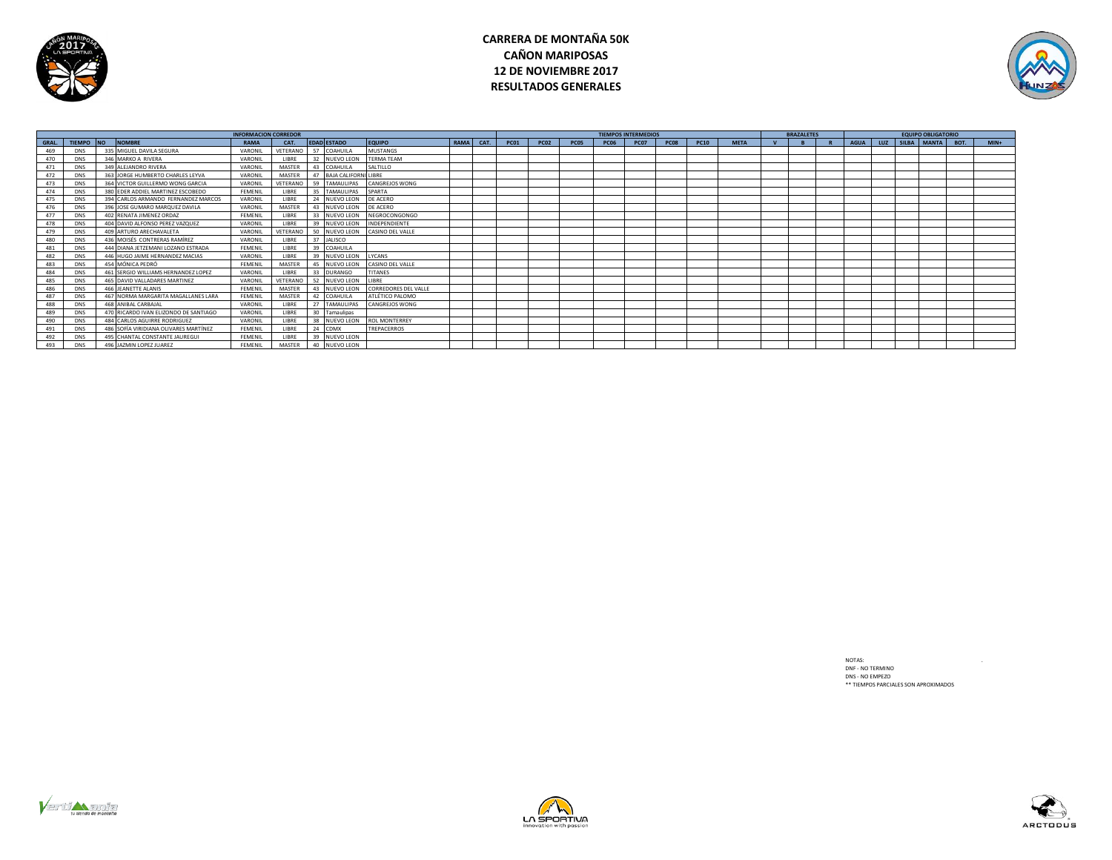



|              | <b>INFORMACION CORREDOR</b> |  |                                       |             |               |    |                         |                             |           |             |             |      | <b>TIEMPOS INTERMEDIOS</b> |             |             |             | <b>BRAZALETES</b> |  |  | <b>EQUIPO OBLIGATORIO</b> |                           |        |
|--------------|-----------------------------|--|---------------------------------------|-------------|---------------|----|-------------------------|-----------------------------|-----------|-------------|-------------|------|----------------------------|-------------|-------------|-------------|-------------------|--|--|---------------------------|---------------------------|--------|
| <b>GRAL.</b> | TIEMPO NO                   |  | <b>NOMBRE</b>                         | <b>RAMA</b> | CAT.          |    | <b>EDAD ESTADO</b>      | <b>EQUIPO</b>               | RAMA CAT. | <b>PC01</b> | <b>PC02</b> | PC05 | <b>PC06</b>                | <b>PC07</b> | <b>PC08</b> | <b>PC10</b> | <b>META</b>       |  |  |                           | AGUA LUZ SILBA MANTA BOT. | $MIN+$ |
| 469          | <b>DNS</b>                  |  | 335 MIGUEL DAVILA SEGURA              | VARONIL     |               |    | VETERANO 57 COAHUILA    | <b>MUSTANGS</b>             |           |             |             |      |                            |             |             |             |                   |  |  |                           |                           |        |
| 470          | <b>DNS</b>                  |  | 346 MARKO A RIVERA                    | VARONIL     | <b>LIBRE</b>  | 32 | NUEVO LEON              | <b>TERMA TEAM</b>           |           |             |             |      |                            |             |             |             |                   |  |  |                           |                           |        |
| 471          | <b>DNS</b>                  |  | 349 ALEJANDRO RIVERA                  | VARONIL     | MASTER        |    | 43 COAHUILA             | SALTILLO                    |           |             |             |      |                            |             |             |             |                   |  |  |                           |                           |        |
| 472          | <b>DNS</b>                  |  | 363 JORGE HUMBERTO CHARLES LEYVA      | VARONII     | MASTER        |    | 47 BAJA CALIFORNI LIBRE |                             |           |             |             |      |                            |             |             |             |                   |  |  |                           |                           |        |
| 473          | <b>DNS</b>                  |  | 364 VICTOR GUILLERMO WONG GARCIA      | VARONIL     |               |    | VETERANO 59 TAMAULIPAS  | <b>CANGREJOS WONG</b>       |           |             |             |      |                            |             |             |             |                   |  |  |                           |                           |        |
| 474          | <b>DNS</b>                  |  | 380 EDER ADDIEL MARTINEZ ESCOBEDO     | FEMENIL     | LIBRE         |    | 35 TAMAULIPAS           | SPARTA                      |           |             |             |      |                            |             |             |             |                   |  |  |                           |                           |        |
| 475          | DNS                         |  | 394 CARLOS ARMANDO FERNANDEZ MARCOS   | VARONIL     | LIBRE         |    | 24 NUEVO LEON           | DE ACERO                    |           |             |             |      |                            |             |             |             |                   |  |  |                           |                           |        |
| 476          | <b>DNS</b>                  |  | 396 JOSE GUMARO MARQUEZ DAVILA        | VARONIL     | MASTER        | 43 | NUEVO LEON              | DE ACERO                    |           |             |             |      |                            |             |             |             |                   |  |  |                           |                           |        |
| 477          | <b>DNS</b>                  |  | 402 RENATA JIMENEZ ORDAZ              | FEMENIL     | LIBRE         | 33 | NUEVO LEON              | NEGROCONGONGO               |           |             |             |      |                            |             |             |             |                   |  |  |                           |                           |        |
| 478          | <b>DNS</b>                  |  | 404 DAVID ALFONSO PEREZ VAZQUEZ       | VARONIL     | LIBRE         |    | 39 NUEVO LEON           | INDEPENDIENTE               |           |             |             |      |                            |             |             |             |                   |  |  |                           |                           |        |
| 479          | <b>DNS</b>                  |  | 409 ARTURO ARECHAVALETA               | VARONIL     |               |    | VETERANO 50 NUEVO LEON  | CASINO DEL VALLE            |           |             |             |      |                            |             |             |             |                   |  |  |                           |                           |        |
| 480          | DNS                         |  | 436 MOISÉS CONTRERAS RAMÍREZ          | VARONIL     | <b>LIBRE</b>  |    | 37 JALISCO              |                             |           |             |             |      |                            |             |             |             |                   |  |  |                           |                           |        |
| 481          | <b>DNS</b>                  |  | 444 DIANA JETZEMANI LOZANO ESTRADA    | FEMENIL     | LIBRE         |    | 39 COAHUILA             |                             |           |             |             |      |                            |             |             |             |                   |  |  |                           |                           |        |
| 482          | <b>DNS</b>                  |  | 446 HUGO JAIME HERNANDEZ MACIAS       | VARONIL     | LIBRE         |    | 39 NUEVO LEON           | LYCANS                      |           |             |             |      |                            |             |             |             |                   |  |  |                           |                           |        |
| 483          | <b>DNS</b>                  |  | 454 MÓNICA PEDRÓ                      | FEMENIL     | MASTER        |    | 45 NUEVO LEON           | CASINO DEL VALLE            |           |             |             |      |                            |             |             |             |                   |  |  |                           |                           |        |
| 484          | <b>DNS</b>                  |  | 461 SERGIO WILLIAMS HERNANDEZ LOPEZ   | VARONIL     | LIBRE         | 33 | <b>DURANGO</b>          | <b>TITANES</b>              |           |             |             |      |                            |             |             |             |                   |  |  |                           |                           |        |
| 485          | <b>DNS</b>                  |  | 465 DAVID VALLADARES MARTINEZ         | VARONIL     |               |    | VETERANO 52 NUEVO LEON  | LIBRE                       |           |             |             |      |                            |             |             |             |                   |  |  |                           |                           |        |
| 486          | <b>DNS</b>                  |  | 466 JEANETTE ALANIS                   | FEMENIL     | MASTER        | 43 | NUEVO LEON              | <b>CORREDORES DEL VALLE</b> |           |             |             |      |                            |             |             |             |                   |  |  |                           |                           |        |
| 487          | <b>DNS</b>                  |  | 467 NORMA MARGARITA MAGALLANES LARA   | FEMENII     | MASTER        | 42 | COAHUILA                | ATLÉTICO PALOMO             |           |             |             |      |                            |             |             |             |                   |  |  |                           |                           |        |
| 488          | <b>DNS</b>                  |  | 468 ANIBAL CARBAJAL                   | VARONIL     | LIBRE         | 27 | <b>TAMAULIPAS</b>       | <b>CANGREJOS WONG</b>       |           |             |             |      |                            |             |             |             |                   |  |  |                           |                           |        |
| 489          | <b>DNS</b>                  |  | 470 RICARDO IVAN ELIZONDO DE SANTIAGO | VARONIL     | <b>LIBRE</b>  |    | 30 Tamaulipas           |                             |           |             |             |      |                            |             |             |             |                   |  |  |                           |                           |        |
| 490          | <b>DNS</b>                  |  | 484 CARLOS AGUIRRE RODRIGUEZ          | VARONIL     | LIBRE         |    | 38 NUEVO LEON           | <b>ROL MONTERREY</b>        |           |             |             |      |                            |             |             |             |                   |  |  |                           |                           |        |
| 491          | <b>DNS</b>                  |  | 486 SOFÍA VIRIDIANA OLIVARES MARTÍNEZ | FEMENIL     | LIBRE         | 24 | CDMX                    | <b>TREPACERROS</b>          |           |             |             |      |                            |             |             |             |                   |  |  |                           |                           |        |
| 492          | <b>DNS</b>                  |  | 495 CHANTAL CONSTANTE JAUREGUI        | FEMENIL     | LIBRE         | 39 | <b>NUEVO LEON</b>       |                             |           |             |             |      |                            |             |             |             |                   |  |  |                           |                           |        |
| 493          | <b>DNS</b>                  |  | 496 JAZMIN LOPEZ JUAREZ               | FEMENIL     | <b>MASTER</b> |    | 40 NUEVO LEON           |                             |           |             |             |      |                            |             |             |             |                   |  |  |                           |                           |        |





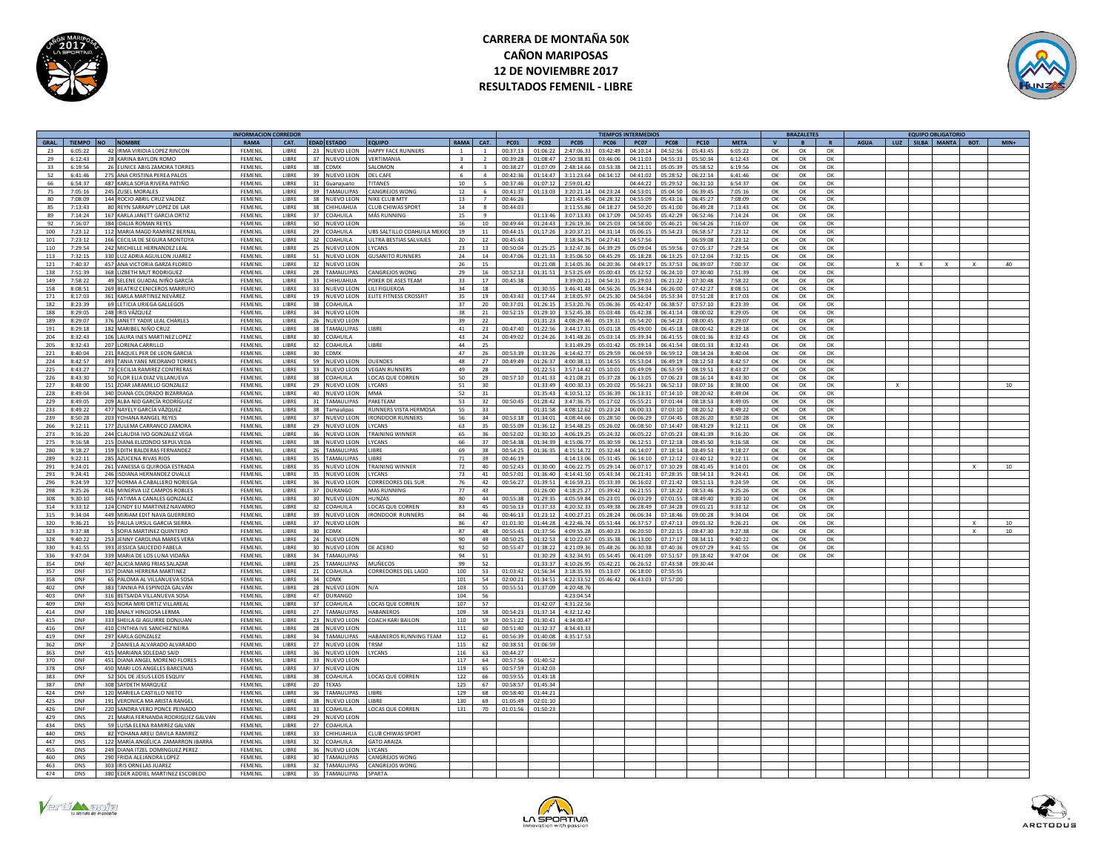

# **CARRERA DE MONTAÑA 50K CAÑON MARIPOSAS 12 DE NOVIEMBRE 2017 RESULTADOS FEMENIL - LIBRE**



|            |                    |       |                                                             | <b>INFORMACION CORREDOR</b> |                       |                 |                                   |                                 |                 |                     |                      |                          |                          |                      | <b>TIEMPOS INTERMEDIOS</b> |                      |                      |                    |                | <b>BRAZALETES</b> |                |             |              | <b>EQUIPO OBLIGATORIO</b> |        |
|------------|--------------------|-------|-------------------------------------------------------------|-----------------------------|-----------------------|-----------------|-----------------------------------|---------------------------------|-----------------|---------------------|----------------------|--------------------------|--------------------------|----------------------|----------------------------|----------------------|----------------------|--------------------|----------------|-------------------|----------------|-------------|--------------|---------------------------|--------|
| GRAL.      |                    |       | TIEMPO NO NOMBRE                                            | RAMA                        | CAT.                  |                 | <b>EDAD ESTADO</b>                | <b>COUIPO</b>                   | RAMA            | CAT.                | <b>PC01</b>          | PCO2                     | <b>PC05</b>              | <b>PC06</b>          | <b>PC07</b>                | <b>PC08</b>          | PC10                 | <b>META</b>        | $\mathbf{v}$   | <b>B</b>          | $\mathbf{R}$   | <b>AGUA</b> |              | LUZ SILBA MANTA BOT.      | $MIN+$ |
| 23         | 6:05:22            |       | 42 IRMA VIRIDIA LOPEZ RINCON                                | FEMENIL                     | LIBRE                 |                 | 23 NUEVO LEON                     | HAPPY FACE RUNNERS              |                 | $\mathbf{1}$        | 00:37:13             | 01:06:22                 | 2:47:06.33               | 03:42:49             | 04:10:14                   | 04:52:56             | 05:43:45             | 6:05:22            | OK             | OK                | OK             |             |              |                           |        |
| 29         | 6:12:43            |       | 28 KARINA BAYLON ROMC                                       | FEMENIL                     | LIBRE                 | 37              | <b>NUEVO LEON</b>                 | <b>/ERTIMANIA</b>               |                 |                     | 00:39:28             | 01:08:47                 | 2:50:38.81               | 03:46:0              | 04:11:03                   | 04:55:33             | 05:50:34             | 6:12:43            | OK             | OK                | OK             |             |              |                           |        |
| 33         | 6:19:56            |       | 26 EUNICE ABIG ZAMORA TORRES                                | <b>FFMFNII</b>              | LIBRE                 | 38              | CDMX                              | <b>MOMO IA2</b>                 | $\mathbf{A}$    | $\overline{z}$      | 00:38:27             | 01.07.09                 | 2:48:14.66               | 03:53:38             | 04:21:11                   | 05:05:39             | 05:58:52             | 6:19:56            | OK             | OK                | OK             |             |              |                           |        |
| 52         | 6:41:46            |       | 275 ANA CRISTINA PEREA PALOS                                | <b>FFMENII</b>              | LIBRE                 | 39              | NUEVO LEON                        | DEI CAFE                        | 6 <sup>1</sup>  | $\mathbf{a}$        | 00:42:36             | 01:14:47                 | 3:11:23.64               | 04:14:17             | 04:41:02                   | 05:28:52             | 06:22:14             | 6:41:46            | $\alpha$       | OK                | $\alpha$       |             |              |                           |        |
| 66         | 6:54:37            |       | 487 KARLA SOFÍA RIVERA PATIÑO                               | FEMENIL                     | LIBRE<br><b>TIBRE</b> |                 | 31 Guanajuato                     | <b>ITANES</b>                   | 10 <sup>1</sup> |                     | 00:37:46             | 01:07:1                  | 2:59:01.4                |                      | 04:44:22                   | 05:29:52             | 06:31:1              | 6:54:37            | $\Omega$       | OK                | $\alpha$       |             |              |                           |        |
| 75         | 7:05:16<br>7:08:09 |       | 245 ZUSEL MORALES                                           | FEMENIL<br><b>FFMFNII</b>   | <b>LIBRE</b>          |                 | 39 TAMAULIPAS                     | CANGREJOS WONG<br>NIKE CLUB MTY | 12              | 6<br>$\overline{7}$ | 00:41:37             | 01:13:03                 | 3:20:21.14<br>3:21:43.45 | 04:23:24<br>04:28:32 | 04:53:01<br>04:55:09       | 05:04:50<br>05:43:16 | 06:39:45<br>06:45:27 | 7:05:16            | OK             | OK                | OK             |             |              |                           |        |
| 80<br>85   | 7:13:43            |       | 144 ROCIO ABRIL CRUZ VALDEZ<br>80 REYN SARRAPY LOPEZ DE LAR | FEMENIL                     | <b>LIBRE</b>          | 38              | 38 NUEVO LEON<br>CHIHUAHUA        | CLUB CHIWAS SPORT               | 13<br>14        | $\mathcal{R}$       | 00:46:26<br>00:44:03 |                          | 3.11.55.86               | 04.18.27             | 04:50:20                   | 05:41:00             | 06:49:28             | 7:08:09<br>7:13:43 | OK<br>$\alpha$ | OK<br>OK          | OK<br>$\alpha$ |             |              |                           |        |
|            | 7:14:24            |       |                                                             |                             |                       | 37              |                                   |                                 | 15              | $\mathbf{q}$        |                      |                          |                          |                      |                            |                      |                      |                    |                |                   |                |             |              |                           |        |
| 89<br>92   | 7:16:07            |       | 167 KARLA JANETT GARCIA ORTIZ<br>384 IDALIA ROMAN REYES     | FEMENIL<br>FEMENIL          | LIBRE<br>LIBRE        | 50              | COAHUILA<br>NUEVO LEON            | MÁS RUNNING                     | 16              | $10\,$              | 00:49:44             | 01:13:46<br>01:24:43     | 3:07:13.83<br>3:26:19.3  | 04:17:09<br>04:25:0  | 04:50:45<br>04:58:00       | 05:42:29<br>05:46:21 | 06:52:46<br>06:54:26 | 7:14:24<br>7:16:07 | OK<br>OK       | OK<br>OK          | OK<br>ОК       |             |              |                           |        |
| 100        | 7:23:12            |       | 112 MARIA MAGD RAMIREZ BERNAI                               | FEMENIL                     | LIBRE                 | 29              | COAHUILA                          | UBS SALTILLO COAHUILA MEX       | 19              | 11                  | 00:44:15             | 01:17:26                 | 3:20:37.2                | 04:31:14             | 05:06:15                   | 05:54:23             | 06:58:57             | 7:23:12            | OK             | OK                | OK             |             |              |                           |        |
| 101        | 7.23.12            |       | 166 CECILIA DE SEGURA MONTOYA                               | FEMENII                     | <b>LIBRE</b>          |                 | 32 COAHUILA                       | ULTRA RESTIAS SALVAIES          | 20 <sup>°</sup> | 12                  | 00:45:43             |                          | 3:18:34.79               | 04:27:41             | 04:57:56                   |                      | 06:59:08             | 7:23:12            | OK             | OK                | $\alpha$       |             |              |                           |        |
| 110        | 7:29:54            |       | 242 MICHELLE HERNANDEZ LEA                                  | <b>FFMENII</b>              | LIBRE                 |                 | 25 NUEVO LEON                     | <b>YCANS</b>                    | 23              | 13                  | 00:50:04             | 01:25:2                  | 3:32:47.3                | 04:39:21             | 05:09:04                   | 05:59:5              | 07:05:37             | 7:29:54            | OK             | OK                | $\alpha$       |             |              |                           |        |
| 113        | 7:32:15            |       | 330 LUZ ADRIA AGUILLON JUAREZ                               | FEMENIL                     | <b>LIBRE</b>          |                 | 51 NUEVO LEON                     | <b>GUSANITO RUNNERS</b>         | 24              | 14                  | 00:47:06             | 01:21:33                 | 3:35:06.50               | 04:45:29             | 05:18:28                   | 06:13:25             | 07:12:04             | 7:32:15            | OK             | OK                | OK             |             |              |                           |        |
| 121        | 7.40.37            |       | 457 ANA VICTORIA GARZA FLORED                               | <b>FEMENIL</b>              | <b>LIBRE</b>          |                 | 32 NUEVO LEON                     |                                 | 26              | 15                  |                      | 01:21:08                 | 3.14.05.36               | 04.20.36             | 0.449.17                   | 05.37.52             | 06:39:07             | 7:00:37            | OK             | $\Omega$          | $\alpha$       |             | $\mathbf{x}$ | $\mathbf{x}$              | 40     |
| 138        | 7:51:39            |       | 368 LIZBETH MUT RODRIGUEZ                                   | FEMENIL                     | LIBRE                 |                 | 28 TAMAULIPAS                     | ANGREJOS WONG                   | 29              | 16                  | 00:52:13             | 01:31:51                 | 3:53:25.69               | 05:00:43             | 05:32:52                   | 06:24:10             | 07:30:40             | 7:51:39            | OK             | OK                | OK             |             |              |                           |        |
| 149        | 7:58:22            |       | 49 SELENE GUADAL NIÑO GARCÍA                                | FEMENIL                     | LIBRE                 | 33 <sup>2</sup> | CHIHUAHUA                         | POKER DE ASES TEAM              | 33              | 17                  | 00:45:38             |                          | 3:39:00.2                | 04:54:31             | 05:29:03                   | 06:21:22             | 07:30:48             | 7:58:22            | ОК             | OK                | OK             |             |              |                           |        |
| 158        | 8.08.51            |       | 269 BEATRIZ CENICEROS MARRUEO                               | FEMENII                     | LIBRE                 |                 | 33 NUEVO LEON                     | <b>ILLEIGUEROA</b>              | 34              | 18                  |                      | 01.30.51                 | 3:46:41.48               | 04.56.26             | 05:34:34                   | 06:26:00             | 07:42:27             | 8:08:51            | OK             | OK                | $\alpha$       |             |              |                           |        |
| 171        | 8:17:03            |       | 361 KARLA MARTINEZ NEVÄREZ                                  | <b>FFMFNII</b>              | <b>IIBRF</b>          |                 | 19 NUEVO LEON                     | LITE FITNESS CROSSFIT           | 35              | 19                  | 00:43:43             | 01:17:44                 | 3:18:05.9                | 04:25:3              | 04:56:04                   | 05:53:34             | 07:51:28             | 8:17:03            | OK             | OK                | OK             |             |              |                           |        |
| 182        | 8:23:39            |       | 69 LETICIA URIEGA GALLEGOS                                  | FEMENIL                     | LIBRE                 |                 | 38 COAHUILA                       |                                 | 37              | 20 <sup>2</sup>     | 00:37:01             | 01:26:15                 | 3:53:20.76               | 05:06:36             | 05:42:47                   | 06:38:57             | 07:57:10             | 8:23:39            | $\Omega$       | OK                | OK             |             |              |                           |        |
| 188        | 8:29:05            |       | 248 IRIS VÁZQUEZ                                            | FEMENIL                     | LIBRE                 |                 | 34 NUEVO LEON                     |                                 | 38              | 21                  | 00:52:15             | 01:29:10                 | 3:52:45.38               | 05:03:48             | 05:42:38                   | 06:41:14             | 08:00:02             | 8:29:05            | OK             | OK                | OK             |             |              |                           |        |
| 189        | 8:29:07            |       | 376 JANETT YADIR LEAL CHARLES                               | FEMENIL                     | LIBRE                 |                 | 26 NUEVO LEON                     |                                 | 39              | 22                  |                      | 01:31:23                 | 4:08:29.46               | 05:19:31             | 05:54:20                   | 06:54:23             | 08:00:45             | 8:29:07            | OK             | OK                | OK             |             |              |                           |        |
| 191        | $8.79 - 18$        |       | 182 MARIBEL NIÑO CRUZ                                       | <b>FEMENIL</b>              | <b>LIBRE</b>          |                 | <b>28 TAMALILIPAS</b>             | <b>IRRE</b>                     | 41              | 23                  | $00.47 - 40$         | $01 - 22 - 56$           | 3:AA:17.31               | 05:01:18             | 05.49.00                   | 06:45:18             | 08:00:42             | 8:29:18            | OK             | OK                | $\alpha$       |             |              |                           |        |
| 204        | 8:32:43            |       | 106 LAURA INES MARTINEZ LOPEZ                               | FEMENIL                     | LIBRE                 | 30 <sup>1</sup> | COAHUILA                          |                                 | 43              | 24                  | 00:49:02             | 01:24:26                 | 3:41:48.26               | 05:03:14             | 05:39:34                   | 06:41:55             | 08:01:36             | 8:32:43            | OK             | OK                | OK             |             |              |                           |        |
| 205        | 8:32:43            |       | 207 LORENA CARRILLO                                         | FEMENIL                     | LIBRE                 | 32              | COAHUILA                          | LIBRE                           | 44              | 25                  |                      |                          | 3:31:49.29               | 05:01:42             | 05:39:14                   | 06:41:54             | 08:01:33             | 8:32:43            | OK             | OK                | OK             |             |              |                           |        |
| 221        | 8:40:04            |       | 231 RAQUEL PER DE LEON GARCIA                               | <b>FFMENII</b>              | <b>LIBRE</b>          |                 | 30 CDMX                           |                                 | 47              | 26                  | 00:53:39             | 01:33:26                 | 4:14:42.7                | 05:29:59             | 06:04:59                   | 06:59:12             | 08:14:24             | 8:40:04            | OK             | OK                | OK             |             |              |                           |        |
| 224        | 8:42:57            |       | 493 TANIA YANE MEDRANO TORRES                               | <b>FFMENII</b>              | LIBRE                 | 59              | NUEVO LEON                        | <b>DUENDES</b>                  | 48              | 27                  | 00:49:49             | 01:26:3                  | 4:00:38.1                | 05:14:5              | 05:53:04                   | 06:49:19             | 08:12:53             | 8:42:57            | $\Omega$       | OK                | OK             |             |              |                           |        |
| 225        | 8:43:27            |       | 73 CECILIA RAMIREZ CONTRERAS                                | FEMENIL                     | LIBRE                 |                 | 33 NUEVO LEON                     | VEGAN RUNNER                    | 49              | 28                  |                      | 01:22:5                  | 3:57:14.42               | 05:10:01             | 05:49:09                   | 06:53:59             | 08:19:51             | 8:43:27            | OK             | OK                | OK             |             |              |                           |        |
| 226        | 8:43:30            |       | 50 FLOR ELIA DIAZ VILLANUEVA                                | FEMENIL                     | LIBRE                 |                 | 38 COAHUILA                       | LOCAS QUE CORREN                | 50              | 29                  | 00:57:10             | 01:41:33                 | 4:21:08.21               | 05:37:28             | 06:13:05                   | 07:06:23             | 08:16:14             | 8:43:30            | OK             | OK                | OK             |             |              |                           |        |
| 227        | 8:48:00            |       | 151 ZOAR JARAMILLO GONZALEZ                                 | FEMENIL                     | LIBRE                 |                 | 29 NUEVO LEON                     | LYCANS                          | 51              | 30                  |                      | 01:33:49                 | 4:00:30.13               | 05:20:02             | 05:56:23                   | 06:52:13             | 08:07:16             | 8:38:00            | OK             | OK                | OK             |             | $\times$     |                           | 10     |
| 228        | 8:49:04            |       | 340 DIANA COLORADO BIZARRAGA                                | <b>FFMFNII</b>              | LIBRE                 |                 | 40 NUEVO LEON                     | <b>MMA</b>                      | 52              | 31                  |                      | 01:35:43                 | 4:10:51.12               | 05:36:39             | 06:13:31                   | 07:14:10             | 08:20:42             | 8:49:04            | OK             | OK                | OK             |             |              |                           |        |
| 229        | 8:49:05            |       | 209 ALBA NID GARCÍA RODRÍGUEZ                               | FEMENIL                     | LIBRE                 |                 | 31 TAMAULIPAS                     | PAKETEAM                        | 53              | 32                  | 00:50:45             | 01:28:42                 | 3:47:36.79               | 05:17:02             | 05:55:21                   | 07:01:44             | 08:18:53             | 8:49:05            | OK             | OK                | OK             |             |              |                           |        |
| 233        | 8:49:22            |       | 477 NAYELY GARCÍA VÁZQUEZ                                   | FEMENIL                     | LIBRE                 | 38              | Tamaulipas                        | RUNNERS VISTA HERMOSA           | 55              | 33                  |                      | 01:31:58                 | 4:08:12.62               | 05:23:24             | 06:00:33                   | 07:03:10             | 08:20:52             | 8:49:22            | OK             | OK                | OK             |             |              |                           |        |
| 239        | 8:50:28            |       | 203 YOHANA RANGEL REYES                                     | FEMENIL                     | LIBRE                 |                 | 37 NUEVO LEON                     | <b>IRONDOOR RUNNERS</b>         | 56              | 34                  | 00:53:18             | 01:34:0                  | 4:08:44.6                | 05:28:5              | 06:06:29                   | 07:04:45             | 08:26:20             | 8:50:28            | OK             | ОК                | OK             |             |              |                           |        |
| 266        | 9.12.11            |       | 177 ZULEMA CARRANCO ZAMORA                                  | FEMENIL                     | LIBRE                 |                 | 29 NUEVO LEON                     | <b>YCANS</b>                    | 63              | 35                  | 00:55:09             | 01:36:1                  | 3:54:48.25               | 05:26:02             | 06:08:50                   | 07:14:47             | 08:43:29             | 9:12:11            | $\Omega$       | OK                | OK             |             |              |                           |        |
| 273        | 9:16:20            |       | 244 CLAUDIA IVO GONZALEZ VEGA                               | FEMENIL                     | LIBRE                 | 36              | NUEVO LEON                        | <b>TRAINING WINNER</b>          | 65              | 36                  | 00:52:02             | 01:30:1                  | 4:06:19.25               | 05:24:32             | 06:05:22                   | 07:05:23             | 08:41:39             | 9:16:20            | OK             | OK                | OK             |             |              |                           |        |
| 275        | 9:16:58            |       | 215 DIANA ELIZONDO SEPULVEDA                                | FEMENIL                     | LIBRE                 |                 | 38 NUEVO LEON                     | LYCANS                          | 66              | 37                  | 00:54:38             | 01:34:39                 | 4:15:06.77               | 05:30:59             | 06:12:51                   | 07:12:18             | 08:45:50             | 9:16:58            | OK             | OK                | OK             |             |              |                           |        |
| 280        | 9.18.27            |       | 159 FDITH BAI DERAS FERNANDEZ                               | <b>FEMENIL</b>              | <b>LIBRE</b>          |                 | 26 TAMAULIPAS                     | <b>IRRE</b>                     | 69              | 38                  | 00:54:25             | 01:36:35                 | $A-15-1A$ 72             | 05.32.44             | 06:14:07                   | 07.18.14             | 08.49.53             | 9.18.27            | ∩ĸ             | $\Omega$          | OK             |             |              |                           |        |
| 289        | 9:22:11            |       | 285 AZUCENA RIVAS RIOS                                      | FFMFNII                     | <b>LIBRE</b>          | 35              | <b>TAMAULIPAS</b>                 | <b>IRRF</b>                     | 71              | 39                  | 00:46:19             |                          | 4:14:13.06               | 05:31:45             | 06:14:10                   | 07:12:12             | 03:40:12             | 9:22:11            | $\Omega$       | ОК                | OK             |             |              |                           |        |
| 291        | 9:24:01            |       | 261 VANESSA G QUIROGA ESTRADA                               | FEMENIL                     | LIBRE                 | 35              | NUEVO LEON                        | TRAINING WINNER                 | 72              | 40                  | 00:52:43             | 01:30:00                 | 4:06:22.7                | 05:29:14             | 06:07:17                   | 17:10:29             | 08:41:45             | 9:14:01            | OK             | ок                | OK             |             |              |                           |        |
| 293        | 9:24:41            |       | 246 ISDIANA HERNANDEZ OVALLE                                | FEMENIL                     | LIBRE                 | 35              | NUEVO LEON                        | LYCANS                          | 73              | $41\,$              | 00:57:01             | 01:36:40                 | 4:14:41.50               | 05:43:34             | 06:21:41                   | 07:28:35             | 08:54:13             | 9:24:41            | OK             | OK                | ОК             |             |              |                           |        |
| 296        | 9:24:59            |       | 327 NORMA A CABALLERO NORIEG                                | <b>FFMFNI</b>               | LIBRE                 | 36              | NUEVO LEON                        | ORREDORES DEL SUE               | 76              | 42                  | 00:56:27             | 01:39:5                  | 4:16:59.2                | 05:33:3              | 06:16:02                   | 07:21:42             | 08:51:1              | 9:24:59            | OK             | ОК                | OK             |             |              |                           |        |
| 298        | 9.25.26            |       | 416 MINERVA LIZ CAMPOS ROBLES                               | FEMENIL                     | LIBRE                 |                 | 37 DURANGO                        | MAS RUNNING                     | 77              | 43                  |                      | 01.26:00                 | 4.18.252                 | $05.39 - 47$         | 06:21:55                   | 07.18.22             | 08:53:46             | 9.25.26            | $\Omega$       | <b>OK</b>         | OK             |             |              |                           |        |
| 308        | 9:30:10            |       | 345 FATIMA A CANALES GONZALEZ                               | FEMENIL                     | LIBRE                 |                 | 30 NUEVO LEON                     | <b>IUNZAS</b>                   | 80              | 44                  | 00:55:38             | 01:29:3!                 | 4:05:59.84               | 05:23:01             | 06:03:29                   | 07:01:55             | 08:49:40             | 9:30:10            | OK             | ОК                | OK             |             |              |                           |        |
| 314        | 9:33:12            |       | 124 CINDY EU MARTINEZ NAVARRO                               | FEMENIL                     | LIBRE                 |                 | 32 COAHUILA                       | LOCAS QUE CORREN                | 83              | 45                  | 00:56:13             | 01:37:33                 | 4:20:32.33               | 05:49:38             | 06:28:49                   | 07:34:28             | 09:01:21             | 9:33:12            | OK             | OK                | OK             |             |              |                           |        |
| 315        | 9:34:04            |       | 449 MIRIAM FDIT NAVA GUERRERO                               | FEMENII                     | <b>LIBRE</b>          |                 | 39 NUEVO LEON                     | <b>IRONDOOR RUNNERS</b>         | 84              | 46                  | 00:46:13             | 01:23:12                 | 4:00:27.21               | 05:28:24             | 06:06:34                   | 07:18:46             | 09:00:28             | 9:34:04            | OK             | $\Omega$          | $\Omega$       |             |              |                           |        |
| 320        | 9:36:21            |       | 55 PAULA URSUL GARCIA SIERRA                                | FEMENIL                     | LIBRE                 |                 | 37 NUEVO LEON                     |                                 | 86              | 47                  | 01:01:30             | 01:44:28                 | 4:22:46.74               | 05:51:44             | 06:37:57                   | 07:47:13             | 09:01:32             | 9:26:21            | OK             | OK                | OK             |             |              |                           | 10     |
| 323        | 9:37:38            |       | <b>OFIA MARTINEZ OUINTERO</b>                               | FEMENIL                     | <b>LIBRE</b>          |                 | 30 CDMX                           |                                 | 87              | 48                  | 00:55:43             | 11:37:5                  | 4:09:55.28               | 05:40:2              | 06:20:50                   | 77:22:15             | 08:47:30             | 9:27:38            | ОК             | OK                | OK             |             |              |                           | 10     |
| 328        | 9:40:22            |       | 253 JENNY CAROLINA MARES VER                                | <b>FFMFNII</b>              | LIBRE                 |                 | 24 NUEVO LEON                     |                                 | 90              | 49                  | 00:50:25             | 01:32:5                  | 4:10:22.67               | 05:35:38             | 06:13:00                   | 07:17:17             | 08:34:1              | 9:40:22            | OK             | OK                | OK             |             |              |                           |        |
| 330        | 9.41.55            |       | 393 JESSICA SAUCEDO FABELA                                  | FEMENIL                     | LIBRE                 |                 | 30 NUEVO LEON                     | DE ACERO                        | 92              | 50                  | 00:55:47             | $01 - 28 - 2$            | $4.21 - 092$             | 05.48.2              | 06:30:38                   | 07:40:36             | 09.07.7              | 9.41.55            | OK             | OK                | OK             |             |              |                           |        |
| 336        | 9:47:04            |       | 339 MARIA DE LOS LUNA VIDAÑA                                | FEMENIL                     | LIBRE                 |                 | 34 TAMAULIPAS                     |                                 | 94              | 51                  |                      | 01:30:29                 | 4:32:34.9                | 05:54:45             | 06:41:09                   | 07:51:57             | 09:18:42             | 9:47:04            | OK             | OK                | OK             |             |              |                           |        |
| 354        | <b>DNF</b>         |       | 407 ALICIA MARG FRIAS SALAZAR                               | FEMENIL                     | LIBRE                 |                 | 25 TAMAULIPAS                     | MUÑECOS                         | 99              | 52                  |                      | 01:33:37                 | 4:10:26.95               | 05:42:21             | 06:26:52                   | 07:43:58             | 09:30:44             |                    |                |                   |                |             |              |                           |        |
| 357        | <b>DNF</b>         |       | 357 DIANA HERRERA MARTINEZ                                  | FEMENIL                     | <b>LIBRE</b>          |                 | 21 COAHUILA                       | CORREDORES DEL LAGO             | 100             | 53                  | 01:03:42             | 01.56:34                 | 3:18:35.93               | 05:13:07             | 06:18:00                   | 07:55:55             |                      |                    |                |                   |                |             |              |                           |        |
| 358        | DNF                |       | 65 PALOMA AL VILLANUEVA SOSA                                | FFMFNIL                     | <b>LIBRE</b>          |                 | 34 CDMX                           |                                 | 101             | 54                  | 02:00:21             | 01:34:5                  | 4:22:33.52               | 05:46:42             | 06:43:03                   | 07:57:00             |                      |                    |                |                   |                |             |              |                           |        |
| 402        | DNF                | 383.1 | ANNIA PA ESPINOZA GALVÁN                                    | FEMENIL                     | LIBRE                 | 28              | NUEVO LEON                        | N/A                             | 103             | 55                  | 00:55:51             | 01:37:0                  | 4:20:48.7                |                      |                            |                      |                      |                    |                |                   |                |             |              |                           |        |
| 403        | DNF                | 316 B | ETSAIDA VILLANUEVA SOSA                                     | <b>FEMENIL</b>              | LIBRE                 | 47              | <b>DURANGO</b>                    |                                 | 104             | 56                  |                      |                          | 4:23:04.5                |                      |                            |                      |                      |                    |                |                   |                |             |              |                           |        |
| 409<br>A1A | <b>DNF</b><br>DNE  | 180   | 455 NORA MIRLORTIZ VILLAREAL<br>ANALY HINOIOSA LERMA        | EEMENIL<br>EEMENIL          | LIBRE<br>LIBRE        | 27              | 37 COAHILLA<br><b>TAMALILIPAS</b> | LOCAS OUE CORREN                | 107<br>109      | 57<br>58            | 00:54:25             | $01 - 42 - 0$<br>01.37.1 | 4:31:22.5<br>A:32:12A    |                      |                            |                      |                      |                    |                |                   |                |             |              |                           |        |
|            | DNF                |       |                                                             |                             |                       |                 |                                   | HARANEROY                       |                 | 59                  |                      |                          | 4:34:00.4                |                      |                            |                      |                      |                    |                |                   |                |             |              |                           |        |
| 415        |                    |       | 333 SHEILA GI AGUIRRE DONJUAN                               | FEMENIL                     | LIBRE<br><b>LIBRE</b> |                 | 23 NUEVO LEON                     | COACH KARI BAILON               | 110             |                     | 00:51:22             | 01:30:4<br>01:32:37      |                          |                      |                            |                      |                      |                    |                |                   |                |             |              |                           |        |
| 416<br>419 | <b>DNF</b><br>DNF  |       | 410 CINTHIA IVE SANCHEZ NEIRA<br>297 KARLA GONZALEZ         | FEMENIL<br>FEMENIL          | <b>LIBRE</b>          |                 | 28 NUEVO LEON<br>34 TAMAULIPAS    | HABANEROS RUNNING TEAM          | 111<br>112      | 60<br>61            | 00:51:40<br>00:56:39 | 01:40:08                 | 4:34:43.33<br>4:35:17.53 |                      |                            |                      |                      |                    |                |                   |                |             |              |                           |        |
|            | DNF                |       | DANIFI A AI VARADO AI VARADO                                | <b>FFMFNII</b>              | <b>LIBRE</b>          |                 |                                   |                                 |                 |                     |                      |                          |                          |                      |                            |                      |                      |                    |                |                   |                |             |              |                           |        |
| 362<br>363 | DNF                |       | 415 MARIANA SOLEDAD SAID                                    | FEMENIL                     | LIBRE                 | 36              | 27 NUEVO LEON<br>NUEVO LEON       | TRSM<br><b>YCANS</b>            | 115<br>116      | 62<br>63            | 00:38:51<br>00:44:27 | 01:06:59                 |                          |                      |                            |                      |                      |                    |                |                   |                |             |              |                           |        |
| 370        | DNF                |       | 451 DIANA ANGEL MORENO FLORES                               | FEMENIL                     | LIBRE                 |                 | 33 NUEVO LEON                     |                                 | 117             | 64                  | 00:57:56             | 01:40:52                 |                          |                      |                            |                      |                      |                    |                |                   |                |             |              |                           |        |
| 378        | DNF                |       | 450 MARLIOS ANGELES BARCENAS                                | <b>FFMFNII</b>              | LIBRE                 |                 | 37 NUEVO LEON                     |                                 | 119             | 65                  | 00:57:59             | $01 - 42 - 02$           |                          |                      |                            |                      |                      |                    |                |                   |                |             |              |                           |        |
| 383        | DNF                |       | 52 SOL DE JESUS LEOS ESQUIN                                 | FEMENIL                     | LIBRE                 |                 | 38 COAHUILA                       | OCAS QUE CORREN                 | 122             | 66                  | 00:59:55             | 01:43:18                 |                          |                      |                            |                      |                      |                    |                |                   |                |             |              |                           |        |
| 387        | DNF                |       | 308 SAYDETH MAROUEZ                                         | FEMENIL                     | LIBRE                 |                 | 20 TFXAS                          |                                 | 125             | 67                  | 00:58:57             | 01:45:34                 |                          |                      |                            |                      |                      |                    |                |                   |                |             |              |                           |        |
| 424        | DNF                |       | 120 MARIELA CASTILLO NIETO                                  | FEMENIL                     | <b>LIBRE</b>          |                 | 36 TAMAULIPAS                     | <b>IRRF</b>                     | 129             | 68                  | 00:58:40             | 01:44:21                 |                          |                      |                            |                      |                      |                    |                |                   |                |             |              |                           |        |
| 425        | <b>DNF</b>         |       | 191 VERONICA MA ARISTA RANGEL                               | FEMENIL                     | <b>LIBRE</b>          |                 | 38 NUEVO LEON                     | <b>IIBRF</b>                    | 130             | 69                  | 01:05:49             | 02:01:10                 |                          |                      |                            |                      |                      |                    |                |                   |                |             |              |                           |        |
| 426        | DNF                |       | 220 SANDRA VERO PONCE PEINADO                               | FEMENII                     | <b>LIBRE</b>          |                 | 33 COAHUILA                       | <b>OCAS OUE CORREN</b>          | 131             | 70                  | 01:01:56             | 01:50:23                 |                          |                      |                            |                      |                      |                    |                |                   |                |             |              |                           |        |
| 429        | <b>DNS</b>         |       | 21 MARIA FERNANDA RODRIGUEZ GALVAN                          | FEMENIL                     | LIBRE                 | 29              | NUEVO LEON                        |                                 |                 |                     |                      |                          |                          |                      |                            |                      |                      |                    |                |                   |                |             |              |                           |        |
| 434        | <b>DNS</b>         |       | 59 LUISA ELENA RAMIREZ GALVAN                               | FEMENIL                     | <b>LIBRE</b>          | 27              | COAHUILA                          |                                 |                 |                     |                      |                          |                          |                      |                            |                      |                      |                    |                |                   |                |             |              |                           |        |
| 440        | <b>DNS</b>         |       | 82 YOHANA ARELI DAVILA RAMIRE                               | EEMENIL                     | <b>LIBRE</b>          |                 | 33 CHIHUAHUA                      | <b>ILIR CHIWAS SPORT</b>        |                 |                     |                      |                          |                          |                      |                            |                      |                      |                    |                |                   |                |             |              |                           |        |
| 447        | <b>DNS</b>         |       | 122 MARÍA ANGÉLICA ZAMARRON IBARRA                          | FEMENIL                     | LIBRE                 | 32              | COAHUILA                          | GATO ARAIZA                     |                 |                     |                      |                          |                          |                      |                            |                      |                      |                    |                |                   |                |             |              |                           |        |
| 455        | <b>DNS</b>         |       | 249 DIANA ITZEL DOMINGUEZ PEREZ                             | <b>FFMENII</b>              | LIBRE                 |                 | 36 NUEVO LEON                     | <b>YCANS</b>                    |                 |                     |                      |                          |                          |                      |                            |                      |                      |                    |                |                   |                |             |              |                           |        |
| 460        | DNS                |       | 290 FRIDA ALEJANDRA LOPEZ                                   | FEMENIL                     | LIBRE                 |                 | 30 TAMAULIPAS                     | CANGREJOS WONG                  |                 |                     |                      |                          |                          |                      |                            |                      |                      |                    |                |                   |                |             |              |                           |        |
| 463        | <b>DNS</b>         |       | 303 IRIS ORNELAS IUAREZ                                     | <b>FFMFNII</b>              | <b>LIBRE</b>          |                 | 32 TAMAULIPAS                     | CANGRE IOS WONG                 |                 |                     |                      |                          |                          |                      |                            |                      |                      |                    |                |                   |                |             |              |                           |        |
| 474        | <b>DNS</b>         |       | 380 EDER ADDIEL MARTINEZ ESCOBEDO                           | FEMENIL                     | LIBRE                 |                 | 35 TAMAULIPAS                     | <b>SPARTA</b>                   |                 |                     |                      |                          |                          |                      |                            |                      |                      |                    |                |                   |                |             |              |                           |        |





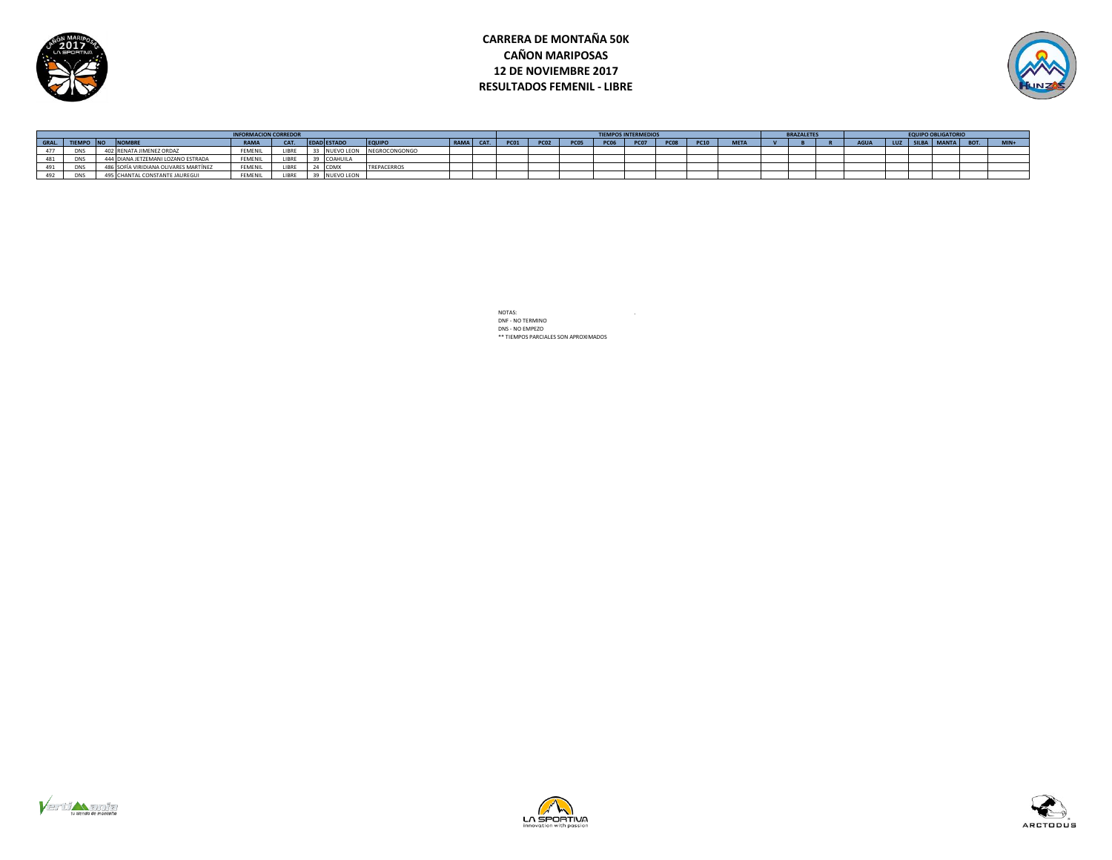

# **CARRERA DE MONTAÑA 50K CAÑON MARIPOSAS 12 DE NOVIEMBRE 2017 RESULTADOS FEMENIL - LIBRE**



|       | <b>INFORMACION CORREDOR</b> |  |                                       |                |       |  |                    |                    |      |     |             |             |             |             | <b>TIEMPOS INTERMEDIOS</b> |      |             |             | <b>BRAZALETES</b> |  |  | <b>EQUIPO OBLIGATORIO</b> |            |             |
|-------|-----------------------------|--|---------------------------------------|----------------|-------|--|--------------------|--------------------|------|-----|-------------|-------------|-------------|-------------|----------------------------|------|-------------|-------------|-------------------|--|--|---------------------------|------------|-------------|
| GRAL. | <b>FIEMPO INC</b>           |  | <b>NOMBRE</b>                         | <b>RAMA</b>    | CAT.  |  | <b>EDAD ESTADO</b> | <b>EQUIPO</b>      | RAMA | CAT | <b>PC01</b> | <b>PC02</b> | <b>PC05</b> | <b>PC06</b> | <b>PC07</b>                | pcos | <b>PC10</b> | <b>META</b> |                   |  |  | LUZ SILBA MANTA           | <b>ROT</b> | <b>MIN4</b> |
|       | <b>DNS</b>                  |  | 402 RENATA JIMENEZ ORDAZ              | <b>FEMENIL</b> | LIBRE |  | <b>FVO LEON</b>    | NEGROCONGONGO      |      |     |             |             |             |             |                            |      |             |             |                   |  |  |                           |            |             |
|       |                             |  | <b>UIANA JETZEMANI LOZANO ESTRADA</b> | FEMENIL        |       |  | 39 COAHUILA        |                    |      |     |             |             |             |             |                            |      |             |             |                   |  |  |                           |            |             |
|       | <b>UNS</b>                  |  | S SOFÍA VIRIDIANA OLIVARES MARTÍNEZ   | FEMENIL        | LIBRE |  | 24 CDM             | <b>TREPACERROS</b> |      |     |             |             |             |             |                            |      |             |             |                   |  |  |                           |            |             |
|       | <b>DNS</b>                  |  | 495 CHANTAL CONSTANTE JAUREGUI        | <b>FEMENIL</b> | 1001  |  | 39 NUEVO LEON      |                    |      |     |             |             |             |             |                            |      |             |             |                   |  |  |                           |            |             |





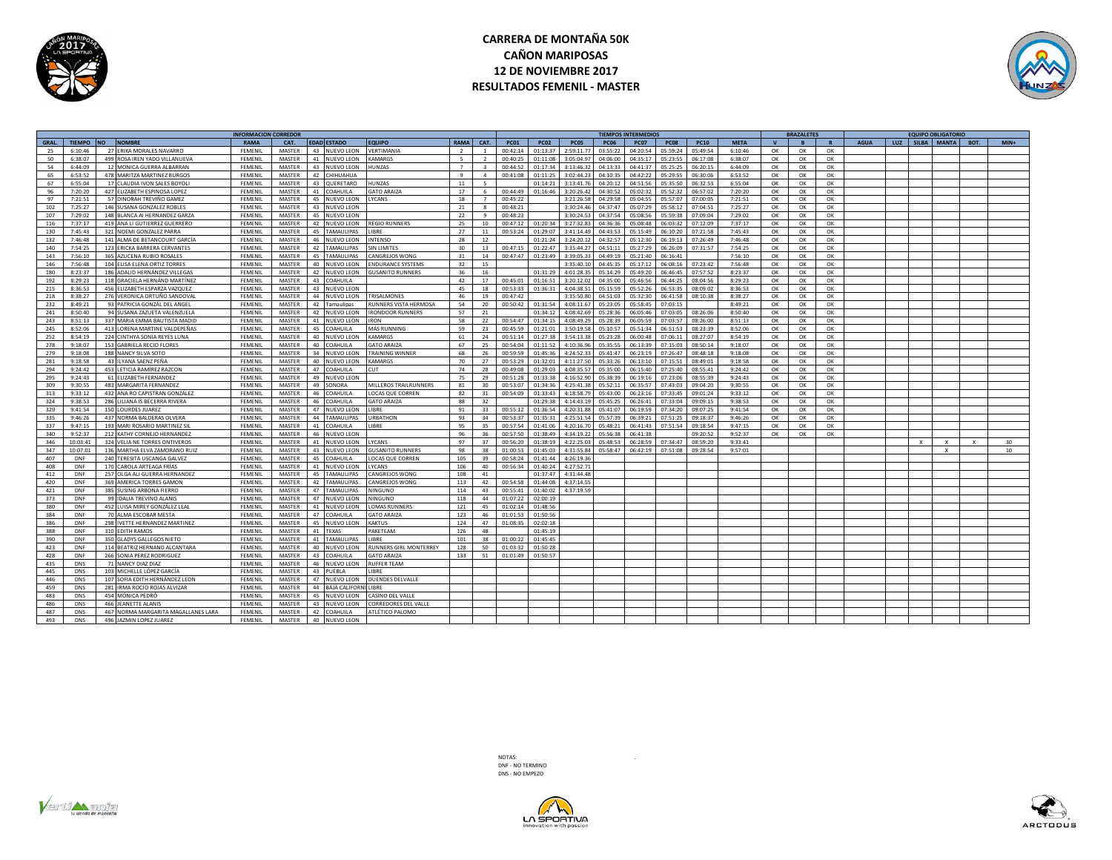

# **CARRERA DE MONTAÑA 50K CAÑON MARIPOSAS 12 DE NOVIEMBRE 2017 RESULTADOS FEMENIL - MASTER**



|       |               |                                        | <b>INFORMACION CORREDOR</b> |               |    |                    |                              |                          |                          |             |             |             |             | <b>TIEMPOS INTERMEDIOS</b> |             |             |             |    | <b>BRAZALETES</b>       |    |             |  | <b>EQUIPO OBLIGATORIO</b> |      |        |
|-------|---------------|----------------------------------------|-----------------------------|---------------|----|--------------------|------------------------------|--------------------------|--------------------------|-------------|-------------|-------------|-------------|----------------------------|-------------|-------------|-------------|----|-------------------------|----|-------------|--|---------------------------|------|--------|
| GRAL. | <b>TIEMPO</b> | <b>NOMRRE</b><br><b>NO</b>             | <b>RAMA</b>                 | CAT.          |    | <b>EDAD ESTADO</b> | <b>COUIPO</b>                | <b>RAMA</b>              | CAT.                     | <b>PC01</b> | <b>PC02</b> | <b>PC05</b> | <b>PC06</b> | <b>PC07</b>                | <b>PC08</b> | <b>PC10</b> | <b>META</b> |    | $\overline{\mathbf{R}}$ |    | <b>AGUA</b> |  | LUZ SILBA MANTA           | BOT. | $MIN+$ |
| 25    | 6:10:46       | 27 ERIKA MORALES NAVARRO               | FEMENIL                     | MASTER        |    | 43 NUEVO LEON      | VERTIMANIA                   | $\overline{\phantom{a}}$ |                          | 00:42:14    | 01:13:37    | 2:59:11.77  | 03:55:2     | 04:20:54                   | 05:59:24    | 05:49:54    | 6:10:46     | OK | OK                      | OK |             |  |                           |      |        |
| 50    | 6:38:07       | 499 ROSA IREN YADO VILLANUEVA          | FEMENIL                     | MASTER        |    | 41 NUEVO LEON      | <b>AMARGS</b>                | $5-1$                    | $\overline{\phantom{a}}$ | 00:40:25    | 01:11:08    | 3:05:04.97  | 04:06:00    | 04:35:17                   | 05:23:55    | 06:17:08    | 6:38:07     | OK | OK                      | OK |             |  |                           |      |        |
| 54    | 6:44:09       | 12 MONICA GUERRA ALBARRAN              | FEMENIL                     | MASTER        |    | 43 NUEVO LEON      | <b>UNZAS</b>                 | $\overline{7}$           | - 3                      | 00:44:52    | 01:17:34    | 3:13:46.32  | 04:13:33    | 04:41:37                   | 05:25:25    | 06:20:15    | 6:44:09     | OK | OK                      | OK |             |  |                           |      |        |
| 65    | 6:53:52       | 478 MARITZA MARTINEZ BURGOS            | FEMENIL                     | MASTER        |    | 42 CHIHUAHUA       |                              | $\mathbf{q}$             | $\overline{a}$           | 00:41:08    | 01:11:25    | 3:02:44.23  | 04:10:35    | 04:42:22                   | 05:29:55    | 06:30:06    | 6:53:52     | OK | OK                      | OK |             |  |                           |      |        |
| 67    | 6:55:04       | 17 CLAUDIA IVON SALES BOYOL            | FEMENIL                     | MASTER        |    | 43 QUERETARO       | <b>IUNZAS</b>                | 11                       | 5                        |             | 01:14:21    | 3:13:41.76  | 04:20:12    | 04:51:56                   | 05:35:50    | 06:32:53    | 6:55:04     | OK | OK                      | OK |             |  |                           |      |        |
| 96    | 7:20:20       | 427 ELIZABETH ESPINOSA LOPEZ           | FEMENIL                     | MASTER        |    | 41 COAHUILA        | <b>GATO ARAIZA</b>           | 17                       | 6                        | 00:44:49    | 01:16:46    | 3:20:26.42  | 04:30:52    | 05:02:32                   | 05:52:32    | 06:57:02    | 7:20:20     | OK | OK                      | OK |             |  |                           |      |        |
| 97    | 7:21:51       | 57 DINORAH TREVIÑO GAMEZ               | FEMENIL                     | MASTER        |    | 45 NUEVO LEON      | <b>CANS</b>                  | 18                       |                          | 00:45:22    |             | 3:21:26.58  | 04:29:58    | 05:04:55                   | 05:57:07    | 07:00:05    | 7:21:51     | OK | OK                      | OK |             |  |                           |      |        |
|       |               |                                        | FEMENIL                     |               |    |                    |                              |                          | $\mathbf{R}$             | 00:48:21    |             |             |             | 05:07:29                   |             | 07:04:51    | 7:25:27     |    |                         | OK |             |  |                           |      |        |
| 102   | 7:25:27       | 146 SUSANA GONZALEZ ROBLES             |                             | MASTER        |    | 43 NUEVO LEON      |                              | 21                       |                          |             |             | 3:30:24.46  | 04:37:47    |                            | 05:58:12    |             |             | OK | ОК                      |    |             |  |                           |      |        |
| 107   | 7:29:02       | 148 BLANCA AI HERNANDEZ GARZA          | FEMENIL                     | MASTER        |    | 45 NUEVO LEON      |                              | 22                       |                          | 00:48:23    |             | 3:30:24.53  | 04:37:54    | 05:08:56                   | 05:59:38    | 07:09:04    | 7:29:02     | OK | OK                      | OK |             |  |                           |      |        |
| 116   | 7:37:17       | 419 ANA LI GUTIERREZ GUERRERO          | FEMENIL                     | MASTER        |    | 42 NUEVO LEON      | <b>REGIO RUNNERS</b>         | 25                       | 10                       | 00:47:12    | 01:20:34    | 3:27:32.83  | 04:36:3     | 05:08:48                   | 06:03:32    | 07:12:09    | 7:37:17     | OK | OK                      | OK |             |  |                           |      |        |
| 130   | 7:45:43       | 321<br>NOEMI GONZALEZ PARRA            | FEMENIL                     | <b>MASTER</b> | 45 | <b>TAMAULIPAS</b>  | <b>IRRF</b>                  | 27                       | 11                       | 00:53:24    | 01:29:07    | 3:41:14.49  | 04:43:53    | 05:15:49                   | 06:10:20    | 07:21:58    | 7:45:43     | OK | OK                      | OK |             |  |                           |      |        |
| 132   | 7:46:48       | 141 ALMA DE BETANCOURT GARCÍA          | FEMENIL                     | MASTER        |    | 46 NUEVO LEON      | NTENSO                       | 28                       | 12                       |             | 01:21:24    | 3:24:20.12  | 04:32:57    | 05:12:30                   | 06:19:13    | 07:26:49    | 7:46:48     | OK | ОК                      | OK |             |  |                           |      |        |
| 140   | 7:54:25       | 123 ERICKA BARRERA CERVANTES           | FEMENIL                     | MASTER        |    | 42 TAMAULIPAS      | <b>IN LIMITES</b>            | 30 <sub>2</sub>          | 13                       | 00:47:15    | 01:22:47    | 3:35:44.27  | 04:51:11    | 05:27:29                   | 06:26:09    | 07:31:57    | 7:54:25     | OK | OK                      | OK |             |  |                           |      |        |
| 143   | 7:56:10       | AZUCENA RUBIO ROSALES<br>365           | FEMENIL                     | MASTER        | 45 | TAMAULIPAS         | ANGREJOS WONG                | 31                       | 14                       | 00:47:47    | 01:23:49    | 3:39:05.33  | 04:49:19    | 05:21:40                   | 06:16:41    |             | 7:56:10     | OK | OK                      | OK |             |  |                           |      |        |
| 146   | 7:56:48       | 104 ELISA ELENA ORTIZ TORRES           | FEMENIL                     | MASTER        |    | 40 NUEVO LEON      | NDURANCE SYSTEMS             | 32                       | 15                       |             |             | 3:35:40.10  | 04:45:35    | 05:17:12                   | 06:08:16    | 07:23:42    | 7:56:48     | ок | ОК                      | OK |             |  |                           |      |        |
| 180   | 8:23:37       | 186 ADALID HERNÁNDEZ VILLEGAS          | FEMENIL                     | MASTER        |    | 42 NUEVO LEON      | <b>SUSANITO RUNNERS</b>      | 36                       | 16                       |             | 01:31:29    | 4:01:28.35  | 05:14:29    | 05:49:20                   | 06:46:45    | 07:57:52    | 8:23:37     | OK | OK                      | OK |             |  |                           |      |        |
| 192   | 8:29:23       | 118 GRACIELA HERNÁND MARTÍNEZ          | FEMENIL                     | MASTER        |    | 43 COAHUILA        |                              | 42                       | 17                       | 00:45:01    | 01:16:51    | 3:20:12.02  | 04:35:00    | 05:46:56                   | 06:44:25    | 08:04:56    | 8:29:23     | OK | OK                      | OK |             |  |                           |      |        |
| 215   | 8:36:53       | 456 ELIZABETH ESPARZA VAZQUEZ          | FEMENIL                     | MASTER        |    | 43 NUEVO LEON      |                              | 45                       | 18                       | 00:53:33    | 01:36:31    | 4:04:38.51  | 05:15:59    | 05:52:26                   | 06:53:35    | 08:09:02    | 8:36:53     | OK | OK                      | OK |             |  |                           |      |        |
| 218   | 8:38:27       | 276 VERONICA ORTUÑO SANDOVAL           | FEMENIL                     | MASTER        |    | 44 NUEVO LEON      | <b>TRISALMONES</b>           | 46                       | 19                       | 00:47:42    |             | 3:35:50.80  | 04:51:03    | 05:32:30                   | 06:41:58    | 08:10:38    | 8:38:27     | OK | OK                      | OK |             |  |                           |      |        |
| 232   | 8:49:21       | 93 PATRICIA GONZÁL DEL ANGE            | <b>FEMENI</b>               | MASTER        |    | 42 Tamaulipas      | UNNERS VISTA HERMOSA         | 54                       | 20                       | 00:50:42    | 01:31:54    | 4:08:11.67  | 05:23:09    | 05:58:45                   | 07:03:15    |             | 8:49:21     | OK | OK                      | OK |             |  |                           |      |        |
| 241   | 8:50:40       | 94 SUSANA ZAZUETA VALENZUELA           | FEMENIL                     | MASTER        |    | 42 NUEVO LEON      | <b>IRONDOOR RUNNERS</b>      | 57                       | 21                       |             | 01:34:12    | 4:08:42.69  | 05:28:36    | 06:05:46                   | 07:03:05    | 08:26:06    | 8:50:40     | OK | OK                      | OK |             |  |                           |      |        |
| 243   | 8:51:13       | 337 MARIA EMMA BAUTISTA MADIE          | FEMENIL                     | MASTER        |    | 41 NUEVO LEON      | IRON                         | 58                       | 22                       | 00:54:47    | 01:34:15    | 4:08:49.29  | 05:28:39    | 06:05:59                   | 07:03:57    | 08:26:00    | 8:51:13     | OK | OK                      | OK |             |  |                           |      |        |
|       |               |                                        |                             |               |    |                    |                              |                          |                          |             |             |             |             |                            |             |             |             |    |                         |    |             |  |                           |      |        |
| 245   | 8:52:06       | 413 LORENA MARTINE VALDEPEÑAS          | FEMENIL                     | MASTER        |    | 45 COAHUILA        | MÁS RUNNING                  | 59                       | 23                       | 00:45:59    | 01:21:01    | 3:50:19.58  | 05:10:57    | 05:51:34                   | 06:51:53    | 08:23:39    | 8:52:06     | OK | ОК                      | OK |             |  |                           |      |        |
| 252   | 8:54:19       | 224 CINTHYA SONIA REYES LUNA           | FEMENIL                     | MASTER        |    | 40 NUEVO LEO       | <b>CAMARGS</b>               | 61                       | 24                       | 00:51:14    | 01:27:38    | 3:54:13.38  | 05:23:28    | 06:00:48                   | 07:06:11    | 08:27:07    | 8:54:19     | OK | ОК                      | OK |             |  |                           |      |        |
| 278   | 9:18:07       | <b>GABRIELA RECIO FLORES</b><br>153    | FEMENIL                     | MASTER        | 40 | COAHUILA           | <b>GATO ARAIZA</b>           | 67                       | 25                       | 00:54:04    | 01:11:52    | 4:10:36.96  | 05:35:55    | 06:13:39                   | 07:15:03    | 08:50:14    | 9:18:07     | OK | ОК                      | OK |             |  |                           |      |        |
| 279   | 9:18:08       | 188<br>NANCY SILVA SOTO                | FEMENIL                     | MASTER        |    | 34 NUEVO LEON      | TRAINING WINNER              | 68                       | 26                       | 00:59:59    | 01:45:36    | 4:24:52.33  | 05:41:47    | 06:23:19                   | 07:26:47    | 08:48:18    | 9:18:08     | OK | OK                      | OK |             |  |                           |      |        |
| 281   | 9:18:58       | ILYANA SAENZ PEÑA                      | FEMENIL                     | MASTER        |    | 40 NUEVO LEON      | KAMARGS                      | 70                       | 27                       | 00:53:29    | 01:32:01    | 4:11:27.50  | 05:33:26    | 06:13:10                   | 07:15:51    | 08:49:01    | 9:18:58     | OK | OK                      | OK |             |  |                           |      |        |
| 294   | 9:24:42       | LETICIA RAMÍREZ RAZCON<br>453          | <b>FEMENIL</b>              | MASTER        |    | 47 COAHUILA        | ШT                           | 74                       | 28                       | 00:49:08    | 01:29:03    | 4:08:35.57  | 05:35:00    | 06:15:40                   | 07:25:40    | 08:55:41    | 9:24:42     | OK | OK                      | OK |             |  |                           |      |        |
| 295   | 9:24:43       | 61 ELIZABETH FERNANDEZ                 | FEMENIL                     | MASTER        |    | 49 NUEVO LEON      |                              | 75                       | 29                       | 00:51:28    | 01:33:38    | 4:16:52.90  | 05:38:39    | 06:19:16                   | 07:23:06    | 08:55:39    | 9:24:43     | OK | ОК                      | OK |             |  |                           |      |        |
| 309   | 9:30:55       | 483 MARGARITA FERNANDEZ                | FEMENIL                     | MASTER        |    | 49 SONORA          | <b>MILLEROS TRAILRUNNERS</b> | 81                       | 30                       | 00:53:07    | 01:34:36    | 4:25:41.38  | 05:52:11    | 06:35:57                   | 07:43:03    | 09:04:20    | 9:30:55     | OK | ОК                      | OK |             |  |                           |      |        |
| 313   | 9:33:12       | 432 ANA RO CAPISTRAN GONZÁLEZ          | FEMENIL                     | MASTER        | 46 | COAHUILA           | OCAS QUE CORREN              | 82                       | 31                       | 00:54:09    | 01:33:43    | 4:18:58.79  | 05:43:00    | 06:23:16                   | 07:33:45    | 09:01:24    | 9:33:12     | OK | OK                      | OK |             |  |                           |      |        |
| 324   | 9:38:53       | 286 LILIANA IS BECERRA RIVERA          | FEMENIL                     | MASTER        |    | 46 COAHUILA        | <b>GATO ARAIZA</b>           | 88                       | 32                       |             | 01:29:38    | 4:14:43.19  | 05:45:25    | 06:26:41                   | 07:33:04    | 09:09:15    | 9:38:53     | OK | OK                      | OK |             |  |                           |      |        |
| 329   | 9:41:54       | 150 LOURDES JUAREZ                     | FEMENIL                     | MASTER        |    | 47 NUEVO LEO       | <b>IBRF</b>                  | 91                       | 33                       | 00:55:12    | 01:36:54    | 4:20:31.88  | 05:41:07    | 06:19:59                   | 07:34:20    | 09:07:25    | 9:41:54     | OK | OK                      | OK |             |  |                           |      |        |
| 335   | 9:46:26       | 437 NORMA BALDERAS OLVERA              | FEMENIL                     | MASTER        |    | 44 TAMAULIPAS      | <b>JRBATHON</b>              | 93                       | 34                       | 00:53:37    | 01:35:31    | 4:25:51.54  | 05:57:39    | 06:39:21                   | 07:51:25    | 09:18:37    | 9:46:26     | OK | OK                      | OK |             |  |                           |      |        |
| 337   | 9:47:15       | 193 MARI ROSARIO MARTINEZ SIL          | FEMENIL                     | MASTER        |    | 41 COAHUILA        | <b>IBRF</b>                  | 95                       | 35                       | 00:57:54    | 01:41:06    | 4:20:16.70  | 05:48:21    | 06:41:43                   | 07:51:54    | 09:18:54    | 9:47:15     | OK | OK                      | OK |             |  |                           |      |        |
| 340   | 9:52:37       | 212 KATHY CORNEJO HERNANDEZ            | FEMENIL                     | MASTER        |    | 46 NUEVO LEON      |                              | 96                       | 36                       | 00:57:50    | 01:38:49    | 4:34:19.22  | 05:56:38    | 06:41:38                   |             | 09:20:52    | 9:52:37     | OK | OK                      | OK |             |  |                           |      |        |
| 346   | 10:03:4       | 324 VELIA NE TORRES ONTIVEROS          | FEMENIL                     | MASTER        |    | 41 NUEVO LEON      | <b>CANS</b>                  | 97                       | 37                       | 00:56:20    | 01:38:19    | 4:22:25.03  | 05:48:53    | 06:28:59                   | 07:34:47    | 08:59:20    | 9:33:41     |    |                         |    |             |  |                           |      | 30     |
| 347   | 10:07:0       | MARTHA ELVA ZAMORANO RUIZ<br>136       | <b>FEMENIL</b>              | MASTER        |    | 43 NUEVO LEON      | <b>IUSANITO RUNNERS</b>      | 98                       | 38                       | 01:00:53    | 01:45:03    | 4:31:55.84  | 05:58:47    | 06:42:19                   | 07:51:08    | 09:28:54    | 9:57:01     |    |                         |    |             |  |                           |      | 10     |
| 407   | <b>DNF</b>    | <b>TERESITA USCANGA GALVEZ</b><br>240  | FEMENIL                     | MASTER        | 45 | COAHUILA           | OCAS QUE CORREN              | 105                      | 39                       | 00:58:24    | 01:41:44    | 4:26:19.36  |             |                            |             |             |             |    |                         |    |             |  |                           |      |        |
|       |               |                                        |                             |               |    |                    |                              |                          |                          |             |             | 4:27:52.71  |             |                            |             |             |             |    |                         |    |             |  |                           |      |        |
| 408   | DNF           | 170<br>CAROLA ARTEAGA FRÍAS            | <b>FEMENIL</b>              | MASTER        |    | 41 NUEVO LEON      | <b>CANS</b>                  | 106                      | 40                       | 00:56:34    | 01:40:24    |             |             |                            |             |             |             |    |                         |    |             |  |                           |      |        |
| 412   | <b>DNF</b>    | 257<br>OLGA ALI GUERRA HERNANDE:       | FEMENI                      | <b>MASTER</b> | 45 | <b>AMAULIPAS</b>   | ANGREJOS WONG                | 108                      | 41                       |             | 01:37:47    | 4:31:44.48  |             |                            |             |             |             |    |                         |    |             |  |                           |      |        |
| 420   | DNF           | 369<br>AMERICA TORRES GAMON            | FEMENIL                     | MASTER        | 42 | <b>TAMAULIPAS</b>  | ANGREJOS WONG                | 113                      | 42                       | 00:54:58    | 01:44:08    | 4:37:14.55  |             |                            |             |             |             |    |                         |    |             |  |                           |      |        |
| 421   | <b>DNF</b>    | <b>SUSING ARBONA FIERRO</b><br>385     | FEMENIL                     | MASTER        |    | 47 TAMAULIPAS      | VINGUNO                      | 114                      | 43                       | 00:55:41    | 01:40:02    | 4:37:19.59  |             |                            |             |             |             |    |                         |    |             |  |                           |      |        |
| 373   | DNF           | DALIA TREVINO ALANIS<br>99             | FEMENIL                     | MASTER        |    | 47 NUEVO LEON      | IINGUNO                      | 118                      | 44                       | 01:07:22    | 02:00:19    |             |             |                            |             |             |             |    |                         |    |             |  |                           |      |        |
| 380   | <b>DNF</b>    | 452 LUISA MIREY GONZÁLEZ LEAL          | <b>FEMENIL</b>              | MASTER        |    | 41 NUEVO LEON      | OMAS RUNNERS                 | 121                      | 45                       | 01:02:14    | 01:48:56    |             |             |                            |             |             |             |    |                         |    |             |  |                           |      |        |
| 384   | DNF           | 70 ALMA ESCOBAR MESTA                  | FEMENIL                     | MASTER        |    | 47 COAHUILA        | <b>GATO ARAIZA</b>           | 123                      | 46                       | 01:01:53    | 01:50:56    |             |             |                            |             |             |             |    |                         |    |             |  |                           |      |        |
| 386   | <b>DNF</b>    | 298 IVETTE HERNANDEZ MARTINEZ          | <b>FEMENIL</b>              | MASTER        |    | 45 NUEVO LEON      | <b>CAKTUS</b>                | 124                      | 47                       | 01:08:35    | 02:02:18    |             |             |                            |             |             |             |    |                         |    |             |  |                           |      |        |
| 388   | DNF           | 310<br><b>FDITH RAMOS</b>              | FEMENIL                     | MASTER        |    | 41 TEXAS           | <b>AKETFAM</b>               | 126                      | 48                       |             | 01:45:19    |             |             |                            |             |             |             |    |                         |    |             |  |                           |      |        |
| 390   | DNF           | 350 GLADYS GALLEGOS NIETO              | FEMENIL                     | <b>MASTER</b> |    | 41 TAMAULIPAS      | <b>IRRE</b>                  | 101                      | 38                       | 01:00:22    | 01:45:45    |             |             |                            |             |             |             |    |                         |    |             |  |                           |      |        |
| 423   | DNF           | 114 BEATRIZ HERNAND ALCANTARA          | FEMENI                      | MASTER        |    | 40 NUEVO LEO       | UNNERS GIRL MONTERREY        | 128                      | 50                       | 01:03:32    | 01:50:28    |             |             |                            |             |             |             |    |                         |    |             |  |                           |      |        |
| 428   | DNF           | 266 SONIA PEREZ RODRIGUEZ              | FEMENII                     | <b>MASTER</b> |    | 43 COAHUILA        | GATO ARAIZA                  | 133                      | 51                       | 01:01:49    | 01:50:57    |             |             |                            |             |             |             |    |                         |    |             |  |                           |      |        |
| 435   | <b>DNS</b>    | 71 NANCY DIAZ DIAZ                     | FEMENIL                     | MASTER        |    | 46 NUEVO LEON      | <b>UFFER TEAM</b>            |                          |                          |             |             |             |             |                            |             |             |             |    |                         |    |             |  |                           |      |        |
| 445   | <b>DNS</b>    | 103 MICHELLE LÓPEZ GARCÍA              | FEMENIL                     | MASTER        |    | 43 PUEBLA          | <b>IBRE</b>                  |                          |                          |             |             |             |             |                            |             |             |             |    |                         |    |             |  |                           |      |        |
| 446   | <b>DNS</b>    | SOFIA EDITH HERNÁNDEZ LEOI<br>107      | <b>FEMENIL</b>              | MASTER        |    | 47 NUEVO LEON      | <b>DUENDES DELVALLE</b>      |                          |                          |             |             |             |             |                            |             |             |             |    |                         |    |             |  |                           |      |        |
| 459   | DNS           | IRMA ROCIO ROJAS ALVIZAR<br>281        | FEMENIL                     | MASTER        |    | 44 BAJA CALIFORN   | <b>IBRE</b>                  |                          |                          |             |             |             |             |                            |             |             |             |    |                         |    |             |  |                           |      |        |
| 483   | <b>DNS</b>    | 454<br>MÓNICA PEDRÓ                    | <b>FEMENIL</b>              | MASTER        |    | 45 NUEVO LEON      | CASINO DEL VALLE             |                          |                          |             |             |             |             |                            |             |             |             |    |                         |    |             |  |                           |      |        |
|       |               |                                        |                             |               |    |                    |                              |                          |                          |             |             |             |             |                            |             |             |             |    |                         |    |             |  |                           |      |        |
| 486   | <b>DNS</b>    | EANETTE ALANIS                         | <b>FEMENIL</b>              | MASTER        |    | 43 NUEVO LEON      | CORREDORES DEL VALLE         |                          |                          |             |             |             |             |                            |             |             |             |    |                         |    |             |  |                           |      |        |
| 487   | <b>DNS</b>    | 467<br>NORMA MARGARITA MAGALLANES LARA | <b>FEMENI</b>               | MASTER        |    | 42 COAHUILA        | <b>ATLÉTICO PALOMO</b>       |                          |                          |             |             |             |             |                            |             |             |             |    |                         |    |             |  |                           |      |        |
| 493   | <b>DNS</b>    | 496 JAZMIN LOPEZ JUAREZ                | FEMENIL                     | <b>MASTER</b> |    | 40 NUEVO LEON      |                              |                          |                          |             |             |             |             |                            |             |             |             |    |                         |    |             |  |                           |      |        |

NOTAS: . DNF - NO TERMINO DNS - NO EMPEZO





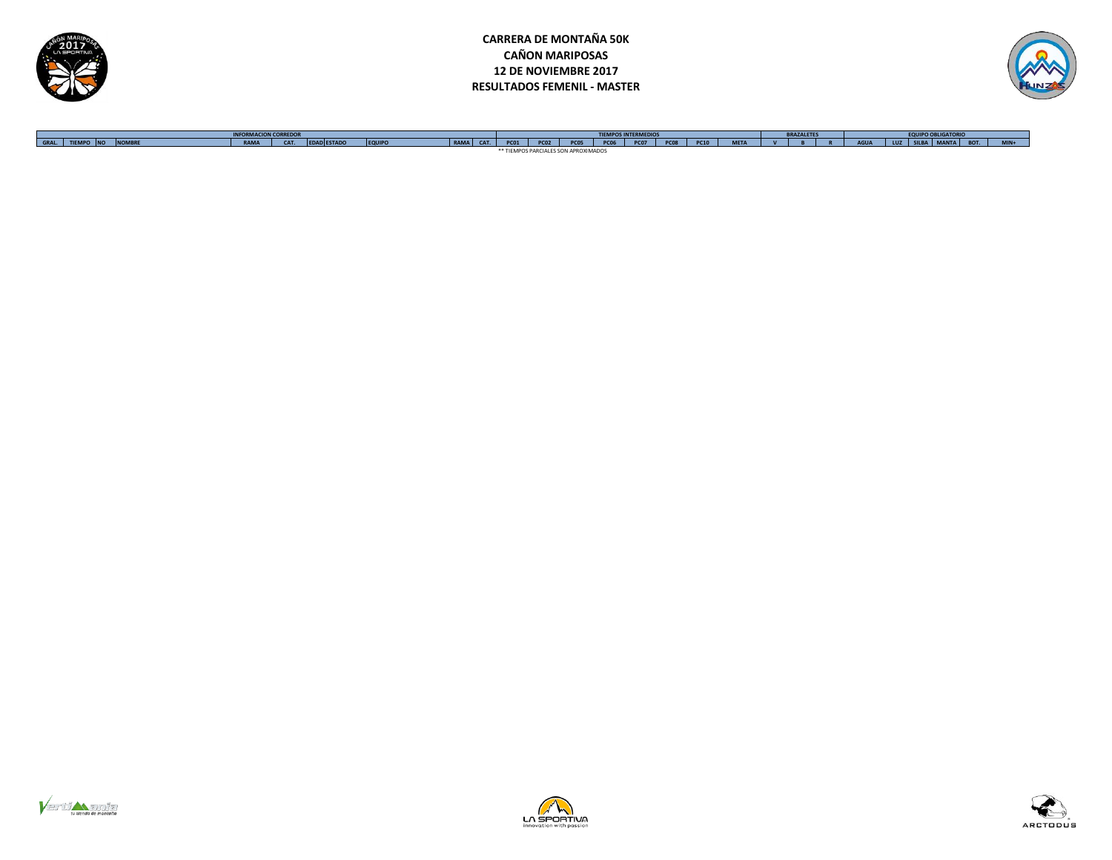





**GRAL. TIEMPO NO NOMBRE RAMA CAT. EDAD ESTADO EQUIPO RAMA CAT. PC01 PC02 PC05 PC06 PC07 PC08 PC10 META V B R AGUA LUZ SILBA MANTA BOT. MIN+ INFORMACION CORREDOR TIEMPOS INTERMEDIOS BRAZALETES EQUIPO OBLIGATORIO** \*\* TIEMPOS PARCIALES SON APROXIMADOS





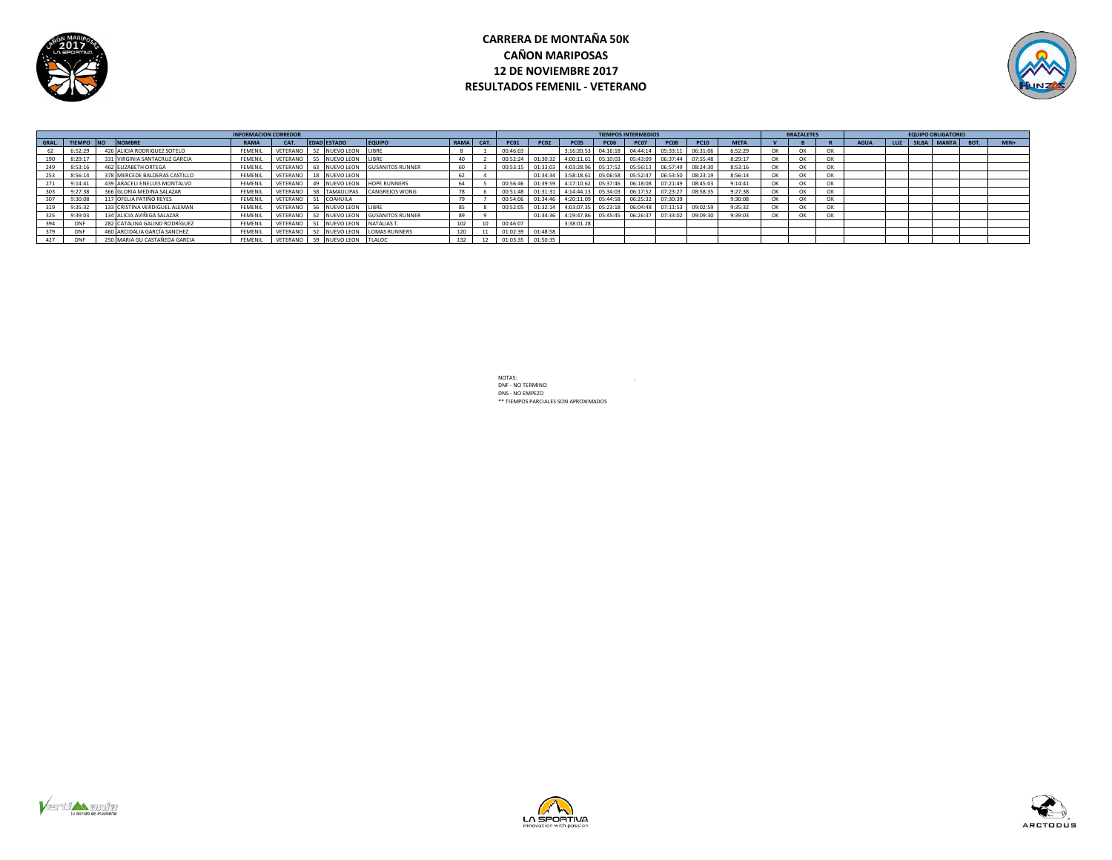

# **CARRERA DE MONTAÑA 50K CAÑON MARIPOSAS 12 DE NOVIEMBRE 2017 RESULTADOS FEMENIL - VETERANO**



|     |            |                               | <b>INFORMACION CORREDOR</b> |      |                                       |                                         |           |             |                   |                                                                        |             | <b>TIEMPOS INTERMEDIOS</b> |             |             |             |    | <b>BRAZALETES</b> |    |             |  | <b>EQUIPO OBLIGATORIO</b> |        |
|-----|------------|-------------------------------|-----------------------------|------|---------------------------------------|-----------------------------------------|-----------|-------------|-------------------|------------------------------------------------------------------------|-------------|----------------------------|-------------|-------------|-------------|----|-------------------|----|-------------|--|---------------------------|--------|
|     |            | GRAL. TIEMPO NO NOMBRE        | <b>RAMA</b>                 | CAT. | <b>EDAD ESTADO</b>                    | <b>EQUIPO</b>                           | RAMA CAT. | <b>PC01</b> | <b>PC02</b>       | PC05                                                                   | <b>PC06</b> | <b>PC07</b>                | <b>PC08</b> | <b>PC10</b> | <b>META</b> |    |                   |    | <b>AGUA</b> |  | LUZ SILBA MANTA BOT.      | $MIN+$ |
|     | 6:52:29    | 426 ALICIA RODRIGUEZ SOTELO   | <b>FEMENIL</b>              |      | VETERANO 52 NUEVO LEON LIBRE          |                                         |           | 00:46:03    |                   | 3:16:20.53  04:16:18  04:44:14  05:33:11  06:31:06                     |             |                            |             |             | 6:52:29     | OK | OK                | OK |             |  |                           |        |
|     | 8:29:17    | 331 VIRGINIA SANTACRUZ GARCIA | <b>FEMENIL</b>              |      | VETERANO 55 NUEVO LEON LIBRE          |                                         |           |             |                   | 00:52:24 01:30:32 4:00:11.61 05:10:03 05:43:09 06:37:44 07:55:48       |             |                            |             |             | 8:29:17     | OK | OK                | OK |             |  |                           |        |
| 249 | 8:53:16    | 462 ELIZABETH ORTEGA          | FEMENIL                     |      |                                       | VETERANO 63 NUEVO LEON GUSANITOS RUNNER |           |             |                   | 00:53:15 01:33:03 4:03:28.96 05:17:52 05:56:13 06:57:49 08:24:30       |             |                            |             |             | 8:53:16     | OK | OK                | OK |             |  |                           |        |
|     | 8:56:14    | 378 MERCEDE BALDERAS CASTILLO | FEMENIL                     |      | VETERANO 18 NUEVO LEON                |                                         |           |             |                   | 01:34:34 3:58:18.61 05:06:58 05:52:47 06:53:50 08:23:19                |             |                            |             |             | 8:56:14     | OK | OK                | OK |             |  |                           |        |
|     | 9:14:41    | 439 ARACELI ENELUIS MONTALVO  | FEMENIL                     |      | VETERANO 49 NUEVO LEON HOPE RUNNERS   |                                         |           |             |                   | 00:56:46 01:39:59 4:17:10.62 05:37:46 06:18:08 07:21:49 08:45:03       |             |                            |             |             | 9:14:41     | OK | OK                | OK |             |  |                           |        |
|     | 9:27:38    | 366 GLORIA MEDINA SALAZAR     | <b>FEMENIL</b>              |      | VETERANO 58 TAMAULIPAS CANGREJOS WONG |                                         |           |             |                   | 00:51:48  01:31:31  4:14:44.13  05:34:03  06:17:52  07:23:27  08:58:35 |             |                            |             |             | 9:27:38     | OK | OK                | OK |             |  |                           |        |
|     | 9:30:08    | 117 OFELIA PATIÑO REYES       | FEMENIL                     |      | VETERANO 51 COAHUILA                  |                                         |           |             |                   | 00:54:06 01:34:46 4:20:11.09 05:44:58 06:25:32 07:30:39                |             |                            |             |             | 9:30:08     | OK | OK                | OK |             |  |                           |        |
|     | 9:35:32    | 133 CRISTINA VERDIGUEL ALEMAN | FEMENIL                     |      | VETERANO 56 NUEVO LEON LIBRE          |                                         |           |             |                   | 00:52:05 01:32:14 4:03:07.35 05:23:18 06:04:48 07:11:53 09:02:59       |             |                            |             |             | 9:35:32     | OK | OK                | OK |             |  |                           |        |
|     | 9:39:03    | 134 ALICIA AVIÑIGA SALAZAR    | FEMENIL                     |      |                                       | VETERANO 52 NUEVO LEON GUSANITOS RUNNER |           |             |                   | 01:34:36 4:19:47.86 05:45:45 06:26:37 07:33:02 09:09:30                |             |                            |             |             | 9:39:03     | OK | OK                | OK |             |  |                           |        |
|     | DNE        | 282 CATALINA GALIND RODRÍGUEZ | FEMENIL                     |      | VETERANO 51 NUEVO LEON NATALIAS T.    |                                         | 102       | 00:46:07    |                   | 3:38:01.28                                                             |             |                            |             |             |             |    |                   |    |             |  |                           |        |
|     | <b>DNF</b> | 460 ARCIDALIA GARCÍA SANCHEZ  | FEMENIL                     |      | VETERANO 52 NUEVO LEON LOMAS RUNNERS  |                                         |           |             | 01:02:39 01:48:58 |                                                                        |             |                            |             |             |             |    |                   |    |             |  |                           |        |
| 427 | <b>DNF</b> | 250 MARIA GU CASTAÑEDA GARCIA | FEMENIL                     |      | VETERANO 59 NUEVO LEON TLALOC         |                                         |           |             | 01:03:35 01:50:35 |                                                                        |             |                            |             |             |             |    |                   |    |             |  |                           |        |





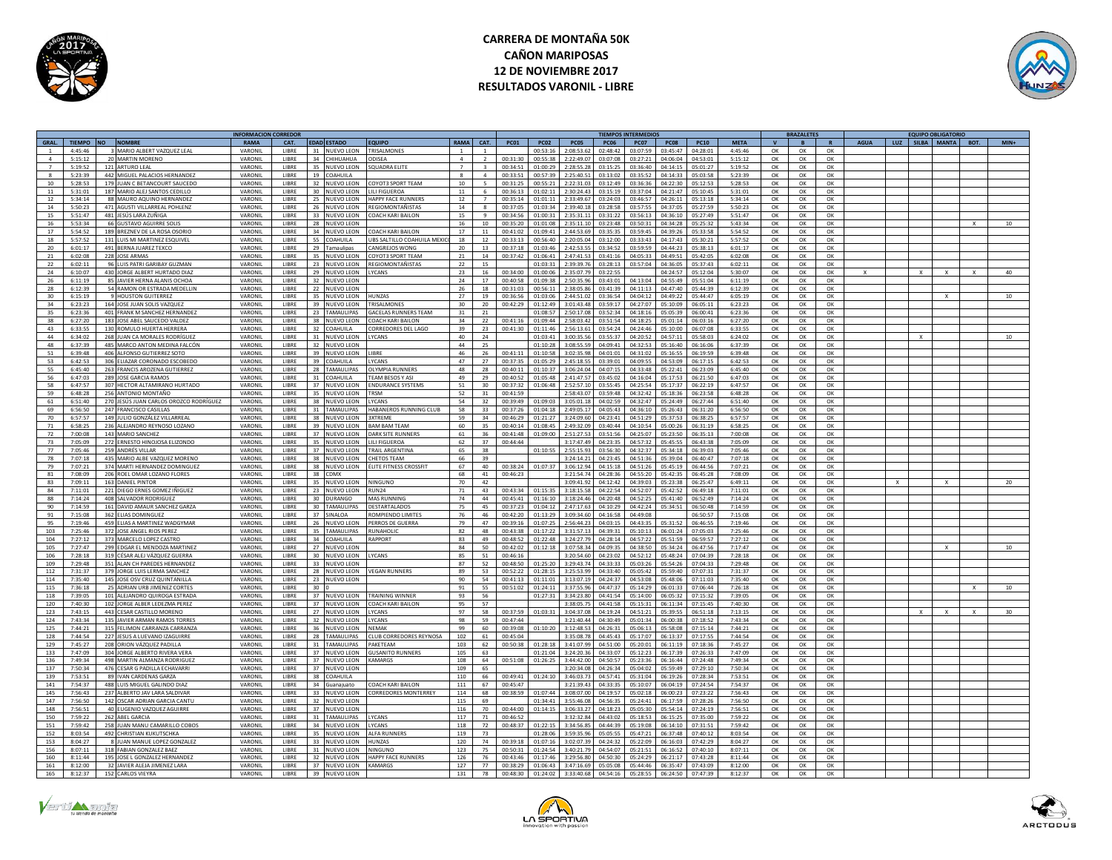

# **CARRERA DE MONTAÑA 50K CAÑON MARIPOSAS 12 DE NOVIEMBRE 2017 RESULTADOS VARONIL - LIBRE**



|             |                  |                                                            | <b>INFORMACION CORREDOR</b> |              |                 |                    |                             |                 |                       |             |                |                |                      | <b>TIEMPOS INTERMEDIOS</b> |                       |                |                    |              | <b>BRAZALETES</b> |                |             |              | <b>EQUIPO OBLIGATORIO</b> |        |
|-------------|------------------|------------------------------------------------------------|-----------------------------|--------------|-----------------|--------------------|-----------------------------|-----------------|-----------------------|-------------|----------------|----------------|----------------------|----------------------------|-----------------------|----------------|--------------------|--------------|-------------------|----------------|-------------|--------------|---------------------------|--------|
| <b>GRAL</b> | TIEMPO NO NOMBRE |                                                            | RAMA                        | CAT.         |                 | <b>EDAD ESTADO</b> | <b>EQUIPO</b>               | RAMA            | CAT.                  | <b>PC01</b> | <b>PC02</b>    | PC05           | <b>PC06</b>          | PC07                       | <b>PC08</b>           | <b>PC10</b>    | <b>META</b>        | $\mathbf{v}$ | $\overline{B}$    |                | <b>AGUA</b> | LUZ          | SILBA MANTA BOT.          | $MIN+$ |
|             | 4:45:46          | 3 MARIO ALBERT VAZQUEZ LEAL                                | VARONIL                     | LIBRE        | 31              | <b>NUEVO LEON</b>  | RISALMONES                  |                 |                       |             | 00:53:1        | :08:53.6       | 02:48:42             | 03:07:59                   | 03:45:47              | 04:28:01       | 4:45:46            | OK           | OK                | OK             |             |              |                           |        |
| $\Lambda$   | 5:15:12          | 20 MARTIN MORENO                                           | <b>VARONII</b>              | LIBRE        |                 | 34 CHIHIJAHIJA     | <b>DDISEA</b>               | $\mathbf{A}$    | $\overline{ }$        | 00:31:30    | 00.55.38       | 2:22:49.07     | 03:07:08             | 03:27:21                   | 04:06:04              | $0.4.53 - 0.1$ | 5:15:12            | OK           | OK                | ОК             |             |              |                           |        |
|             | 5:19:52          | 121 ARTURO LEAL                                            | VARONIL                     | LIBRE        | 35              | NUEVO LEON         | QUADRA ELITI                |                 |                       | 00:34:51    | 01:00:29       | 2:28:55.28     | 03:15:2              | 03.36:40                   | 04:14:15              | 05:01:2        | 5:19:52            | $\alpha$     | $\Omega$          | OK             |             |              |                           |        |
|             | 5:23:39          | 442 MIGUEL PALACIOS HERNANDEZ                              | VARONIL                     | LIBRE        | 19              | COAHUILA           |                             |                 | $\mathfrak{a}$        | 00:33:51    | 00:57:39       | 2:25:40.51     | 03:13:0              | 03:35:52                   | 04:14:33              | 05:03:58       | 5:23:39            | OK           | OK                | OK             |             |              |                           |        |
| 10          | 5:28:53          | 179 JUAN C BETANCOURT SAUCEDO                              | VARONIL                     | <b>LIBRE</b> |                 | 32 NUEVO LEON      | COYOT3 SPORT TEAM           | 10 <sup>1</sup> | $\mathbb{R}$          | 00:31:25    | 00:55:21       | 2:22:31.03     | 03:12:49             | 03:36:36                   | 04:22:30              | 05:12:53       | 5:28:53            | OK           | OK                | OK             |             |              |                           |        |
| 11          | 5:31:01          | 187 MARIO ALEJ SANTOS CEDILLO                              | VARONII                     | <b>LIBRE</b> |                 | 30 NUEVO LEON      | <b>IIII FIGUEROA</b>        | 11              | 6                     | 00:36:13    | 01:02:11       | 2:30:24.43     | 03:15:19             | 03:37:04                   | 04:21:47              | 05:10:45       | 5:31:01            | OK           | OK                | OK             |             |              |                           |        |
| 12          | 5:34:14          | 88 MAURO AOUINO HERNANDEZ                                  | VARONII                     | <b>LIBRE</b> |                 | 25 NUEVO LEON      | HAPPY FACE RUNNERS          | 12              | $\overline{7}$        | 00:35:14    | 01:01:11       | 2:33:49.6      | 03:24:03             | 03:46:57                   | 04:26:11              | 05:13:18       | 5:34:14            | OK           | OK                | OK             |             |              |                           |        |
| 14          | 5:50:23          | 471 AGUSTI VILLARREAL POHLENZ                              | VARONII                     | LIBRE        | 26              | NUEVO LEON         | REGIOMONTAÑISTAS            | 14              | $\mathbf{R}$          | 00:37:0     | 01:03:34       | 2:39:40.1      | 03:28:55             | 03:57:55                   | 04:37:0               | 05:27:59       | 5:50:23            | OK           | OK                | ок             |             |              |                           |        |
| 15          | 5:51:47          | 481 JESÚS LARA ZUÑIGA                                      | VARONIL                     | LIBRE        |                 | 33 NUEVO LEON      | COACH KARI BAILON           | 15              | 9                     | 00:34:56    | 01:00:31       | 2:35:31.11     | 03:31:22             | 03:56:13                   | 04:36:10              | 05:27:49       | 5:51:47            | OK           | OK                | OK             |             |              |                           |        |
| 16          | 5:53:34          | 66 GUSTAVO AGUIRRE SOLI                                    | VARONII                     | LIBRE        | 28              | NUEVO LEON         |                             | 16              | 10                    | 00:35:20    | 01:01:0        | 2:35:11.1      | 03:23:48             | 03:50:31                   | 04:34:28              | 05:25:32       | 5:43:34            | OK           | OK                | ОК             |             |              |                           | 10     |
| 17          | 5:54:52          | 189 BREZNEV DE LA ROSA OSORIO                              | VARONIL                     | LIBRE        | 34              | NUEVO LEON         | COACH KARI BAILON           | 17              | 11                    | 00:41:02    | 01:09:41       | 2:44:53.69     | 03:35:35             | 03:59:45                   | 04:39:26              | 05:33:58       | 5:54:52            | $\alpha$     | OK                | OK             |             |              |                           |        |
|             | 5:57:52          | 131 LUIS ML MARTINEZ ESOUIVE                               |                             | LIBRE        | 55              |                    | UBS SALTILLO COAHUILA MEXI  | 18              | 12                    | 00:33:13    | 00:56:40       | 2:20:05.04     | 03:12:0              | 03:33:43                   | 04:17:43              | 05:30:21       | 5:57:52            | $\alpha$     | OK                | OK             |             |              |                           |        |
| 18          |                  |                                                            | VARONIL                     |              |                 | COAHUILA           |                             |                 |                       |             |                |                |                      |                            |                       |                |                    |              |                   |                |             |              |                           |        |
| 20          | 6:01:17          | 491 BERNA JUAREZ TEXCO                                     | VARONIL                     | LIBRE        |                 | 29 Tamaulipas      | CANGREJOS WONG              | 20              | 13                    | 00:37:18    | 01:03:46       | 2:42:53.55     | 03:34:52             | 03:59:59                   | 04:44:23              | 05:38:13       | 6:01:17            | OK           | OK                | OK             |             |              |                           |        |
| 21          | 6:02:08          | 228 JOSE ARMAS                                             | VARONIL                     | <b>LIBRE</b> |                 | 35 NUEVO LEON      | COYOT3 SPORT TEAM           | 21              | 14                    | 00:37:42    | 01:06:41       | 2:47:41.53     | 03:41:16             | 04:05:33                   | 04:49:51              | 05:42:05       | 6:02:08            | OK           | OK                | OK             |             |              |                           |        |
| 22          | 6:02:11          | 96 LUIS PATRI GARIBAY GUZMAN                               | VARONII                     | <b>LIBRE</b> |                 | 23 NUEVO LEON      | REGIOMONTAÑISTAS            | 22              | 15                    |             | 01:03:31       | 2:39:39.76     | 03:28:13             | 03:57:04                   | 04:36:05              | 05:37:43       | 6:02:11            | OK           | $\alpha$          | $\alpha$       |             |              |                           |        |
| 24          | 6:10:07          | 430 JORGE ALBERT HURTADO DIAZ                              | VARONIL                     | LIBRE        |                 | 29 NUEVO LEON      | YCANS                       | 23              | 16                    | 00:34:00    | 01:00:00       | 2:35:07.79     | 03:22:55             |                            | 04:24:57              | 05:12:04       | 5:30:07            | OK           | OK                | OK             |             |              |                           | 40     |
| 26          | 6:11:19          | 85 JAVIER HERNA ALANIS OCHOA                               | VARONIL                     | LIBRE        |                 | 32 NUEVO LEON      |                             | 24              | 17                    | 00:40:58    | 01:09:3        | 2:50:35.9      | 03:43:03             | 04:13:04                   | 04:55:49              | 05:51:0        | 6:11:19            | OK           | OK                | OK             |             |              |                           |        |
| 28          | 6.12.39          | 54 RAMON OR ESTRADA MEDELLIN                               | <b>VARONII</b>              | <b>IIBRF</b> |                 | 22 NUEVO LEON      |                             | 26              | 18                    | 00:31:03    | 00:56:1'       | 2:38:05.86     | 03:41:39             | 04:11:13                   | 04:47:40              | 05:44:39       | 6:12:39            | OK           | OK                | ОК             |             |              |                           |        |
| 30          | 6:15:19          | 9 HOUSTON GUITERREZ                                        | VARONIL                     | LIBRE        | 35              | NUEVO LEON         | <b>IUNZAS</b>               | 27              | 19                    | 00:36:56    | 01:03:0        | 2:44:51.02     | 03:36:54             | 04:04:12                   | 04:49:22              | 05:44:43       | 6:05:19            | OK           | OK                | OK             |             |              |                           |        |
| 34          | 6:23:23          | 164 JOSE JUAN SOLIS VAZQUEZ                                | VARONIL                     | LIBRE        |                 | 39 NUEVO LEON      | <b>RISALMONES</b>           | 30              | 20 <sub>1</sub>       | 00:42:29    | 01:12:49       | 3:01:43.48     | 03:59:1              | 04:27:07                   | 05:10:09              | 06:05:1        | 6:23:23            | $\alpha$     | OK                | ОК             |             |              |                           |        |
| 35          | 6:23:36          | 401 FRANK M SANCHEZ HERNANDEZ                              | VARONIL                     | LIBRE        |                 | 23 TAMAULIPAS      | <b>GACELAS RUNNERS TEAM</b> | 31              | 21                    |             | 01.08.57       | 2:50:17.08     | 03:52:34             | 0.1316                     | 05:05:39              | 06:00:41       | 6:23:36            | OK           | OK                | OK             |             |              |                           |        |
| 38          | 6:27:20          | 183 JOSE ABEL SAUCEDO VALDEZ                               | VARONII                     | <b>LIBRE</b> |                 | 38 NUEVO LEON      | COACH KARI BAILON           | 34              | 22                    | 00:41:16    | 01:09:44       | 2:58:03.42     | 03:51:54             | 04:18:25                   | 05:01:14              | 06:03:16       | 6:27:20            | OK           | OK                | ОК             |             |              |                           |        |
| 43          | 6:33:55          | 130 ROMULO HUERTA HERRERA                                  | VARONII                     | <b>LIBRE</b> |                 | 32 COAHUILA        | CORREDORES DEL LAGO         | 39              | 23                    | 00:41:30    | 01:11:46       | 2:56:13.61     | 03:54:24             | 04:24:46                   | 05:10:00              | 06:07:08       | 6:33:55            | OK           | OK                | $\alpha$       |             |              |                           |        |
| 44          | 6:34:02          | 268 JUAN CA MORALES RODRÍGUEZ                              | VARONIL                     | LIBRE        |                 | 31 NUEVO LEON      | YCANS                       | 40              | 24                    |             | 01:03:41       | 3:00:35.5      | 03:55:37             | 04:20:52                   | 04:57:11              | 05:58:03       | 6:24:02            | OK           | OK                | ОК             |             |              |                           | 10     |
| 48          | 6:37:39          | 485 MARCO ANTON MEDINA FALCÓN                              | VARONIL                     | LIBRE        |                 |                    |                             | 44              |                       |             | 01:10:28       | 3:08:55.59     | 04:09:41             | 04:32:53                   | 05:16:40              | 06:16:06       | 6:37:39            |              |                   |                |             |              |                           |        |
| 51          | $6.39 - 48$      |                                                            | VARONIL                     | <b>LIBRE</b> |                 | 32 NUEVO LEON      | <b>IRRE</b>                 | 46              | 25                    |             | $01 - 10 - 58$ | 3.02.35.98     | 04:01:01             |                            | 05:16:55              |                | 6.39.48            | OK           | OK                | OK             |             |              |                           |        |
|             |                  | 406 ALFONSO GUTIERREZ SOTO                                 |                             |              |                 | 39 NUEVO LEON      |                             |                 | 26                    | 00:41:11    |                |                |                      | 04:31:02                   |                       | 06:19:59       |                    | OK           | OK                | OK             |             |              |                           |        |
| 53          | 6:42:53          | 306 ELIAZAR CORONADO ESCOBEDO                              | VARONIL                     | LIBRE        | 39              | COAHUILA           | <b>YCANS</b>                | 47              | 27                    | 00:37:35    | 01:05:29       | 2:45:18.5      | 03:39:0              | 04:09:55                   | 04:53:09              | 06:17:1        | 6:42:57            | OK           | OK                | OK             |             |              |                           |        |
| 55          | 6:45:40          | 263 FRANCIS AROZENA GUTIERREZ                              | VARONIL                     | LIBRE        |                 | 28 TAMAULIPAS      | OI YMPIA RUNNERS            | 48              | 28                    | 00:40:11    | 01:10:37       | 3:06:24.04     | 04:07:19             | 04:33:48                   | 05:22:41              | 06:23:09       | 6:45:40            | OK           | $\Omega$          | OK             |             |              |                           |        |
| 56          | 6:47:03          | 289 JOSE GARCIA RAMOS                                      | VARONIL                     | <b>LIBRE</b> |                 | 31 COAHUILA        | TEAM RESOS Y ASI            | 49              | 29                    | 00:40:52    | 01.05:48       | 2:41:47.57     | 03:45:02             | 0.416:04                   | 05:17:52              | 06:21:50       | 6:47:03            | OK           | OK                | $\alpha$       |             |              |                           |        |
| 58          | 6:47:57          | 307 HECTOR ALTAMIRANO HURTADO                              | VARONIL                     | <b>LIBRE</b> |                 | 37 NUEVO LEON      | <b>ENDURANCE SYSTEMS</b>    | 51              | $30^{\circ}$          | 00:37:32    | 01:06:48       | 2:52:57.10     | 03:55:45             | 04:25:54                   | 05:17:37              | 06:22:19       | 6:47:57            | OK           | OK                | OK             |             |              |                           |        |
| 59          | 6:48:28          | 256 ANTONIO MONTAÑO                                        | VARONII                     | <b>LIBRE</b> |                 | 35 NUEVO LEON      | TRSM                        | 52              | 31                    | 00:41:59    |                | 2:58:43.07     | 03:59:48             | 04:32:42                   | 05:18:36              | 06:23:58       | 6:48:28            | OK           | $\alpha$          | OK             |             |              |                           |        |
| 61          | 6:51:40          | 270 JESÚS JUAN CARLOS OROZCO RODRÍGUEZ                     | VARONIL                     | LIBRE        | 38              | NUEVO LEON         | <b>YCANS</b>                | 54              | 32                    | 00:39:49    | 01:09:0        | 3:05:01.18     | 04:02:5              | 04:32:47                   | 05:24:49              | 06:27:44       | 6:51:40            | OK           | OK                | OK             |             |              |                           |        |
| 69          | 6:56:50          | 247 FRANCISCO CASILLAS                                     | VARONII                     | LIBRE        |                 | 31 TAMAULIPAS      | HARANEROS RUNNING CLUB      | 5.8             | 33                    | 00:37:26    | 01:04:18       | 2:49:05.17     | 04:05:43             | 04:36:10                   | 05:26:43              | 06:31:20       | 6.56:50            | OK           | OK                | OK             |             |              |                           |        |
| 70          | 6.57.57          | 149 IUI IO GONZÁLEZ VILLARREA                              | VARONIL                     | LIBRE        |                 | 38 NUEVO LEON      | <b>SYTREME</b>              | 59              | 34                    | 00:46:29    | 01:21:21       | 3.24.096       | 04:23:41             | $0.4 - 51 - 29$            | 05.37.53              | 06:38:2        | 6:57:57            | OK           | OK                | ОК             |             |              |                           |        |
| 71          | 6:58:25          | 236 ALEJANDRO REYNOSO LOZANO                               | VARONIL                     | LIBRE        |                 | 39 NUEVO LEON      | <b>BAM BAM TEAN</b>         | 60              | 35                    | 00:40:14    | 01:08:4        | 2:49:32.09     | 03:40:4              | 04:10:54                   | 05:00:26              | 06:31:19       | 6:58:25            | $\alpha$     | OK                | ок             |             |              |                           |        |
| 72          | 7:00:08          | 143 MARIO SANCHEZ                                          | VARONIL                     | LIBRE        |                 | 37 NUEVO LEON      | DARK SITE RUNNERS           | 61              | 36                    | 00:41:48    | 01:09:00       | 2:51:27.53     | 03:51:56             | 04:25:07                   | 05:23:50              | 06:35:13       | 7:00:08            | OK           | OK                | ОК             |             |              |                           |        |
|             | 7:05:09          |                                                            |                             | LIBRE        |                 |                    |                             |                 |                       |             |                | 3:17:47.49     |                      | 04:57:32                   | 05:45:55              |                |                    |              |                   |                |             |              |                           |        |
| 73<br>77    |                  | 272 ERNESTO HINOJOSA ELIZONDO                              | VARONIL<br>VARONIL          |              |                 | 35 NUEVO LEON      | ILI FIGUEROA                | 62              | 37                    | 00:44:44    | 01:10:55       |                | 04:23:35<br>03:56:30 |                            |                       | 06:43:38       | 7:05:09<br>7:05:46 | OK<br>OK     | OK                | OK             |             |              |                           |        |
|             | 7:05:46          | 259 ANDRÉS VILLAR                                          |                             | <b>LIBRE</b> |                 | 37 NUEVO LEON      | TRAIL ARGENTINA             | 65              | 38                    |             |                | 2:55:15.93     |                      | 04:32:37                   | 05:34:18              | 06:39:03       |                    |              | OK                | $\alpha$       |             |              |                           |        |
| 78          | 7:07:18          | 435 MARIO ALBE VAZOUEZ MORENO                              | VARONII                     | <b>LIBRE</b> |                 | 38 NUEVO LEON      | <b>HETOS TEAM</b>           | 66              | 39                    |             |                | 3:24:14.21     | 04:23:45             | 04:51:36                   | 05:39:04              | 06:40:47       | 7:07:18            | OK           | OK                | OK             |             |              |                           |        |
| 79          | 7:07:21          | 374 MARTI HERNANDEZ DOMINGUE:                              | VARONIL                     | LIBRE        |                 | 38 NUEVO LEON      | LITE FITNESS CROSSFIT       | 67              | 40                    | 00:38:24    | 01:07:37       | 3:06:12.9      | 04:15:18             | 04:51:26                   | 05:45:19              | 06:44:56       | 7:07:2             | OK           | OK                | ОК             |             |              |                           |        |
| 81          | 7:08:09          | 206 ROEL OMAR LOZANO FLORES                                | VARONIL                     | <b>LIBRE</b> |                 | 38 CDMX            |                             | 68              | 41                    | 00:46:23    |                | 3:21:54.74     | 04:28:36             | 04:55:20                   | 05:42:35              | 06:45:28       | 7:08:09            | OK           | OK                | OK             |             |              |                           |        |
| 83          | 7.09.11          | 163 DANIEL PINTOR                                          | VARONIL                     | <b>LIBRE</b> |                 | 35 NUEVO LEON      | <b>NINGLINO</b>             | 70 <sub>1</sub> | $\Delta$ <sup>2</sup> |             |                | 3:09:41.97     | $04.12 - 42$         | 0.429.03                   | 05.23.38              | 06:25:47       | 6:49:11            | OK           | OK                | $\Omega$       |             | $\mathbf{v}$ |                           | 20     |
| 84          | 7:11:01          | 221 DIEGO ERNES GOMEZ IÑIGUEZ                              | VARONIL                     | LIBRE        |                 | 23 NUEVO LEON      | RUN <sub>24</sub>           | 71              | 43                    | 00:43:34    | 01:15:3!       | 3:18:15.58     | 04:22:54             | 04:52:07                   | 05:42:52              | 06:49:18       | 7:11:01            | OK           | OK                | OK             |             |              |                           |        |
| 88          | 7:14:24          | 408 SALVADOR RODRIGUEZ                                     | VARONIL                     | <b>LIBRE</b> |                 | 30 DURANGO         | MAS RUNNING                 | 74              | 44                    | 00:45:41    | 01:16:10       | 3:18:24.46     | 04:20:48             | 04:52:25                   | 05:41:40              | 06:52:49       | 7:14:24            | OK           | OK                | OK             |             |              |                           |        |
| 90          | 7:14:59          | 161 DAVID AMAUR SANCHEZ GARZA                              | VARONIL                     | <b>LIBRE</b> |                 | 30 TAMAULIPAS      | DESTARTAL ADOS              | 75              | 45                    | 00:37:23    | 01:04:12       | 2:47:17.63     | 04:10:29             |                            | $04:42:24$ $05:34:51$ | 06:50:48       | 7:14:59            | OK           | OK                | OK             |             |              |                           |        |
| 91          | 7:15:08          | 362 ELIAS DOMINGUEZ                                        | VARONII                     | <b>LIBRE</b> |                 | 37 SINAI OA        | ROMPIENDO LIMITES           | 76              | 46                    | 00:42:20    | 01:13:29       | 3:09:34.60     | 04:16:58             | 04:49:08                   |                       | 06:50:57       | 7:15:08            | OK           | OK                | $\alpha$       |             |              |                           |        |
| 95          | 7:19:46          | 459 ELIAS A MARTINEZ WADGYMAR                              | VARONIL                     | LIBRE        | 26              | NUEVO LEON         | <b>FRROS DE GUERRA</b>      | 79              | 47                    | 00:39:16    | 01:07:25       | 2:56:44.27     | 04:03:19             | 04:43:35                   | 05:31:52              | 06:46:55       | 7:19:46            | OK           | OK                | ок             |             |              |                           |        |
| 103         | 7:25:46          | 372 JOSE ANGEL RIOS PEREZ                                  | VARONIL                     | LIBRE        |                 | 35 TAMAULIPAS      | RUNAHOLIC                   | 82              | 48                    | 00:43:38    | 01:17:22       | 3:31:57.1      | 04:39:33             | 05:10:13                   | 06:01:24              | 07:05:03       | 7:25:46            | OK           | OK                | ОК             |             |              |                           |        |
| 104         | 7:27:12          | 373 MARCELO LOPEZ CASTRO                                   | VARONII                     | LIBRE        | 24              | COAHUILA           | RAPPORT                     | 83              | 49                    | 00:48:52    | 01:22:48       | 3:24:27.79     | 04:28:14             | $0.4 - 57 - 22$            | 05:51:59              | 06:59:57       | 7:27:12            | OK           | OK                | ОК             |             |              |                           |        |
|             | 7:27:47          |                                                            | VARONII                     |              | 27              |                    |                             | 84              | 50                    |             |                | 1:07:58.3      |                      |                            |                       |                | 7:17:47            |              |                   |                |             |              |                           |        |
| 105         |                  | 299 EDGAR EL MENDOZA MARTINEZ                              |                             | LIBRE        |                 | <b>NUEVO LEON</b>  |                             |                 |                       | 00:42:0     | 01:12:18       |                | 04:09:3              | 04:38:50                   | 05:34:24              | 06:47:56       |                    | OK           | OK                | OK             |             |              |                           |        |
| 106         | 7:28:18          | 319 CÉSAR ALEJ VÁZQUEZ GUERRA                              | VARONIL                     | LIBRE        |                 | 30 NUEVO LEON      | <b>YCANS</b>                | 85              | 51                    | 00:46:16    |                | 3:20:54.60     | 04:23:0              | 04:52:12                   | 05:48:24              | 07:04:39       | 7:28:18            | $\alpha$     | $\Omega$          | ок             |             |              |                           |        |
| 109         | 7:29:48          | 351 ALAN CH PAREDES HERNANDEZ                              | VARONIL                     | <b>LIBRE</b> |                 | 33 NUEVO LEON      |                             | 87              | 52                    | 00:48:50    | 01:25:20       | 3:29:43.74     | 04:33:33             | 05:03:26                   | 05:54:26              | 07:04:33       | 7:29:48            | OK           | OK                | OK             |             |              |                           |        |
| 112         | 7:31:37          | 379 JORGE LUIS LERMA SANCHEZ                               | VARONIL                     | <b>LIBRE</b> |                 | 28 NUEVO LEON      | <b>VEGAN RUNNERS</b>        | 89              | 53                    | 00:52:22    | 01:28:15       | 3:25:53.99     | 04:33:40             | 05:05:42                   | $05.59 - 20$          | 07:07:31       | 7:31:37            | OK           | OK                | OK             |             |              |                           |        |
| 114         | 7:35:40          | 145 JOSE OSV CRUZ QUINTANILLA                              | VARONII                     | LIBRE        |                 | 23 NUEVO LEON      |                             | 90              | 54                    | 00:41:13    | 01:11:01       | 3:13:07.19     | 04:24:37             | 04:53:08                   | 05:48:06              | 07:11:03       | 7:35:40            | OK           | $\alpha$          | OK             |             |              |                           |        |
| 115         | 7:36:18          | 25 ADRIAN URB JIMENEZ CORTES                               | VARONIL                     | LIBRE        | 30 <sup>2</sup> |                    |                             | 91              | 55                    | 00:51:02    | 01:24:11       | 3:37:55.9      | 04:47:37             | 05:14:29                   | 06:01:33              | 07:06:44       | 7:26:18            | OK           | OK                | ОК             |             |              |                           | $10\,$ |
| 118         | 7:39:05          | 101 ALEJANDRO QUIROGA ESTRADA                              | VARONIL                     | LIBRE        |                 | 37 NUEVO LEON      | TRAINING WINNER             | 93              | 56                    |             | 01:27:3        | 3:34:23.       | 04:41:54             | 05:14:00                   | 06:05:32              | 07:15:32       | 7:39:05            | OK           | OK                | OK             |             |              |                           |        |
| 120         | 7.40.30          | 102 JORGE ALBER LEDEZMA PEREZ                              | VARONIL                     | <b>LIBRE</b> |                 | 37 NUEVO LEON      | <b>CACH KARLBAILON</b>      | 95              | 57                    |             |                | $3.38.05$ 7    | 04:41:58             | 05:15:31                   | 06:11:34              | 07:15:45       | 7.40.30            | OK           | OK                | ОК             |             |              |                           |        |
| 123         | 7:43:15          | 443 CESAR CASTILLO MORENO                                  | VARONII                     | LIBRE        | 27              | NUEVO LEON         | YCANS                       | 97              | 58                    | 00:37:59    | 01:03:3        | 3:04:37.0      | 04:19:24             | 04:51:21                   | 05:39:55              | 06:51:18       | 7:13:15            | OK           | OK                | ок             |             |              |                           |        |
| 124         | 7:43:34          | 135 IAVIER ARMAN RAMOS TORRES                              | VARONII                     | LIBRE        |                 | 32 NUEVO LEON      | <b>YCANS</b>                | 98              | 59                    | 00:47:44    |                | 3:21:40.4      | 04:30:49             | 05:01:34                   | 06:00:38              | 07:18:5        | 7:43:34            | $\alpha$     | $\Omega$          | OK             |             |              |                           |        |
| 125         | 7:44:21          | 315 FELIMON CARRANZA CARRANZA                              | VARONIL                     | <b>LIBRE</b> |                 | 36 NUEVO LEON      | <b>NFMAK</b>                | 99              | 60                    | 00:39:08    | 01:10:20       | 3:12:48.53     | 04:26:31             | 05:06:13                   | 05:58:08              | 07:15:14       | 7:44:21            | OK           | OK                | OK             |             |              |                           |        |
|             | 7:44:54          |                                                            | VARONIL                     | <b>LIBRE</b> |                 | 28 TAMAULIPAS      |                             |                 | 61                    | 00:45:04    |                | 3:35:08.78     | 04:45:43             | 05:17:07                   | 06:13:37              | 07:17:55       | 7:44:54            |              | OK                |                |             |              |                           |        |
| 128<br>129  | 7:45:27          | 227 JESUS A LUEVANO IZAGUIRRE<br>208 ORION VÁZOUEZ PADILLA | VARONII                     | <b>LIBRE</b> |                 | 31 TAMAULIPAS      | CLUB CORREDORES REYNOSA     | 102<br>103      | 62                    | 00:50:38    | 01:28:18       |                | 04:51:00             | 05:20:01                   |                       | 07:18:36       | 7:45:27            | OK<br>OK     |                   | OK<br>$\alpha$ |             |              |                           |        |
|             |                  |                                                            |                             |              |                 |                    | PAKETEAM                    |                 |                       |             |                | 3:41:07.99     |                      |                            | 06:11:19              |                |                    |              | OK                |                |             |              |                           |        |
| 133         | 7:47:09          | 304 JORGE ALBERTO RIVERA VERA                              | VARONIL                     | LIBRE        |                 | 37 NUEVO LEON      | <b>JUSANITO RUNNERS</b>     | 105             | 63                    |             | 01:21:04       | 3:24:20.3      | 04:33:07             | 05:12:23                   | 06:17:39              | 07:26:33       | 7:47:09            | OK           | OK                | ОК             |             |              |                           |        |
| 136         | 7:49:34          | 498 MARTIN ALMANZA RODRIGUE                                | VARONIL                     | LIBRE        |                 | 37 NUEVO LEON      | KAMARGS                     | 108             | 64                    | 00:51:08    | 01:26:25       | 3:44:42.0      | 04:50:5              | 05:23:36                   | 06:16:44              | 07:24:48       | 7:49:34            | OK           | OK                | OK             |             |              |                           |        |
| 137         | 7.50.34          | 476 CESAR G PADILLA ECHAVARRI                              | VARONIL                     | <b>LIBRE</b> |                 | 37 NUEVO LEON      |                             | 109             | 65                    |             |                | 3.20.34.08     | 04:26:34             | 05:04:02                   | 05.59.49              | 07:29:10       | 7.50.34            | OK           | OK                | $\alpha$       |             |              |                           |        |
| 139         | 7:53:51          | 89 IVAN CARDENAS GARZA                                     | VARONIL                     | LIBRE        | 38              | COAHUILA           |                             | 110             | 66                    | 00:49:41    | 01:24:10       | 3:46:03.7      | 04:57:4              | 05:31:04                   | 06:19:26              | 07:28:3        | 7:53:51            | OK           | OK                | ок             |             |              |                           |        |
| 141         | 7:54:37          | 488 LUIS MIGUEL GALINDO DIAZ                               | VARONIL                     | LIBRE        |                 | 34 Guanajuato      | <b>COACH KARLBALLON</b>     | 111             | 67                    | 00:45:47    |                | 3:21:39.43     | 04:33:3              | 05:10:07                   | 06:04:19              | 07:24:5        | 7:54:37            | $\Omega$     | OK                | OK             |             |              |                           |        |
| 145         | 7:56:43          | 237 ALBERTO JAV LARA SALDIVAR                              | VARONIL                     | <b>LIBRE</b> |                 | 33 NUEVO LEON      | CORREDORES MONTERREY        | 114             |                       | 68 00:38:59 | 01:07:44       | 3:08:07.00     | 04:19:57             |                            | 05:02:18   06:00:23   | 07:23:22       | 7:56:43            | OK           | OK                | OK             |             |              |                           |        |
| 147         | 7:56:50          | 142 OSCAR ADRIAN GARCIA CANTU                              | VARONII                     | <b>LIBRE</b> |                 | 32 NUEVO LEON      |                             | 115             | 69                    |             | $01 - 34 - 41$ | $3.55 - 4605$  | 04:56:39             | 05:24:41                   | 06:17:59              | 07:28:26       | 7:56:50            | OK           | OK                | OK             |             |              |                           |        |
| 148         | 7:56:51          | 40 FUGENIO VAZOUEZ AGUIRRE                                 | VARONII                     | <b>LIBRE</b> |                 | 37 NUEVO LEON      |                             | 116             | $70 -$                | 00:44:00    | 01:14:15       | 3:06:33.27     | 04:18:27             | 05:05:30                   | 05:54:14              | 07:24:19       | 7:56:51            | OK           | OK                | OK             |             |              |                           |        |
| 150         | 7:59:22          | 262 ABEL GARCIA                                            | VARONIL                     | LIBRE        | 31              | <b>TAMAULIPAS</b>  | YCANS                       | 117             | 71                    | 00:46:52    |                | 3:32:32.8      | 04:43:02             | 05:18:53                   | 06:15:25              | 07:35:00       | 7:59:22            | OK           | OK                | OK             |             |              |                           |        |
| 151         | 7:59:42          | 258 JUAN MANU CAMARILLO COBOS                              | VARONII                     | <b>LIBRE</b> |                 | 34 NUEVO LEON      | YCANS                       | 118             | 72                    | 00:48:37    | 01:22:15       | 3:34:56.85     | 04:44:39             | 05:19:08                   | 06:14:10              | 07:31:51       | 7.59.42            | OK           | OK                | OK             |             |              |                           |        |
| 152         | 8.03.54          | 492 CHRISTIAN KUKUTSCHKA                                   | VARONIL                     | <b>LIBRE</b> | 35              | NUEVO LEON         | <b>IFARIINNER</b>           | 119             | 73                    |             | $01 - 28 - 01$ | 3-59-35 0      | 05:05:1              | 05:47:21                   | $06.37 - 48$          | 07:40:17       | 8.03.54            | OK           | OK                | ОК             |             |              |                           |        |
| 153         | 8:04:27          | 8 IUAN MANUE LOPEZ GONZALEZ                                | VARONII                     | LIBRE        | 33.             | NUEVO LEON         | <b>ILINZAS</b>              | 120             | 74                    | 00:39:18    | 01:07:16       | 3:02:07.3      | 04:24:3              | 05:22:09                   | 06:16:03              | 07:42:29       | 8:04:27            | OK           | ОК                | ок             |             |              |                           |        |
|             |                  |                                                            |                             |              |                 |                    |                             |                 |                       |             |                |                |                      |                            |                       |                |                    |              |                   |                |             |              |                           |        |
| 156         | 8:07:11          | 318 FABIAN GONZALEZ BAEZ                                   | VARONII                     | LIBRE        |                 | 31 NUEVO LEON      | NINGUNO                     | 123             | 75                    | 00:50:31    | 01:24:54       | 3:40:21.7      | 04:54:0              | 05:21:51                   | 06:16:52              | 07:40:10       | 8:07:11            | $\alpha$     | OK                | OK             |             |              |                           |        |
| 160         | 8:11:44          | 195 JOSE L GONZALEZ HERNANDEZ                              | VARONIL                     | <b>LIBRE</b> |                 | 32 NUEVO LEON      | HAPPY FACE RUNNERS          | 126             | 76                    | 00:43:46    | 01:17:46       | 3:29:56.80     | 04:50:30             | 05:24:29                   | 06:21:17              | 07:43:28       | 8:11:44            | OK           | OK                | OK             |             |              |                           |        |
| 161         | 8:12:00          | 32 JAVIER ALEIA JIMENEZ LARA                               | VARONIL                     | <b>LIBRE</b> |                 | 37 NUEVO LEON      | <b>KAMARGS</b>              | 127             | 77                    | 00:38:29    | 01:06:43       | 3:47:16.69     | 05:05:08             | 05:44:46                   | 06:35:47              | 07:43:09       | 8:12:00            | OK           | OK                | OK             |             |              |                           |        |
| 165         | 8:12:37          | 152 CARLOS VIEYRA                                          | VARONIL                     | LIBRE        |                 | 39 NUEVO LEON      |                             | 131             | 78                    | 00:48:30    | $01 - 24 - 02$ | $3.33 - 40.65$ | 04:54:16             | 05:28:55                   | 06:24:50              | 07:47:39       | 8.12.37            | $\alpha$     | OK                | OK             |             |              |                           |        |





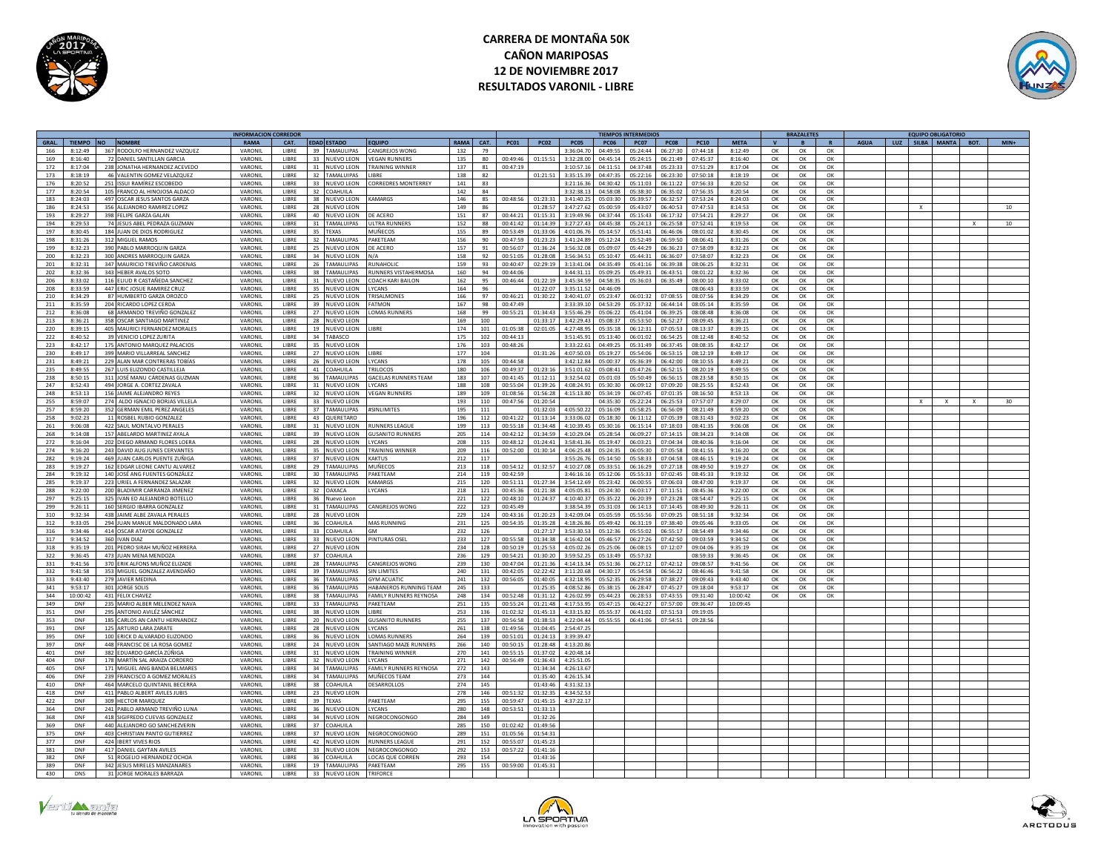

# **CARRERA DE MONTAÑA 50K CAÑON MARIPOSAS 12 DE NOVIEMBRE 2017 RESULTADOS VARONIL - LIBRE**



|            |                  |     |                                                               | <b>INFORMACION CORREDOR</b> |              |                 |                    |                               |             |            |                |                | <b>TIEMPOS INTERMEDIOS</b> |                |                      |                          |                      | <b>BRAZALETES</b> |              |                |                |             |  |  | <b>EQUIPO OBLIGATORIO</b> |  |                  |  |
|------------|------------------|-----|---------------------------------------------------------------|-----------------------------|--------------|-----------------|--------------------|-------------------------------|-------------|------------|----------------|----------------|----------------------------|----------------|----------------------|--------------------------|----------------------|-------------------|--------------|----------------|----------------|-------------|--|--|---------------------------|--|------------------|--|
| GRAL.      | TIEMPO NO NOMBRE |     |                                                               | RAMA                        | CAT.         |                 | <b>EDAD ESTADO</b> | <b>OQUIPO</b>                 | <b>RAMA</b> | CAT.       | <b>PC01</b>    | <b>PC02</b>    | <b>PC05</b>                | <b>PC06</b>    | <b>PC07</b>          | <b>PC08</b>              | PC10                 | <b>META</b>       | $\mathbf{v}$ | B              | $\mathbf{R}$   | <b>AGUA</b> |  |  | LUZ SILBA MANTA BOT.      |  | $MIN+$           |  |
| 166        | 8:12:49          |     | 367 RODOLFO HERNANDEZ VAZQUEZ                                 | VARONIL                     | LIBRE        | 39              | <b>TAMAULIPAS</b>  | ANGREJOS WONG                 | 132         | 79         |                |                | 3:36:04.70                 | 04:49:55       | 05:24:44             | 06:27:30                 | 07:44:18             | 8:12:49           | OK           | OK             | OK             |             |  |  |                           |  |                  |  |
| 169        | 8:16:40          |     | 72 DANIEL SANTILLAN GARCIA                                    | VARONII                     | LIBRE        | 33              | NUEVO LEON         | <b>EGAN RUNNERS</b>           | 135         | 80         | 00:49:46       |                | 3:32:28.0                  | 04:45:1        | 05:24:15             | 06:21:49                 | 07:45:37             | 8:16:40           | OK           | OK             | OK             |             |  |  |                           |  |                  |  |
| 172        | 8:17:04          |     | 238 JONATHA HERNANDEZ ACEVEDO                                 | VARONII                     | <b>LIBRE</b> | 31              | <b>NUEVO LEON</b>  | <b>FRAINING WINNER</b>        | 137         | 81         | 00.47.19       |                | 3:10:57.16                 | 04:11:51       | 04:37:48             | 05:23:33                 | 07:51:29             | 8:17:04           | OK           | OK             | OK             |             |  |  |                           |  |                  |  |
| 173        | 8:18:19          |     | 46 VALENTIN GOMEZ VELAZOUEZ                                   | VARONII                     | <b>IIBRF</b> |                 | 32 TAMALUIPAS      | <b>IRRF</b>                   | 138         | 82         |                | 01:21:51       | 3:35:15.39                 | 04:47:35       | 05:22:16             | 06:23:30                 | 07:50:18             | 8:18:19           | $\alpha$     | $\alpha$       | $\alpha$       |             |  |  |                           |  |                  |  |
| 176        | 8:20:52          |     | 251 ISSUI RAMÍREZ ESCOBEDO                                    | VARONI                      | LIBRE        | $33 -$          | <b>NUEVO LEON</b>  | ORREDRES MONTERREY            | 141         | 83         |                |                | 3:21:16.3                  | 04:30:4        | 05:11:03             | 06:11:22                 | 07:56:33             | 8:20:52           | $\Omega$     | $\alpha$       | OK             |             |  |  |                           |  |                  |  |
| 177        | 8:20:54          |     | 105 FRANCO AL HINOJOSA ALDACO                                 | VARONIL                     | LIBRE        |                 | 32 COAHUILA        |                               | 142         | 84         |                |                | 3:32:38.13                 | 04:58:08       | 05:38:30             | 06:35:02                 | 07:56:35             | 8:20:54           | OK           | OK             | OK             |             |  |  |                           |  |                  |  |
| 183        | 8:24:03          |     | 497 OSCAR JESUS SANTOS GARZA                                  | VARONII                     | <b>LIBRE</b> |                 | 38 NUEVO LEON      | <b>KAMARGS</b>                | 146         | 85         | 00:48:56       | 01:23:31       | 3:41:40.25                 | 05.03.30       | 05.39.57             | 06:32:57                 | 07:53:24             | 8:24:03           | OK           | OK             | OK             |             |  |  |                           |  |                  |  |
| 186        | 8:24:53          |     | 356 ALEJANDRO RAMIREZ LOPEZ                                   | VARONIL                     | <b>LIBRE</b> | 28              | NUEVO LEON         |                               | 149         | 86         |                | 01:28:57       | 3:47:27.62                 | 05:00:59       | 05:43:07             | 06:40:53                 | 07:47:53             | 8:14:53           | OK           | $\alpha$       | $\alpha$       |             |  |  |                           |  | 10 <sup>10</sup> |  |
| 193        | 8:29:27          |     | 398 FELIPE GARZA GALAN                                        | VARONIL                     | LIBRE        | 40              | <b>NUEVO LEON</b>  | E ACERO                       | 151         | 87         | 00:44:21       | 01:15:31       | 3:19:49.9                  | 04:37:44       | 05:15:43             | 06:17:32                 | 07:54:21             | 8:29:27           | OK           | OK             | OK             |             |  |  |                           |  |                  |  |
| 194        | 8:29:53          |     | 74 JESUS ABEL PEDRAZA GUZMAN                                  | VARONIL                     | <b>LIBRE</b> |                 | 31 TAMALUIPAS      | <b>II TRA RUNNER</b>          | 152         | 88         | 00:41:42       | 01:14:39       | 3:27:27.47                 | 04:45:38       | 05:24:13             | 06:25:58                 | 07:52:41             | 8:19:53           | OK           | ОК             | ОК             |             |  |  |                           |  | 10               |  |
| 197        | 8:30:45          |     | 184 JUAN DE DIOS RODRIGUEZ                                    | VARONIL                     | LIBRE        | 35              | <b>TEXAS</b>       | <b>AUÑECOS</b>                | 155         |            | 00:53:49       | 01:33:06       | 4:01:06.7                  | 05:14:5        | 05:51:41             | 06:46:06                 | 08:01:02             | 8:30:45           |              |                |                |             |  |  |                           |  |                  |  |
|            |                  |     |                                                               |                             |              |                 |                    |                               |             | 89         |                |                |                            |                |                      |                          |                      |                   | OK           | OK             | OK             |             |  |  |                           |  |                  |  |
| 198        | 8.31.76          |     | 312 MIGUEL RAMOS                                              | VARONII                     | LIBRE        |                 | 32 TAMAULIPAS      | AKFTFAM                       | 156         | 90         | 00:47:59       | 01:23:25       | 3:41:24.89                 | 05:12:24       | 05:52:49             | 06:59:50                 | 08:06:41             | 8:31:26           | OK           | OK             | $\alpha$       |             |  |  |                           |  |                  |  |
| 199        | 8:32:23          |     | 390 PARI O MARROOUIN GARZA                                    | VARONII                     | LIBRE        |                 | 25 NUEVO LEON      | DE ACERO                      | 157         | 91         | 00:56:07       | 01:36:24       | 3:56:32.08                 | 05:09:07       | 05:44:29             | 06:36:23                 | 07:58:0              | 8:32:23           | OK           | $\alpha$       | OK             |             |  |  |                           |  |                  |  |
| 200        | 8:32:23          |     | 300 ANDRES MARROQUIN GARZA                                    | VARONIL                     | LIBRE        |                 | 34 NUEVO LEON      | N/A                           | 158         | 92         | 00:51:05       | 01:28:08       | 3:56:34.51                 | 05:10:47       | 05:44:31             | 06:36:07                 | 07:58:07             | 8:32:23           | OK           | OK             | OK             |             |  |  |                           |  |                  |  |
| 201        | 8:32:31          |     | 347 MAURICIO TREVIÑO CARDENAS                                 | VARONIL                     | LIBRE        |                 | 26 TAMAULIPAS      | RUNAHOUC                      | 159         | 93         | 00:40:47       | 02:29:19       | 3:13:41.04                 | $04.35 - 49$   | 05:41:16             | 06.39.38                 | 08:06:25             | 8:32:31           | $\Omega$     | OK             | $\alpha$       |             |  |  |                           |  |                  |  |
| 202        | 8:32:36          |     | 343 HEBER AVALOS SOTO                                         | VARONIL                     | LIBRE        | 38              | TAMAULIPAS         | UNNERS VISTAHERMOSA           | 160         | 94         | 00:44:06       |                | 3:44:31.1                  | 05:09:25       | 05:49:31             | 06:43:51                 | 08:01:22             | 8:32:36           | OK           | OK             | OK             |             |  |  |                           |  |                  |  |
| 206        | 8:33:02          |     | 116 ELIUD R CASTAÑEDA SANCHEZ                                 | VARONIL                     | <b>LIBRE</b> | 31              | NUEVO LEON         | <b>JACH KARI BAILON</b>       | 162         | 95         | 00:46:44       | 01:22:19       | 3:45:34.5                  | 04:58:35       | 05:36:03             | 06:35:49                 | 08:00:10             | 8:33:02           | ОК           | OK             | OK             |             |  |  |                           |  |                  |  |
| 208        | 8.33.59          |     | 447 FRIC JOSUE RAMIREZ CRUZ                                   | VARONII                     | <b>LIBRE</b> | 35              | NUEVO LEON         | <b>CANS</b>                   | 164         | 96         |                | 01:22:07       | 3:35:11.52                 | 0.496999       |                      |                          | 08:06:42             | 8:33:59           | OK           | OK             | OK             |             |  |  |                           |  |                  |  |
| 210        | 8:34:29          |     | 87 HUMBERTO GARZA OROZCO                                      | VARONII                     | <b>LIBRE</b> | 25              | NUEVO LEON         | <b>RISALMONE</b>              | 166         | 97         | 00:46:21       | 01:30:22       | 3:40:41.0                  | 05:23:47       | 06:01:32             | 07:08:55                 | 08:07:56             | 8:34:29           | OK           | ОК             | $\alpha$       |             |  |  |                           |  |                  |  |
| 211        | $9 - 25 - 8$     |     | 204 RICARDO LOPEZ CERDA                                       | VARONIL                     | LIBRE        | 39              | NUEVO LEON         | <b>STMON</b>                  | 167         | 98         | 00:47:49       |                | 3:33:39.1                  | 04:53:2        | 05:37:32             | 06:44:14                 | 08:05:1              | 8:35:59           | $\Omega$     | OK             | OK             |             |  |  |                           |  |                  |  |
| 212        | 8:36:08          |     | 68 ARMANDO TREVIÑO GONZALEZ                                   | VARONI                      | LIBRE        |                 | 27 NUEVO LEON      | OMAS RUNNERS                  | 168         | 99         | 00:55:21       | 01:34:43       | 3:55:46.29                 | 05:06:22       | 05:41:04             | 06:39:25                 | 08:08:48             | 8:36:08           | OK           | OK             | OK             |             |  |  |                           |  |                  |  |
| 213        | 8:36:21          |     | 358 OSCAR SANTIAGO MARTINEZ                                   | VARONII                     | <b>LIBRE</b> |                 | 28 NUEVO LEON      |                               | 169         | 100        |                | 01:33:17       | 3:42:29.43                 | 05:08:37       | 05:53:50             | 06:52:27                 | 08:09:45             | 8:36:21           | OK           | OK             | OK             |             |  |  |                           |  |                  |  |
| 220        | 8:39:15          |     | 405 MAURICI FERNANDEZ MORALES                                 | VARONII                     | <b>LIBRE</b> |                 | 19 NUEVO LEON      | <b>IRRF</b>                   | 174         | 101        | $01 - 05 - 28$ | 02:01:05       | $A - 27 - A99$             | $05 - 25 - 15$ | 06:12:31             | 07.05.53                 | 08:13:37             | 8:39:15           | OK           | ОК             | ОК             |             |  |  |                           |  |                  |  |
| 222        | 8:40:52          |     | 39 VENICIO LOPEZ ZURITA                                       | VARONIL                     | LIBRE        | 34              | TABASCO            |                               | 175         | 102        | 00:44:13       |                | 3:51:45.9                  | 05:13:4        | 06:01:02             | 06:54:25                 | 08:12:48             | 8:40:52           | OK           | OK             | OK             |             |  |  |                           |  |                  |  |
| 223        | 8:42:17          |     | 175 ANTONIO MARQUEZ PALACIOS                                  | VARONIL                     | LIBRE        | 35              | NUEVO LEON         |                               | 176         | 103        | 00:48:26       |                | 3:33:22.63                 | 04:49:25       | 05:31:49             | 06:37:45                 | 08:08:3              | 8:42:17           | OK           | OK             | OK             |             |  |  |                           |  |                  |  |
|            | 8:49:17          |     |                                                               | VARONII                     | LIBRE        |                 |                    | <b>IRRF</b>                   |             |            |                |                | 4:07:50.1                  |                |                      |                          |                      | 8:49:17           |              |                |                |             |  |  |                           |  |                  |  |
| 230<br>231 | 8.49.21          |     | 399 MARIO VILLARREAL SANCHEZ<br>229 ALAN MAR CONTRERAS TOBÍAS |                             | <b>LIBRE</b> | 27              | NUEVO LEON         | <b>VCANS</b>                  | 177         | 104<br>105 | 00:44:55       | 01:31:2        | 3:42:12.84                 | 05:19:2        | 05:54:06<br>05:36:39 | 06:53:15                 | 08:12:19             | 8.49.21           | OK           | OK<br>$\alpha$ | OK<br>$\alpha$ |             |  |  |                           |  |                  |  |
|            |                  |     |                                                               | VARONII                     |              | 26              | NUEVO LEON         |                               | 178         |            |                |                |                            | 05:00:37       |                      | 06:42:00                 | 08:10:55             |                   | $\Omega$     |                |                |             |  |  |                           |  |                  |  |
| 235        | 8.49.55          |     | 267 LUIS ELIZONDO CASTILLEJA                                  | VARONIL                     | LIBRE        | 41              | COAHUILA           | <b>RILOCOS</b>                | 180         | 106        | 00:49:37       | 01:23:16       | 3:51:01.62                 | 05:08:4        | 05:47:26             | 06:52:15                 | 08:20:19             | 8:49:55           | OK           | $\alpha$       | $\alpha$       |             |  |  |                           |  |                  |  |
| 238        | 8:50:15          |     | 311 JOSÉ MANU CÁRDENAS GUZMAN                                 | VARONI                      | LIBRE        |                 | 36 TAMAULIPAS      | <b>ACELAS RUNNERS TEAM</b>    | 183         | 107        | 00:41:45       | 01:12:11       | 3:32:54.02                 | 05:01:0        | 05:50:49             | 06:56:15                 | 08:23:58             | 8:50:15           | OK           | OK             | OK             |             |  |  |                           |  |                  |  |
| 247        | 8:52:43          |     | 494 JORGE A. CORTEZ ZAVALA                                    | VARONIL                     | LIBRE        |                 | 31 NUEVO LEON      | YCANS                         | 188         | 108        | 00:55:04       | 01:39:26       | 4:08:24.91                 | 05:30:30       | 06:09:12             | 07:09:20                 | 08:25:55             | 8:52:43           | OK           | OK             | OK             |             |  |  |                           |  |                  |  |
| 248        | 8:53:13          |     | 156 JAIME ALEJANDRO REYES                                     | VARONII                     | LIBRE        |                 | 32 NUEVO LEON      | <b>FGAN RUNNERS</b>           | 189         | 109        | 01:08:56       | 01:56:28       | 4:15:13.80                 | 05:34:19       | 06:07:45             | 07:01:35                 | 08:16:50             | 8:53:13           | $\alpha$     | OK             | OK             |             |  |  |                           |  |                  |  |
| 255        | 8:59:07          |     | 274 ALDO IGNACIO BORJAS VILLELA                               | VARONIL                     | LIBRE        | $33 -$          | NUEVO LEON         |                               | 193         | 110        | 00:47:56       | 01:20:54       |                            | 04:35:30       | 05:22:24             | 06:25:53                 | 07:57:07             | 8:29:07           | OK           | OK             | OK             |             |  |  |                           |  |                  |  |
| 257        | 8:59:20          |     | 352 GERMAN EMIL PEREZ ANGELES                                 | VARONIL                     | <b>LIBRE</b> | 37              | TAMAULIPAS         | <b>SINI IMITES</b>            | 195         | 111        |                | 01:32:03       | 4:05:50.22                 | 05:16:09       | 05:58:25             | 06:56:09                 | 08:21:49             | 8:59:20           | OK           | OK             | OK             |             |  |  |                           |  |                  |  |
| 258        | 9:02:23          |     | 11 ROSBEL RUBIO GONZALEZ                                      | VARONIL                     | <b>LIBRE</b> | 43              | QUERETARO          |                               | 196         | 112        | 00:41:22       | 01:13:14       | 3:33:06.0                  | 05:18:30       | 06:11:12             | 07:05:39                 | 08:31:43             | 9:02:23           | OK           | OK             | OK             |             |  |  |                           |  |                  |  |
| 261        | 9:06:08          |     | 422 SAUL MONTALVO PERALES                                     | VARONII                     | LIBRE        | 31              | NUEVO LEON         | UNNERS LEAGUE                 | 199         | 113        | 00:55:18       | 01:34:45       | 4:10:39.45                 | 05:30:16       | 06:15:14             | 07:18:03                 | 08:41:35             | 9:06:08           | $\Omega$     | $\alpha$       | OK             |             |  |  |                           |  |                  |  |
| 268        | 9:14:08          |     | 157 ABELARDO MARTINEZ AYALA                                   | VARONII                     | LIBRE        | 39              | NUEVO LEON         | USANITO RUNNERS               | 205         | 114        | 00:42:12       | 01:34:59       | 4:10:29.04                 | 05:28:54       | 06:09:27             | 07:14:15                 | 08:34:23             | 9:14:08           | OK           | OK             | OK             |             |  |  |                           |  |                  |  |
| 272        | 9:16:04          |     | 202 DIEGO ARMAND FLORES LOERA                                 | VARONIL                     | LIBRE        |                 | 28 NUEVO LEON      | <b>YCANS</b>                  | 208         | 115        | 00:48:12       | 01:24:41       | 3:58:41.36                 | 05:19:47       | 06:03:21             | 07:04:34                 | 08:40:36             | 9:16:04           | OK           | OK             | OK             |             |  |  |                           |  |                  |  |
| 274        | 9:16:20          |     | 243 DAVID AUG JUNES CERVANTES                                 | VARONIL                     | <b>LIBRE</b> |                 | 35 NUEVO LEON      | <b>TRAINING WINNER</b>        | 209         | 116        | 00:52:00       | $01 - 30 - 14$ | 4:06:25.48                 | 05:24:35       | 06.05.30             | 07.05.58                 | 08.41.55             | 9.16.20           | OK           | OK             | $\alpha$       |             |  |  |                           |  |                  |  |
| 282        | 9:19:24          |     | 469 JUAN CARLOS PUENTE ZUÑIGA                                 | VARONII                     | <b>LIBRE</b> | 37              | NUEVO LEON         | AKTUS.                        | 212         | 117        |                |                | 3:55:26.76                 | 05:14:50       | 05:58:33             | 07:04:58                 | 08:46:15             | 9:19:24           | $\alpha$     | OK             | OK             |             |  |  |                           |  |                  |  |
| 283        | 9:19:27          |     | 162 EDGAR LEONE CANTU ALVAREZ                                 | VARONIL                     | LIBRE        | 29              | <b>TAMAULIPAS</b>  | VIUÑECOS                      | 213         | 118        | 00:54:12       | 01:32:57       | 4:10:27.0                  | 05:33:5        | 06:16:29             | 07:27:18                 | 08:49:51             | 9:19:27           | OK           | OK             | OK             |             |  |  |                           |  |                  |  |
| 284        | 9:19:32          |     | 140 JOSÉ ANG FUENTES GONZÁLEZ                                 | VARONIL                     | LIBRE        | 30 <sup>°</sup> | <b>TAMAULIPAS</b>  | AKETEAM                       | 214         | 119        | 00:42:59       |                | 3:46:16.16                 | 05:12:06       | 05:55:33             | 07:02:45                 | 08:45:33             | 9:19:32           | OK           | OK             | OK             |             |  |  |                           |  |                  |  |
| 285        | 9.19.37          |     | 223 URIEL A FERNANDEZ SALAZAR                                 | VARONII                     | <b>LIBRE</b> |                 | 32 NUEVO LEON      | <b>AMARGS</b>                 | 215         | 120        | 00:51:11       | 01:27:34       | 3.54.12.69                 | 05.23.42       | 06:00:55             | 07.06.03                 | 08:47:00             | 9.19.37           | OK           | OK             | OK             |             |  |  |                           |  |                  |  |
| 288        | 9.22.00          |     | 200 BLADIMIR CARRANZA JIMENEZ                                 | VARONIL                     | LIBRE        | 32              | <b>OAXACA</b>      | CANS                          | 218         | 121        | 00:45:36       | $01 - 21 - 3$  | 4:05:05.8                  | 05:24:3        | 06:03:17             | 07:11:51                 | 08:45:3              | 9:22:00           | $\Omega$     | OK             | OK             |             |  |  |                           |  |                  |  |
|            |                  |     |                                                               |                             |              |                 |                    |                               |             |            |                |                |                            |                |                      |                          |                      |                   |              |                |                |             |  |  |                           |  |                  |  |
| 297        | 9:25:15          |     | 325 IVAN ED ALEJANDRO BOTELLO                                 | VARONIL                     | LIBRE        | 36              | Nuevo Leon         |                               | 221         | 122        | 00:48:10       | 01:24:37       | 4:10:40.37<br>3.38.54.39   | 05:35:22       | 06:20:39             | 07:23:28<br>$07.14 - 45$ | 08:54:47<br>08.49.30 | 9:25:15           | OK           | OK             | OK             |             |  |  |                           |  |                  |  |
| 299        | 9:26:11          |     | 160 SERGIO IBARRA GONZALEZ                                    | VARONII                     | LIBRE        |                 | 31 TAMAULIPAS      | CANGREJOS WONG                | 222         | 123        | 00:45:49       |                |                            | 05:31:03       | 06:14:13             |                          |                      | 9:26:11           | OK           | OK             | OK             |             |  |  |                           |  |                  |  |
| 310        | 9:32:34          |     | 438 JAIME ALBE ZAVALA PERALE!                                 | VARONII                     | LIBRE        |                 | 28 NUEVO LEON      |                               | 229         | 124        | 00:43:16       | 01:20:23       | 3:42:09.04                 | 05:05:59       | 05:55:56             | 07:09:25                 | 08:51:18             | 9:32:34           | OK           | ОК             | OK             |             |  |  |                           |  |                  |  |
| 312        | 9:33:05          |     | 294 JUAN MANUE MALDONADO LARA                                 | VARONIL                     | LIBRE        | 36              | COAHUILA           | <b>MAS RUNNING</b>            | 231         | 125        | 00:54:35       | 01:35:28       | 4:18:26.86                 | 05:49:42       | 06:31:19             | 07:38:40                 | 09:05:46             | 9:33:05           | OK           | OK             | OK             |             |  |  |                           |  |                  |  |
| 316        | 9:34:46          |     | 414 OSCAR ATAYDE GONZALEZ                                     | VARONIL                     | LIBRE        | $33 -$          | COAHUILA           | <b>GM</b>                     | 232         | 126        |                | 1:27:17        | 3:53:30.53                 | 05:12:3        | 05:55:02             | 06:55:17                 | 08:54:49             | 9:34:46           | OK           | OK             | OK             |             |  |  |                           |  |                  |  |
| 317        | 9:34:52          |     | 360 IVAN DIAZ                                                 | VARONII                     | LIBRE        | 33              | NUEVO LEON         | PINTURAS OSE                  | 233         | 127        | 00:55:58       | 01:34:38       | 4:16:42.04                 | 05:46:5        | 06:27:26             | 07:42:50                 | 09:03:5              | 9:34:52           | ОК           | OK             | OK             |             |  |  |                           |  |                  |  |
| 318        | 9:35:19          |     | 201 PEDRO SIRAH MUÑOZ HERRERA                                 | VARONII                     | <b>LIBRE</b> | 27              | NUEVO LEON         |                               | 234         | 128        | 00:50:19       | 01:25:5        | 4:05:02.26                 | 05:25:0        | 06:08:19             | 07:12:07                 | 09:04:0              | 9:35:19           | OK           | OK             | ОК             |             |  |  |                           |  |                  |  |
| 322        | 9:36:45          |     | 473 JUAN MENA MENDOZA                                         | VARONIL                     | LIBRE        |                 | 37 COAHUILA        |                               | 236         | 129        | 00:54:21       | 01:30:2        | 3:59:52.25                 | 05:13:4        | 05:57:32             |                          | 08:59:33             | 9:36:45           | OK           | OK             | OK             |             |  |  |                           |  |                  |  |
| 331        | 9:41:56          |     | 370 ERIK ALFONS MUÑOZ ELIZADE                                 | VARONIL                     | LIBRE        | 28              | TAMAULIPAS         | ANGREJOS WONG                 | 239         | 130        | 00:47:04       | 01:21:36       | 4:14:13.34                 | 05:51:36       | 06:27:12             | 07:42:12                 | 09:08:57             | 9:41:56           | OK           | OK             | OK             |             |  |  |                           |  |                  |  |
| 332        | 9:41:58          |     | 353 MIGUEL GONZALEZ AVENDAÑO                                  | VARONIL                     | <b>LIBRE</b> | 39              | TAMAULIPAS         | <b>SIN LIMITES</b>            | 240         | 131        | 00:42:05       | 02:22:42       | 3:11:20.68                 | 04:30:17       | 05:54:58             | 06:56:22                 | 08:46:46             | 9:41:58           | OK           | OK             | OK             |             |  |  |                           |  |                  |  |
| 333        | 9:43:40          |     | 279 JAVIER MEDINA                                             | VARONII                     | <b>LIBRE</b> | 36              | <b>TAMAULIPAS</b>  | <b>SYM ACUATIC</b>            | 241         | 132        | 00:56:05       | 01:40:05       | 4:32:18.95                 | 05:52:35       | 06:29:58             | 07:38:27                 | 09:09:43             | 9:43:40           | OK           | $\alpha$       | OK             |             |  |  |                           |  |                  |  |
| 341        | 9:53:17          |     | 301 JORGE SOLIS                                               | VARONIL                     | LIBRE        | 36              | <b>FAMAULIPAS</b>  | ABANEROS RUNNING TEAM         | 245         | 133        |                | 01:25:35       | 4:08:52.8                  | 05:38:15       | 06:28:47             | 07:45:27                 | 09:18:04             | 9:53:17           | OK           | OK             | OK             |             |  |  |                           |  |                  |  |
| 344        | 0:00:42          |     | 431 FELIX CHAVEZ                                              | VARONII                     | LIBRE        | 38              | TAMAULIPAS         | AMILY RUNNERS REYNOSA         | 248         | 134        | 00:52:48       | 01:31:12       | 4:26:02.                   | 15:44:2        | 06:28:5              | 07:43:5                  | 09:31:4              | 10:00:42          | OK           | OK             | OK             |             |  |  |                           |  |                  |  |
| 349        | DNF              |     | 235 MARIO ALBER MELENDEZ NAVA                                 | VARONII                     | <b>LIBRE</b> | $33 -$          | <b>TAMAULIPAS</b>  | PAKETFAM                      | 251         | 135        | 00:55:24       | 01:21:48       | $4.17 - 529$               | 05:47:15       | 06:42:27             | 07:57:00                 | 09:36:47             | 10:09:45          |              |                |                |             |  |  |                           |  |                  |  |
| 351        | DNE              |     | 295 ANTONIO AVILÉZ SÁNCHEZ                                    | VARONIL                     | LIBRE        | 38              | <b>NUEVO LEON</b>  | <b>IRRE</b>                   | 253         | 136        | 01.02.32       | $01 - 45 - 1$  | 4.33.15.82                 | 05.55.37       | 06:41:02             | 07:51:52                 | 09:19:0              |                   |              |                |                |             |  |  |                           |  |                  |  |
| 353        | DNF              |     | 185 CARLOS AN CANTU HERNANDEZ                                 | VARONIL                     | LIBRE        | 20 <sup>1</sup> | NUEVO LEON         | <b>USANITO RUNNERS</b>        | 255         | 137        | 00:56:58       | 01:38:53       | 4:22:04.44                 | 05:55:5        | 06:41:06             | 07:54:51                 | 09:28:56             |                   |              |                |                |             |  |  |                           |  |                  |  |
|            | DNF              |     |                                                               |                             | <b>LIBRE</b> |                 |                    |                               |             |            |                | 01:04:45       |                            |                |                      |                          |                      |                   |              |                |                |             |  |  |                           |  |                  |  |
| 391        |                  |     | 125 ARTURO LARA ZARATE                                        | VARONIL                     |              |                 | 28 NUEVO LEON      | LYCANS                        | 261         | 138        | 01:49:56       |                | 2:54:47.25                 |                |                      |                          |                      |                   |              |                |                |             |  |  |                           |  |                  |  |
| 395        | <b>DNF</b>       |     | 100 ERICK D ALVARADO ELIZONDO                                 | VARONIL                     | <b>LIBRE</b> |                 | 36 NUEVO LEON      | OMAS RUNNERS                  | 264         | 139        | 00:51:01       | 01:24:13       | 3:39:39.47                 |                |                      |                          |                      |                   |              |                |                |             |  |  |                           |  |                  |  |
| 397        | DNF              |     | 448 FRANCISC DE LA ROSA GOMEZ                                 | VARONII                     | <b>LIBRE</b> |                 | 24 NUEVO LEON      | <b>ANTIAGO MAZE RUNNERS</b>   | 266         | 140        | 00:50:15       | 01:28:48       | 4:13:20.86                 |                |                      |                          |                      |                   |              |                |                |             |  |  |                           |  |                  |  |
| 401        | DNF              |     | 382 EDUARDO GARCÍA ZÚÑIGA                                     | VARONIL                     | LIBRE        | 31              | NUEVO LEON         | <b>RAINING WINNER</b>         | 270         | 141        | 00:55:15       | 01:37:02       | 4:20:48.1                  |                |                      |                          |                      |                   |              |                |                |             |  |  |                           |  |                  |  |
| 404        | DNF              |     | 178 MARTÍN SAL ARAIZA CORDERC                                 | VARONII                     | LIBRE        | 32              | NUEVO LEON         | <b>CANS</b>                   | 271         | 142        | 00:56:49       | 01:36:4        | 4:25:51.0                  |                |                      |                          |                      |                   |              |                |                |             |  |  |                           |  |                  |  |
| 405        | DNF              |     | 171 MIGUEL ANG BANDA BELMARES                                 | VARONII                     | <b>IIBRF</b> |                 | 34 TAMAULIPAS      | <b>FAMILY RUNNERS REVNOSA</b> | 272         | 143        |                | 01:34:34       | 4:26:13.6                  |                |                      |                          |                      |                   |              |                |                |             |  |  |                           |  |                  |  |
| 406        | DNF              |     | 239 FRANCISCO A GOMEZ MORALES                                 | VARONIL                     | LIBRE        | 34              | TAMAULIPAS         | <b>VIUÑECOS TEAM</b>          | 273         | 144        |                | 01:35:4        | 4:26:15.3                  |                |                      |                          |                      |                   |              |                |                |             |  |  |                           |  |                  |  |
| 410        | DNF              |     | 464 MARCELO OUINTANIL BECERRA                                 | VARONIL                     | LIBRE        | 38              | COAHUILA           | ESARROLLOS                    | 274         | 145        |                | 01:43:4        | 4:31:32.1                  |                |                      |                          |                      |                   |              |                |                |             |  |  |                           |  |                  |  |
| 418        | DNF              |     | 411 PABLO ALBERT AVILES JUBIS                                 | VARONII                     | LIBRE        |                 | 23 NUEVO LEON      |                               | 278         | 146        | 00:51:32       | 01:32:35       | 4:34:52.53                 |                |                      |                          |                      |                   |              |                |                |             |  |  |                           |  |                  |  |
| 422        | DNF              |     | 309 HECTOR MARQUEZ                                            | VARONIL                     | <b>LIBRE</b> |                 | 39 TEXAS           | <b>AKFTFAM</b>                | 295         | 155        | 00:59:47       | 01:45:1        | 4:37:22.17                 |                |                      |                          |                      |                   |              |                |                |             |  |  |                           |  |                  |  |
| 364        | DNF              |     | 241 PARI O ARMAND TREVIÑO I UNA                               | VARONII                     | <b>LIBRE</b> | 36              | NUEVO LEON         | YCANS                         | 280         | 148        | 00:53:51       | 01:33:13       |                            |                |                      |                          |                      |                   |              |                |                |             |  |  |                           |  |                  |  |
| 368        | DNF              | 418 | <b>IGIFREDO CUEVAS GONZALEZ</b>                               | VARONII                     | LIBRE        | 34              | NUEVO LEON         | EGROCONGONGO                  | 284         | 149        |                | 01:32:2        |                            |                |                      |                          |                      |                   |              |                |                |             |  |  |                           |  |                  |  |
| 369        | DNF              |     | 440 ALEJANDRO GO SANCHEZVERIN                                 | VARONIL                     | LIBRE        | 37              | COAHUILA           |                               | 285         | 150        | 01:02:42       | 01:49:56       |                            |                |                      |                          |                      |                   |              |                |                |             |  |  |                           |  |                  |  |
| 375        | DNF              |     | 403 CHRISTIAN PANTO GUTIFRREZ                                 | VARONII                     | <b>LIBRE</b> | 37              | NUEVO LEON         | <b>JEGROCONGONGO</b>          | 289         | 151        | 01:05:56       | 01:54:31       |                            |                |                      |                          |                      |                   |              |                |                |             |  |  |                           |  |                  |  |
| 377        | DNF              |     | 424 IRERT VIVES RIOS                                          | VARONIL                     | LIBRE        | 42              | NUEVO LEON         | UNNERS LEAGU                  | 291         | 152        | 00:55:0        | 01:45:23       |                            |                |                      |                          |                      |                   |              |                |                |             |  |  |                           |  |                  |  |
| 381        | DNF              |     | 417 DANIEL GAYTAN AVILES                                      | VARONII                     | LIBRE        | 33              | NUEVO LEON         | VEGROCONGONGO                 | 292         | 153        | 00:57:22       | 01:41:16       |                            |                |                      |                          |                      |                   |              |                |                |             |  |  |                           |  |                  |  |
|            | <b>DNF</b>       |     |                                                               | VARONIL                     | LIBRE        |                 |                    |                               |             |            |                | 01:43:16       |                            |                |                      |                          |                      |                   |              |                |                |             |  |  |                           |  |                  |  |
| 382        |                  |     | 51 ROGELIO HERNANDEZ OCHOA                                    |                             |              | 36              | COAHUILA           | OCAS QUE CORREN               | 293         | 154        |                |                |                            |                |                      |                          |                      |                   |              |                |                |             |  |  |                           |  |                  |  |
| 389        | DNF              |     | 342 JESUS MIRELES MANZANARES                                  | VARONII                     | <b>LIBRE</b> | 19              | <b>TAMAULIPAS</b>  | PAKETFAM                      | 295         | 155        | 00:59:00       | 01:45:31       |                            |                |                      |                          |                      |                   |              |                |                |             |  |  |                           |  |                  |  |
| 430        | <b>DNS</b>       |     | 31 JORGE MORALES BARRAZA                                      | VARONIL                     | LIBRE        | $33 -$          | NUEVO LEON         | <b>RIFORCE</b>                |             |            |                |                |                            |                |                      |                          |                      |                   |              |                |                |             |  |  |                           |  |                  |  |





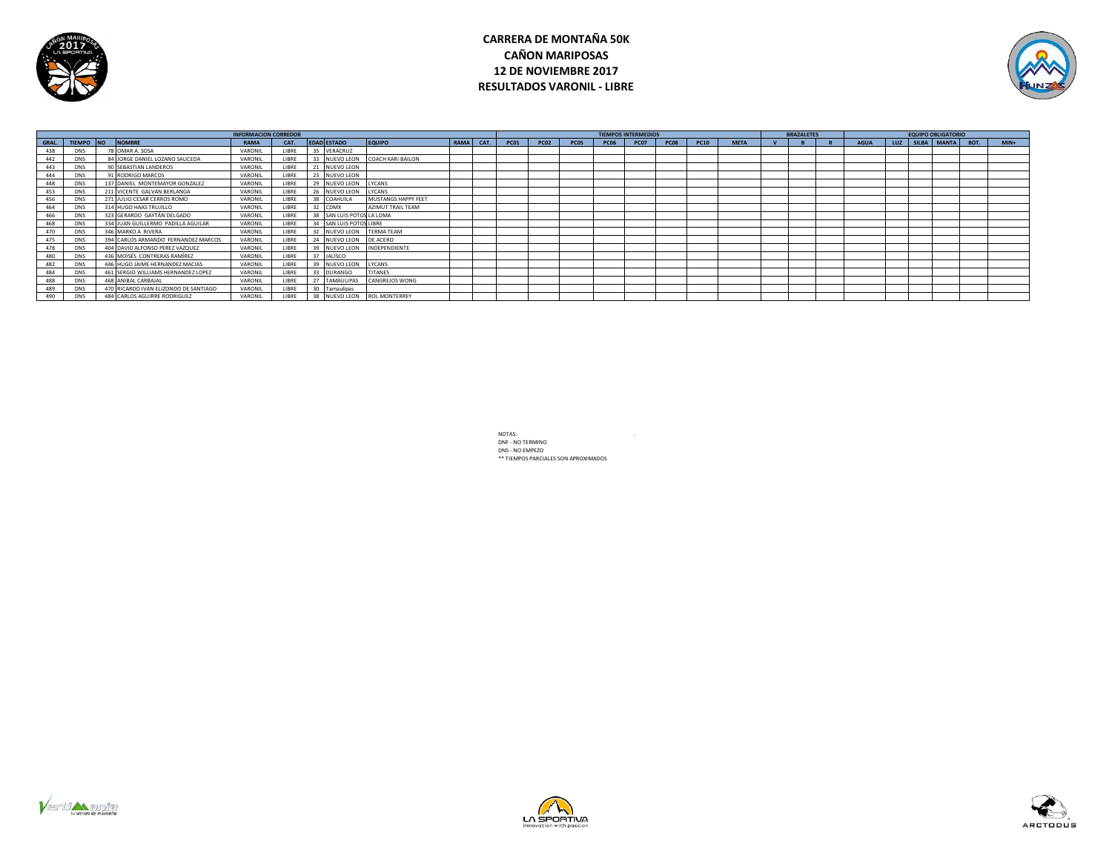

# **CARRERA DE MONTAÑA 50K CAÑON MARIPOSAS 12 DE NOVIEMBRE 2017 RESULTADOS VARONIL - LIBRE**



|       |            |                                       |         |             |                           |                          | <b>TIEMPOS INTERMEDIOS</b> |             |             |      | <b>BRAZALETES</b> |             |      | <b>EQUIPO OBLIGATORIO</b> |             |  |             |  |                      |        |
|-------|------------|---------------------------------------|---------|-------------|---------------------------|--------------------------|----------------------------|-------------|-------------|------|-------------------|-------------|------|---------------------------|-------------|--|-------------|--|----------------------|--------|
| GRAL. |            | TIEMPO NO NOMBRE                      | RAMA    | CAT.        | <b>EDAD ESTADO</b>        | <b>EQUIPO</b>            | RAMA CAT.                  | <b>PC01</b> | <b>PC02</b> | PC05 | <b>PC06</b>       | <b>PC07</b> | PC08 | <b>PC10</b>               | <b>META</b> |  | <b>AGUA</b> |  | LUZ SILBA MANTA BOT. | $MIN+$ |
|       | <b>DNS</b> | 78 OMAR A, SOSA                       | VARONIL | <b>IRRE</b> | 35 VERACRUZ               |                          |                            |             |             |      |                   |             |      |                           |             |  |             |  |                      |        |
| 442   | <b>DNS</b> | 84 JORGE DANIEL LOZANO SAUCEDA        | VARONIL | LIBRE       | 33 NUEVO LEON             | <b>COACH KARI BAILON</b> |                            |             |             |      |                   |             |      |                           |             |  |             |  |                      |        |
| 443   | <b>DNS</b> | 90 SEBASTIAN LANDEROS                 | VARONIL | LIBRE       | 21 NUEVO LEON             |                          |                            |             |             |      |                   |             |      |                           |             |  |             |  |                      |        |
| 444   | <b>DNS</b> | 91 RODRIGO MARCOS                     | VARONIL | <b>IRRF</b> | 23 NUEVO LEON             |                          |                            |             |             |      |                   |             |      |                           |             |  |             |  |                      |        |
| 448   | <b>DNS</b> | 137 DANIEL MONTEMAYOR GONZALEZ        | VARONIL | <b>IRRF</b> | 29 NUEVO LEON             | LYCANS                   |                            |             |             |      |                   |             |      |                           |             |  |             |  |                      |        |
| 453   | <b>DNS</b> | 211 VICENTE GALVAN BERLANGA           | VARONIL | LIBRE       | 26 NUEVO LEON             | LYCANS                   |                            |             |             |      |                   |             |      |                           |             |  |             |  |                      |        |
| 456   | <b>DNS</b> | 271 JULIO CESAR CERROS ROMO           | VARONIL | <b>IRRF</b> | 38 COAHUILA               | MUSTANGS HAPPY FEET      |                            |             |             |      |                   |             |      |                           |             |  |             |  |                      |        |
| 464   | <b>DNS</b> | 314 HUGO HAAS TRUJILLO                | VARONIL | <b>IBRF</b> | 32 CDMX                   | AZIMUT TRAIL TEAM        |                            |             |             |      |                   |             |      |                           |             |  |             |  |                      |        |
| 466   | <b>DNS</b> | 323 GERARDO GAYTÁN DELGADO            | VARONIL | <b>IBRF</b> | 38 SAN LUIS POTOS LA LOMA |                          |                            |             |             |      |                   |             |      |                           |             |  |             |  |                      |        |
| 468   | <b>DNS</b> | 334 JUAN GUILLERMO PADILLA AGUILAR    | VARONIL | LIBRE       | 34 SAN LUIS POTOS LIBRE   |                          |                            |             |             |      |                   |             |      |                           |             |  |             |  |                      |        |
| 470   | <b>DNS</b> | 346 MARKO A RIVERA                    | VARONIL | LIBRE       | 32 NUEVO LEON             | <b>TERMA TEAM</b>        |                            |             |             |      |                   |             |      |                           |             |  |             |  |                      |        |
|       | <b>DNS</b> | 394 CARLOS ARMANDO FERNANDEZ MARCOS   | VARONIL | LIBRE       | 24 NUEVO LEON             | <b>DE ACERO</b>          |                            |             |             |      |                   |             |      |                           |             |  |             |  |                      |        |
|       | <b>DNS</b> | 404 DAVID ALFONSO PEREZ VAZQUEZ       | VARONIL | <b>IBRF</b> | 39 NUEVO LEON             | <b>INDEPENDIENTE</b>     |                            |             |             |      |                   |             |      |                           |             |  |             |  |                      |        |
| 480   | <b>DNS</b> | 436 MOISÉS CONTRERAS RAMÍREZ          | VARONIL | LIBRE       | 37 JALISCO                |                          |                            |             |             |      |                   |             |      |                           |             |  |             |  |                      |        |
| 482   | <b>DNS</b> | 446 HUGO JAIME HERNANDEZ MACIAS       | VARONIL | <b>IBRE</b> | 39 NUEVO LEON             | LYCANS                   |                            |             |             |      |                   |             |      |                           |             |  |             |  |                      |        |
| 484   | <b>DNS</b> | 461 SERGIO WILLIAMS HERNANDEZ LOPEZ   | VARONIL | <b>IRRE</b> | 33 DURANGO                | <b>TITANES</b>           |                            |             |             |      |                   |             |      |                           |             |  |             |  |                      |        |
| 488   | <b>DNS</b> | 468 ANIBAL CARBAJAL                   | VARONIL | <b>IBRF</b> | 27 TAMAULIPAS             | <b>CANGREJOS WONG</b>    |                            |             |             |      |                   |             |      |                           |             |  |             |  |                      |        |
| 489   | <b>DNS</b> | 470 RICARDO IVAN ELIZONDO DE SANTIAGO | VARONIL | LIBRE       | 30 Tamaulipas             |                          |                            |             |             |      |                   |             |      |                           |             |  |             |  |                      |        |
| 490   | <b>DNS</b> | 484 CARLOS AGUIRRE RODRIGUEZ          | VARONIL | <b>IBRE</b> | 38 NUEVO LEON             | <b>ROL MONTERREY</b>     |                            |             |             |      |                   |             |      |                           |             |  |             |  |                      |        |





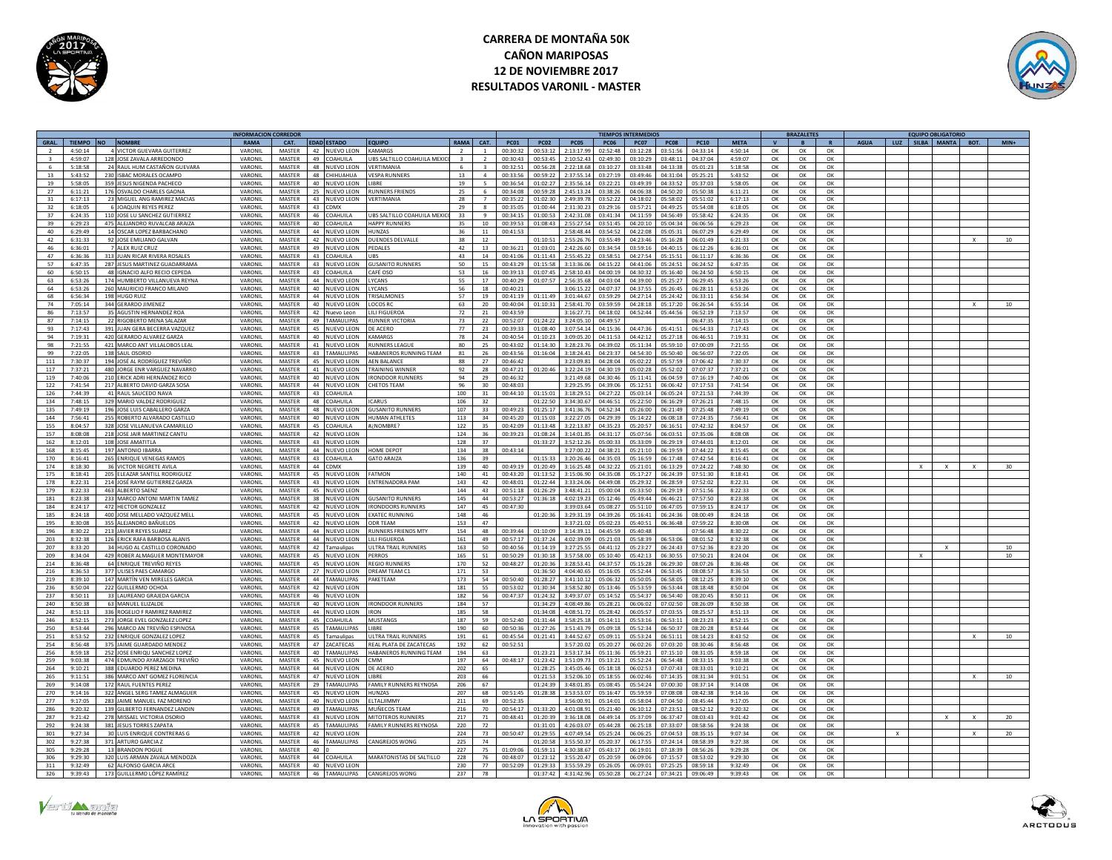

# **CARRERA DE MONTAÑA 50K CAÑON MARIPOSAS 12 DE NOVIEMBRE 2017 RESULTADOS VARONIL - MASTER**



|              |           |                               | <b>INFORMACION CORREDO</b> |               |                 |                    |                            |              |                 |             |                |                |                         | <b>TIEMPOS INTERMEDIO:</b> |                |             |               |              | <b>BRAZALETES</b> |          |             |     | <b>EQUIPO OBLIGATORIO</b> |              |                  |
|--------------|-----------|-------------------------------|----------------------------|---------------|-----------------|--------------------|----------------------------|--------------|-----------------|-------------|----------------|----------------|-------------------------|----------------------------|----------------|-------------|---------------|--------------|-------------------|----------|-------------|-----|---------------------------|--------------|------------------|
| GRAL.        | TIEMPO NO | <b>NOMBRE</b>                 | <b>RAMA</b>                | CAT.          |                 | <b>EDAD ESTADO</b> | <b>EQUIPO</b>              | RAMA         | CAT.            | <b>PC01</b> | <b>PC02</b>    | <b>PC05</b>    | <b>PC06</b>             | <b>PC07</b>                | <b>PC08</b>    | <b>PC10</b> | <b>META</b>   | $\mathbf{v}$ | $\overline{B}$    |          | <b>AGUA</b> | LUZ | SILBA MANTA BOT.          |              | $MIN+$           |
|              | 4.50:14   |                               |                            |               |                 |                    | <b>AMARGS</b>              |              |                 |             |                | 2.13.179       | 02.52.48                |                            | 03.51.56       |             | $A - 50 - 14$ |              |                   |          |             |     |                           |              |                  |
|              |           | 4 VICTOR GUEVARA GUITERREZ    | VARONI                     | MASTER        |                 | 42 NUEVO LEON      |                            |              |                 | 00:30:32    | 00:53:12       |                |                         | 03:12:28                   |                | 04:33:14    |               | OK           | $\alpha$          | OK       |             |     |                           |              |                  |
| $\mathbf{R}$ | 4:59:07   | 128 JOSE ZAVALA ARREDONDO     | VARONIL                    | MASTER        |                 | 49 COAHUILA        | UBS SALTILLO COAHUILA MEXI | $\mathbf{R}$ | $\overline{2}$  | 00:30:43    | 00:53:45       | 2:10:52.43     | 02:49:30                | 03:10:29                   | 03:48:11       | 04:37:04    | 4:59:07       | OK           | OK                | OK       |             |     |                           |              |                  |
| 6            | 5:18:58   | 24 RAUL HUM CASTAÑON GUEVARA  | VARONII                    | MASTER        |                 | 48 NUEVO LEON      | VERTIMANIA                 | 6            | $\mathbf{R}$    | 00:32:51    | 00:56:28       | 2:22:18.68     | 03:10:27                | 03:33:48                   | 04:13:38       | 05:01:23    | 5:18:58       | OK           | OK                | OK       |             |     |                           |              |                  |
|              |           |                               |                            |               |                 |                    |                            |              |                 |             |                |                |                         |                            |                |             |               |              |                   |          |             |     |                           |              |                  |
| 13           | 5.43.52   | 230 ISBAC MORALES OCAMPO      | VARONII                    | <b>MASTER</b> |                 | 48 CHIHIIAHIIA     | VESPA RUNNERS              | 13           | $\Lambda$       | 00:33:56    | 00.59.22       | 2.37.5514      | 03.27.19                | 03.49.46                   | $0.4.31 - 0.4$ | 05:25:21    | 5:43:52       | OK           | OK                | OK       |             |     |                           |              |                  |
| 19           | 5:58:05   | 359 JESUS NIGENDA PACHECO     | VARONII                    | MASTER        | 40              | NUEVO LEON         | <b>IBRF</b>                | 19           | $5 -$           | 00:36:54    | 01:02:27       | 2:35:56.1      | 03:22:2                 | 03:49:39                   | 04:33:52       | 05:37:03    | 5:58:05       | OK           | OK                | OK       |             |     |                           |              |                  |
| 27           | 6:11:21   | 176 OSVALDO CHARLES GAONA     | VARONII                    | MASTER        | 25              | <b>NUEVO LEON</b>  | <b>UNNERS FRIENDS</b>      | 25           | 6               | 00:34:08    | 00:59:28       | 2:45:13.24     | 03:38:26                | 04:06:38                   | 04:50:20       | 05:50:3     | 6:11:21       | OK           | OK                | OK       |             |     |                           |              |                  |
|              |           |                               |                            |               |                 |                    |                            |              |                 |             |                |                |                         |                            |                |             |               |              |                   |          |             |     |                           |              |                  |
| 31           | 6:17:13   | 23 MIGUEL ANG RAMIREZ MACIA   | VARONII                    | <b>MASTER</b> | 43              | <b>IUEVO LEON</b>  | VERTIMANIA                 | 28           | $\overline{7}$  | 00:35:22    | 01:02:30       | 2:49:39.79     | 03:52:22                | 04:18:02                   | 05:58:02       | 05:51:02    | 6:17:13       | OK           | OK                | OK       |             |     |                           |              |                  |
| 32           | 6:18:05   | 6 JOAQUIN REYES PEREZ         | VARONI                     | MASTER        | 43              | <b>OMX</b>         |                            | 29           | $\mathbf{R}$    | 00:35:05    | 01:00:44       | 2:31:30.2      | 03:29:16                | 03:57:21                   | 04:49:25       | 05:54:08    | 6:18:05       | $\alpha$     | $\alpha$          | $\alpha$ |             |     |                           |              |                  |
| 37           | 6:24:35   | 110 JOSE LU SANCHEZ GUTIERREZ | VARONI                     | MASTER        | 46              | <b>OAHUILA</b>     | UBS SALTILLO COAHUILA MEX  | 33           | $\alpha$        | 00:34:15    | 01.005         | 2:42:31.08     | 03:41:3                 | 04:11:59                   | $0.4.56 - 0.6$ | 05:58:42    | 6:24:35       | $\alpha$     | OK                | OK       |             |     |                           |              |                  |
|              |           |                               |                            |               |                 |                    |                            |              |                 |             |                |                |                         |                            |                |             |               |              |                   |          |             |     |                           |              |                  |
| 39           | 6:29:23   | 475 ALEJANDRO RUVALCAB ARAIZ  | VARONII                    | MASTER        |                 | 40 COAHUILA        | <b>HAPPY RUNNERS</b>       | 35           | 10              | 00:39:53    | 01:08:43       | 2:55:27.54     | 03:51:45                | 04:20:10                   | 05:04:34       | 06:06:5     | 6:29:23       | OK           | OK                | OK       |             |     |                           |              |                  |
| 40           | 6:29:49   | 14 OSCAR LOPEZ BARBACHANO     | VARONIL                    | MASTER        |                 | 44 NUEVO LEON      | HUNZAS                     | 36           | 11              | 00:41:53    |                | 2:58:48.44     | 03:54:52                | 04:22:08                   | 05:05:31       | 06:07:29    | 6:29:49       | OK           | OK                | OK       |             |     |                           |              |                  |
|              |           |                               |                            |               |                 |                    |                            |              |                 |             |                |                |                         |                            |                |             |               |              |                   |          |             |     |                           |              |                  |
| 42           | 6:31:33   | 92 JOSE EMILIANO GALVAN       | VARONII                    | MASTER        |                 | 42 NUEVO LEON      | <b>OUENDES DELVALLE</b>    | 38           | 12              |             | 01:10:5:       | 2:55:26.76     | $03.55 - 40$            | 04:23:46                   | 05:16:28       | 06:01:49    | 6:21:33       | OK           | OK                | OK       |             |     |                           |              | 10               |
| 46           | 6:36:01   | 7 ALEX RUIZ CRUZ              | VARONII                    | <b>MASTER</b> | 49              | NUEVO LEON         | <b>EDALES</b>              | 42           | 13              | 00:36:21    | 01:03:01       | 2:42:26.60     | 03:34:5                 | 03:59:16                   | 04:40:15       | 06:12:26    | 6:36:01       | OK           | OK                | $\alpha$ |             |     |                           |              |                  |
| 47           | 6:36:36   | 313 JUAN RICAR RIVERA ROSALES | VARONII                    | MASTER        | 43              | COAHUILA           | <b>IBS</b>                 | 43           | 14              | 00:41:06    | 01:11:43       | 2:55:45.22     | 03:58:51                | 04:27:54                   | 05:15:51       | 06:11:17    | 6:36:36       | OK           | ОК                | OK       |             |     |                           |              |                  |
|              |           |                               |                            |               |                 |                    |                            |              |                 |             |                |                |                         |                            |                |             |               |              |                   |          |             |     |                           |              |                  |
| 57           | 6:47:35   | 287 JESUS MARTINEZ GUADARRAMA | VARONIL                    | MASTER        | 43              | <b>NUEVO LEON</b>  | <b>GUSANITO RUNNERS</b>    | 50           | 15              | 00:43:29    | 01:15:58       | 3:13:36.06     | 04:15:22                | 04:41:06                   | 05:24:51       | 06:24:52    | 6:47:35       | OK           | ОК                | OK       |             |     |                           |              |                  |
| 60           | 6:50:15   | 48 IGNACIO ALFO RECIO CEPEDA  | VARONII                    | MASTER        | 43              | COAHUILA           | CAFÉ OSO                   | 53           | 16              | 00:39:13    | 01:07:45       | 2:58:10.43     | 04:00:19                | 04:30:32                   | 05:16:40       | 06:24:50    | 6:50:15       | $\alpha$     | $\alpha$          | $\alpha$ |             |     |                           |              |                  |
| 63           | 6:53:26   | 174 HUMBERTO VILLANUEVA REYNA | VARONI                     | MASTER        | AA              | <b>NUEVO LEON</b>  | YCANS                      | 55           | 17              | 00:40:29    | 01:07:5        | 2:56:35.68     | 04:03:0                 | 04:39:00                   | 05:25:27       | 06:29:4     | 6:53:26       | $\alpha$     | OK                | $\alpha$ |             |     |                           |              |                  |
|              |           |                               |                            |               |                 |                    |                            |              |                 |             |                |                |                         |                            |                |             |               |              |                   |          |             |     |                           |              |                  |
| 64           | 6:53:26   | 260 MAURICIO FRANCO MILANO    | VARONI                     | MASTER        |                 | 40 NUEVO LEON      | YCANS                      | 56           | 18              | 00:40:21    |                | 3:06:15.22     | 04:07:37                | 04:37:55                   | 05:26:45       | 06:28:11    | 6:53:26       | OK           | OK                | $\alpha$ |             |     |                           |              |                  |
| 68           | 6:56:34   | 198 HUGO RUIZ                 | VARONIL                    | <b>MASTER</b> |                 | 44 NUEVO LEON      | <b>TRISALMONES</b>         | 57           | 19              | 00:41:19    | 01:11:49       | 3:01:44.67     | 03:59:29                | 04:27:14                   | 05:24:42       | 06:33:11    | 6:56:34       | OK           | OK                | OK       |             |     |                           |              |                  |
| 74           | 7:05:14   | 344 GERARDO JIMENEZ           | VARONI                     | <b>MASTER</b> |                 | 40 NUEVO LEON      | OCOS RC                    | 63           | 20              | 00:40:04    | 01:10:31       | 7.58:41.70     | 03.59.50                | 04:28:18                   | 05:17:20       | 06:26:54    | 6:55:14       | OK           | OK                | OK       |             |     |                           |              | 10               |
|              |           |                               |                            |               |                 |                    |                            |              |                 |             |                |                |                         |                            |                |             |               |              |                   |          |             |     |                           |              |                  |
| 86           | 7.13.57   | 35 AGUSTIN HERNANDEZ ROA      | VARONIL                    | MASTER        | 42              | Nuevo Leon         | <b>III FIGUEROA</b>        | 72           | 21              | 00:43:59    |                | 3:16:27.71     | 04.18:02                | 04:52:44                   | 05:44:56       | 06:52:19    | 7.13.57       | OK           | $\alpha$          | $\alpha$ |             |     |                           |              |                  |
| 87           | 7:14:15   | 22 RIGOBERTO MENA SALAZAR     | VARONII                    | MASTER        | 49              | AMAULIPAS          | UNNER VICTORIA             | 73           | 22              | 00:52:07    | 01:24:22       | 3:24:05.1      | 04:49:5                 |                            |                | 06:47:3     | 7:14:15       | OK           | OK                | OK       |             |     |                           |              |                  |
| 93           | 7:17:43   | 391 JUAN GERA BECERRA VAZQUE  | VARONII                    | MASTER        | 45              | <b>IUEVO LEON</b>  | E ACERO                    | 77           | 23              | 00:39:33    | 01:08:40       | 3:07:54.1      | 04:15:3                 | 04:47:3                    | 05:41:5        | 06:54:3     | 7:17:43       | OK           | OK                | OK       |             |     |                           |              |                  |
|              |           |                               |                            |               |                 |                    |                            |              |                 |             |                |                |                         |                            |                |             |               |              |                   |          |             |     |                           |              |                  |
| $Q_{A}$      | 7.19.31   | 420 GERARDO ALVAREZ GARZA     | VARONII                    | <b>MASTER</b> | $40-1$          | NUEVO LEON         | KAMARGS                    | 78           | 24              | 00.40.54    | $01 - 10 - 25$ | 3.09.05.20     | 0.4:11:5                | 0.42.12                    | $05.27 - 15$   | 06:46:5     | 7.19.31       | OK           | OK                | OK       |             |     |                           |              |                  |
| 98           | 7:21:55   | 421 MARCO ANT VILLALOBOS LEAL | VARONII                    | MASTER        | 41              | <b>NUEVO LEON</b>  | UNNERS LEAGUI              | 80           | 25              | 00:43:02    | 01:14:30       | 3:28:23.76     | 04:39:0                 | 05:11:34                   | 05:59:10       | 07:00:09    | 7:21:55       | OK           | OK                | OK       |             |     |                           |              |                  |
| 99           | 7:22:05   | 138 SAULOSORIO                | VARONI                     | MASTER        |                 | 43 TAMAULIPAS      | ARANEROS RUNNING TEAM      | 81           | 26              | 00:43:56    | 01:16:0        | 3:18:24.4      | 04:23:3                 | 04:54:30                   | 05:50:40       | 06:56:07    | 7:22:05       | $\alpha$     | OK                | $\alpha$ |             |     |                           |              |                  |
|              |           |                               |                            |               |                 |                    |                            |              |                 |             |                |                |                         |                            |                |             |               |              |                   |          |             |     |                           |              |                  |
| 111          | 7:30:37   | 194 JOSÉ AL RODRÍGUEZ TREVIÑO | VARONIL                    | MASTER        |                 | 45 NUEVO LEON      | AFN BALANCE                | 88           | 27              | 00:46:42    |                | 3:23:09.81     | 04:28:04                | 05:02:22                   | 05:57:59       | 07:06:42    | 7:30:37       | OK           | OK                | OK       |             |     |                           |              |                  |
| 117          | 7:37:21   | 480 JORGE ENR VARGUEZ NAVARRO | VARONII                    | <b>MASTER</b> |                 | 41 NUEVO LEON      | TRAINING WINNER            | 92           | 28              | 00:47:21    | 01:20:46       | 3:22:24.19     | $0.4 \cdot 30 \cdot 10$ | 05:02:28                   | 05:52:02       | 07:07:37    | 7:37:21       | OK           | OK                | OK       |             |     |                           |              |                  |
| 119          | 7:40:06   | 210 ERICK ADRI HERNÁNDEZ RICO | VARONII                    | <b>MASTER</b> | 40              | NUEVO LEON         | <b>IRONDOOR RUNNERS</b>    | 94           | 29              | 00:46:32    |                | 3:21:49.68     | 04:30:46                | 05:11:41                   | 06:04:59       | 07:16:19    | 7:40:06       | $\alpha$     | $\alpha$          | OK       |             |     |                           |              |                  |
|              |           |                               |                            |               |                 |                    |                            |              |                 |             |                |                |                         |                            |                |             |               |              |                   |          |             |     |                           |              |                  |
| 122          | 7:41:54   | 217 ALBERTO DAVID GARZA SOSA  | VARONII                    | <b>MASTER</b> | 44              | NUEVO LEON         | <b>HETOS TEAM</b>          | 96           | 30 <sup>°</sup> | 00:48:03    |                | 3:29:25.9      | 04:39:0                 | 05:12:51                   | 06:06:42       | 07:17:53    | 7:41:54       | OK           | ОК                | OK       |             |     |                           |              |                  |
| 126          | 7:44:39   | 41 RAUL SAUCEDO NAVA          | VARONII                    | MASTER        | 43              | COAHUILA           |                            | 100          | 31              | 00:44:10    | 01:15:01       | 3:18:29.5      | 04:27:22                | 05:03:14                   | 06:05:24       | 07:21:53    | 7:44:39       | OK           | OK                | OK       |             |     |                           |              |                  |
| 134          | 7.48.15   | 329 MARIO VALDEZ RODRIGUEZ    | VARONII                    | <b>MASTER</b> |                 | 48 COAHILLA        | CARLIS                     | 106          | 32              |             | $01 - 22 - 50$ | 3:34:30.67     | $04.46 - 5$             | 05:22:50                   | 06:16:29       | 07:26:21    | 7.48.15       | OK           | OK                | $\alpha$ |             |     |                           |              |                  |
|              |           |                               |                            |               |                 |                    |                            |              |                 |             |                |                |                         |                            |                |             |               |              |                   |          |             |     |                           |              |                  |
| 135          | 7:49:19   | 196 JOSE LUIS CABALLERO GARZA | VARONII                    | MASTER        | 48              | NUEVO LEON         | <b>USANITO RUNNERS</b>     | 107          | 33              | 00:49:2     | 01:25:1        | 3:41:36.7      | 04:52:3                 | 05:26:00                   | 06:21:49       | 07:25:4     | 7:49:19       | OK           | OK                | OK       |             |     |                           |              |                  |
| 144          | 7:56:41   | 255 ROBERTO ALVARADO CASTILLO | VARONII                    | MASTER        | 40              | <b>NUEVO LEON</b>  | <b>IUMAN ATHI FTF</b>      | 113          | 34              | 00:45:20    | 01:15:0        | 3:22:27.0      | 04:29:3                 | 05:14:22                   | 06:08:18       | 07:24:3!    | 7:56:41       | $\alpha$     | OK                | OK       |             |     |                           |              |                  |
|              | 8:04:57   |                               | VARONII                    | <b>MASTER</b> |                 | 45 COAHUILA        | <b>UNOMBRE?</b>            | 122          | 35              | 00:42:09    | 01:13:48       | 3:22:13.87     | 04:35:23                | 05:20:57                   | 06:16:51       | 07:42:32    |               |              |                   |          |             |     |                           |              |                  |
| 155          |           | 328 JOSE VILLANUEVA CAMARILLO |                            |               |                 |                    |                            |              |                 |             |                |                |                         |                            |                |             | 8:04:57       | OK           | OK                | OK       |             |     |                           |              |                  |
| 157          | 8:08:08   | 218 JOSE JAIR MARTINEZ CANTU  | VARONII                    | MASTER        |                 | 42 NUEVO LEON      |                            | 124          | 36              | 00:39:23    | 01:08:24       | 3:14:01.85     | 04:31:17                | 05:07:56                   | 06:03:51       | 07:35:06    | 8:08:08       | OK           | OK                | OK       |             |     |                           |              |                  |
| 162          | 8:12:01   | 108 JOSE AMATITLA             | VARONI                     | MASTER        |                 | 43 NUEVO LEON      |                            | 128          | 37              |             | 01:33:27       | 3:52:12.26     | 05:00:33                | 05:33:09                   | 06:29:19       | 07:44:01    | 8:12:01       | $\alpha$     | OK                | OK       |             |     |                           |              |                  |
| 168          | 8:15:45   | 197 ANTONIO IBARRA            | VARONI                     | MASTER        | 44              | NUEVO LEON         | OME DEPOT                  | 134          |                 | 00:43:14    |                | 3:27:00.2      | 04:38:2                 | 05:21:10                   | 06:19:59       | 07:44:22    | 8:15:45       |              |                   | OK       |             |     |                           |              |                  |
|              |           |                               |                            |               |                 |                    |                            |              | 38              |             |                |                |                         |                            |                |             |               | OK           | OK                |          |             |     |                           |              |                  |
| 170          | 8:16:41   | 265 ENRIQUE VENEGAS RAMOS     | VARONII                    | MASTER        | 43              | COAHUILA           | <b>GATO ARAIZA</b>         | 136          | 39              |             | 01:15:33       | 3:20:26.46     | 04:35:03                | 05:16:59                   | 06:17:48       | 07:42:54    | 8:16:41       | OK           | OK                | OK       |             |     |                           |              |                  |
| 174          | 8:18:30   | 36 VICTOR NEGRETE AVILA       | VARONI                     | MASTER        | 44              | <b>DMY</b>         |                            | 139          | 40              | 00:49:19    | 01:20:49       | 3:16:25.48     | 04:32:2                 | 05:21:01                   | 06:13:29       | 07:24:2     | 7:48:30       | OK           | ОК                | OK       |             |     |                           |              |                  |
|              |           |                               |                            |               |                 |                    |                            |              |                 |             |                |                |                         |                            |                |             |               |              |                   |          |             |     |                           |              |                  |
| 175          | 8:18:41   | 205 FLEAZAR SANTILL RODRIGUEZ | VARONII                    | MASTER        | 45              | NUEVO LEON         | <b>ATMON</b>               | 140          | 41              | 00:43:20    | 01:13:52       | 3:15:06.9      | 04:35:08                | 05:17:27                   | 06:24:39       | 07:51:30    | 8:18:41       | $\alpha$     | OK                | OK       |             |     |                           |              |                  |
| 178          | 8:22:31   | 214 JOSÉ RAYM GUTIERREZ GARZA | VARONIL                    | MASTER        |                 | 43 NUEVO LEON      | NTRENADORA PAM             | 143          | 42              | 00:48:01    | 01:22:44       | 3:33:24.06     | 04:49:05                | 05:29:32                   | 06:28:59       | 07:52:02    | 8:22:31       | OK           | OK                | $\alpha$ |             |     |                           |              |                  |
| 179          | 8:22:33   | 463 ALBERTO SAENZ             | VARONIL                    | MASTER        |                 | 45 NUEVO LEON      |                            | 144          | 43              | 00:51:18    | 01:26:29       | 3:48:41.21     | 05:00:04                | 05:33:50                   | 06:29:19       | 07:51:56    | 8:22:33       | OK           | OK                | OK       |             |     |                           |              |                  |
|              |           |                               |                            |               |                 |                    |                            |              |                 |             |                |                |                         |                            |                |             |               |              |                   |          |             |     |                           |              |                  |
| 181          | 8.73.38   | 233 MARCO ANTONI MARTIN TAMEZ | VARONIL                    | MASTER        |                 | 38 NUEVO LEON      | <b>GUSANITO RUNNERS</b>    | 145          | 44              | 00:53:27    | 01:36:18       | 4:02:19.23     | 05:12:46                | 05.49.44                   | 06:46:21       | 07:57:50    | 8:23:38       | OK           | ОК                | OK       |             |     |                           |              |                  |
| 184          | 8:24:17   | 472 HECTOR GONZALEZ           | VARONII                    | <b>MASTER</b> |                 | 42 NUEVO LEON      | RONDOORS RUNNERS           | 147          | 45              | 00:47:30    |                | 3:39:03.64     | 05:08:27                | 05:51:10                   | 06:47:05       | 07:59:15    | 8:24:17       | $\Omega$     | OK                | OK       |             |     |                           |              |                  |
| 185          | 8:24:18   | 400 JOSE MELLADO VAZQUEZ MELI | VARONII                    | MASTER        | 45              | NUEVO LEON         | <b>XATEC RUNNING</b>       | 148          | 46              |             | 01:20:3        | 3:29:31.1      | 04:39:21                | 05:16:41                   | 06:24:36       | 08:00:49    | 8:24:18       | OK           | OK                | OK       |             |     |                           |              |                  |
|              |           |                               |                            |               |                 |                    |                            |              |                 |             |                |                |                         |                            |                |             |               |              |                   |          |             |     |                           |              |                  |
| 195          | 8:30:08   | 355 ALEJANDRO BAÑUELOS        | VARONIL                    | MASTER        |                 | 42 NUEVO LEON      | <b>ODR TEAM</b>            | 153          | 47              |             |                | 3:37:21.02     | 05:02:23                | 05:40:51                   | 06:36:48       | 07:59:22    | 8:30:08       | OK           | OK                | OK       |             |     |                           |              |                  |
|              | 8:30:22   | 213 JAVIER REYES SUAREZ       | VARONI                     | MASTER        | 44              | <b>IUEVO LEON</b>  | <b>UNNERS FRIENDS MTY</b>  | 154          | 48              | 00:39:44    | 01:10:09       | 3:14:39.1      | 04:45:5                 | 05:40:48                   |                | 07:56:48    | 8:30:22       | OK           | ОК                | OK       |             |     |                           |              |                  |
| 203          | 8.32.38   | 126 ERICK RAFA BARBOSA ALANIS | VARONI                     | MASTER        | AA              | NUEVO LEON         | <b>III FIGUEROA</b>        | 161          | 49              | 00:57:17    | 01:37:24       | 4:02:39.09     | 05:21:02                | 05:58:39                   | 06:53:06       | 08:01:5     | 8:32:38       | $\alpha$     | $\alpha$          | OK       |             |     |                           |              |                  |
|              |           |                               |                            |               |                 |                    |                            |              |                 |             |                |                |                         |                            |                |             |               |              |                   |          |             |     |                           |              |                  |
| 207          | 8:33:20   | 34 HUGO AL CASTILLO CORONADO  | VARONII                    | MASTER        | 42              | <b>Tamaulipas</b>  | JLTRA TRAIL RUNNERS        | 163          | 50              | 00:40:56    | 01:14:1        | 3:27:25.5      | 04:41:1                 | 05:23:27                   | 06:24:43       | 07:52:36    | 8:23:20       | ОK           | OK                | $\alpha$ |             |     |                           |              | 10 <sup>10</sup> |
| 209          | 8:34:04   | 429 ROBER ALMAGUER MONTEMAYOR | VARONII                    | MASTER        |                 | 45 NUEVO LEON      | <b>ERROS</b>               | 165          | 51              | 00:50:29    | 01:30:18       | 3:57:58.00     | 05:10:40                | 05:42:13                   | 06:30:55       | 07:50:2     | 8:24:04       | OK           | OK                | OK       |             |     |                           |              | 10               |
|              | 8:36:48   |                               | VARONII                    | <b>MASTER</b> |                 |                    |                            |              |                 |             |                | 3:28:53.41     | 04:37:57                |                            | 06:29:30       | 08:07:26    | 8:36:48       |              |                   |          |             |     |                           |              |                  |
| 214          |           | 64 ENRIQUE TREVIÑO REYES      |                            |               |                 | 45 NUEVO LEON      | REGIO RUNNERS              | 170          | 52              | 00:48:27    | 01:20:36       |                |                         | 05:15:28                   |                |             |               | OK           | OK                | OK       |             |     |                           |              |                  |
| 216          | 8:36:53   | 377 ULISES PAES CAMARGO       | VARONII                    | <b>MASTER</b> | 27              | NUEVO LEON         | DREAM TEAM C1              | 171          | 53              |             | 01:36:50       | 4:04:40.65     | 05:16:05                | 05:52:44                   | 06:53:45       | 08:08:57    | 8:36:53       | $\alpha$     | $\alpha$          | $\alpha$ |             |     |                           |              |                  |
| 219          | 8:39:10   | 147 MARTÍN VEN MIRELES GARCIA | VARONIL                    | MASTER        | 44              | AMAULIPAS          | AKETEAM                    | 173          | 54              | 00:50:40    | 01:28:27       | 3:41:10.1      | 05:06:32                | 05:50:05                   | 06:58:05       | 08:12:25    | 8:39:10       | OK           | OK                | OK       |             |     |                           |              |                  |
| 236          | 8:50:04   | 222 GUILLERMO OCHOA           | VARONIL                    | MASTER        | 42              | <b>NUEVO LEON</b>  |                            | 181          | 55              | 00:53:02    | 01:30:34       | 3:58:52.80     | 05:13:46                | 05:53:59                   | 06:53:44       | 08:18:48    | 8:50:04       | OK           | OK                | OK       |             |     |                           |              |                  |
|              |           |                               |                            |               |                 |                    |                            |              |                 |             |                |                |                         |                            |                |             |               |              |                   |          |             |     |                           |              |                  |
| 237          | 8:50:11   | 33 LAUREANO GRAJEDA GARCIA    | VARONII                    | MASTER        |                 | 46 NUEVO LEON      |                            | 182          | 56              | 00:47:37    | 01:24:32       | 3:49:37.0      | 05:14:5                 | 05:54:37                   | 06:54:40       | 08:20:45    | 8:50:11       | OK           | OK                | OK       |             |     |                           |              |                  |
| 240          | 8:50:38   | 63 MANUEL ELIZALDE            | VARONII                    | MASTER        | 40              | NUFVO LEON         | <b>RONDOOR RUNNERS</b>     | 184          | 57              |             | 01:34:29       | 4:08:49.8      | 05:28:21                | 06:06:02                   | 07:02:50       | 08:26:09    | 8:50:38       | OK           | $\alpha$          | $\alpha$ |             |     |                           |              |                  |
| 242          | 8.51.12   | 336 ROGELIO F RAMIREZ RAMIREZ | VARONI                     | MASTER        | AA              | NUEVO LEON         | RON                        | 185          | 58              |             | $01 - 34 - 01$ | 4.08.51.7      | 05.28:42                | 06:05:57                   | 07.03.55       | 08:25:57    | 8.51.13       | $\alpha$     | OK                | OK       |             |     |                           |              |                  |
|              |           |                               |                            |               |                 |                    |                            |              |                 |             |                |                |                         |                            |                |             |               |              |                   |          |             |     |                           |              |                  |
| 246          | 8:52:15   | 273 JORGE EVEL GONZALEZ LOPE2 | VARONII                    | MASTER        | 45 0            | COAHUILA           | <b>MUSTANGS</b>            | 187          | 59              | 00:52:40    | 01:31:44       | 3:58:25.18     | 05:14:11                | 05:53:16                   | 06:53:11       | 08:23:23    | 8:52:15       | OK           | OK                | OK       |             |     |                           |              |                  |
| 250          | 8:53:44   | 296 MARCO AN TREVIÑO ESPINOSA | VARONII                    | <b>MASTER</b> |                 | 45 TAMAULIPAS      | <b>IRRE</b>                | 190          | 60              | 00:50:36    | 01:27:26       | 3:51:43.79     | 05:09:18                | 05:52:34                   | 06:50:37       | 08:20:28    | 8:53:44       | OK           | OK                | OK       |             |     |                           |              |                  |
| 251          | 8.53.52   |                               | VARONIL                    | <b>MASTER</b> | 45              | Tamaulinas         | <b>ILTRA TRAIL RUNNERS</b> | 191          | 61              | 00.45:54    | $01 - 21 - 41$ | 3:44:5267      | 05:09:11                | 05.53.24                   | 06:51:11       | 08.14.23    | 8.43.52       | OK           |                   | OK       |             |     |                           | $\mathbf{x}$ |                  |
|              |           | 232 ENRIQUE GONZALEZ LOPEZ    |                            |               |                 |                    |                            |              |                 |             |                |                |                         |                            |                |             |               |              | ОК                |          |             |     |                           |              | 10               |
| 254          | 8:56:48   | 375 JAIME GUARDADO MENDEZ     | VARONIL                    | MASTER        | 47              | <b>ACATECAS</b>    | REAL PLATA DE ZACATECAS    | 192          | 62              | 00:52:51    |                | 3:57:20.02     | 05:20:27                | 06:02:26                   | 07:03:20       | 08:30:46    | 8:56:48       | OK           | OK                | OK       |             |     |                           |              |                  |
| 256          | 8:59:18   | 252 JOSE ENRIQU SANCHEZ LOPE  | VARONIL                    | MASTER        | 40              | <b>TAMAULIPAS</b>  | HABANEROS RUNNING TEAM     | 194          | 63              |             | 01:23:21       | 3:53:17.34     | 05:11:36                | 05:59:21                   | 07:15:10       | 08:31:05    | 8:59:18       | OK           | OK                | OK       |             |     |                           |              |                  |
| 259          | 9:03:38   | 474 FDMUNDO AYARZAGOLTREVIÑO  | VARONII                    | <b>MASTER</b> |                 | 45 NUEVO LEON      | CAANA                      | 197          | 64              | 00:48:17    | 01:23:42       | 3:51:09.73     | 05:13:21                | 05:52:24                   | 06:54:48       | 08:33:15    | 9:03:38       |              |                   | OK       |             |     |                           |              |                  |
|              |           |                               |                            |               |                 |                    |                            |              |                 |             |                |                |                         |                            |                |             |               | OK           | OK                |          |             |     |                           |              |                  |
| 264          | 9:10:21   | 388 FDUARDO PEREZ MEDINA      | VARONI                     | MASTER        | 44              | NUEVO LEON         | <b>DE ACERC</b>            | 202          | 65              |             | 01:28:2        | 3:45:05.4      | 05:18:18                | 06:02:53                   | 07:07:43       | 08:33:0     | 9:10:21       | OK           | $\alpha$          | $\alpha$ |             |     |                           |              |                  |
| 265          | 9:11:51   | 386 MARCO ANT GOMEZ ELORENCIA | VARONI                     | MASTER        | 47              | <b>NUEVO LEON</b>  | <b>IRRF</b>                | 203          | 66              |             | 01:21:5        | 3:52:06.1      | 05:18:5                 | 06:02:46                   | 07:14:35       | 08:31:3     | 9:01:51       | OK           | ОК                | $\alpha$ |             |     |                           |              |                  |
|              |           |                               |                            |               |                 |                    |                            |              |                 |             |                |                |                         |                            |                |             |               |              |                   |          |             |     |                           |              |                  |
| 269          | 9:14:08   | 172 RAUL FUENTES PEREZ        | VARONI                     | <b>MASTER</b> |                 | 29 TAMAULIPAS      | AMILY RUNNERS REYNOSA      | 206          | 67              |             | 01:24:39       | 3:48:01.85     | 05:08:45                | 05:54:24                   | 07:00:30       | 08:37:14    | 9:14:08       | OK           | OK                | OK       |             |     |                           |              |                  |
| 270          | 9:14:16   | 322 ANGEL SERG TAMEZ ALMAGUER | VARONII                    | <b>MASTER</b> |                 | 45 NUEVO LEON      | <b>UNZAS</b>               | 207          | 68              | 00:51:45    | 01:28:38       | 3:53:53.07     | 05:16:47                | 05:59:59                   | 07:08:08       | 08:42:38    | 9:14:16       | OK           | ОК                | OK       |             |     |                           |              |                  |
| 277          | 9.17.05   | 283 JAIME MANUEL FAZ MORENO   | VARONI                     | MASTER        |                 | 40 NUEVO LEON      | <b>ITALIIMMY</b>           | 211          | 69              | 00:52:35    |                | 3.56:009       | 05:14:01                | 05.58.04                   | 07:04:50       | 08.45.44    | 9:17:05       | OK           | OK                | $\alpha$ |             |     |                           |              |                  |
|              |           |                               |                            |               |                 |                    |                            |              |                 |             |                |                |                         |                            |                |             |               |              |                   |          |             |     |                           |              |                  |
| 286          | 9:20:32   | 139 GILBERTO FERNANDEZ LANDIN | VARONII                    | <b>MASTER</b> | 49              | <b>AMAULIPAS</b>   | <b>MUÑECOS TEAN</b>        | 216          | 70              | 00:54:17    | 01:33:20       | 4:01:08.9      | 05:21:4                 | 06:10:12                   | 07:23:51       | 08:52:12    | 9:20:32       | OK           | OK                | OK       |             |     |                           |              |                  |
| 287          | 9:21:42   | 278 MISSAEL VICTORIA OSORIC   | VARONII                    | MASTER        | 43              | <b>NUEVO LEON</b>  | MITOTEROS RUNNER           | 217          | 71              | 00:48:41    | 01:20:39       | 3:36:18.0      | 04:49:1                 | 05:37:09                   | 06:37:47       | 08:03:43    | 9:01:42       | OK           | ОК                | OK       |             |     |                           |              | 20               |
| 292          | 9:24:38   | 381 JESUS TORRES ZAPATA       | VARONII                    | MASTER        | 45              | <b>PAMALILIPAS</b> | AMII Y RUNNERS REYNOSA     | 220          | 72              |             | 01:31:01       | 4:26:03.07     | 05:44:25                | 06:25:18                   | 07.33.07       | 08:58:56    | 9:24:38       | OK           | ОК                | $\alpha$ |             |     |                           |              |                  |
|              |           |                               |                            |               |                 |                    |                            |              |                 |             |                |                |                         |                            |                |             |               |              |                   |          |             |     |                           |              |                  |
| 301          | 9:27:34   | 30 I UIS ENRIQUE CONTRERAS G  | VARONI                     | MASTER        | 42              | <b>NUEVO LEON</b>  |                            | 224          | 73              | 00:50:47    | 01:29:5        | 4:07:49.5      | 05:25:2                 | 06:06:25                   | 07:04:53       | 08:35:1     | 9:07:34       | OK           | OK                | OK       |             |     |                           |              |                  |
| 302          | 9:27:38   | 371 ARTURO GARCIA 7           | VARONI                     | MASTER        | 46              | <b>AMAULIPAS</b>   | ANGREJOS WONG              | 225          | 74              |             | 01:20:51       | 3:55:50.3      | 05:20:3                 | 06:17:55                   | 07:24:14       | 08:58:3!    | 9:27:38       | OK           | OK                | $\alpha$ |             |     |                           |              |                  |
| 305          | 9:29:28   | 13 BRANDON POGUI              | VARONII                    | MASTER        | 40 <sup>2</sup> |                    |                            | 227          | 75              | 01:09:06    | 01:59:1        | 4:30:38.6      | 05:43:17                | 06:19:02                   | 07:18:39       | 08:56:21    | 9:29:28       | $\alpha$     | OK                | $\alpha$ |             |     |                           |              |                  |
|              |           |                               |                            |               |                 |                    |                            |              |                 |             |                |                |                         |                            |                |             |               |              |                   |          |             |     |                           |              |                  |
| 306          | 9:29:30   | 320 LUIS ARMAN ZAVALA MENDOZA | VARONIL                    | <b>MASTER</b> |                 | 44 COAHUILA        | MARATONISTAS DE SALTILLO   | 228          | 76              | 00:48:07    | 01:23:12       | 3:55:20.47     | 05:20:59                | 06:09:06                   | 07:15:57       | 08:53:02    | 9:29:30       | OK           | OK                | OK       |             |     |                           |              |                  |
| 311          | 9:32:49   | 62 ALFONSO GARCIA ARCE        | VARONII                    | <b>MASTER</b> |                 | 40 NUEVO LEON      |                            | 230          | 77              | 00:52:09    | 01:29:33       | 3:55:59.29     | 05:26:05                | 06:09:01                   | 07:25:25       | 08:59:18    | 9:32:49       | ОК           | OK                | OK       |             |     |                           |              |                  |
| 326          | 9:39:43   | 173 GUILLERMO LÓPEZ RAMÍREZ   | VARONIL                    | <b>MASTER</b> |                 | 46 TAMAULIPAS      | CANGRE IOS WONG            | 227          | 78              |             | $01 - 37 - 47$ | $A - 31 - A29$ | 05:50:28                | 06:27:24                   | 07-34-21       | 09:06:49    | 9:39:43       | $\alpha$     | OK                | $\Omega$ |             |     |                           |              |                  |
|              |           |                               |                            |               |                 |                    |                            |              |                 |             |                |                |                         |                            |                |             |               |              |                   |          |             |     |                           |              |                  |





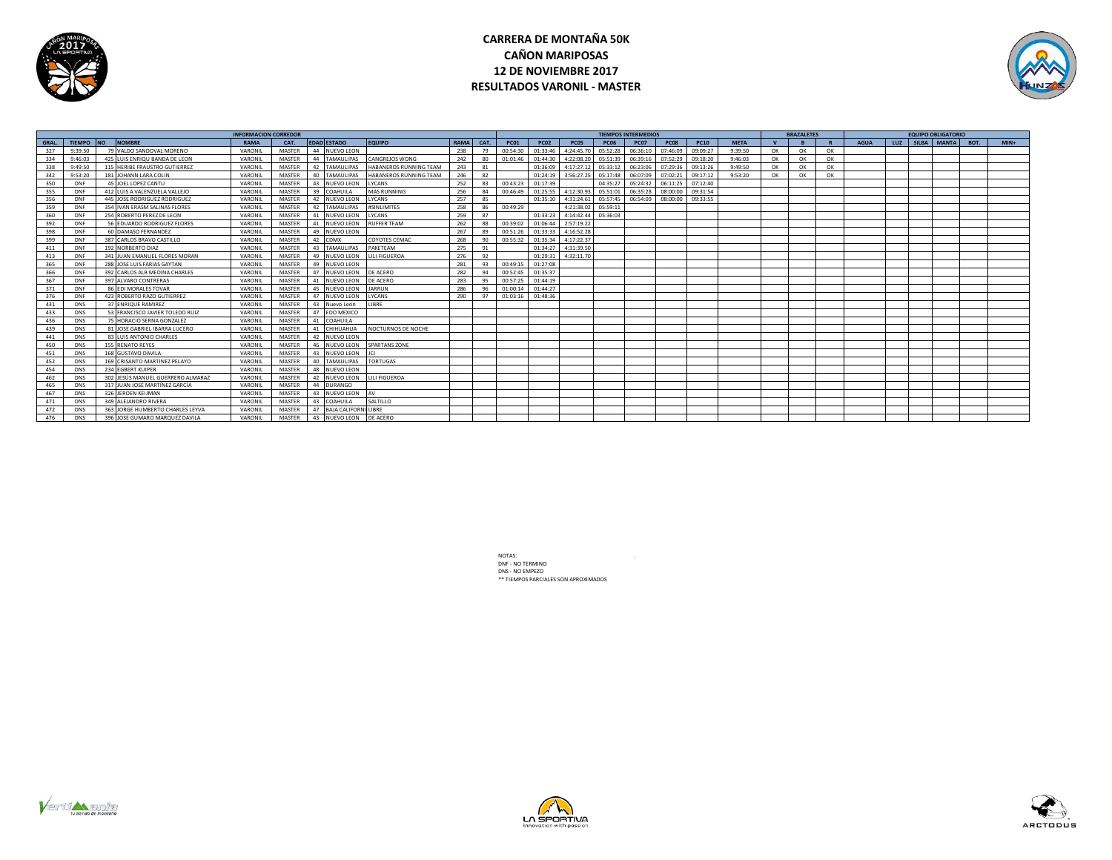

# **CARRERA DE MONTAÑA 50K CAÑON MARIPOSAS 12 DE NOVIEMBRE 2017 RESULTADOS VARONIL - MASTER**



|             |            |                                         | <b>INFORMACION CORREDOR</b> |               |    |                         |                        |             | <b>TIEMPOS INTERMEDIOS</b> |             |             |             |             |             |             |             |             | <b>BRAZALETES</b> |    |    | <b>EQUIPO OBLIGATORIO</b> |  |  |                 |      |        |  |
|-------------|------------|-----------------------------------------|-----------------------------|---------------|----|-------------------------|------------------------|-------------|----------------------------|-------------|-------------|-------------|-------------|-------------|-------------|-------------|-------------|-------------------|----|----|---------------------------|--|--|-----------------|------|--------|--|
| <b>GRAL</b> | TIEMPO NO  | <b>NOMBRE</b>                           | <b>RAMA</b>                 | CAT.          |    | <b>EDAD ESTADO</b>      | <b>EQUIPO</b>          | <b>RAMA</b> | CAT.                       | <b>PC01</b> | <b>PC02</b> | <b>PC05</b> | <b>PC06</b> | <b>PC07</b> | <b>PC08</b> | <b>PC10</b> | <b>META</b> |                   |    |    | <b>AGUA</b>               |  |  | LUZ SILBA MANTA | BOT. | $MIN+$ |  |
| 327         | 9:39:50    | 79 VALDO SANDOVAL MORENO                | VARONIL                     | MASTER        |    | 44 NUEVO LEON           |                        | 238         | 79                         | 00:54:30    | 01:33:46    | 4:24:45.70  | 05:52:28    | 06:36:10    | 07:46:09    | 09:09:27    | 9:39:50     | OK                | OK | OK |                           |  |  |                 |      |        |  |
| 334         | 9:46:03    | 425 LUIS ENRIQU BANDA DE LEON           | VARONIL                     | MASTER        |    | 44 TAMAULIPAS           | <b>CANGREJOS WONG</b>  | 242         | 80                         | 01:01:46    | 01:44:30    | 4:22:08.20  | 05:51:39    | 06:39:16    | 07:52:29    | 09:18:20    | 9:46:03     | OK                | OK | OK |                           |  |  |                 |      |        |  |
| 338         | 9:49:50    | 115 HERIBE FRAUSTRO GUTIERREZ           | VARONII                     | MASTER        |    | 42 TAMAULIPAS           | HABANEROS RUNNING TEAM | 243         | 81                         |             | 01:36:09    | 4:17:27.12  | 05:33:12    | 06:23:06    | 07:29:36    | 09:13:26    | 9:49:50     | OK                | OK | OK |                           |  |  |                 |      |        |  |
| 342         | 9:53:20    | 181 JOHANN LARA COLIN                   | VARON                       | MASTER        |    | 40 TAMAULIPAS           | HABANEROS RUNNING TEAM | 246         | 82                         |             | 01:24:19    | 3:56:27.25  | 05:17:48    | 06:07:09    | 07:02:21    | 09:17:12    | 9:53:20     | OK                | OK | OK |                           |  |  |                 |      |        |  |
| 350         | DNF        | 45 JOEL LOPEZ CANTU                     | VARONII                     | MASTER        |    | 43 NUEVO LEON           | LYCANS                 | 252         | 83                         | 00:43:23    | 01:17:39    |             | 04:35:27    | 05:24:32    | 06:11:25    | 07:12:40    |             |                   |    |    |                           |  |  |                 |      |        |  |
| 355         | DNF        | 412 LUIS A VALENZUELA VALLEJO           | VARONII                     | MASTER        | 39 | <b>COAHUILA</b>         | <b>MAS RUNNING</b>     | 256         | 84                         | 00:46:49    | 01:25:55    | 4:12:30.93  | 05:51:01    | 06:35:28    | 08:00:00    | 09:31:54    |             |                   |    |    |                           |  |  |                 |      |        |  |
| 356         | DNF        | 445 JOSE RODRIGUEZ RODRIGUEZ            | VARONI                      | MASTER        |    | 42 NUEVO LEO            | LYCANS                 | 257         | 85                         |             | 01:35:10    | 4:31:24.61  | 05:57:45    | 06:54:09    | 08:00:00    | 09:33:55    |             |                   |    |    |                           |  |  |                 |      |        |  |
| 359         | DNF        | <b>IVAN ERASM SALINAS FLORES</b><br>354 | VARONII                     | MASTER        |    | 42 TAMAULIPAS           | #SINI IMITES           | 258         | 86                         | 00:49:29    |             | 4:21:38.02  | 05:59:11    |             |             |             |             |                   |    |    |                           |  |  |                 |      |        |  |
| 360         | DNF        | 254 ROBERTO PEREZ DE LEON               | VARONI                      | MASTER        |    | 41 NUEVO LEON           | LYCANS                 | 259         | 87                         |             | 01:33:23    | 4:14:42.44  | 05:36:03    |             |             |             |             |                   |    |    |                           |  |  |                 |      |        |  |
| 392         | <b>DNF</b> | 56 EDUARDO RODRIGUEZ FLORES             | VARONII                     | MASTER        |    | 41 NUEVO LEON           | <b>RUFFER TEAM</b>     | 262         | 88                         | 00:39:02    | 01:06:44    | 2:57:19.22  |             |             |             |             |             |                   |    |    |                           |  |  |                 |      |        |  |
| 398         | DNF        | 60 DAMASO FERNANDEZ                     | VARONII                     | MASTER        |    | 49 NUEVO LEON           |                        | 267         | 89                         | 00:51:26    | 01:33:33    | 4:16:52.28  |             |             |             |             |             |                   |    |    |                           |  |  |                 |      |        |  |
| 399         | DNF        | 387 CARLOS BRAVO CASTILLO               | VARONIL                     | MASTER        |    | 42 CDMX                 | COYOTES CEMAC          | 268         | 90                         | 00:55:32    | 01:35:34    | 4:17:22.37  |             |             |             |             |             |                   |    |    |                           |  |  |                 |      |        |  |
| 411         | DNF        | 192 NORBERTO DIAZ                       | VARONII                     | MASTER        |    | 43 TAMAULIPAS           | PAKETEAM               | 275         | 91                         |             | 01:34:27    | 4:31:39.50  |             |             |             |             |             |                   |    |    |                           |  |  |                 |      |        |  |
| 413         | DNF        | JUAN EMANUEL FLORES MORAN<br>341        | VARONII                     | MASTER        |    | 49 NUEVO LEON           | LILI FIGUEROA          | 276         | 92                         |             | 01:29:31    | 4:32:11.70  |             |             |             |             |             |                   |    |    |                           |  |  |                 |      |        |  |
| 365         | DNF        | JOSE LUIS FARIAS GAYTAN<br>288          | VARONII                     | MASTER        |    | 49 NUEVO LEON           |                        | 281         | Q2                         | 00:49:15    | 01:27:08    |             |             |             |             |             |             |                   |    |    |                           |  |  |                 |      |        |  |
| 366         | DNF        | 392 CARLOS ALB MEDINA CHARLES           | VARONII                     | MASTER        |    | 47 NUEVO LEON           | DE ACERO               | 282         | 94                         | 00:52:45    | 01:35:37    |             |             |             |             |             |             |                   |    |    |                           |  |  |                 |      |        |  |
| 367         | <b>DNF</b> | 397 ALVARO CONTRERAS                    | VARONII                     | MASTER        |    | NUEVO LEON              | DE ACERO               | 283         | qs                         | 00:57:25    | 01:44:19    |             |             |             |             |             |             |                   |    |    |                           |  |  |                 |      |        |  |
| 371         | DNF        | EDI MORALES TOVAR                       | VARONI                      | MASTER        |    | 45 NUEVO LEON           | <b>JARRUN</b>          | 286         | $Q_{\rm F}$                | 01:00:14    | 01:44:27    |             |             |             |             |             |             |                   |    |    |                           |  |  |                 |      |        |  |
| 376         | DNF        | 423 ROBERTO RAZO GUTIERREZ              | VARONI                      | MASTER        | 47 | NUEVO LEON              | LYCANS                 | 290         | Q <sub>1</sub>             | 01:03:16    | 01:48:36    |             |             |             |             |             |             |                   |    |    |                           |  |  |                 |      |        |  |
| 431         | <b>DNS</b> | 37 ENRIQUE RAMIREZ                      | VARONII                     | MASTER        |    | 43 Nuevo León           | <b>IBRF</b>            |             |                            |             |             |             |             |             |             |             |             |                   |    |    |                           |  |  |                 |      |        |  |
| 433         | <b>DNS</b> | 53 FRANCISCO JAVIER TOLEDO RUIZ         | VARONII                     | MASTER        |    | 47 EDO MEXICO           |                        |             |                            |             |             |             |             |             |             |             |             |                   |    |    |                           |  |  |                 |      |        |  |
| 436         | <b>DNS</b> | 75 HORACIO SERNA GONZALEZ               | VARONIL                     | MASTER        | 41 | COAHUILA                |                        |             |                            |             |             |             |             |             |             |             |             |                   |    |    |                           |  |  |                 |      |        |  |
| 439         | <b>DNS</b> | 81 JOSE GABRIEL IBARRA LUCERO           | VARONIL                     | MASTER        |    | 41 CHIHUAHUA            | NOCTURNOS DE NOCHE     |             |                            |             |             |             |             |             |             |             |             |                   |    |    |                           |  |  |                 |      |        |  |
| 441         | <b>DNS</b> | 83 LUIS ANTONIO CHARLES                 | VARONII                     | MASTER        |    | 42 NUEVO LEON           |                        |             |                            |             |             |             |             |             |             |             |             |                   |    |    |                           |  |  |                 |      |        |  |
| 450         | <b>DNS</b> | 155<br><b>RENATO REYES</b>              | VARONII                     | MASTER        |    | 46 NUEVO LEON           | <b>SPARTANS ZONE</b>   |             |                            |             |             |             |             |             |             |             |             |                   |    |    |                           |  |  |                 |      |        |  |
| 451         | <b>DNS</b> | 168 GUSTAVO DAVILA                      | VARONII                     | MASTER        |    | 43 NUEVO LEON           |                        |             |                            |             |             |             |             |             |             |             |             |                   |    |    |                           |  |  |                 |      |        |  |
| 452         | <b>DNS</b> | 169 CRISANTO MARTINEZ PELAYO            | VARONII                     | MASTER        |    | 40 TAMAULIPAS           | <b>TORTUGAS</b>        |             |                            |             |             |             |             |             |             |             |             |                   |    |    |                           |  |  |                 |      |        |  |
| 454         | <b>DNS</b> | 234 FGBERT KUIPER                       | VARONII                     | MASTER        |    | 48 NUEVO LEON           |                        |             |                            |             |             |             |             |             |             |             |             |                   |    |    |                           |  |  |                 |      |        |  |
| 462         | <b>DNS</b> | 302 JESÚS MANUEL GUERRERO ALMARAZ       | VARONI                      | MASTER        |    | 42 NUEVO LEON           | LILI FIGUEROA          |             |                            |             |             |             |             |             |             |             |             |                   |    |    |                           |  |  |                 |      |        |  |
| 465         | <b>DNS</b> | 317 JUAN JOSÉ MARTÍNEZ GARCÍA           | VARONI                      | MASTER        |    | 44 DURANGO              |                        |             |                            |             |             |             |             |             |             |             |             |                   |    |    |                           |  |  |                 |      |        |  |
| 467         | <b>DNS</b> | <b>IFROEN KELIMAN</b><br>326            | VARONII                     | MASTER        |    | 43 NUEVO LEON           | AV                     |             |                            |             |             |             |             |             |             |             |             |                   |    |    |                           |  |  |                 |      |        |  |
| 471         | <b>DNS</b> | 349 ALEJANDRO RIVERA                    | VARONII                     | MASTER        |    | 43 COAHUILA             | SALTILLO               |             |                            |             |             |             |             |             |             |             |             |                   |    |    |                           |  |  |                 |      |        |  |
| 472         | <b>DNS</b> | 363 JORGE HUMBERTO CHARLES LEYVA        | VARONII                     | MASTER        |    | 47 BAJA CALIFORNI LIBRE |                        |             |                            |             |             |             |             |             |             |             |             |                   |    |    |                           |  |  |                 |      |        |  |
| 476         | <b>DNS</b> | JOSE GUMARO MAROUEZ DAVILA<br>396       | VARONII                     | <b>MASTER</b> |    | 43 NUEVO LEON           | DE ACERO               |             |                            |             |             |             |             |             |             |             |             |                   |    |    |                           |  |  |                 |      |        |  |